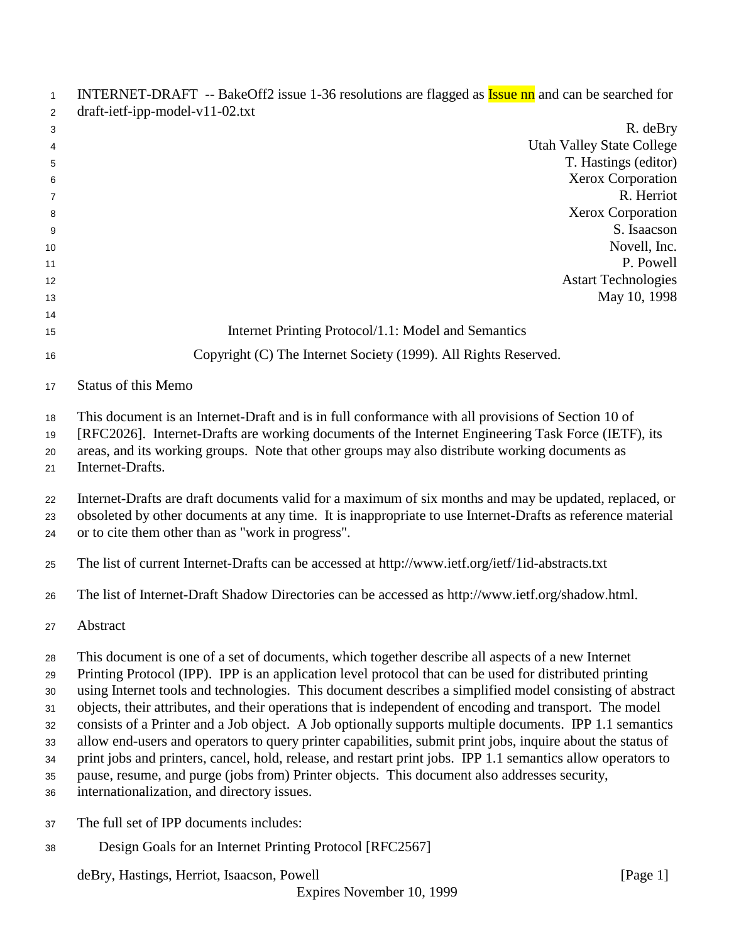| $\mathbf{1}$<br>2 | INTERNET-DRAFT -- BakeOff2 issue 1-36 resolutions are flagged as <b>Issue nn</b> and can be searched for<br>$dr$ aft-ietf-ipp-model-v11-02.txt |
|-------------------|------------------------------------------------------------------------------------------------------------------------------------------------|
| 3                 | R. deBry                                                                                                                                       |
| 4                 | <b>Utah Valley State College</b>                                                                                                               |
| 5                 | T. Hastings (editor)                                                                                                                           |
| 6                 | Xerox Corporation                                                                                                                              |
| 7                 | R. Herriot                                                                                                                                     |
| 8                 | Xerox Corporation                                                                                                                              |
| 9                 | S. Isaacson                                                                                                                                    |
| 10                | Novell, Inc.                                                                                                                                   |
| 11                | P. Powell                                                                                                                                      |
| 12                | <b>Astart Technologies</b>                                                                                                                     |
| 13                | May 10, 1998                                                                                                                                   |
| 14<br>15          | Internet Printing Protocol/1.1: Model and Semantics                                                                                            |
| 16                | Copyright (C) The Internet Society (1999). All Rights Reserved.                                                                                |
| 17                | <b>Status of this Memo</b>                                                                                                                     |
| 18                | This document is an Internet-Draft and is in full conformance with all provisions of Section 10 of                                             |
| 19                | [RFC2026]. Internet-Drafts are working documents of the Internet Engineering Task Force (IETF), its                                            |
| 20                | areas, and its working groups. Note that other groups may also distribute working documents as                                                 |
| 21                | Internet-Drafts.                                                                                                                               |
| 22                | Internet-Drafts are draft documents valid for a maximum of six months and may be updated, replaced, or                                         |
| 23                | obsoleted by other documents at any time. It is inappropriate to use Internet-Drafts as reference material                                     |
| 24                | or to cite them other than as "work in progress".                                                                                              |
| 25                | The list of current Internet-Drafts can be accessed at http://www.ietf.org/ietf/1id-abstracts.txt                                              |
| 26                | The list of Internet-Draft Shadow Directories can be accessed as http://www.ietf.org/shadow.html.                                              |
| 27                | Abstract                                                                                                                                       |
| 28                | This document is one of a set of documents, which together describe all aspects of a new Internet                                              |
| 29                | Printing Protocol (IPP). IPP is an application level protocol that can be used for distributed printing                                        |
| 30                | using Internet tools and technologies. This document describes a simplified model consisting of abstract                                       |
| 31                | objects, their attributes, and their operations that is independent of encoding and transport. The model                                       |
| 32                | consists of a Printer and a Job object. A Job optionally supports multiple documents. IPP 1.1 semantics                                        |
| 33                | allow end-users and operators to query printer capabilities, submit print jobs, inquire about the status of                                    |
| 34                | print jobs and printers, cancel, hold, release, and restart print jobs. IPP 1.1 semantics allow operators to                                   |
| 35                | pause, resume, and purge (jobs from) Printer objects. This document also addresses security,                                                   |
| 36                | internationalization, and directory issues.                                                                                                    |
| 37                | The full set of IPP documents includes:                                                                                                        |
| 38                | Design Goals for an Internet Printing Protocol [RFC2567]                                                                                       |
|                   | deBry, Hastings, Herriot, Isaacson, Powell<br>[Page $1$ ]                                                                                      |
|                   | Expires November 10, 1999                                                                                                                      |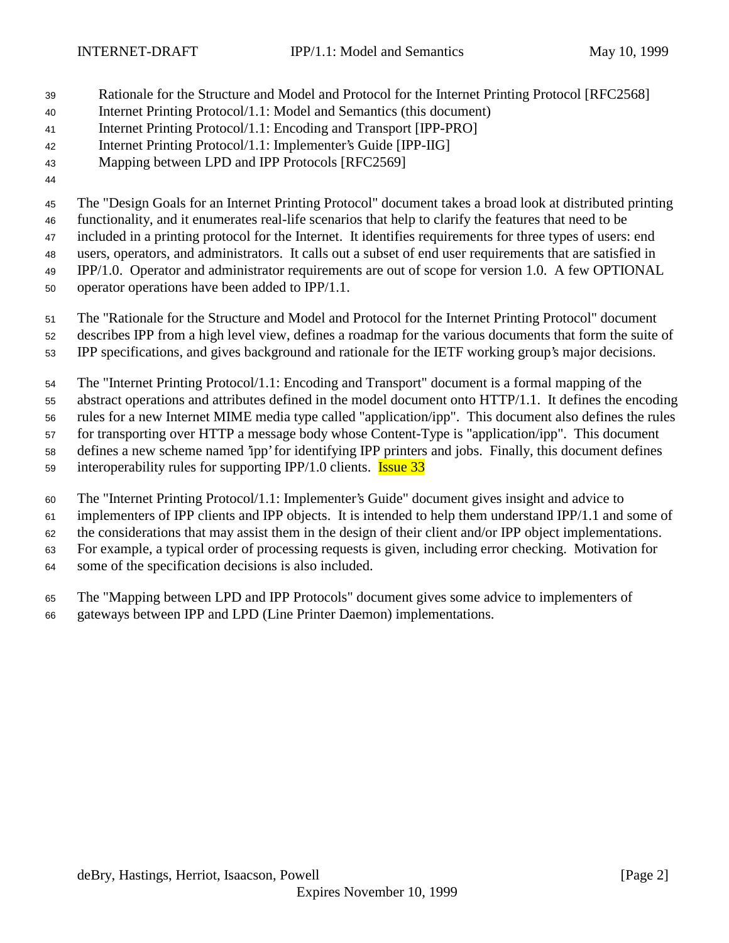- Rationale for the Structure and Model and Protocol for the Internet Printing Protocol [RFC2568]
- Internet Printing Protocol/1.1: Model and Semantics (this document)
- Internet Printing Protocol/1.1: Encoding and Transport [IPP-PRO]
- Internet Printing Protocol/1.1: Implementer's Guide [IPP-IIG]
- Mapping between LPD and IPP Protocols [RFC2569]
- 

The "Design Goals for an Internet Printing Protocol" document takes a broad look at distributed printing

 functionality, and it enumerates real-life scenarios that help to clarify the features that need to be included in a printing protocol for the Internet. It identifies requirements for three types of users: end

users, operators, and administrators. It calls out a subset of end user requirements that are satisfied in

IPP/1.0. Operator and administrator requirements are out of scope for version 1.0. A few OPTIONAL

- operator operations have been added to IPP/1.1.
- The "Rationale for the Structure and Model and Protocol for the Internet Printing Protocol" document
- describes IPP from a high level view, defines a roadmap for the various documents that form the suite of
- IPP specifications, and gives background and rationale for the IETF working group's major decisions.

The "Internet Printing Protocol/1.1: Encoding and Transport" document is a formal mapping of the

abstract operations and attributes defined in the model document onto HTTP/1.1. It defines the encoding

rules for a new Internet MIME media type called "application/ipp". This document also defines the rules

for transporting over HTTP a message body whose Content-Type is "application/ipp". This document

defines a new scheme named 'ipp' for identifying IPP printers and jobs. Finally, this document defines

- 59 interoperability rules for supporting IPP/1.0 clients. **Issue 33**
- The "Internet Printing Protocol/1.1: Implementer's Guide" document gives insight and advice to

implementers of IPP clients and IPP objects. It is intended to help them understand IPP/1.1 and some of

the considerations that may assist them in the design of their client and/or IPP object implementations.

For example, a typical order of processing requests is given, including error checking. Motivation for

some of the specification decisions is also included.

The "Mapping between LPD and IPP Protocols" document gives some advice to implementers of

gateways between IPP and LPD (Line Printer Daemon) implementations.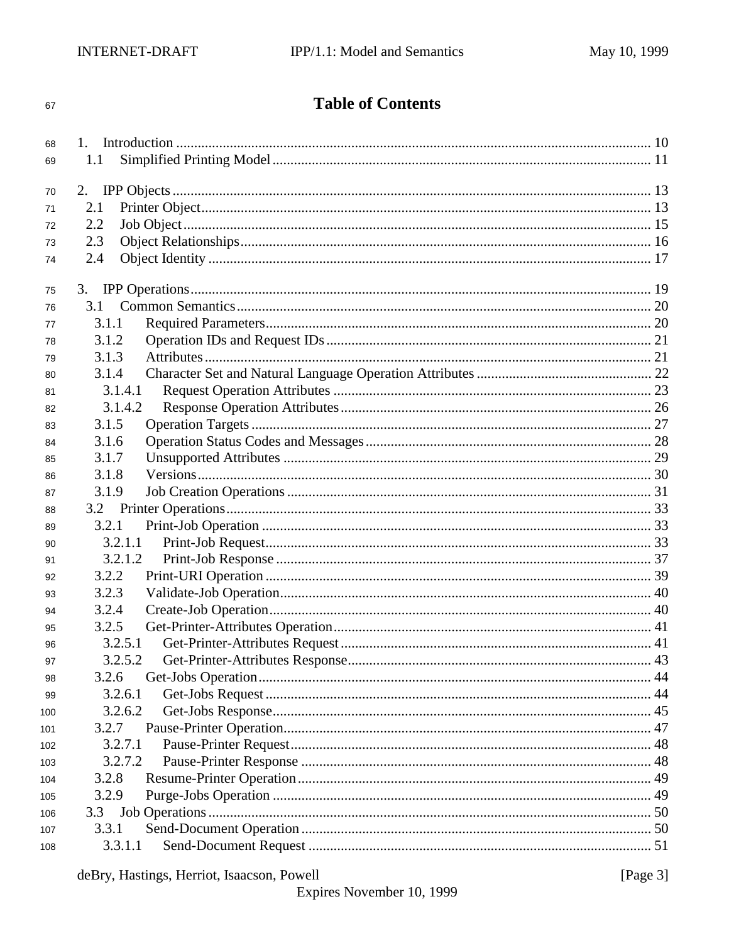#### 67

# **Table of Contents**

| 68  |         |  |
|-----|---------|--|
| 69  | 1.1     |  |
| 70  | 2.      |  |
| 71  | 2.1     |  |
| 72  | 2.2     |  |
| 73  | 2.3     |  |
| 74  | 2.4     |  |
|     |         |  |
| 75  |         |  |
| 76  | 3.1     |  |
| 77  | 3.1.1   |  |
| 78  | 3.1.2   |  |
| 79  | 3.1.3   |  |
| 80  | 3.1.4   |  |
| 81  | 3.1.4.1 |  |
| 82  | 3.1.4.2 |  |
| 83  | 3.1.5   |  |
| 84  | 3.1.6   |  |
| 85  | 3.1.7   |  |
| 86  | 3.1.8   |  |
| 87  | 3.1.9   |  |
|     |         |  |
| 88  |         |  |
| 89  | 3.2.1   |  |
| 90  | 3.2.1.1 |  |
| 91  | 3.2.1.2 |  |
| 92  | 3.2.2   |  |
| 93  | 3.2.3   |  |
| 94  | 3.2.4   |  |
| 95  | 3.2.5   |  |
| 96  | 3.2.5.1 |  |
| 97  | 3.2.5.2 |  |
| 98  | 3.2.6   |  |
| 99  | 3.2.6.1 |  |
| 100 | 3.2.6.2 |  |
| 101 | 3.2.7   |  |
| 102 | 3.2.7.1 |  |
| 103 | 3.2.7.2 |  |
| 104 | 3.2.8   |  |
| 105 | 3.2.9   |  |
| 106 | 3.3     |  |
| 107 | 3.3.1   |  |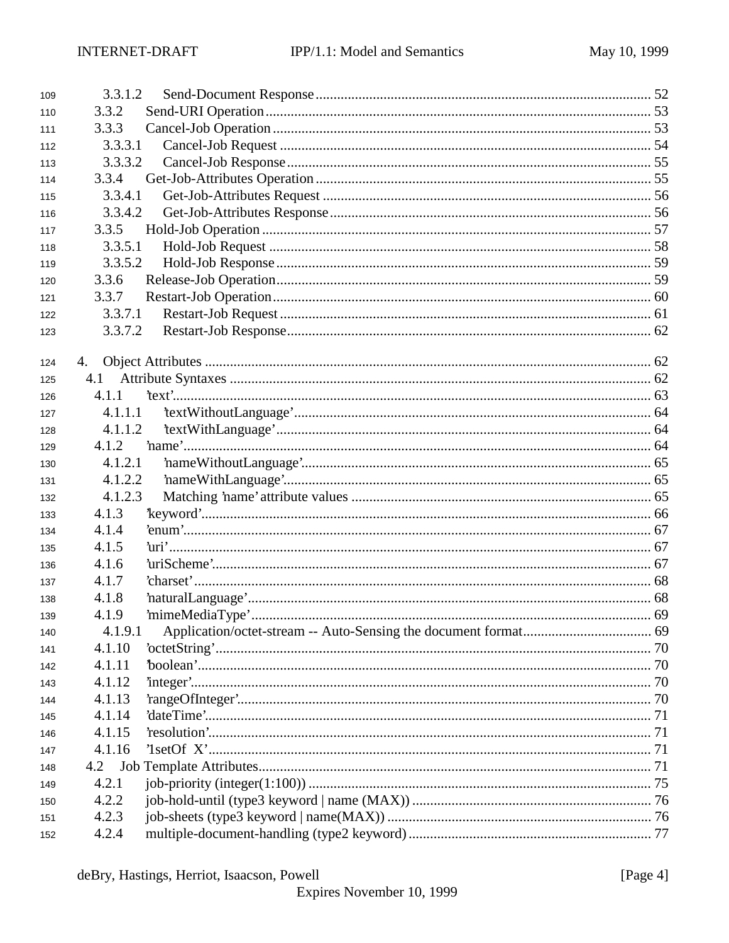| 109 | 3.3.1.2 |  |
|-----|---------|--|
| 110 | 3.3.2   |  |
| 111 | 3.3.3   |  |
| 112 | 3.3.3.1 |  |
| 113 | 3.3.3.2 |  |
| 114 | 3.3.4   |  |
| 115 | 3.3.4.1 |  |
| 116 | 3.3.4.2 |  |
| 117 | 3.3.5   |  |
| 118 | 3.3.5.1 |  |
| 119 | 3.3.5.2 |  |
| 120 | 3.3.6   |  |
| 121 | 3.3.7   |  |
| 122 | 3.3.7.1 |  |
| 123 | 3.3.7.2 |  |
|     |         |  |
| 124 | 4.      |  |
| 125 | 4.1     |  |
| 126 | 4.1.1   |  |
| 127 | 4.1.1.1 |  |
| 128 | 4.1.1.2 |  |
| 129 | 4.1.2   |  |
| 130 | 4.1.2.1 |  |
| 131 | 4.1.2.2 |  |
| 132 | 4.1.2.3 |  |
| 133 | 4.1.3   |  |
| 134 | 4.1.4   |  |
| 135 | 4.1.5   |  |
| 136 | 4.1.6   |  |
| 137 | 4.1.7   |  |
| 138 | 4.1.8   |  |
| 139 | 4.1.9   |  |
| 140 | 4.1.9.1 |  |
| 141 | 4.1.10  |  |
| 142 | 4.1.11  |  |
| 143 | 4.1.12  |  |
| 144 | 4.1.13  |  |
| 145 | 4.1.14  |  |
| 146 | 4.1.15  |  |
| 147 | 4.1.16  |  |
| 148 | 4.2     |  |
| 149 | 4.2.1   |  |
| 150 | 4.2.2   |  |
| 151 | 4.2.3   |  |
| 152 | 4.2.4   |  |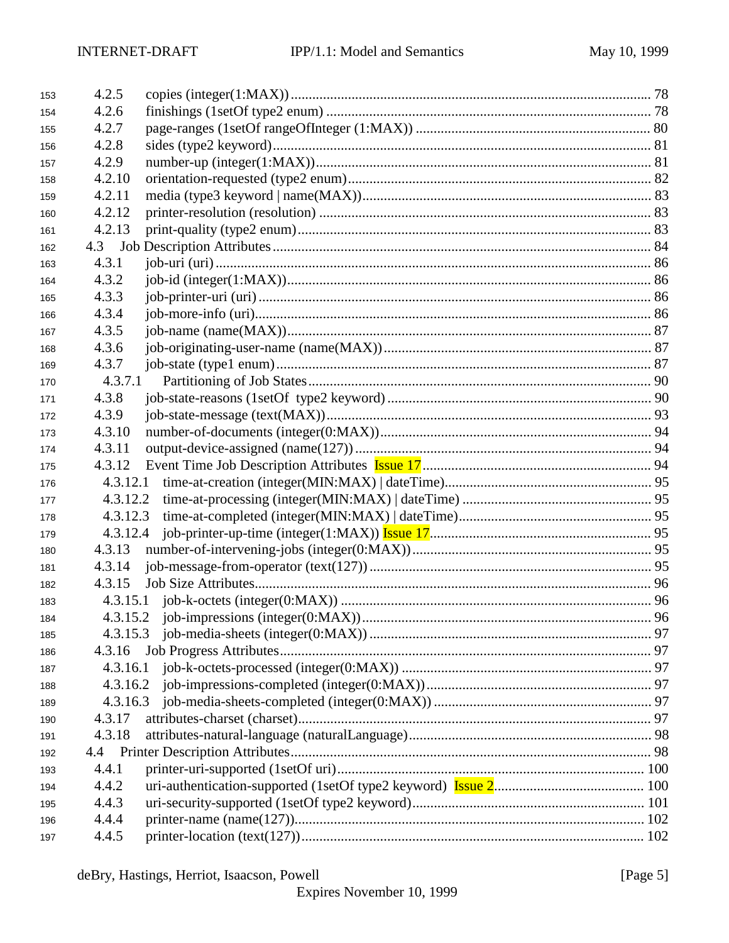| 153 | 4.2.5    |  |
|-----|----------|--|
| 154 | 4.2.6    |  |
| 155 | 4.2.7    |  |
| 156 | 4.2.8    |  |
| 157 | 4.2.9    |  |
| 158 | 4.2.10   |  |
| 159 | 4.2.11   |  |
| 160 | 4.2.12   |  |
| 161 | 4.2.13   |  |
| 162 | 4.3      |  |
| 163 | 4.3.1    |  |
| 164 | 4.3.2    |  |
| 165 | 4.3.3    |  |
| 166 | 4.3.4    |  |
| 167 | 4.3.5    |  |
| 168 | 4.3.6    |  |
| 169 | 4.3.7    |  |
| 170 | 4.3.7.1  |  |
| 171 | 4.3.8    |  |
| 172 | 4.3.9    |  |
| 173 | 4.3.10   |  |
| 174 | 4.3.11   |  |
| 175 | 4.3.12   |  |
| 176 |          |  |
| 177 |          |  |
| 178 | 4.3.12.3 |  |
| 179 | 4.3.12.4 |  |
| 180 | 4.3.13   |  |
| 181 | 4.3.14   |  |
| 182 | 4.3.15   |  |
| 183 |          |  |
| 184 |          |  |
| 185 |          |  |
| 186 | 4.3.16   |  |
| 187 |          |  |
| 188 |          |  |
| 189 | 4.3.16.3 |  |
| 190 | 4.3.17   |  |
| 191 | 4.3.18   |  |
| 192 | 4.4      |  |
| 193 | 4.4.1    |  |
| 194 | 4.4.2    |  |
| 195 | 4.4.3    |  |
| 196 | 4.4.4    |  |
| 197 | 4.4.5    |  |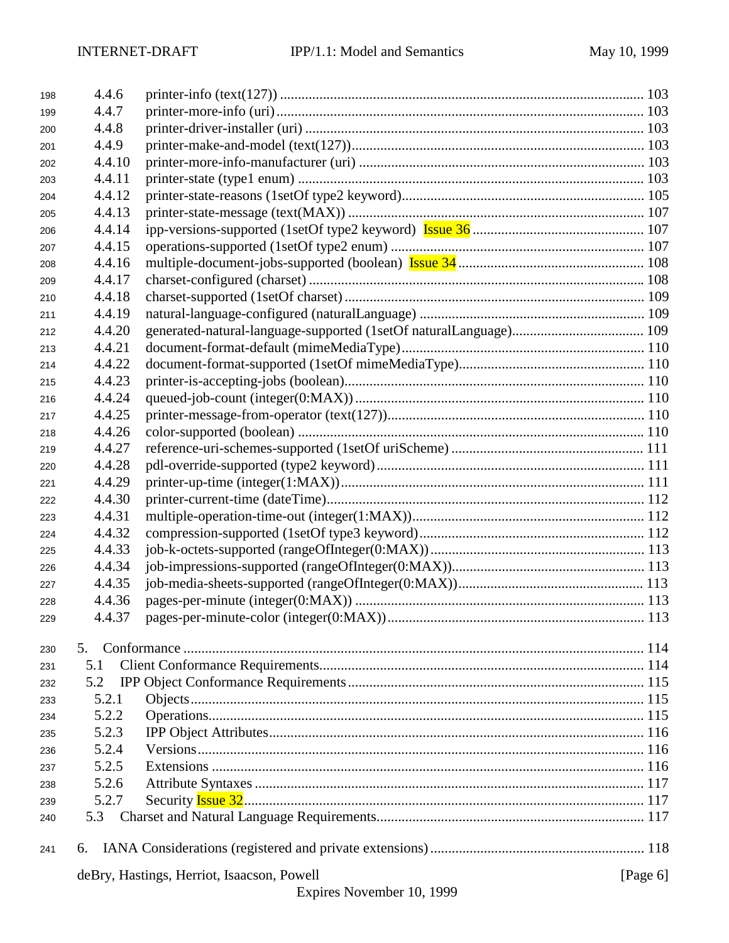| 198 | 4.4.6  |                                            |             |
|-----|--------|--------------------------------------------|-------------|
| 199 | 4.4.7  |                                            |             |
| 200 | 4.4.8  |                                            |             |
| 201 | 4.4.9  |                                            |             |
| 202 | 4.4.10 |                                            |             |
| 203 | 4.4.11 |                                            |             |
| 204 | 4.4.12 |                                            |             |
| 205 | 4.4.13 |                                            |             |
| 206 | 4.4.14 |                                            |             |
| 207 | 4.4.15 |                                            |             |
| 208 | 4.4.16 |                                            |             |
| 209 | 4.4.17 |                                            |             |
| 210 | 4.4.18 |                                            |             |
| 211 | 4.4.19 |                                            |             |
| 212 | 4.4.20 |                                            |             |
| 213 | 4.4.21 |                                            |             |
| 214 | 4.4.22 |                                            |             |
| 215 | 4.4.23 |                                            |             |
| 216 | 4.4.24 |                                            |             |
| 217 | 4.4.25 |                                            |             |
| 218 | 4.4.26 |                                            |             |
| 219 | 4.4.27 |                                            |             |
| 220 | 4.4.28 |                                            |             |
| 221 | 4.4.29 |                                            |             |
| 222 | 4.4.30 |                                            |             |
| 223 | 4.4.31 |                                            |             |
| 224 | 4.4.32 |                                            |             |
| 225 | 4.4.33 |                                            |             |
| 226 | 4.4.34 |                                            |             |
| 227 | 4.4.35 |                                            |             |
| 228 | 4.4.36 |                                            |             |
| 229 | 4.4.37 |                                            |             |
|     |        |                                            |             |
| 230 | 5.     |                                            |             |
| 231 | 5.1    |                                            |             |
| 232 | 5.2    |                                            |             |
| 233 | 5.2.1  |                                            |             |
| 234 | 5.2.2  |                                            |             |
| 235 | 5.2.3  |                                            |             |
| 236 | 5.2.4  |                                            |             |
| 237 | 5.2.5  |                                            |             |
| 238 | 5.2.6  |                                            |             |
| 239 | 5.2.7  |                                            |             |
| 240 | 5.3    |                                            |             |
| 241 | 6.     |                                            |             |
|     |        | deBry, Hastings, Herriot, Isaacson, Powell | [Page $6$ ] |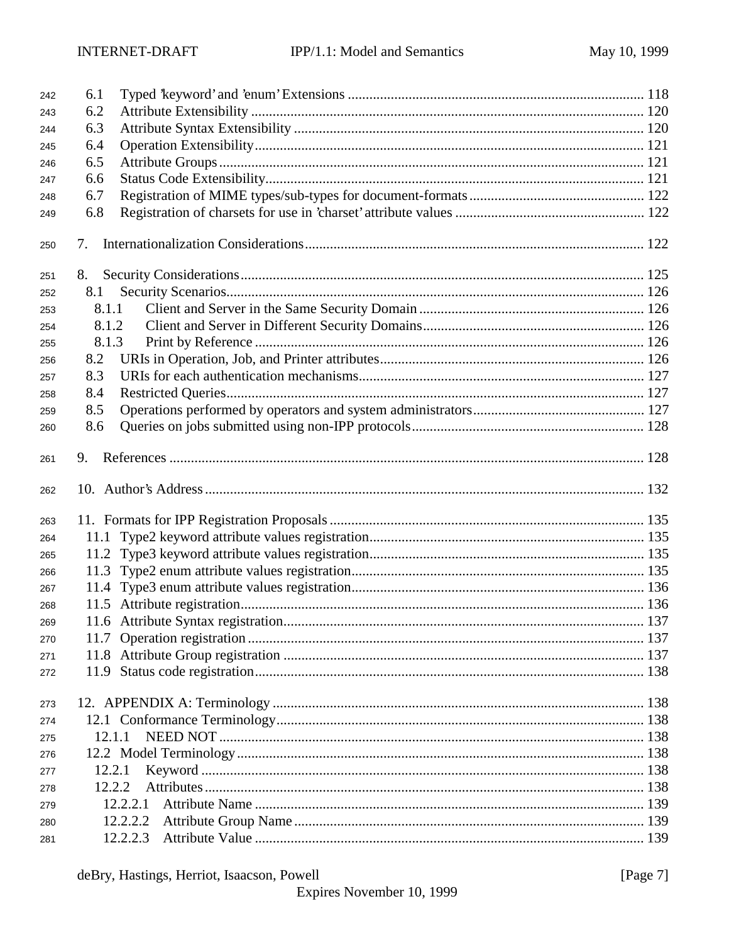| 242 | 6.1      |  |
|-----|----------|--|
| 243 | 6.2      |  |
| 244 | 6.3      |  |
| 245 | 6.4      |  |
| 246 | 6.5      |  |
| 247 | 6.6      |  |
| 248 | 6.7      |  |
| 249 | 6.8      |  |
| 250 | 7.       |  |
| 251 | 8.       |  |
| 252 | 8.1      |  |
| 253 | 8.1.1    |  |
| 254 | 8.1.2    |  |
| 255 | 8.1.3    |  |
| 256 | 8.2      |  |
| 257 | 8.3      |  |
| 258 | 8.4      |  |
| 259 | 8.5      |  |
| 260 | 8.6      |  |
| 261 | 9.       |  |
| 262 |          |  |
| 263 |          |  |
| 264 |          |  |
| 265 |          |  |
| 266 |          |  |
| 267 |          |  |
| 268 |          |  |
| 269 |          |  |
| 270 |          |  |
| 271 |          |  |
| 272 |          |  |
| 273 |          |  |
| 274 |          |  |
| 275 | 12.1.1   |  |
| 276 |          |  |
| 277 | 12.2.1   |  |
| 278 | 12.2.2   |  |
| 279 | 12.2.2.1 |  |
| 280 | 12.2.2.2 |  |
| 281 | 12.2.2.3 |  |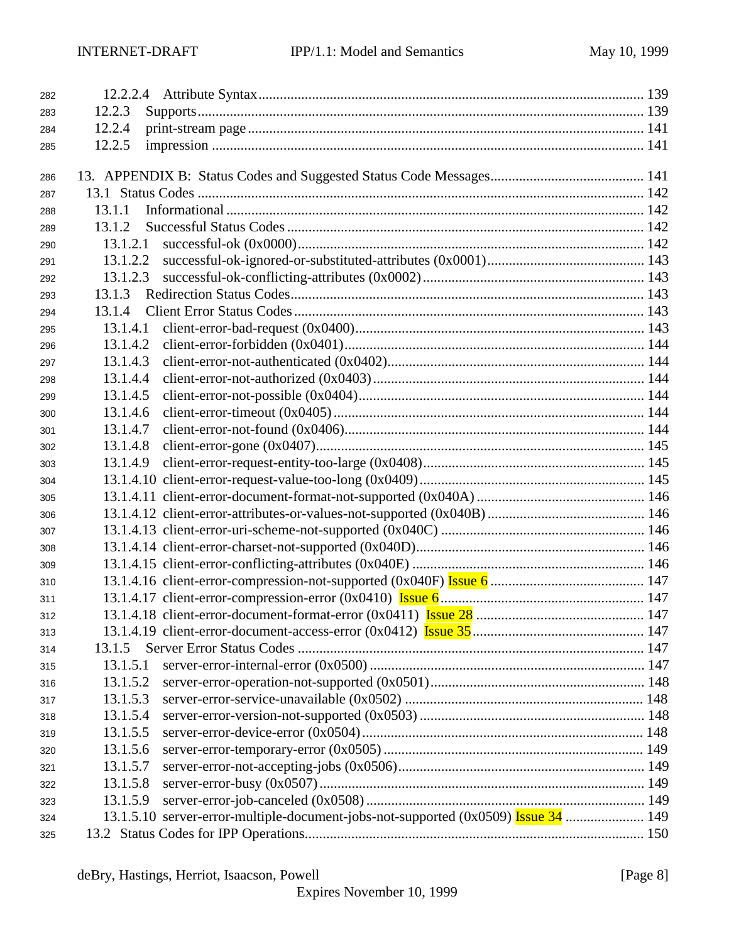| 282 |                                                                                    |  |
|-----|------------------------------------------------------------------------------------|--|
| 283 | 12.2.3                                                                             |  |
| 284 | 12.2.4                                                                             |  |
| 285 | 12.2.5                                                                             |  |
|     |                                                                                    |  |
| 286 |                                                                                    |  |
| 287 |                                                                                    |  |
| 288 | 13.1.1                                                                             |  |
| 289 | 13.1.2                                                                             |  |
| 290 | 13.1.2.1                                                                           |  |
| 291 | 13.1.2.2                                                                           |  |
| 292 | 13.1.2.3                                                                           |  |
| 293 | 13.1.3                                                                             |  |
| 294 | 13.1.4                                                                             |  |
| 295 | 13.1.4.1                                                                           |  |
| 296 | 13.1.4.2                                                                           |  |
| 297 | 13.1.4.3                                                                           |  |
| 298 | 13.1.4.4                                                                           |  |
| 299 | 13.1.4.5                                                                           |  |
| 300 | 13.1.4.6                                                                           |  |
| 301 | 13.1.4.7                                                                           |  |
| 302 | 13.1.4.8                                                                           |  |
| 303 | 13.1.4.9                                                                           |  |
| 304 |                                                                                    |  |
| 305 |                                                                                    |  |
| 306 |                                                                                    |  |
| 307 |                                                                                    |  |
| 308 |                                                                                    |  |
| 309 |                                                                                    |  |
| 310 |                                                                                    |  |
| 311 |                                                                                    |  |
| 312 |                                                                                    |  |
| 313 |                                                                                    |  |
| 314 | 13.1.5                                                                             |  |
| 315 | 13.1.5.1                                                                           |  |
| 316 | 13.1.5.2                                                                           |  |
| 317 | 13.1.5.3                                                                           |  |
| 318 | 13.1.5.4                                                                           |  |
| 319 | 13.1.5.5                                                                           |  |
| 320 | 13.1.5.6                                                                           |  |
| 321 | 13.1.5.7                                                                           |  |
| 322 | 13.1.5.8                                                                           |  |
| 323 | 13.1.5.9                                                                           |  |
| 324 | 13.1.5.10 server-error-multiple-document-jobs-not-supported (0x0509) Issue 34  149 |  |
| 325 |                                                                                    |  |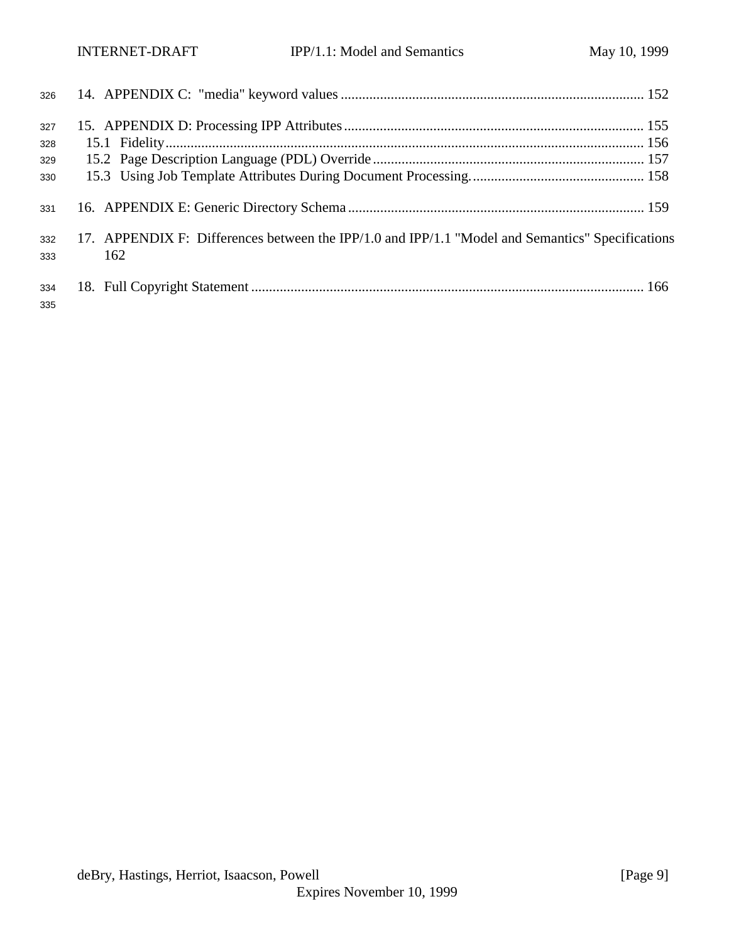| 326        |                                                                                                                                                                                                                                |  |
|------------|--------------------------------------------------------------------------------------------------------------------------------------------------------------------------------------------------------------------------------|--|
| 327        |                                                                                                                                                                                                                                |  |
| 328        |                                                                                                                                                                                                                                |  |
| 329        |                                                                                                                                                                                                                                |  |
| 330        |                                                                                                                                                                                                                                |  |
| 331        | 159 https://www.br.com/entropy.com/entropy.com/entropy.com/entropy.com/entropy.com/entropy.com/entropy.com/entropy.com/entropy.com/entropy.com/entropy.com/entropy.com/entropy.com/entropy.com/entropy.com/entropy.com/entropy |  |
| 332<br>333 | 17. APPENDIX F: Differences between the IPP/1.0 and IPP/1.1 "Model and Semantics" Specifications<br>162                                                                                                                        |  |
| 334<br>335 |                                                                                                                                                                                                                                |  |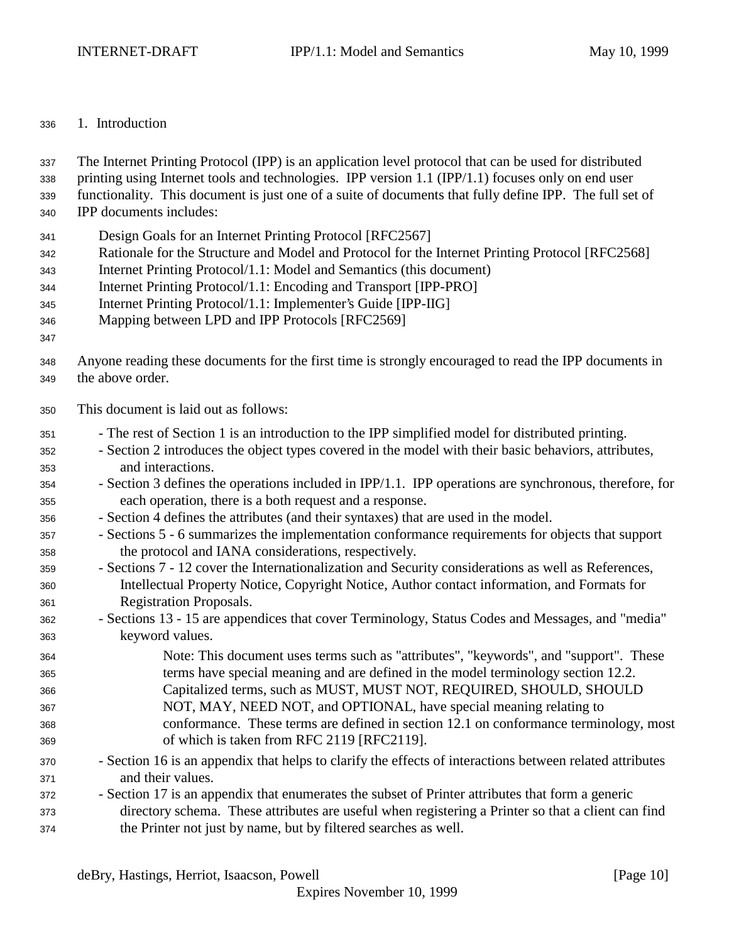### 1. Introduction

The Internet Printing Protocol (IPP) is an application level protocol that can be used for distributed

- printing using Internet tools and technologies. IPP version 1.1 (IPP/1.1) focuses only on end user
- functionality. This document is just one of a suite of documents that fully define IPP. The full set of
- IPP documents includes:
- Design Goals for an Internet Printing Protocol [RFC2567]
- Rationale for the Structure and Model and Protocol for the Internet Printing Protocol [RFC2568]
- Internet Printing Protocol/1.1: Model and Semantics (this document)
- Internet Printing Protocol/1.1: Encoding and Transport [IPP-PRO]
- Internet Printing Protocol/1.1: Implementer's Guide [IPP-IIG]
- Mapping between LPD and IPP Protocols [RFC2569]
- 
- Anyone reading these documents for the first time is strongly encouraged to read the IPP documents in the above order.
- This document is laid out as follows:
- The rest of Section 1 is an introduction to the IPP simplified model for distributed printing.
- Section 2 introduces the object types covered in the model with their basic behaviors, attributes, and interactions.
- Section 3 defines the operations included in IPP/1.1. IPP operations are synchronous, therefore, for each operation, there is a both request and a response.
- Section 4 defines the attributes (and their syntaxes) that are used in the model.

 - Sections 5 - 6 summarizes the implementation conformance requirements for objects that support the protocol and IANA considerations, respectively.

- Sections 7 12 cover the Internationalization and Security considerations as well as References, Intellectual Property Notice, Copyright Notice, Author contact information, and Formats for Registration Proposals.
- Sections 13 15 are appendices that cover Terminology, Status Codes and Messages, and "media" keyword values.
- Note: This document uses terms such as "attributes", "keywords", and "support". These terms have special meaning and are defined in the model terminology section 12.2. Capitalized terms, such as MUST, MUST NOT, REQUIRED, SHOULD, SHOULD NOT, MAY, NEED NOT, and OPTIONAL, have special meaning relating to conformance. These terms are defined in section 12.1 on conformance terminology, most of which is taken from RFC 2119 [RFC2119].
- Section 16 is an appendix that helps to clarify the effects of interactions between related attributes and their values.
- Section 17 is an appendix that enumerates the subset of Printer attributes that form a generic directory schema. These attributes are useful when registering a Printer so that a client can find the Printer not just by name, but by filtered searches as well.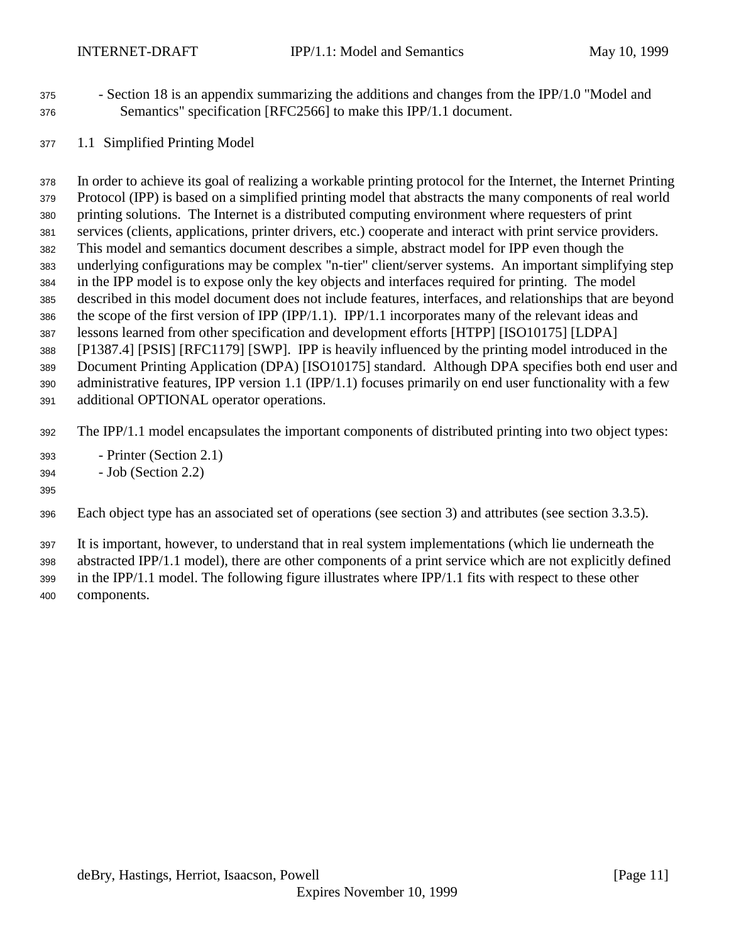- Section 18 is an appendix summarizing the additions and changes from the IPP/1.0 "Model and Semantics" specification [RFC2566] to make this IPP/1.1 document.
- 1.1 Simplified Printing Model

 In order to achieve its goal of realizing a workable printing protocol for the Internet, the Internet Printing Protocol (IPP) is based on a simplified printing model that abstracts the many components of real world printing solutions. The Internet is a distributed computing environment where requesters of print services (clients, applications, printer drivers, etc.) cooperate and interact with print service providers. This model and semantics document describes a simple, abstract model for IPP even though the underlying configurations may be complex "n-tier" client/server systems. An important simplifying step in the IPP model is to expose only the key objects and interfaces required for printing. The model described in this model document does not include features, interfaces, and relationships that are beyond the scope of the first version of IPP (IPP/1.1). IPP/1.1 incorporates many of the relevant ideas and lessons learned from other specification and development efforts [HTPP] [ISO10175] [LDPA] [P1387.4] [PSIS] [RFC1179] [SWP]. IPP is heavily influenced by the printing model introduced in the Document Printing Application (DPA) [ISO10175] standard. Although DPA specifies both end user and administrative features, IPP version 1.1 (IPP/1.1) focuses primarily on end user functionality with a few additional OPTIONAL operator operations.

The IPP/1.1 model encapsulates the important components of distributed printing into two object types:

- Printer (Section 2.1)
- Job (Section 2.2)

#### 

Each object type has an associated set of operations (see section 3) and attributes (see section 3.3.5).

It is important, however, to understand that in real system implementations (which lie underneath the

abstracted IPP/1.1 model), there are other components of a print service which are not explicitly defined

 in the IPP/1.1 model. The following figure illustrates where IPP/1.1 fits with respect to these other components.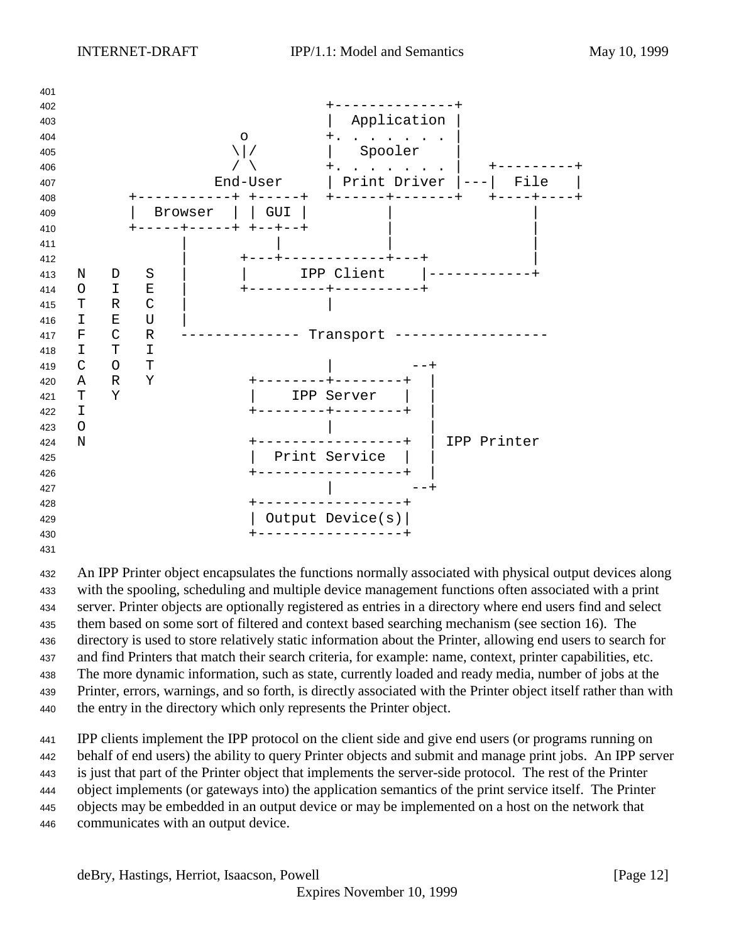

 An IPP Printer object encapsulates the functions normally associated with physical output devices along with the spooling, scheduling and multiple device management functions often associated with a print server. Printer objects are optionally registered as entries in a directory where end users find and select them based on some sort of filtered and context based searching mechanism (see section 16). The directory is used to store relatively static information about the Printer, allowing end users to search for and find Printers that match their search criteria, for example: name, context, printer capabilities, etc. The more dynamic information, such as state, currently loaded and ready media, number of jobs at the Printer, errors, warnings, and so forth, is directly associated with the Printer object itself rather than with the entry in the directory which only represents the Printer object.

 IPP clients implement the IPP protocol on the client side and give end users (or programs running on behalf of end users) the ability to query Printer objects and submit and manage print jobs. An IPP server is just that part of the Printer object that implements the server-side protocol. The rest of the Printer object implements (or gateways into) the application semantics of the print service itself. The Printer objects may be embedded in an output device or may be implemented on a host on the network that communicates with an output device.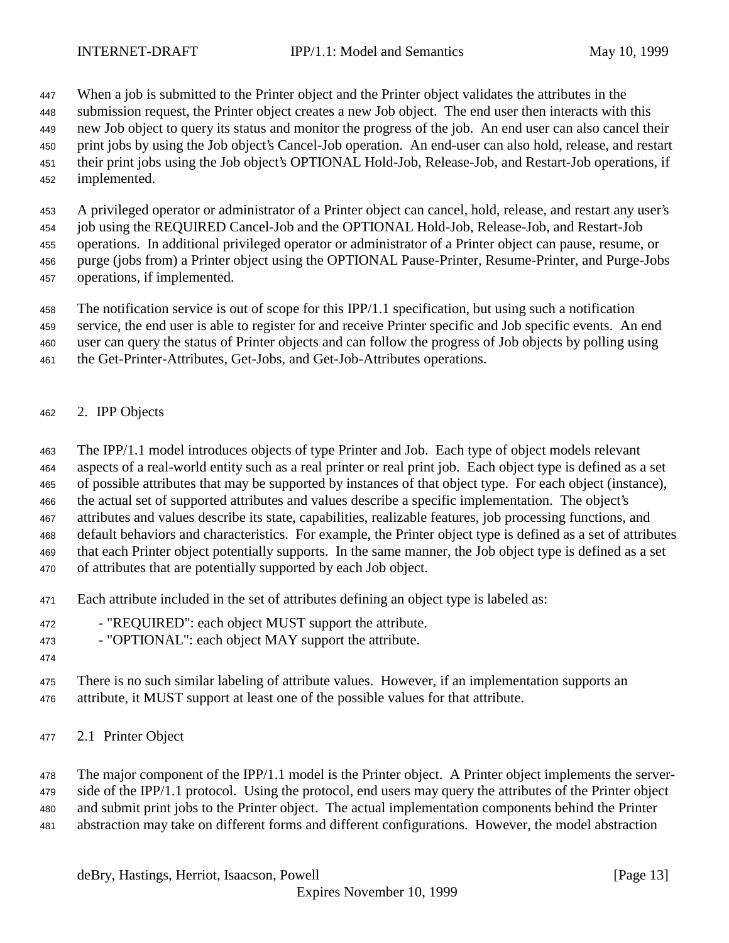When a job is submitted to the Printer object and the Printer object validates the attributes in the

submission request, the Printer object creates a new Job object. The end user then interacts with this

new Job object to query its status and monitor the progress of the job. An end user can also cancel their

- print jobs by using the Job object's Cancel-Job operation. An end-user can also hold, release, and restart their print jobs using the Job object's OPTIONAL Hold-Job, Release-Job, and Restart-Job operations, if
- implemented.

A privileged operator or administrator of a Printer object can cancel, hold, release, and restart any user's

job using the REQUIRED Cancel-Job and the OPTIONAL Hold-Job, Release-Job, and Restart-Job

operations. In additional privileged operator or administrator of a Printer object can pause, resume, or

- purge (jobs from) a Printer object using the OPTIONAL Pause-Printer, Resume-Printer, and Purge-Jobs
- operations, if implemented.

The notification service is out of scope for this IPP/1.1 specification, but using such a notification

service, the end user is able to register for and receive Printer specific and Job specific events. An end

user can query the status of Printer objects and can follow the progress of Job objects by polling using

- the Get-Printer-Attributes, Get-Jobs, and Get-Job-Attributes operations.
- 2. IPP Objects

The IPP/1.1 model introduces objects of type Printer and Job. Each type of object models relevant

aspects of a real-world entity such as a real printer or real print job. Each object type is defined as a set

of possible attributes that may be supported by instances of that object type. For each object (instance),

the actual set of supported attributes and values describe a specific implementation. The object's

attributes and values describe its state, capabilities, realizable features, job processing functions, and

default behaviors and characteristics. For example, the Printer object type is defined as a set of attributes

that each Printer object potentially supports. In the same manner, the Job object type is defined as a set

of attributes that are potentially supported by each Job object.

- Each attribute included in the set of attributes defining an object type is labeled as:
- "REQUIRED": each object MUST support the attribute.

- "OPTIONAL": each object MAY support the attribute.

 There is no such similar labeling of attribute values. However, if an implementation supports an attribute, it MUST support at least one of the possible values for that attribute.

2.1 Printer Object

 The major component of the IPP/1.1 model is the Printer object. A Printer object implements the server- side of the IPP/1.1 protocol. Using the protocol, end users may query the attributes of the Printer object and submit print jobs to the Printer object. The actual implementation components behind the Printer

abstraction may take on different forms and different configurations. However, the model abstraction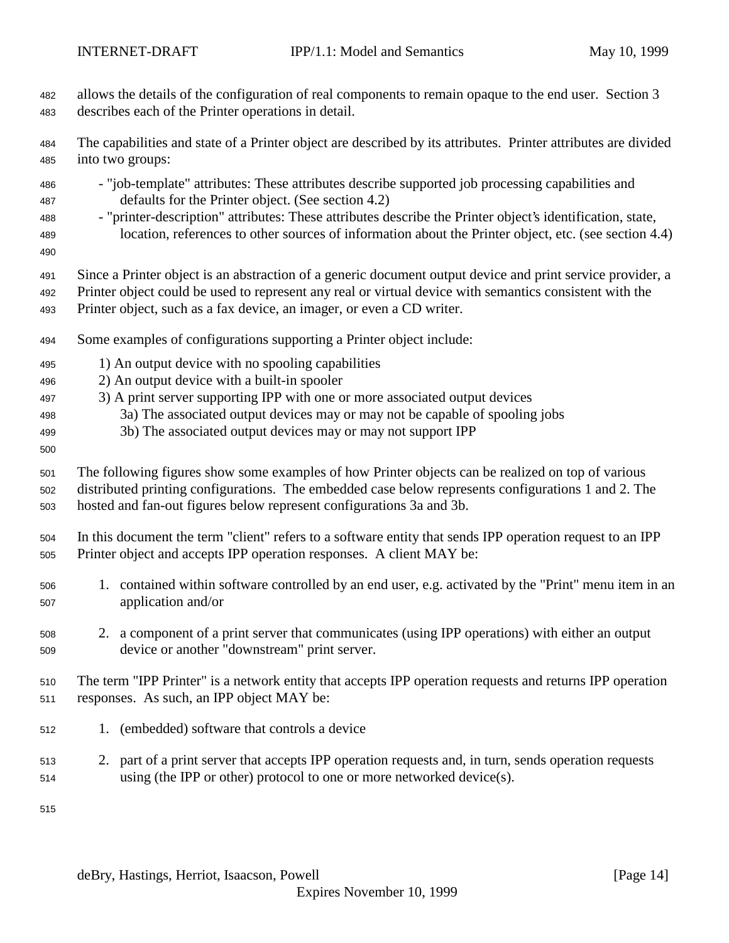- allows the details of the configuration of real components to remain opaque to the end user. Section 3 describes each of the Printer operations in detail.
- The capabilities and state of a Printer object are described by its attributes. Printer attributes are divided into two groups:
- "job-template" attributes: These attributes describe supported job processing capabilities and defaults for the Printer object. (See section 4.2)
- "printer-description" attributes: These attributes describe the Printer object's identification, state, location, references to other sources of information about the Printer object, etc. (see section 4.4)
- 
- Since a Printer object is an abstraction of a generic document output device and print service provider, a
- Printer object could be used to represent any real or virtual device with semantics consistent with the Printer object, such as a fax device, an imager, or even a CD writer.
- Some examples of configurations supporting a Printer object include:
- 1) An output device with no spooling capabilities
- 2) An output device with a built-in spooler
- 3) A print server supporting IPP with one or more associated output devices
- 3a) The associated output devices may or may not be capable of spooling jobs
- 3b) The associated output devices may or may not support IPP
- 

 The following figures show some examples of how Printer objects can be realized on top of various distributed printing configurations. The embedded case below represents configurations 1 and 2. The

- hosted and fan-out figures below represent configurations 3a and 3b.
- In this document the term "client" refers to a software entity that sends IPP operation request to an IPP Printer object and accepts IPP operation responses. A client MAY be:
- 1. contained within software controlled by an end user, e.g. activated by the "Print" menu item in an application and/or
- 2. a component of a print server that communicates (using IPP operations) with either an output device or another "downstream" print server.
- The term "IPP Printer" is a network entity that accepts IPP operation requests and returns IPP operation responses. As such, an IPP object MAY be:
- 1. (embedded) software that controls a device
- 2. part of a print server that accepts IPP operation requests and, in turn, sends operation requests using (the IPP or other) protocol to one or more networked device(s).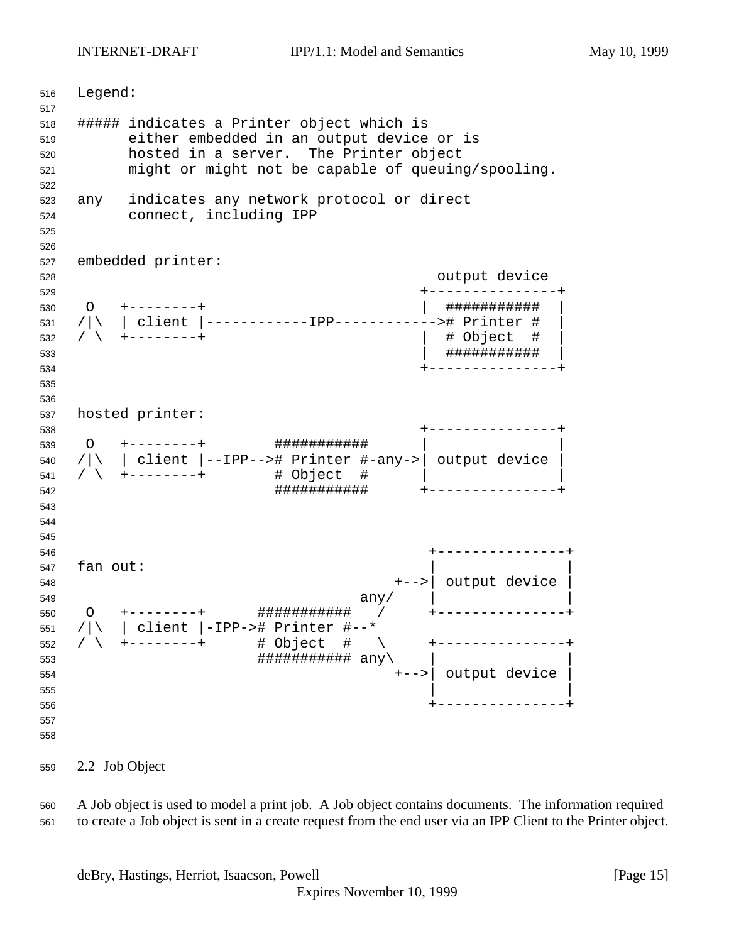INTERNET-DRAFT IPP/1.1: Model and Semantics May 10, 1999

 Legend: ##### indicates a Printer object which is either embedded in an output device or is hosted in a server. The Printer object might or might not be capable of queuing/spooling. any indicates any network protocol or direct connect, including IPP embedded printer: output device +---------------+ O +--------+ | ########### | /|\ | client |------------IPP------------># Printer # | / \ +--------+ | # Object # | | ########### | +---------------+ hosted printer: +---------------+ O +--------+ ########### | | /|\ | client |--IPP--># Printer #-any->| output device | /  $\rightarrow$   $+$  --------+  $\qquad$  # Object #  $\qquad$  | ########### +---------------+ +---------------+ fan out: +-->| output device | any/  $\vert$  O +--------+ ########### / +---------------+ /|\ | client |-IPP-># Printer #--\* / \ +--------+ # Object # \ +---------------+  $\#$ # $\#$ # $\#$ # $\#$ # $\#$ # $\#$ # $\#$  $\#$  $\{$  $\sup$  +-->| output device |  $\vert$  +---------------+ 

2.2 Job Object

 A Job object is used to model a print job. A Job object contains documents. The information required to create a Job object is sent in a create request from the end user via an IPP Client to the Printer object.

deBry, Hastings, Herriot, Isaacson, Powell **Example 20** (Page 15)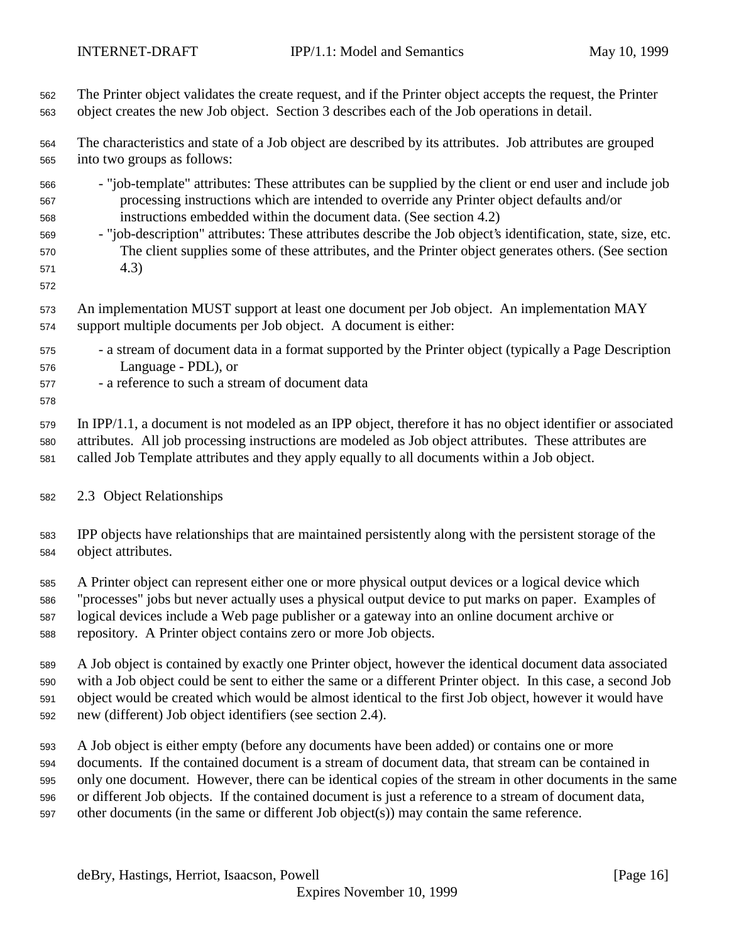- The Printer object validates the create request, and if the Printer object accepts the request, the Printer object creates the new Job object. Section 3 describes each of the Job operations in detail. The characteristics and state of a Job object are described by its attributes. Job attributes are grouped into two groups as follows: - "job-template" attributes: These attributes can be supplied by the client or end user and include job processing instructions which are intended to override any Printer object defaults and/or instructions embedded within the document data. (See section 4.2) - "job-description" attributes: These attributes describe the Job object's identification, state, size, etc. The client supplies some of these attributes, and the Printer object generates others. (See section 4.3) An implementation MUST support at least one document per Job object. An implementation MAY support multiple documents per Job object. A document is either: - a stream of document data in a format supported by the Printer object (typically a Page Description Language - PDL), or - a reference to such a stream of document data In IPP/1.1, a document is not modeled as an IPP object, therefore it has no object identifier or associated attributes. All job processing instructions are modeled as Job object attributes. These attributes are called Job Template attributes and they apply equally to all documents within a Job object. 2.3 Object Relationships IPP objects have relationships that are maintained persistently along with the persistent storage of the object attributes. A Printer object can represent either one or more physical output devices or a logical device which "processes" jobs but never actually uses a physical output device to put marks on paper. Examples of logical devices include a Web page publisher or a gateway into an online document archive or repository. A Printer object contains zero or more Job objects. A Job object is contained by exactly one Printer object, however the identical document data associated with a Job object could be sent to either the same or a different Printer object. In this case, a second Job object would be created which would be almost identical to the first Job object, however it would have new (different) Job object identifiers (see section 2.4). A Job object is either empty (before any documents have been added) or contains one or more documents. If the contained document is a stream of document data, that stream can be contained in only one document. However, there can be identical copies of the stream in other documents in the same or different Job objects. If the contained document is just a reference to a stream of document data,
- other documents (in the same or different Job object(s)) may contain the same reference.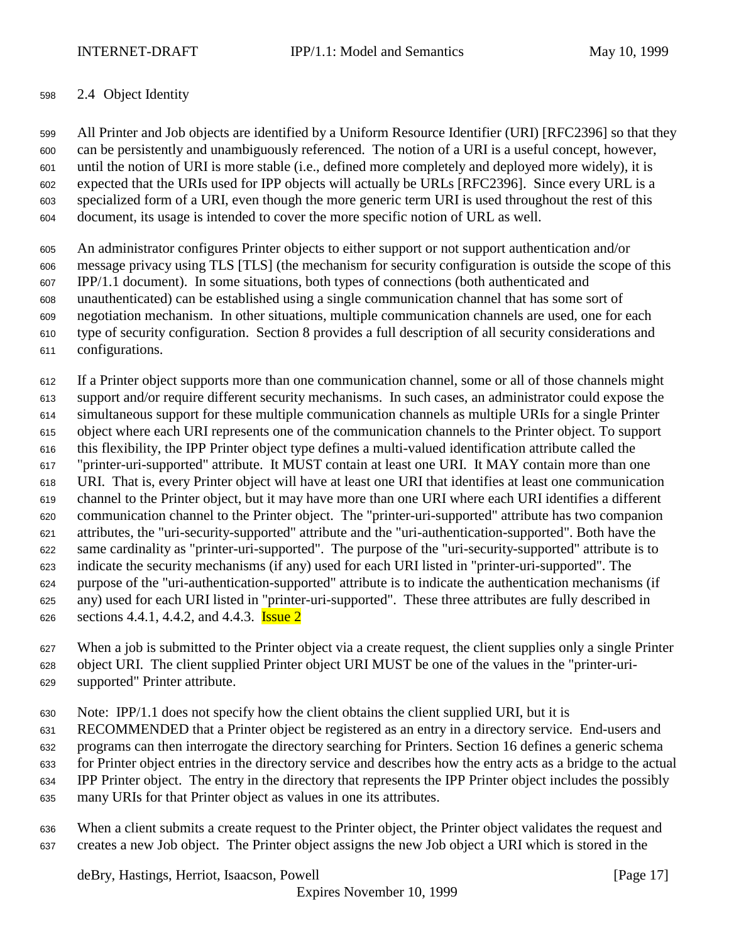## 2.4 Object Identity

 All Printer and Job objects are identified by a Uniform Resource Identifier (URI) [RFC2396] so that they can be persistently and unambiguously referenced. The notion of a URI is a useful concept, however, until the notion of URI is more stable (i.e., defined more completely and deployed more widely), it is expected that the URIs used for IPP objects will actually be URLs [RFC2396]. Since every URL is a specialized form of a URI, even though the more generic term URI is used throughout the rest of this document, its usage is intended to cover the more specific notion of URL as well.

 An administrator configures Printer objects to either support or not support authentication and/or message privacy using TLS [TLS] (the mechanism for security configuration is outside the scope of this IPP/1.1 document). In some situations, both types of connections (both authenticated and unauthenticated) can be established using a single communication channel that has some sort of negotiation mechanism. In other situations, multiple communication channels are used, one for each type of security configuration. Section 8 provides a full description of all security considerations and configurations.

 If a Printer object supports more than one communication channel, some or all of those channels might support and/or require different security mechanisms. In such cases, an administrator could expose the simultaneous support for these multiple communication channels as multiple URIs for a single Printer object where each URI represents one of the communication channels to the Printer object. To support this flexibility, the IPP Printer object type defines a multi-valued identification attribute called the "printer-uri-supported" attribute. It MUST contain at least one URI. It MAY contain more than one URI. That is, every Printer object will have at least one URI that identifies at least one communication channel to the Printer object, but it may have more than one URI where each URI identifies a different communication channel to the Printer object. The "printer-uri-supported" attribute has two companion attributes, the "uri-security-supported" attribute and the "uri-authentication-supported". Both have the same cardinality as "printer-uri-supported". The purpose of the "uri-security-supported" attribute is to indicate the security mechanisms (if any) used for each URI listed in "printer-uri-supported". The purpose of the "uri-authentication-supported" attribute is to indicate the authentication mechanisms (if any) used for each URI listed in "printer-uri-supported". These three attributes are fully described in 626 sections 4.4.1, 4.4.2, and 4.4.3. **Issue 2** 

 When a job is submitted to the Printer object via a create request, the client supplies only a single Printer object URI. The client supplied Printer object URI MUST be one of the values in the "printer-uri-

supported" Printer attribute.

Note: IPP/1.1 does not specify how the client obtains the client supplied URI, but it is

RECOMMENDED that a Printer object be registered as an entry in a directory service. End-users and

programs can then interrogate the directory searching for Printers. Section 16 defines a generic schema

for Printer object entries in the directory service and describes how the entry acts as a bridge to the actual

IPP Printer object. The entry in the directory that represents the IPP Printer object includes the possibly

many URIs for that Printer object as values in one its attributes.

 When a client submits a create request to the Printer object, the Printer object validates the request and creates a new Job object. The Printer object assigns the new Job object a URI which is stored in the

deBry, Hastings, Herriot, Isaacson, Powell [Page 17]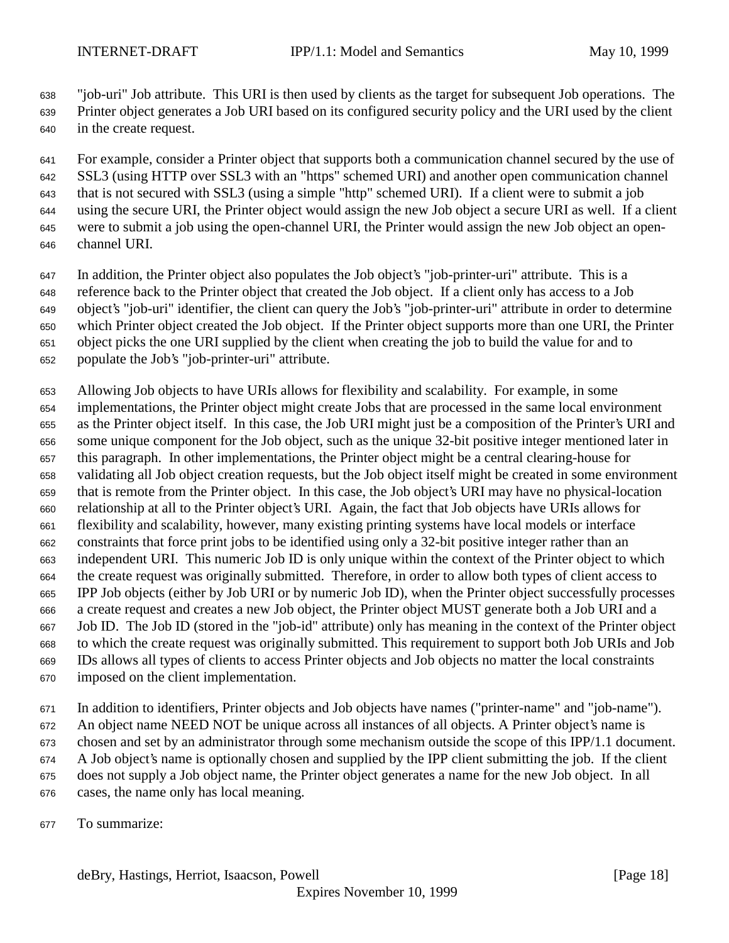"job-uri" Job attribute. This URI is then used by clients as the target for subsequent Job operations. The

 Printer object generates a Job URI based on its configured security policy and the URI used by the client in the create request.

 For example, consider a Printer object that supports both a communication channel secured by the use of SSL3 (using HTTP over SSL3 with an "https" schemed URI) and another open communication channel that is not secured with SSL3 (using a simple "http" schemed URI). If a client were to submit a job using the secure URI, the Printer object would assign the new Job object a secure URI as well. If a client were to submit a job using the open-channel URI, the Printer would assign the new Job object an open-channel URI.

 In addition, the Printer object also populates the Job object's "job-printer-uri" attribute. This is a reference back to the Printer object that created the Job object. If a client only has access to a Job

object's "job-uri" identifier, the client can query the Job's "job-printer-uri" attribute in order to determine

which Printer object created the Job object. If the Printer object supports more than one URI, the Printer

object picks the one URI supplied by the client when creating the job to build the value for and to

populate the Job's "job-printer-uri" attribute.

Allowing Job objects to have URIs allows for flexibility and scalability. For example, in some

 implementations, the Printer object might create Jobs that are processed in the same local environment as the Printer object itself. In this case, the Job URI might just be a composition of the Printer's URI and some unique component for the Job object, such as the unique 32-bit positive integer mentioned later in this paragraph. In other implementations, the Printer object might be a central clearing-house for validating all Job object creation requests, but the Job object itself might be created in some environment that is remote from the Printer object. In this case, the Job object's URI may have no physical-location relationship at all to the Printer object's URI. Again, the fact that Job objects have URIs allows for flexibility and scalability, however, many existing printing systems have local models or interface constraints that force print jobs to be identified using only a 32-bit positive integer rather than an independent URI. This numeric Job ID is only unique within the context of the Printer object to which the create request was originally submitted. Therefore, in order to allow both types of client access to IPP Job objects (either by Job URI or by numeric Job ID), when the Printer object successfully processes a create request and creates a new Job object, the Printer object MUST generate both a Job URI and a Job ID. The Job ID (stored in the "job-id" attribute) only has meaning in the context of the Printer object to which the create request was originally submitted. This requirement to support both Job URIs and Job IDs allows all types of clients to access Printer objects and Job objects no matter the local constraints imposed on the client implementation.

 In addition to identifiers, Printer objects and Job objects have names ("printer-name" and "job-name"). An object name NEED NOT be unique across all instances of all objects. A Printer object's name is chosen and set by an administrator through some mechanism outside the scope of this IPP/1.1 document. A Job object's name is optionally chosen and supplied by the IPP client submitting the job. If the client does not supply a Job object name, the Printer object generates a name for the new Job object. In all

cases, the name only has local meaning.

To summarize: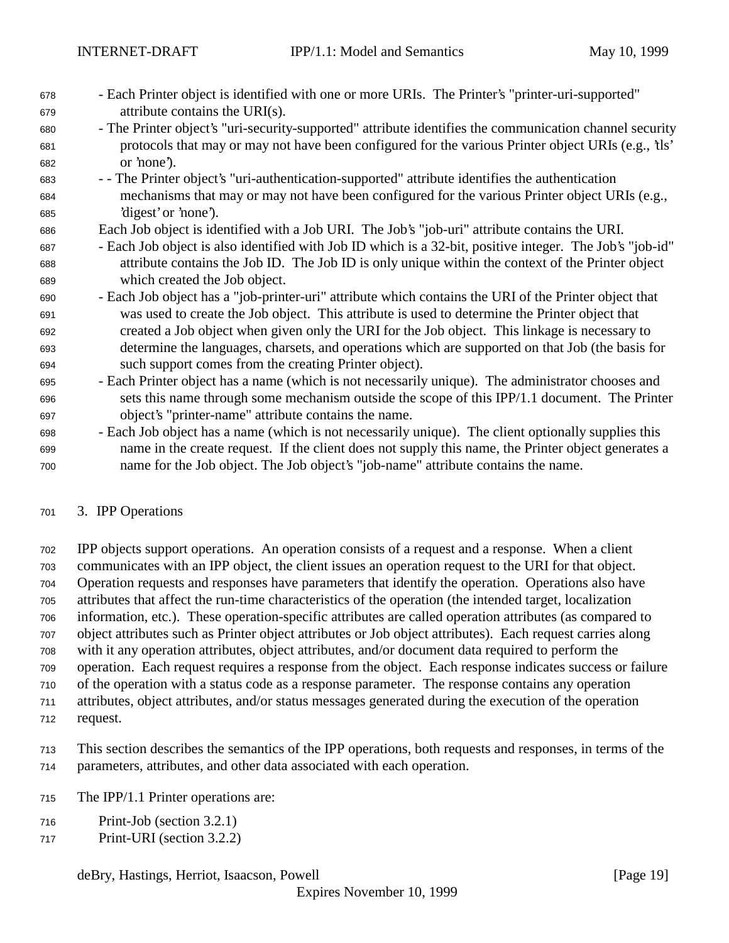- Each Printer object is identified with one or more URIs. The Printer's "printer-uri-supported" attribute contains the URI(s).
- The Printer object's "uri-security-supported" attribute identifies the communication channel security protocols that may or may not have been configured for the various Printer object URIs (e.g., 'tls' or 'none').
- - The Printer object's "uri-authentication-supported" attribute identifies the authentication mechanisms that may or may not have been configured for the various Printer object URIs (e.g., 'digest' or 'none').
- Each Job object is identified with a Job URI. The Job's "job-uri" attribute contains the URI.
- Each Job object is also identified with Job ID which is a 32-bit, positive integer. The Job's "job-id" attribute contains the Job ID. The Job ID is only unique within the context of the Printer object which created the Job object.
- Each Job object has a "job-printer-uri" attribute which contains the URI of the Printer object that was used to create the Job object. This attribute is used to determine the Printer object that created a Job object when given only the URI for the Job object. This linkage is necessary to determine the languages, charsets, and operations which are supported on that Job (the basis for such support comes from the creating Printer object).
- Each Printer object has a name (which is not necessarily unique). The administrator chooses and sets this name through some mechanism outside the scope of this IPP/1.1 document. The Printer object's "printer-name" attribute contains the name.
- Each Job object has a name (which is not necessarily unique). The client optionally supplies this name in the create request. If the client does not supply this name, the Printer object generates a name for the Job object. The Job object's "job-name" attribute contains the name.
- 3. IPP Operations

 IPP objects support operations. An operation consists of a request and a response. When a client communicates with an IPP object, the client issues an operation request to the URI for that object. Operation requests and responses have parameters that identify the operation. Operations also have attributes that affect the run-time characteristics of the operation (the intended target, localization information, etc.). These operation-specific attributes are called operation attributes (as compared to object attributes such as Printer object attributes or Job object attributes). Each request carries along with it any operation attributes, object attributes, and/or document data required to perform the operation. Each request requires a response from the object. Each response indicates success or failure of the operation with a status code as a response parameter. The response contains any operation attributes, object attributes, and/or status messages generated during the execution of the operation

request.

 This section describes the semantics of the IPP operations, both requests and responses, in terms of the parameters, attributes, and other data associated with each operation.

- The IPP/1.1 Printer operations are:
- Print-Job (section 3.2.1)
- Print-URI (section 3.2.2)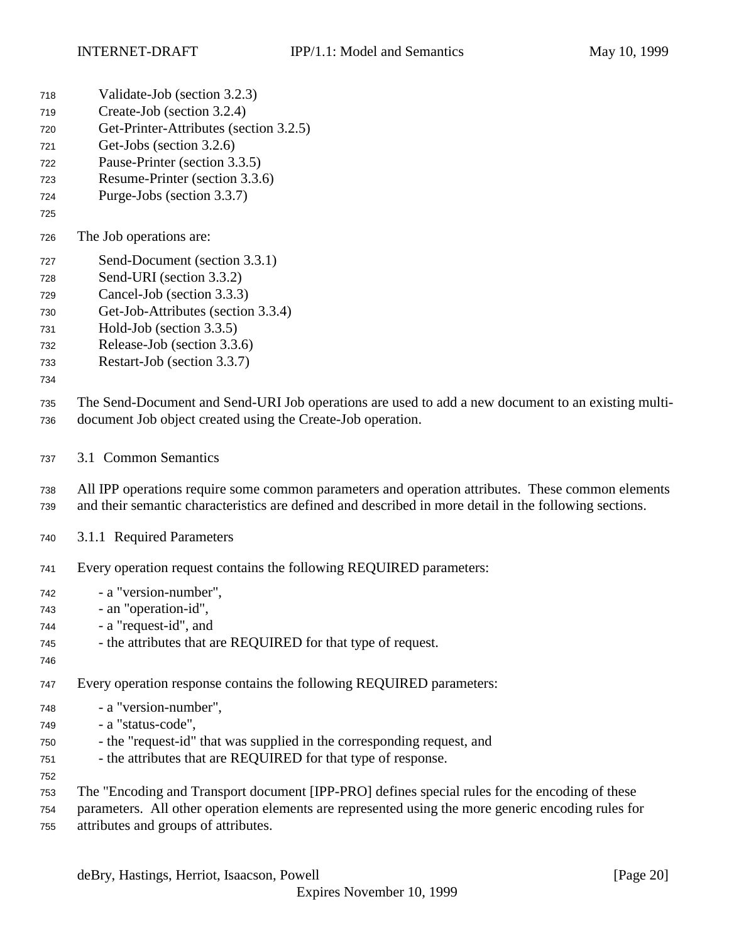- Validate-Job (section 3.2.3)
- Create-Job (section 3.2.4)
- Get-Printer-Attributes (section 3.2.5)
- Get-Jobs (section 3.2.6)
- Pause-Printer (section 3.3.5)
- Resume-Printer (section 3.3.6)
- Purge-Jobs (section 3.3.7)
- 
- The Job operations are:
- Send-Document (section 3.3.1)
- Send-URI (section 3.3.2)
- Cancel-Job (section 3.3.3)
- Get-Job-Attributes (section 3.3.4)
- Hold-Job (section 3.3.5)
- Release-Job (section 3.3.6)
- Restart-Job (section 3.3.7)
- 

 The Send-Document and Send-URI Job operations are used to add a new document to an existing multi-document Job object created using the Create-Job operation.

3.1 Common Semantics

 All IPP operations require some common parameters and operation attributes. These common elements and their semantic characteristics are defined and described in more detail in the following sections.

- 3.1.1 Required Parameters
- Every operation request contains the following REQUIRED parameters:
- a "version-number", - an "operation-id",
- a "request-id", and
- the attributes that are REQUIRED for that type of request.
- 

Every operation response contains the following REQUIRED parameters:

- a "version-number",
- a "status-code",
- the "request-id" that was supplied in the corresponding request, and
- the attributes that are REQUIRED for that type of response.
- 
- The "Encoding and Transport document [IPP-PRO] defines special rules for the encoding of these
- parameters. All other operation elements are represented using the more generic encoding rules for attributes and groups of attributes.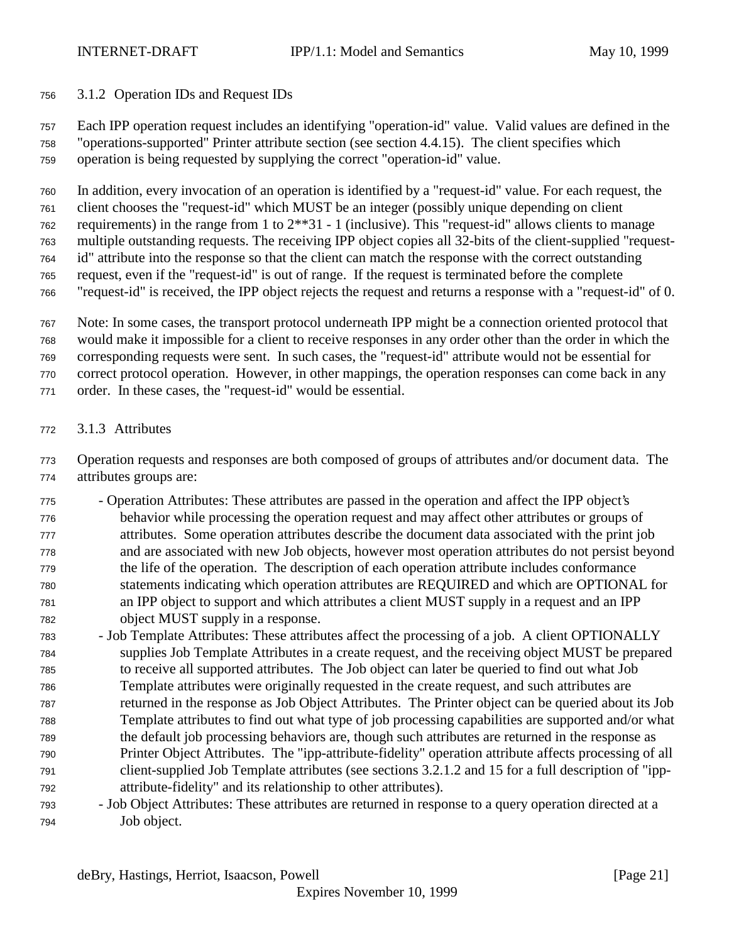## 3.1.2 Operation IDs and Request IDs

 Each IPP operation request includes an identifying "operation-id" value. Valid values are defined in the "operations-supported" Printer attribute section (see section 4.4.15). The client specifies which operation is being requested by supplying the correct "operation-id" value.

 In addition, every invocation of an operation is identified by a "request-id" value. For each request, the client chooses the "request-id" which MUST be an integer (possibly unique depending on client requirements) in the range from 1 to 2\*\*31 - 1 (inclusive). This "request-id" allows clients to manage multiple outstanding requests. The receiving IPP object copies all 32-bits of the client-supplied "request- id" attribute into the response so that the client can match the response with the correct outstanding request, even if the "request-id" is out of range. If the request is terminated before the complete

- "request-id" is received, the IPP object rejects the request and returns a response with a "request-id" of 0.
- Note: In some cases, the transport protocol underneath IPP might be a connection oriented protocol that
- would make it impossible for a client to receive responses in any order other than the order in which the

corresponding requests were sent. In such cases, the "request-id" attribute would not be essential for

correct protocol operation. However, in other mappings, the operation responses can come back in any

- order. In these cases, the "request-id" would be essential.
- 3.1.3 Attributes

 Operation requests and responses are both composed of groups of attributes and/or document data. The attributes groups are:

- Operation Attributes: These attributes are passed in the operation and affect the IPP object's behavior while processing the operation request and may affect other attributes or groups of attributes. Some operation attributes describe the document data associated with the print job and are associated with new Job objects, however most operation attributes do not persist beyond the life of the operation. The description of each operation attribute includes conformance statements indicating which operation attributes are REQUIRED and which are OPTIONAL for an IPP object to support and which attributes a client MUST supply in a request and an IPP object MUST supply in a response.
- Job Template Attributes: These attributes affect the processing of a job. A client OPTIONALLY supplies Job Template Attributes in a create request, and the receiving object MUST be prepared to receive all supported attributes. The Job object can later be queried to find out what Job Template attributes were originally requested in the create request, and such attributes are returned in the response as Job Object Attributes. The Printer object can be queried about its Job Template attributes to find out what type of job processing capabilities are supported and/or what the default job processing behaviors are, though such attributes are returned in the response as Printer Object Attributes. The "ipp-attribute-fidelity" operation attribute affects processing of all client-supplied Job Template attributes (see sections 3.2.1.2 and 15 for a full description of "ipp-attribute-fidelity" and its relationship to other attributes).
- Job Object Attributes: These attributes are returned in response to a query operation directed at a Job object.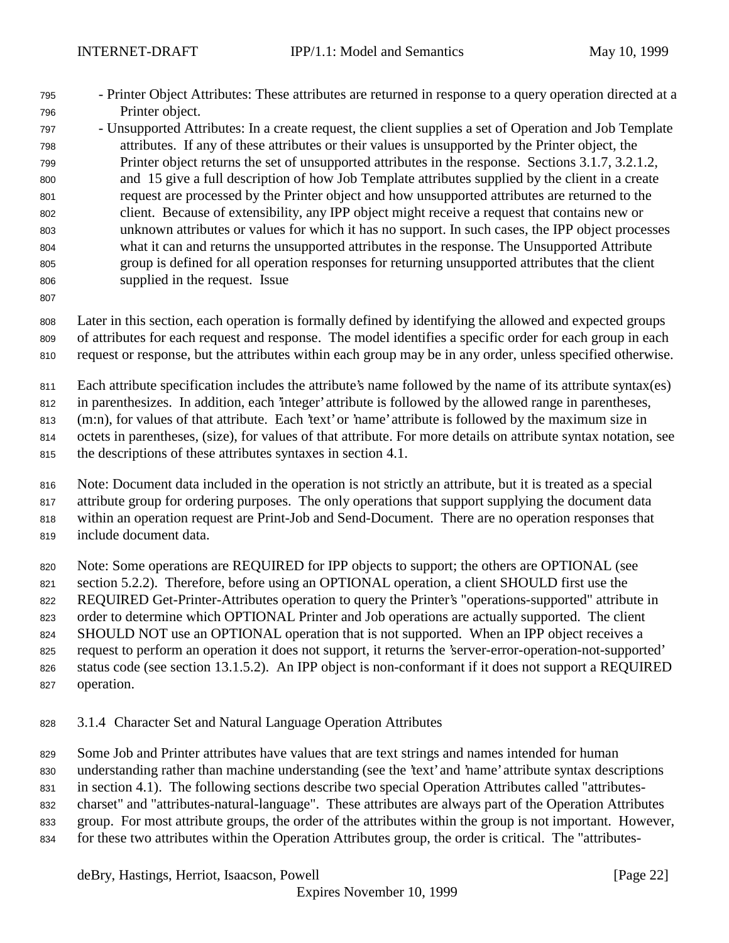- Printer Object Attributes: These attributes are returned in response to a query operation directed at a Printer object.

 - Unsupported Attributes: In a create request, the client supplies a set of Operation and Job Template attributes. If any of these attributes or their values is unsupported by the Printer object, the Printer object returns the set of unsupported attributes in the response. Sections 3.1.7, 3.2.1.2, and 15 give a full description of how Job Template attributes supplied by the client in a create request are processed by the Printer object and how unsupported attributes are returned to the client. Because of extensibility, any IPP object might receive a request that contains new or unknown attributes or values for which it has no support. In such cases, the IPP object processes what it can and returns the unsupported attributes in the response. The Unsupported Attribute group is defined for all operation responses for returning unsupported attributes that the client supplied in the request. Issue

 Later in this section, each operation is formally defined by identifying the allowed and expected groups of attributes for each request and response. The model identifies a specific order for each group in each request or response, but the attributes within each group may be in any order, unless specified otherwise.

Each attribute specification includes the attribute's name followed by the name of its attribute syntax(es)

in parenthesizes. In addition, each 'integer' attribute is followed by the allowed range in parentheses,

813 (m:n), for values of that attribute. Each 'text' or 'name' attribute is followed by the maximum size in

octets in parentheses, (size), for values of that attribute. For more details on attribute syntax notation, see

the descriptions of these attributes syntaxes in section 4.1.

Note: Document data included in the operation is not strictly an attribute, but it is treated as a special

 attribute group for ordering purposes. The only operations that support supplying the document data within an operation request are Print-Job and Send-Document. There are no operation responses that

include document data.

Note: Some operations are REQUIRED for IPP objects to support; the others are OPTIONAL (see

section 5.2.2). Therefore, before using an OPTIONAL operation, a client SHOULD first use the

REQUIRED Get-Printer-Attributes operation to query the Printer's "operations-supported" attribute in

823 order to determine which OPTIONAL Printer and Job operations are actually supported. The client

824 SHOULD NOT use an OPTIONAL operation that is not supported. When an IPP object receives a

request to perform an operation it does not support, it returns the 'server-error-operation-not-supported'

- 826 status code (see section 13.1.5.2). An IPP object is non-conformant if it does not support a REQUIRED operation.
- 3.1.4 Character Set and Natural Language Operation Attributes

Some Job and Printer attributes have values that are text strings and names intended for human

understanding rather than machine understanding (see the 'text' and 'name' attribute syntax descriptions

in section 4.1). The following sections describe two special Operation Attributes called "attributes-

charset" and "attributes-natural-language". These attributes are always part of the Operation Attributes

- group. For most attribute groups, the order of the attributes within the group is not important. However,
- for these two attributes within the Operation Attributes group, the order is critical. The "attributes-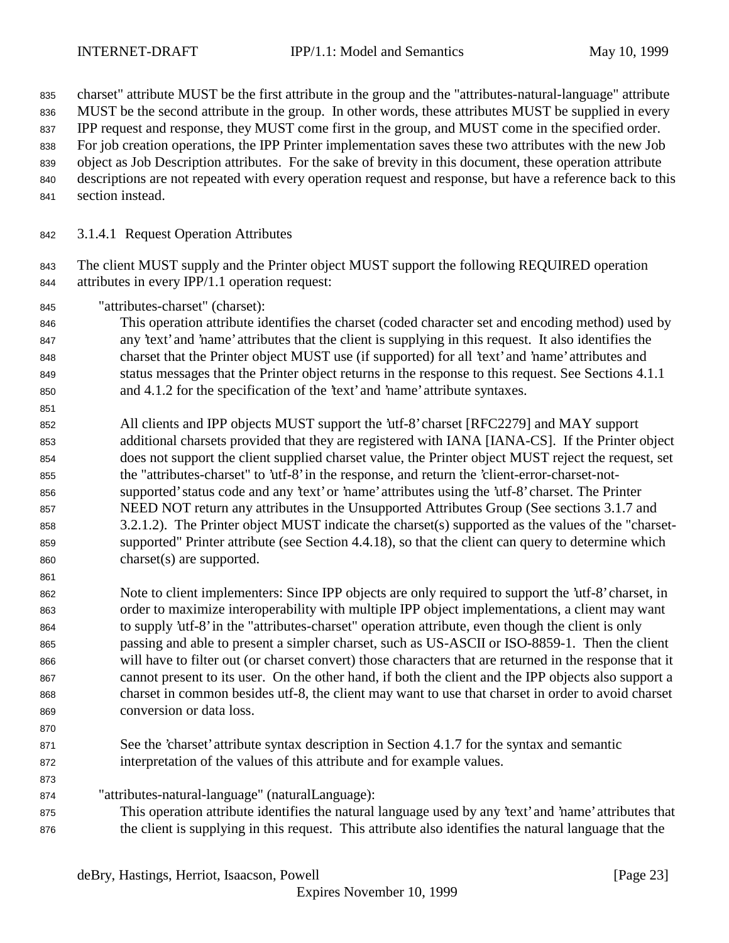charset" attribute MUST be the first attribute in the group and the "attributes-natural-language" attribute

MUST be the second attribute in the group. In other words, these attributes MUST be supplied in every

IPP request and response, they MUST come first in the group, and MUST come in the specified order.

For job creation operations, the IPP Printer implementation saves these two attributes with the new Job

- object as Job Description attributes. For the sake of brevity in this document, these operation attribute descriptions are not repeated with every operation request and response, but have a reference back to this
- 
- section instead.
- 3.1.4.1 Request Operation Attributes

843 The client MUST supply and the Printer object MUST support the following REQUIRED operation attributes in every IPP/1.1 operation request:

"attributes-charset" (charset):

 This operation attribute identifies the charset (coded character set and encoding method) used by any 'text' and 'name' attributes that the client is supplying in this request. It also identifies the charset that the Printer object MUST use (if supported) for all 'text' and 'name' attributes and status messages that the Printer object returns in the response to this request. See Sections 4.1.1 and 4.1.2 for the specification of the 'text' and 'name' attribute syntaxes.

- All clients and IPP objects MUST support the 'utf-8' charset [RFC2279] and MAY support additional charsets provided that they are registered with IANA [IANA-CS]. If the Printer object does not support the client supplied charset value, the Printer object MUST reject the request, set the "attributes-charset" to 'utf-8' in the response, and return the 'client-error-charset-not- supported' status code and any 'text' or 'name' attributes using the 'utf-8' charset. The Printer NEED NOT return any attributes in the Unsupported Attributes Group (See sections 3.1.7 and 3.2.1.2). The Printer object MUST indicate the charset(s) supported as the values of the "charset- supported" Printer attribute (see Section 4.4.18), so that the client can query to determine which charset(s) are supported.
- Note to client implementers: Since IPP objects are only required to support the 'utf-8' charset, in order to maximize interoperability with multiple IPP object implementations, a client may want to supply 'utf-8' in the "attributes-charset" operation attribute, even though the client is only passing and able to present a simpler charset, such as US-ASCII or ISO-8859-1. Then the client will have to filter out (or charset convert) those characters that are returned in the response that it cannot present to its user. On the other hand, if both the client and the IPP objects also support a charset in common besides utf-8, the client may want to use that charset in order to avoid charset conversion or data loss.
- 

 See the 'charset' attribute syntax description in Section 4.1.7 for the syntax and semantic interpretation of the values of this attribute and for example values.

- "attributes-natural-language" (naturalLanguage):
- This operation attribute identifies the natural language used by any 'text' and 'name' attributes that the client is supplying in this request. This attribute also identifies the natural language that the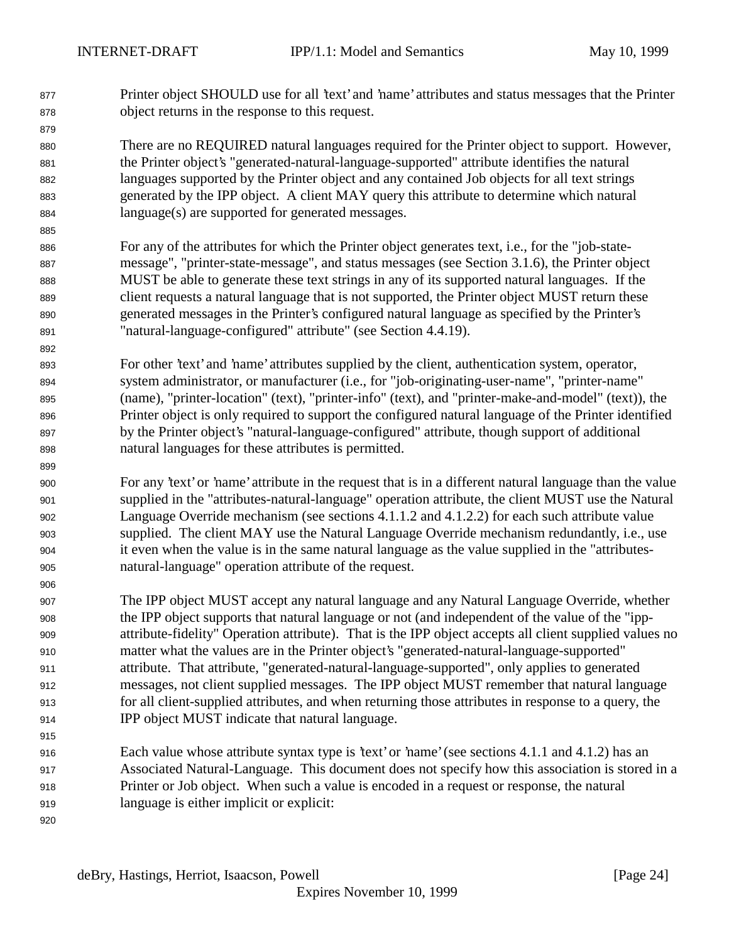Printer object SHOULD use for all 'text' and 'name' attributes and status messages that the Printer object returns in the response to this request.

 There are no REQUIRED natural languages required for the Printer object to support. However, the Printer object's "generated-natural-language-supported" attribute identifies the natural languages supported by the Printer object and any contained Job objects for all text strings generated by the IPP object. A client MAY query this attribute to determine which natural language(s) are supported for generated messages.

 For any of the attributes for which the Printer object generates text, i.e., for the "job-state- message", "printer-state-message", and status messages (see Section 3.1.6), the Printer object MUST be able to generate these text strings in any of its supported natural languages. If the client requests a natural language that is not supported, the Printer object MUST return these generated messages in the Printer's configured natural language as specified by the Printer's "natural-language-configured" attribute" (see Section 4.4.19).

 For other 'text' and 'name' attributes supplied by the client, authentication system, operator, system administrator, or manufacturer (i.e., for "job-originating-user-name", "printer-name" (name), "printer-location" (text), "printer-info" (text), and "printer-make-and-model" (text)), the Printer object is only required to support the configured natural language of the Printer identified by the Printer object's "natural-language-configured" attribute, though support of additional natural languages for these attributes is permitted.

 For any 'text' or 'name' attribute in the request that is in a different natural language than the value supplied in the "attributes-natural-language" operation attribute, the client MUST use the Natural Language Override mechanism (see sections 4.1.1.2 and 4.1.2.2) for each such attribute value supplied. The client MAY use the Natural Language Override mechanism redundantly, i.e., use it even when the value is in the same natural language as the value supplied in the "attributes-natural-language" operation attribute of the request.

 The IPP object MUST accept any natural language and any Natural Language Override, whether the IPP object supports that natural language or not (and independent of the value of the "ipp- attribute-fidelity" Operation attribute). That is the IPP object accepts all client supplied values no matter what the values are in the Printer object's "generated-natural-language-supported" attribute. That attribute, "generated-natural-language-supported", only applies to generated messages, not client supplied messages. The IPP object MUST remember that natural language for all client-supplied attributes, and when returning those attributes in response to a query, the IPP object MUST indicate that natural language.

 Each value whose attribute syntax type is 'text' or 'name' (see sections 4.1.1 and 4.1.2) has an Associated Natural-Language. This document does not specify how this association is stored in a Printer or Job object. When such a value is encoded in a request or response, the natural language is either implicit or explicit: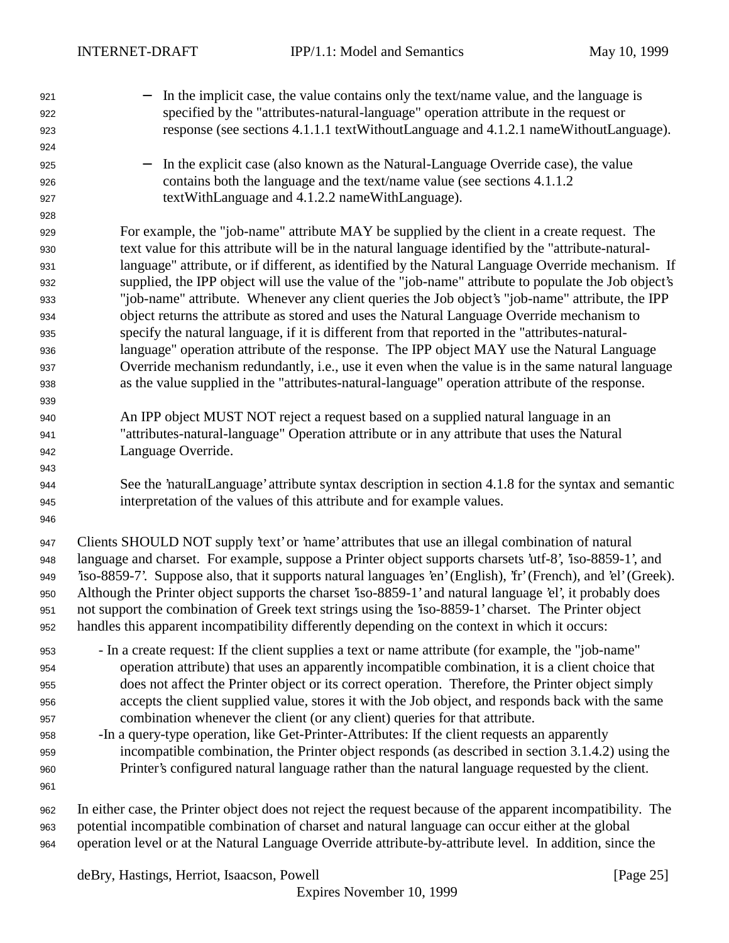− In the implicit case, the value contains only the text/name value, and the language is specified by the "attributes-natural-language" operation attribute in the request or response (see sections 4.1.1.1 textWithoutLanguage and 4.1.2.1 nameWithoutLanguage). − In the explicit case (also known as the Natural-Language Override case), the value contains both the language and the text/name value (see sections 4.1.1.2 textWithLanguage and 4.1.2.2 nameWithLanguage). For example, the "job-name" attribute MAY be supplied by the client in a create request. The text value for this attribute will be in the natural language identified by the "attribute-natural- language" attribute, or if different, as identified by the Natural Language Override mechanism. If supplied, the IPP object will use the value of the "job-name" attribute to populate the Job object's "job-name" attribute. Whenever any client queries the Job object's "job-name" attribute, the IPP object returns the attribute as stored and uses the Natural Language Override mechanism to specify the natural language, if it is different from that reported in the "attributes-natural- language" operation attribute of the response. The IPP object MAY use the Natural Language Override mechanism redundantly, i.e., use it even when the value is in the same natural language as the value supplied in the "attributes-natural-language" operation attribute of the response. An IPP object MUST NOT reject a request based on a supplied natural language in an "attributes-natural-language" Operation attribute or in any attribute that uses the Natural Language Override. See the 'naturalLanguage' attribute syntax description in section 4.1.8 for the syntax and semantic interpretation of the values of this attribute and for example values. Clients SHOULD NOT supply 'text' or 'name' attributes that use an illegal combination of natural language and charset. For example, suppose a Printer object supports charsets 'utf-8', 'iso-8859-1', and 'iso-8859-7'. Suppose also, that it supports natural languages 'en' (English), 'fr' (French), and 'el' (Greek). Although the Printer object supports the charset 'iso-8859-1' and natural language 'el', it probably does not support the combination of Greek text strings using the 'iso-8859-1' charset. The Printer object handles this apparent incompatibility differently depending on the context in which it occurs: - In a create request: If the client supplies a text or name attribute (for example, the "job-name" operation attribute) that uses an apparently incompatible combination, it is a client choice that does not affect the Printer object or its correct operation. Therefore, the Printer object simply accepts the client supplied value, stores it with the Job object, and responds back with the same combination whenever the client (or any client) queries for that attribute. -In a query-type operation, like Get-Printer-Attributes: If the client requests an apparently incompatible combination, the Printer object responds (as described in section 3.1.4.2) using the Printer's configured natural language rather than the natural language requested by the client. In either case, the Printer object does not reject the request because of the apparent incompatibility. The potential incompatible combination of charset and natural language can occur either at the global operation level or at the Natural Language Override attribute-by-attribute level. In addition, since the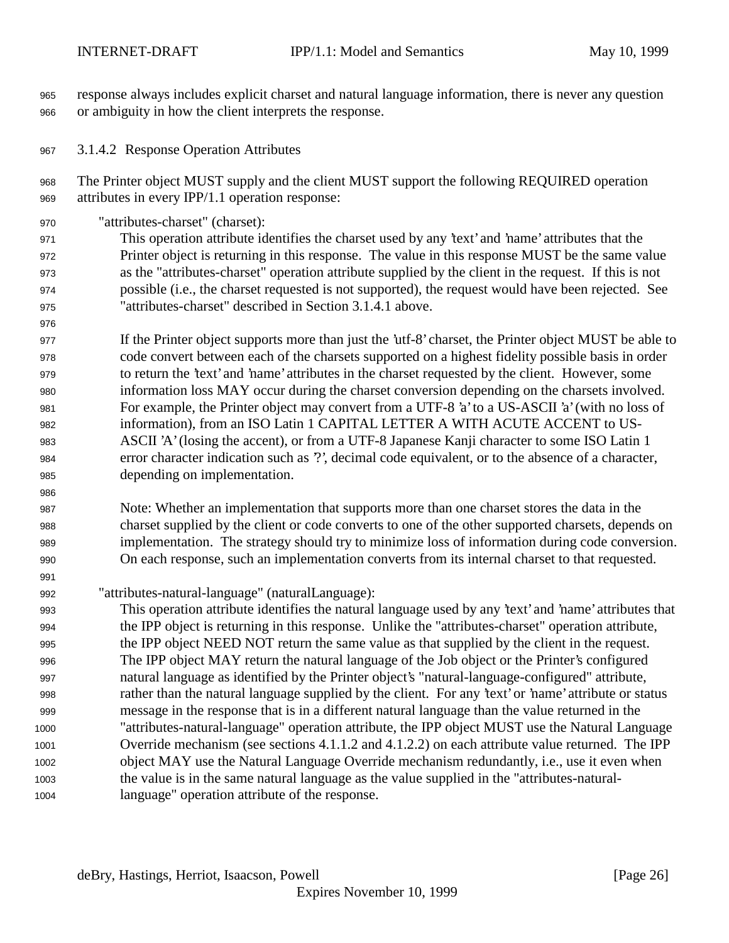response always includes explicit charset and natural language information, there is never any question or ambiguity in how the client interprets the response.

3.1.4.2 Response Operation Attributes

 The Printer object MUST supply and the client MUST support the following REQUIRED operation attributes in every IPP/1.1 operation response:

"attributes-charset" (charset):

 This operation attribute identifies the charset used by any 'text' and 'name' attributes that the Printer object is returning in this response. The value in this response MUST be the same value as the "attributes-charset" operation attribute supplied by the client in the request. If this is not possible (i.e., the charset requested is not supported), the request would have been rejected. See "attributes-charset" described in Section 3.1.4.1 above.

 If the Printer object supports more than just the 'utf-8' charset, the Printer object MUST be able to code convert between each of the charsets supported on a highest fidelity possible basis in order to return the 'text' and 'name' attributes in the charset requested by the client. However, some information loss MAY occur during the charset conversion depending on the charsets involved. For example, the Printer object may convert from a UTF-8 'a' to a US-ASCII 'a' (with no loss of information), from an ISO Latin 1 CAPITAL LETTER A WITH ACUTE ACCENT to US- ASCII 'A' (losing the accent), or from a UTF-8 Japanese Kanji character to some ISO Latin 1 error character indication such as '?', decimal code equivalent, or to the absence of a character, depending on implementation.

 Note: Whether an implementation that supports more than one charset stores the data in the charset supplied by the client or code converts to one of the other supported charsets, depends on implementation. The strategy should try to minimize loss of information during code conversion. On each response, such an implementation converts from its internal charset to that requested.

"attributes-natural-language" (naturalLanguage):

 This operation attribute identifies the natural language used by any 'text' and 'name' attributes that the IPP object is returning in this response. Unlike the "attributes-charset" operation attribute, the IPP object NEED NOT return the same value as that supplied by the client in the request. The IPP object MAY return the natural language of the Job object or the Printer's configured natural language as identified by the Printer object's "natural-language-configured" attribute, rather than the natural language supplied by the client. For any 'text' or 'name' attribute or status message in the response that is in a different natural language than the value returned in the "attributes-natural-language" operation attribute, the IPP object MUST use the Natural Language Override mechanism (see sections 4.1.1.2 and 4.1.2.2) on each attribute value returned. The IPP object MAY use the Natural Language Override mechanism redundantly, i.e., use it even when the value is in the same natural language as the value supplied in the "attributes-natural-language" operation attribute of the response.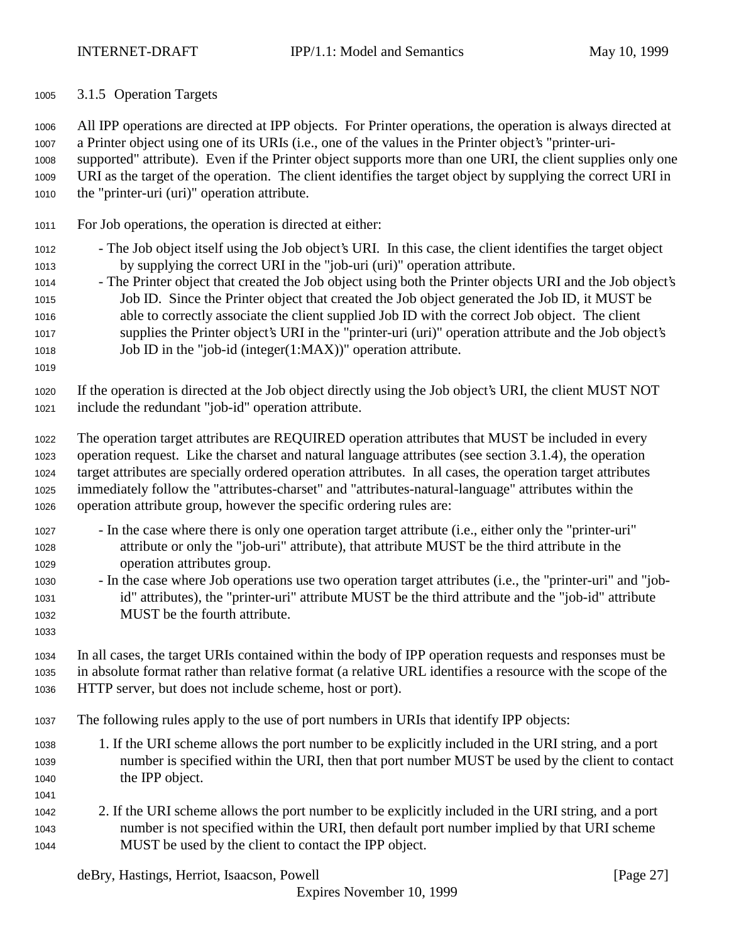3.1.5 Operation Targets

 All IPP operations are directed at IPP objects. For Printer operations, the operation is always directed at a Printer object using one of its URIs (i.e., one of the values in the Printer object's "printer-uri- supported" attribute). Even if the Printer object supports more than one URI, the client supplies only one URI as the target of the operation. The client identifies the target object by supplying the correct URI in the "printer-uri (uri)" operation attribute.

- For Job operations, the operation is directed at either:
- The Job object itself using the Job object's URI. In this case, the client identifies the target object by supplying the correct URI in the "job-uri (uri)" operation attribute.
- The Printer object that created the Job object using both the Printer objects URI and the Job object's Job ID. Since the Printer object that created the Job object generated the Job ID, it MUST be able to correctly associate the client supplied Job ID with the correct Job object. The client supplies the Printer object's URI in the "printer-uri (uri)" operation attribute and the Job object's Job ID in the "job-id (integer(1:MAX))" operation attribute.
- 

 If the operation is directed at the Job object directly using the Job object's URI, the client MUST NOT include the redundant "job-id" operation attribute.

- The operation target attributes are REQUIRED operation attributes that MUST be included in every operation request. Like the charset and natural language attributes (see section 3.1.4), the operation target attributes are specially ordered operation attributes. In all cases, the operation target attributes immediately follow the "attributes-charset" and "attributes-natural-language" attributes within the operation attribute group, however the specific ordering rules are:
- In the case where there is only one operation target attribute (i.e., either only the "printer-uri" attribute or only the "job-uri" attribute), that attribute MUST be the third attribute in the operation attributes group.
- In the case where Job operations use two operation target attributes (i.e., the "printer-uri" and "job- id" attributes), the "printer-uri" attribute MUST be the third attribute and the "job-id" attribute MUST be the fourth attribute.
- 

 In all cases, the target URIs contained within the body of IPP operation requests and responses must be in absolute format rather than relative format (a relative URL identifies a resource with the scope of the HTTP server, but does not include scheme, host or port).

- The following rules apply to the use of port numbers in URIs that identify IPP objects:
- 1. If the URI scheme allows the port number to be explicitly included in the URI string, and a port number is specified within the URI, then that port number MUST be used by the client to contact the IPP object.
- 
- 2. If the URI scheme allows the port number to be explicitly included in the URI string, and a port number is not specified within the URI, then default port number implied by that URI scheme MUST be used by the client to contact the IPP object.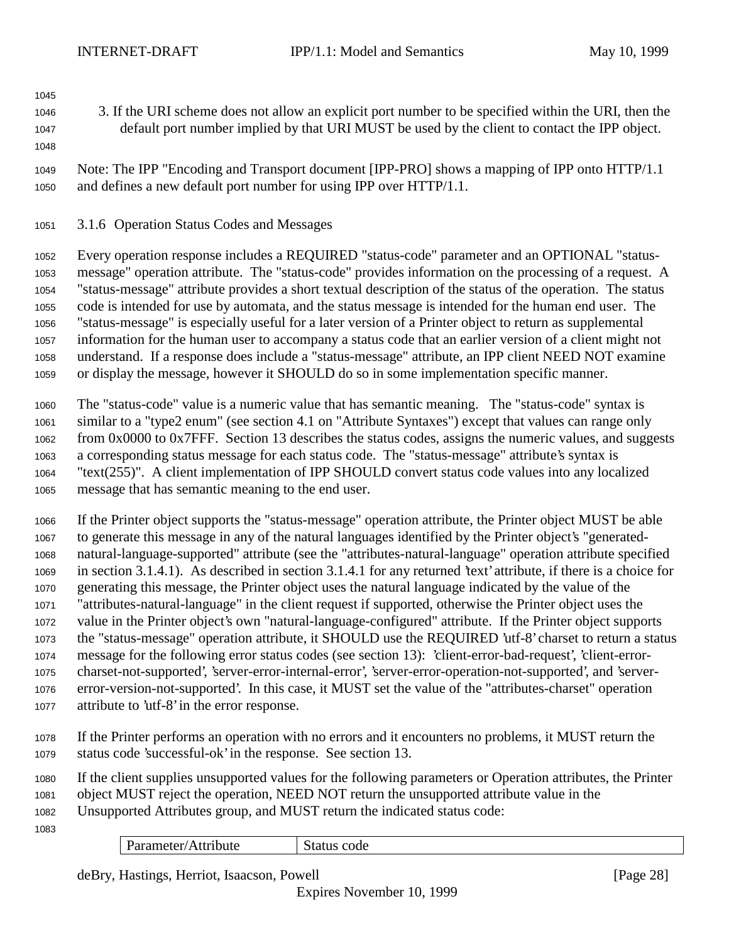- 
- 3. If the URI scheme does not allow an explicit port number to be specified within the URI, then the default port number implied by that URI MUST be used by the client to contact the IPP object.
- 

 Note: The IPP "Encoding and Transport document [IPP-PRO] shows a mapping of IPP onto HTTP/1.1 and defines a new default port number for using IPP over HTTP/1.1.

## 3.1.6 Operation Status Codes and Messages

 Every operation response includes a REQUIRED "status-code" parameter and an OPTIONAL "status- message" operation attribute. The "status-code" provides information on the processing of a request. A "status-message" attribute provides a short textual description of the status of the operation. The status code is intended for use by automata, and the status message is intended for the human end user. The "status-message" is especially useful for a later version of a Printer object to return as supplemental information for the human user to accompany a status code that an earlier version of a client might not understand. If a response does include a "status-message" attribute, an IPP client NEED NOT examine or display the message, however it SHOULD do so in some implementation specific manner.

 The "status-code" value is a numeric value that has semantic meaning. The "status-code" syntax is similar to a "type2 enum" (see section 4.1 on "Attribute Syntaxes") except that values can range only from 0x0000 to 0x7FFF. Section 13 describes the status codes, assigns the numeric values, and suggests a corresponding status message for each status code. The "status-message" attribute's syntax is "text(255)". A client implementation of IPP SHOULD convert status code values into any localized message that has semantic meaning to the end user.

 If the Printer object supports the "status-message" operation attribute, the Printer object MUST be able to generate this message in any of the natural languages identified by the Printer object's "generated- natural-language-supported" attribute (see the "attributes-natural-language" operation attribute specified in section 3.1.4.1). As described in section 3.1.4.1 for any returned 'text' attribute, if there is a choice for generating this message, the Printer object uses the natural language indicated by the value of the "attributes-natural-language" in the client request if supported, otherwise the Printer object uses the value in the Printer object's own "natural-language-configured" attribute. If the Printer object supports the "status-message" operation attribute, it SHOULD use the REQUIRED 'utf-8' charset to return a status message for the following error status codes (see section 13): 'client-error-bad-request', 'client-error- charset-not-supported', 'server-error-internal-error', 'server-error-operation-not-supported', and 'server- error-version-not-supported'. In this case, it MUST set the value of the "attributes-charset" operation attribute to 'utf-8' in the error response.

 If the Printer performs an operation with no errors and it encounters no problems, it MUST return the status code 'successful-ok' in the response. See section 13.

 If the client supplies unsupported values for the following parameters or Operation attributes, the Printer object MUST reject the operation, NEED NOT return the unsupported attribute value in the Unsupported Attributes group, and MUST return the indicated status code:

Parameter/Attribute Status code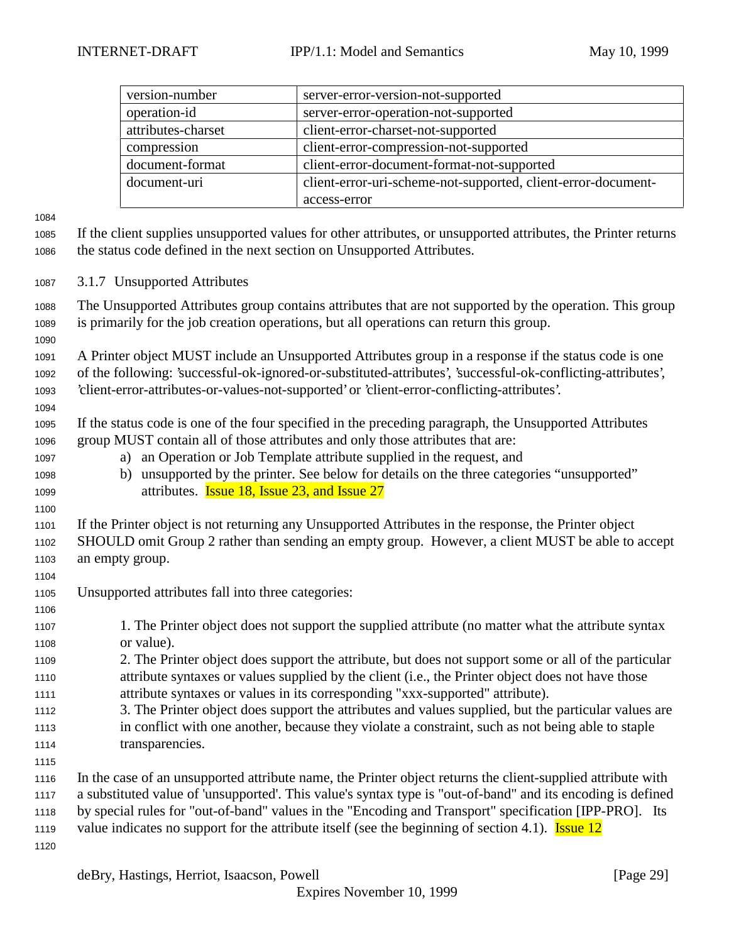| version-number     | server-error-version-not-supported                            |
|--------------------|---------------------------------------------------------------|
| operation-id       | server-error-operation-not-supported                          |
| attributes-charset | client-error-charset-not-supported                            |
| compression        | client-error-compression-not-supported                        |
| document-format    | client-error-document-format-not-supported                    |
| document-uri       | client-error-uri-scheme-not-supported, client-error-document- |
|                    | access-error                                                  |

 If the client supplies unsupported values for other attributes, or unsupported attributes, the Printer returns the status code defined in the next section on Unsupported Attributes.

3.1.7 Unsupported Attributes

 The Unsupported Attributes group contains attributes that are not supported by the operation. This group is primarily for the job creation operations, but all operations can return this group.

 A Printer object MUST include an Unsupported Attributes group in a response if the status code is one of the following: 'successful-ok-ignored-or-substituted-attributes', 'successful-ok-conflicting-attributes', 'client-error-attributes-or-values-not-supported' or 'client-error-conflicting-attributes'.

 If the status code is one of the four specified in the preceding paragraph, the Unsupported Attributes group MUST contain all of those attributes and only those attributes that are:

- a) an Operation or Job Template attribute supplied in the request, and
- b) unsupported by the printer. See below for details on the three categories "unsupported" **attributes. Issue 18, Issue 23, and Issue 27**

 If the Printer object is not returning any Unsupported Attributes in the response, the Printer object SHOULD omit Group 2 rather than sending an empty group. However, a client MUST be able to accept an empty group.

- Unsupported attributes fall into three categories:
- 1. The Printer object does not support the supplied attribute (no matter what the attribute syntax or value).
- 2. The Printer object does support the attribute, but does not support some or all of the particular attribute syntaxes or values supplied by the client (i.e., the Printer object does not have those attribute syntaxes or values in its corresponding "xxx-supported" attribute).
- 3. The Printer object does support the attributes and values supplied, but the particular values are in conflict with one another, because they violate a constraint, such as not being able to staple transparencies.
- In the case of an unsupported attribute name, the Printer object returns the client-supplied attribute with a substituted value of 'unsupported'. This value's syntax type is "out-of-band" and its encoding is defined by special rules for "out-of-band" values in the "Encoding and Transport" specification [IPP-PRO]. Its 1119 value indicates no support for the attribute itself (see the beginning of section 4.1). **Issue 12**
-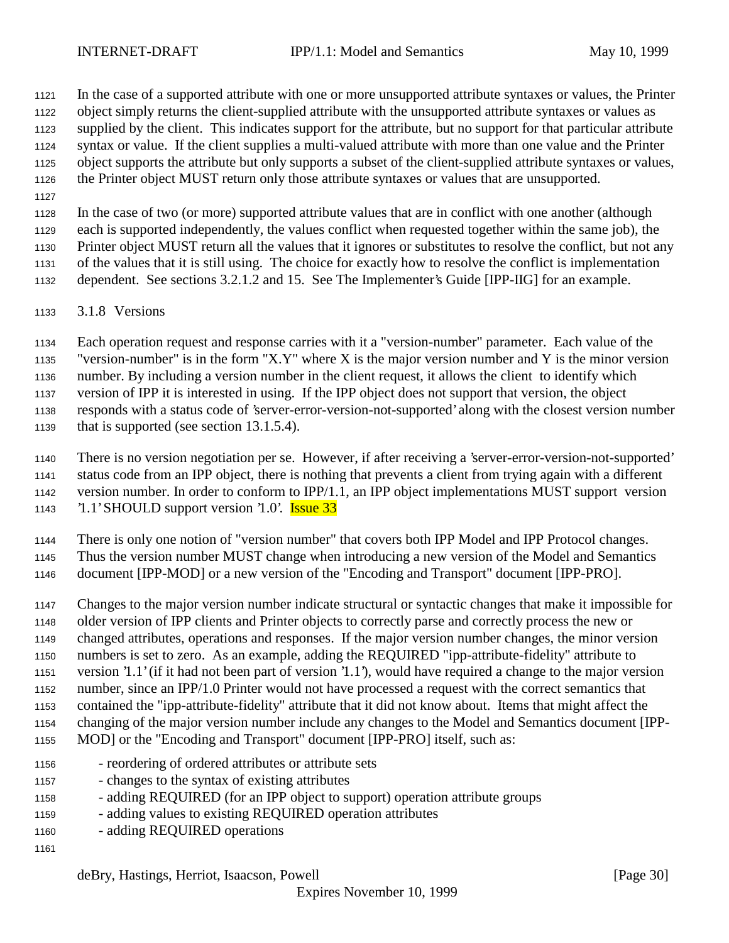In the case of a supported attribute with one or more unsupported attribute syntaxes or values, the Printer object simply returns the client-supplied attribute with the unsupported attribute syntaxes or values as supplied by the client. This indicates support for the attribute, but no support for that particular attribute syntax or value. If the client supplies a multi-valued attribute with more than one value and the Printer object supports the attribute but only supports a subset of the client-supplied attribute syntaxes or values, the Printer object MUST return only those attribute syntaxes or values that are unsupported.

 In the case of two (or more) supported attribute values that are in conflict with one another (although each is supported independently, the values conflict when requested together within the same job), the

 Printer object MUST return all the values that it ignores or substitutes to resolve the conflict, but not any of the values that it is still using. The choice for exactly how to resolve the conflict is implementation

dependent. See sections 3.2.1.2 and 15. See The Implementer's Guide [IPP-IIG] for an example.

3.1.8 Versions

 Each operation request and response carries with it a "version-number" parameter. Each value of the "version-number" is in the form "X.Y" where X is the major version number and Y is the minor version number. By including a version number in the client request, it allows the client to identify which

version of IPP it is interested in using. If the IPP object does not support that version, the object

responds with a status code of 'server-error-version-not-supported' along with the closest version number

that is supported (see section 13.1.5.4).

 There is no version negotiation per se. However, if after receiving a 'server-error-version-not-supported' status code from an IPP object, there is nothing that prevents a client from trying again with a different version number. In order to conform to IPP/1.1, an IPP object implementations MUST support version '1.1' SHOULD support version '1.0'. Issue 33

There is only one notion of "version number" that covers both IPP Model and IPP Protocol changes.

Thus the version number MUST change when introducing a new version of the Model and Semantics

document [IPP-MOD] or a new version of the "Encoding and Transport" document [IPP-PRO].

 Changes to the major version number indicate structural or syntactic changes that make it impossible for older version of IPP clients and Printer objects to correctly parse and correctly process the new or changed attributes, operations and responses. If the major version number changes, the minor version numbers is set to zero. As an example, adding the REQUIRED "ipp-attribute-fidelity" attribute to version '1.1' (if it had not been part of version '1.1'), would have required a change to the major version number, since an IPP/1.0 Printer would not have processed a request with the correct semantics that contained the "ipp-attribute-fidelity" attribute that it did not know about. Items that might affect the

changing of the major version number include any changes to the Model and Semantics document [IPP-

- MOD] or the "Encoding and Transport" document [IPP-PRO] itself, such as:
- reordering of ordered attributes or attribute sets
- changes to the syntax of existing attributes
- adding REQUIRED (for an IPP object to support) operation attribute groups
- adding values to existing REQUIRED operation attributes
- adding REQUIRED operations
-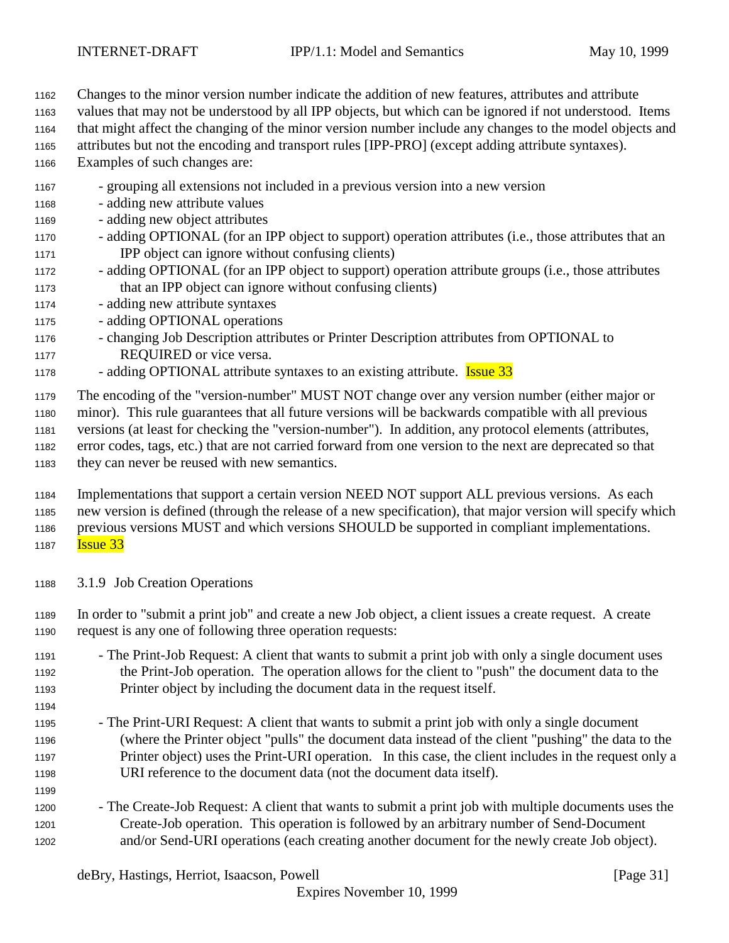Changes to the minor version number indicate the addition of new features, attributes and attribute

values that may not be understood by all IPP objects, but which can be ignored if not understood. Items

- that might affect the changing of the minor version number include any changes to the model objects and
- attributes but not the encoding and transport rules [IPP-PRO] (except adding attribute syntaxes).
- Examples of such changes are:
- grouping all extensions not included in a previous version into a new version
- adding new attribute values
- adding new object attributes
- adding OPTIONAL (for an IPP object to support) operation attributes (i.e., those attributes that an IPP object can ignore without confusing clients)
- adding OPTIONAL (for an IPP object to support) operation attribute groups (i.e., those attributes that an IPP object can ignore without confusing clients)
- adding new attribute syntaxes
- adding OPTIONAL operations
- changing Job Description attributes or Printer Description attributes from OPTIONAL to REQUIRED or vice versa.
- <sup>1178</sup> adding OPTIONAL attribute syntaxes to an existing attribute. **Issue 33**

The encoding of the "version-number" MUST NOT change over any version number (either major or

minor). This rule guarantees that all future versions will be backwards compatible with all previous

- versions (at least for checking the "version-number"). In addition, any protocol elements (attributes,
- error codes, tags, etc.) that are not carried forward from one version to the next are deprecated so that they can never be reused with new semantics.
- Implementations that support a certain version NEED NOT support ALL previous versions. As each new version is defined (through the release of a new specification), that major version will specify which previous versions MUST and which versions SHOULD be supported in compliant implementations. **Issue 33**
- 3.1.9 Job Creation Operations

- In order to "submit a print job" and create a new Job object, a client issues a create request. A create request is any one of following three operation requests:
- The Print-Job Request: A client that wants to submit a print job with only a single document uses the Print-Job operation. The operation allows for the client to "push" the document data to the Printer object by including the document data in the request itself.
- The Print-URI Request: A client that wants to submit a print job with only a single document (where the Printer object "pulls" the document data instead of the client "pushing" the data to the Printer object) uses the Print-URI operation. In this case, the client includes in the request only a URI reference to the document data (not the document data itself).
- The Create-Job Request: A client that wants to submit a print job with multiple documents uses the Create-Job operation. This operation is followed by an arbitrary number of Send-Document and/or Send-URI operations (each creating another document for the newly create Job object).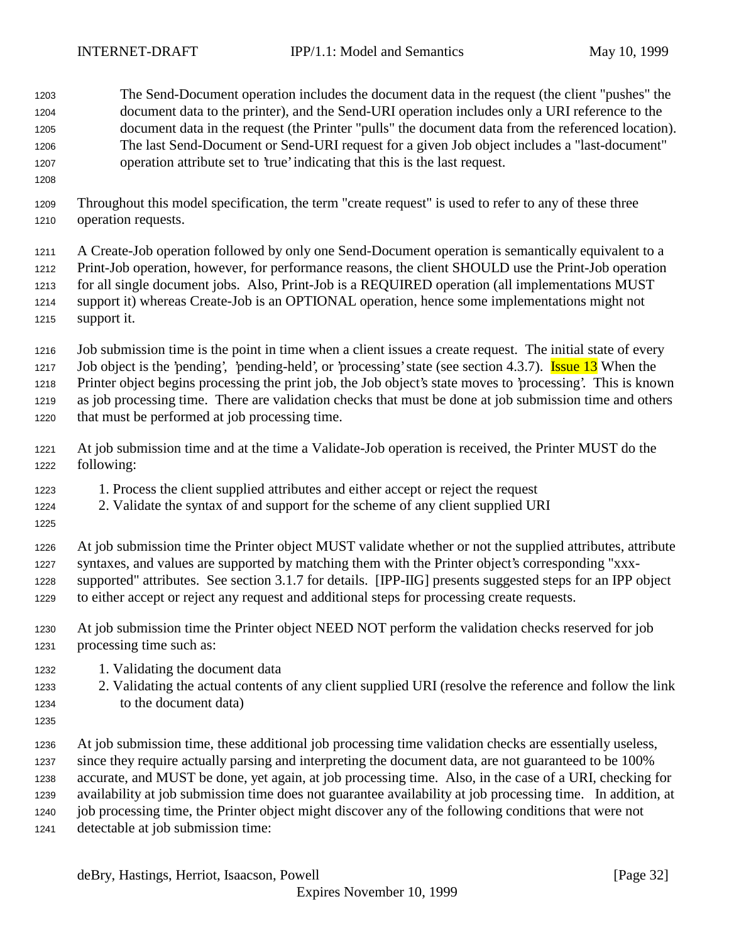The Send-Document operation includes the document data in the request (the client "pushes" the document data to the printer), and the Send-URI operation includes only a URI reference to the document data in the request (the Printer "pulls" the document data from the referenced location). The last Send-Document or Send-URI request for a given Job object includes a "last-document" operation attribute set to 'true' indicating that this is the last request.

 Throughout this model specification, the term "create request" is used to refer to any of these three operation requests.

 A Create-Job operation followed by only one Send-Document operation is semantically equivalent to a Print-Job operation, however, for performance reasons, the client SHOULD use the Print-Job operation for all single document jobs. Also, Print-Job is a REQUIRED operation (all implementations MUST support it) whereas Create-Job is an OPTIONAL operation, hence some implementations might not support it.

Job submission time is the point in time when a client issues a create request. The initial state of every

1217 Job object is the 'pending', 'pending-held', or 'processing' state (see section 4.3.7). Issue 13 When the

 Printer object begins processing the print job, the Job object's state moves to 'processing'. This is known as job processing time. There are validation checks that must be done at job submission time and others that must be performed at job processing time.

- At job submission time and at the time a Validate-Job operation is received, the Printer MUST do the following:
- 1. Process the client supplied attributes and either accept or reject the request
- 2. Validate the syntax of and support for the scheme of any client supplied URI
- 

 At job submission time the Printer object MUST validate whether or not the supplied attributes, attribute syntaxes, and values are supported by matching them with the Printer object's corresponding "xxx- supported" attributes. See section 3.1.7 for details. [IPP-IIG] presents suggested steps for an IPP object to either accept or reject any request and additional steps for processing create requests.

- At job submission time the Printer object NEED NOT perform the validation checks reserved for job processing time such as:
- 1. Validating the document data
- 2. Validating the actual contents of any client supplied URI (resolve the reference and follow the link to the document data)
- 

 At job submission time, these additional job processing time validation checks are essentially useless, since they require actually parsing and interpreting the document data, are not guaranteed to be 100% accurate, and MUST be done, yet again, at job processing time. Also, in the case of a URI, checking for availability at job submission time does not guarantee availability at job processing time. In addition, at job processing time, the Printer object might discover any of the following conditions that were not detectable at job submission time: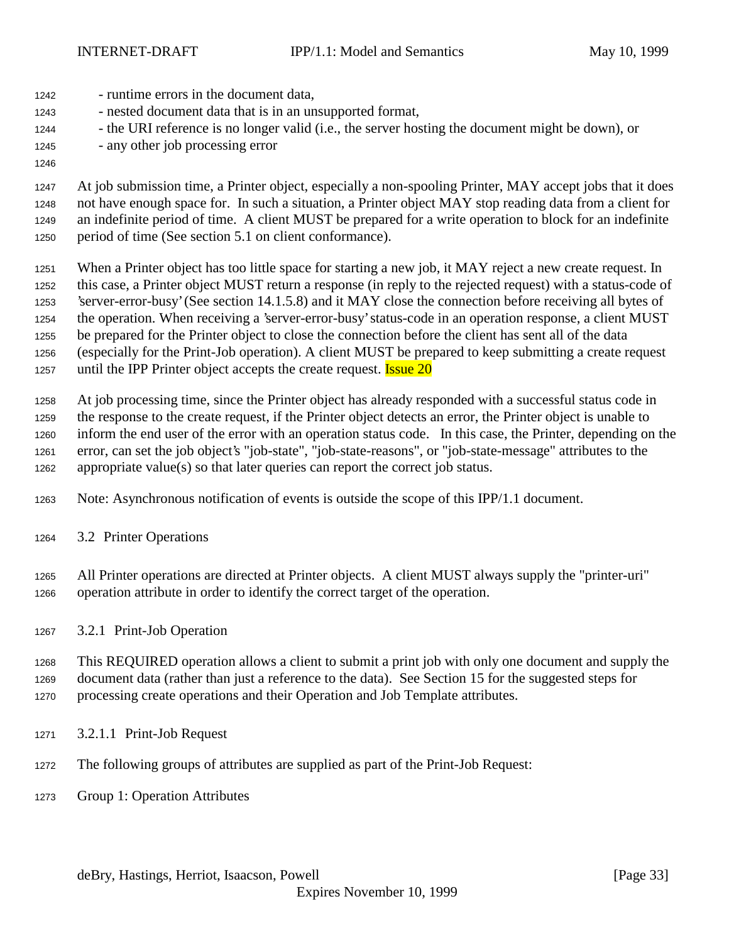- runtime errors in the document data, - nested document data that is in an unsupported format,
- the URI reference is no longer valid (i.e., the server hosting the document might be down), or
- any other job processing error

 At job submission time, a Printer object, especially a non-spooling Printer, MAY accept jobs that it does not have enough space for. In such a situation, a Printer object MAY stop reading data from a client for an indefinite period of time. A client MUST be prepared for a write operation to block for an indefinite period of time (See section 5.1 on client conformance).

 When a Printer object has too little space for starting a new job, it MAY reject a new create request. In this case, a Printer object MUST return a response (in reply to the rejected request) with a status-code of 'server-error-busy' (See section 14.1.5.8) and it MAY close the connection before receiving all bytes of the operation. When receiving a 'server-error-busy' status-code in an operation response, a client MUST be prepared for the Printer object to close the connection before the client has sent all of the data (especially for the Print-Job operation). A client MUST be prepared to keep submitting a create request 1257 until the IPP Printer object accepts the create request. **Issue 20** 

 At job processing time, since the Printer object has already responded with a successful status code in the response to the create request, if the Printer object detects an error, the Printer object is unable to inform the end user of the error with an operation status code. In this case, the Printer, depending on the error, can set the job object's "job-state", "job-state-reasons", or "job-state-message" attributes to the appropriate value(s) so that later queries can report the correct job status.

- Note: Asynchronous notification of events is outside the scope of this IPP/1.1 document.
- 3.2 Printer Operations

 All Printer operations are directed at Printer objects. A client MUST always supply the "printer-uri" operation attribute in order to identify the correct target of the operation.

3.2.1 Print-Job Operation

 This REQUIRED operation allows a client to submit a print job with only one document and supply the document data (rather than just a reference to the data). See Section 15 for the suggested steps for processing create operations and their Operation and Job Template attributes.

- 3.2.1.1 Print-Job Request
- The following groups of attributes are supplied as part of the Print-Job Request:
- Group 1: Operation Attributes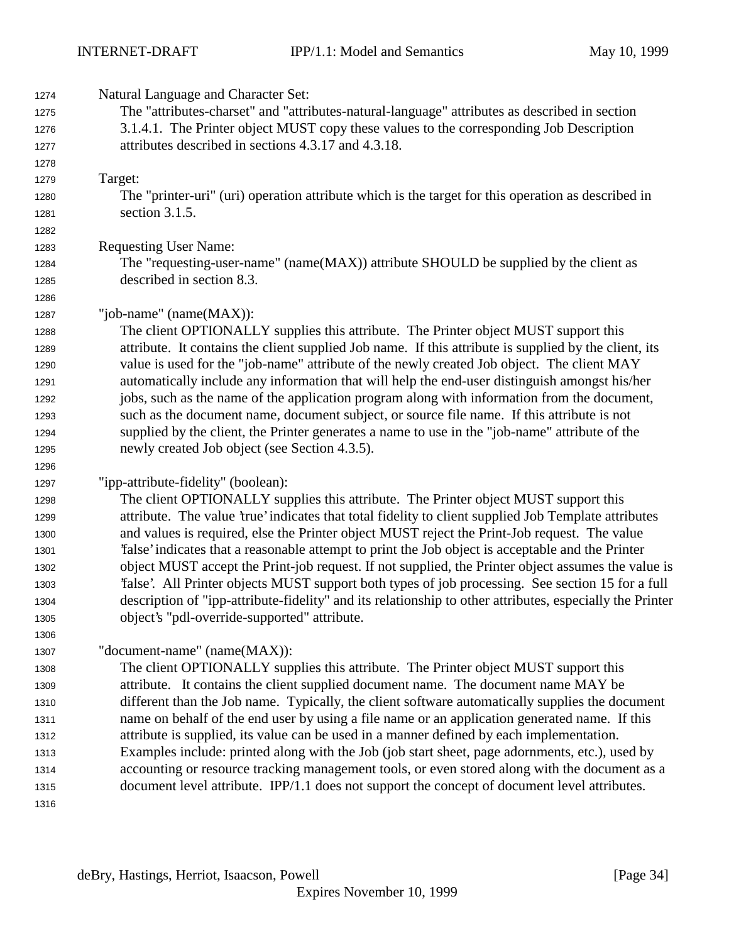| 1274 | Natural Language and Character Set:                                                                      |
|------|----------------------------------------------------------------------------------------------------------|
| 1275 | The "attributes-charset" and "attributes-natural-language" attributes as described in section            |
| 1276 | 3.1.4.1. The Printer object MUST copy these values to the corresponding Job Description                  |
| 1277 | attributes described in sections 4.3.17 and 4.3.18.                                                      |
| 1278 |                                                                                                          |
| 1279 | Target:                                                                                                  |
| 1280 | The "printer-uri" (uri) operation attribute which is the target for this operation as described in       |
| 1281 | section 3.1.5.                                                                                           |
| 1282 |                                                                                                          |
| 1283 | <b>Requesting User Name:</b>                                                                             |
| 1284 | The "requesting-user-name" (name(MAX)) attribute SHOULD be supplied by the client as                     |
| 1285 | described in section 8.3.                                                                                |
| 1286 |                                                                                                          |
| 1287 | "job-name" (name(MAX)):                                                                                  |
| 1288 | The client OPTIONALLY supplies this attribute. The Printer object MUST support this                      |
| 1289 | attribute. It contains the client supplied Job name. If this attribute is supplied by the client, its    |
| 1290 | value is used for the "job-name" attribute of the newly created Job object. The client MAY               |
| 1291 | automatically include any information that will help the end-user distinguish amongst his/her            |
| 1292 | jobs, such as the name of the application program along with information from the document,              |
| 1293 | such as the document name, document subject, or source file name. If this attribute is not               |
| 1294 | supplied by the client, the Printer generates a name to use in the "job-name" attribute of the           |
| 1295 | newly created Job object (see Section 4.3.5).                                                            |
| 1296 |                                                                                                          |
| 1297 | "ipp-attribute-fidelity" (boolean):                                                                      |
| 1298 | The client OPTIONALLY supplies this attribute. The Printer object MUST support this                      |
| 1299 | attribute. The value 'true' indicates that total fidelity to client supplied Job Template attributes     |
| 1300 | and values is required, else the Printer object MUST reject the Print-Job request. The value             |
| 1301 | 'false' indicates that a reasonable attempt to print the Job object is acceptable and the Printer        |
| 1302 | object MUST accept the Print-job request. If not supplied, the Printer object assumes the value is       |
| 1303 | Talse'. All Printer objects MUST support both types of job processing. See section 15 for a full         |
| 1304 | description of "ipp-attribute-fidelity" and its relationship to other attributes, especially the Printer |
| 1305 | object's "pdl-override-supported" attribute.                                                             |
| 1306 |                                                                                                          |
| 1307 | "document-name" (name(MAX)):                                                                             |
| 1308 | The client OPTIONALLY supplies this attribute. The Printer object MUST support this                      |
| 1309 | attribute. It contains the client supplied document name. The document name MAY be                       |
| 1310 | different than the Job name. Typically, the client software automatically supplies the document          |
| 1311 | name on behalf of the end user by using a file name or an application generated name. If this            |
| 1312 | attribute is supplied, its value can be used in a manner defined by each implementation.                 |
| 1313 | Examples include: printed along with the Job (job start sheet, page adornments, etc.), used by           |
| 1314 | accounting or resource tracking management tools, or even stored along with the document as a            |
| 1315 | document level attribute. IPP/1.1 does not support the concept of document level attributes.             |
| 1316 |                                                                                                          |
|      |                                                                                                          |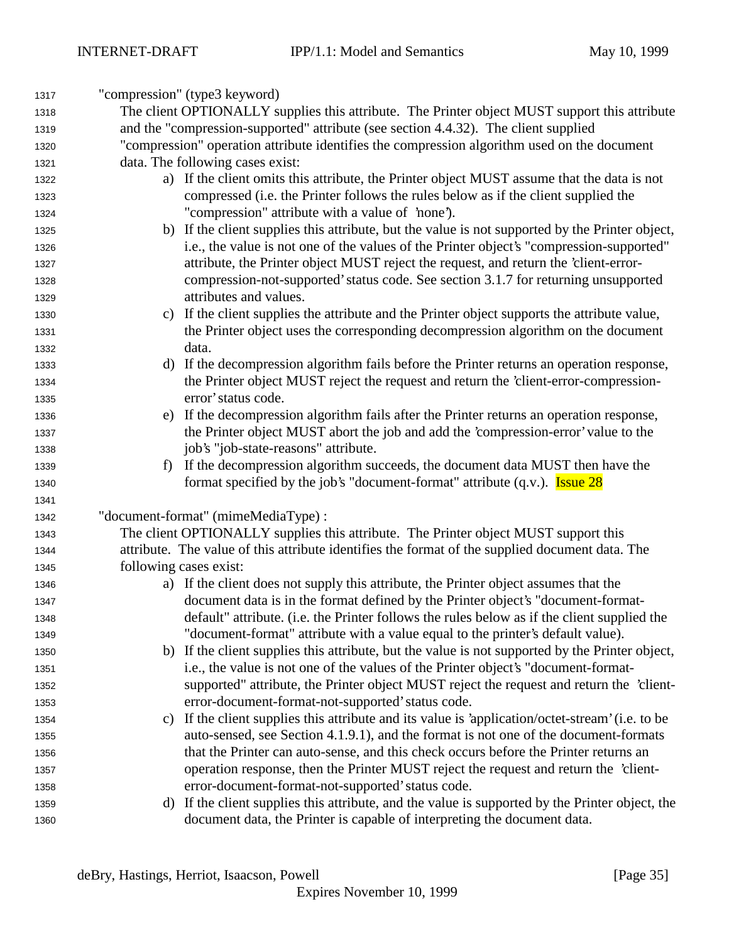| 1317 | "compression" (type3 keyword)                                                                      |
|------|----------------------------------------------------------------------------------------------------|
| 1318 | The client OPTIONALLY supplies this attribute. The Printer object MUST support this attribute      |
| 1319 | and the "compression-supported" attribute (see section 4.4.32). The client supplied                |
| 1320 | "compression" operation attribute identifies the compression algorithm used on the document        |
| 1321 | data. The following cases exist:                                                                   |
| 1322 | a) If the client omits this attribute, the Printer object MUST assume that the data is not         |
| 1323 | compressed (i.e. the Printer follows the rules below as if the client supplied the                 |
| 1324 | "compression" attribute with a value of 'none').                                                   |
| 1325 | b) If the client supplies this attribute, but the value is not supported by the Printer object,    |
| 1326 | i.e., the value is not one of the values of the Printer object's "compression-supported"           |
| 1327 | attribute, the Printer object MUST reject the request, and return the 'client-error-               |
| 1328 | compression-not-supported' status code. See section 3.1.7 for returning unsupported                |
| 1329 | attributes and values.                                                                             |
| 1330 | If the client supplies the attribute and the Printer object supports the attribute value,<br>C)    |
| 1331 | the Printer object uses the corresponding decompression algorithm on the document                  |
| 1332 | data.                                                                                              |
| 1333 | If the decompression algorithm fails before the Printer returns an operation response,<br>d)       |
| 1334 | the Printer object MUST reject the request and return the 'client-error-compression-               |
| 1335 | error' status code.                                                                                |
| 1336 | e) If the decompression algorithm fails after the Printer returns an operation response,           |
| 1337 | the Printer object MUST abort the job and add the 'compression-error' value to the                 |
| 1338 | job's "job-state-reasons" attribute.                                                               |
| 1339 | If the decompression algorithm succeeds, the document data MUST then have the<br>f)                |
| 1340 | format specified by the job's "document-format" attribute $(q.v.)$ . <b>Issue 28</b>               |
| 1341 |                                                                                                    |
| 1342 | "document-format" (mimeMediaType) :                                                                |
| 1343 | The client OPTIONALLY supplies this attribute. The Printer object MUST support this                |
| 1344 | attribute. The value of this attribute identifies the format of the supplied document data. The    |
| 1345 | following cases exist:                                                                             |
| 1346 | a) If the client does not supply this attribute, the Printer object assumes that the               |
| 1347 | document data is in the format defined by the Printer object's "document-format-                   |
| 1348 | default" attribute. (i.e. the Printer follows the rules below as if the client supplied the        |
| 1349 | "document-format" attribute with a value equal to the printer's default value).                    |
| 1350 | b) If the client supplies this attribute, but the value is not supported by the Printer object,    |
| 1351 | i.e., the value is not one of the values of the Printer object's "document-format-                 |
| 1352 | supported" attribute, the Printer object MUST reject the request and return the 'client-           |
| 1353 | error-document-format-not-supported' status code.                                                  |
| 1354 | c) If the client supplies this attribute and its value is 'application/octet-stream' (i.e. to be   |
| 1355 | auto-sensed, see Section 4.1.9.1), and the format is not one of the document-formats               |
| 1356 | that the Printer can auto-sense, and this check occurs before the Printer returns an               |
| 1357 | operation response, then the Printer MUST reject the request and return the 'client-               |
| 1358 | error-document-format-not-supported' status code.                                                  |
| 1359 | If the client supplies this attribute, and the value is supported by the Printer object, the<br>d) |
| 1360 | document data, the Printer is capable of interpreting the document data.                           |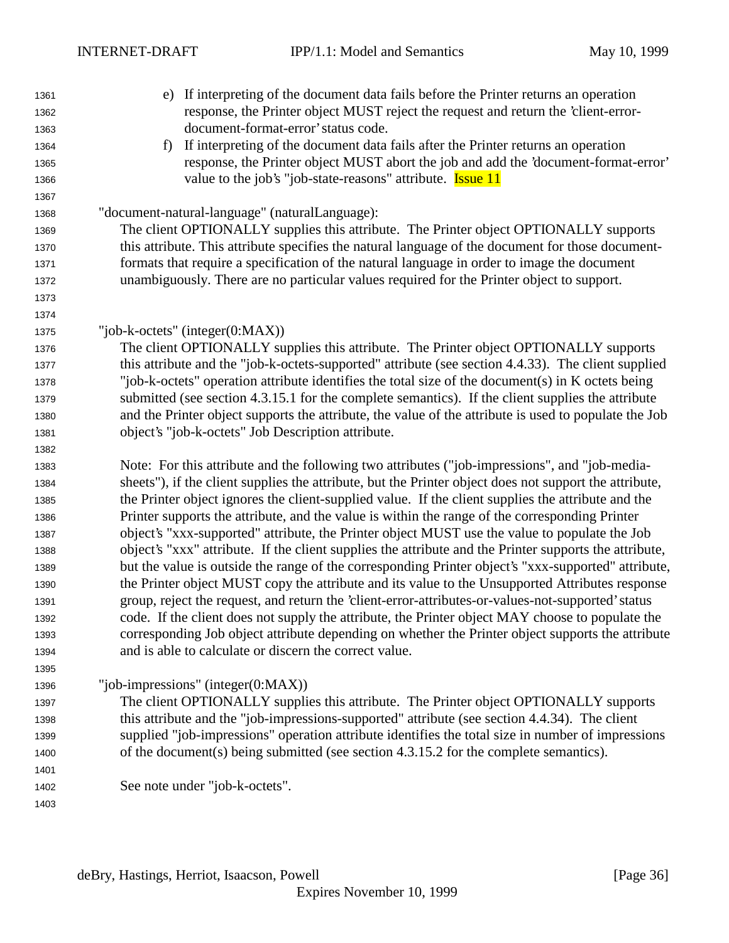e) If interpreting of the document data fails before the Printer returns an operation response, the Printer object MUST reject the request and return the 'client-error- document-format-error' status code. f) If interpreting of the document data fails after the Printer returns an operation response, the Printer object MUST abort the job and add the 'document-format-error' 1366 value to the job's "job-state-reasons" attribute. Issue 11 "document-natural-language" (naturalLanguage): The client OPTIONALLY supplies this attribute. The Printer object OPTIONALLY supports this attribute. This attribute specifies the natural language of the document for those document- formats that require a specification of the natural language in order to image the document unambiguously. There are no particular values required for the Printer object to support. "job-k-octets" (integer(0:MAX)) The client OPTIONALLY supplies this attribute. The Printer object OPTIONALLY supports this attribute and the "job-k-octets-supported" attribute (see section 4.4.33). The client supplied "job-k-octets" operation attribute identifies the total size of the document(s) in K octets being submitted (see section 4.3.15.1 for the complete semantics). If the client supplies the attribute and the Printer object supports the attribute, the value of the attribute is used to populate the Job object's "job-k-octets" Job Description attribute. Note: For this attribute and the following two attributes ("job-impressions", and "job-media- sheets"), if the client supplies the attribute, but the Printer object does not support the attribute, the Printer object ignores the client-supplied value. If the client supplies the attribute and the Printer supports the attribute, and the value is within the range of the corresponding Printer object's "xxx-supported" attribute, the Printer object MUST use the value to populate the Job object's "xxx" attribute. If the client supplies the attribute and the Printer supports the attribute, but the value is outside the range of the corresponding Printer object's "xxx-supported" attribute, the Printer object MUST copy the attribute and its value to the Unsupported Attributes response group, reject the request, and return the 'client-error-attributes-or-values-not-supported' status code. If the client does not supply the attribute, the Printer object MAY choose to populate the corresponding Job object attribute depending on whether the Printer object supports the attribute and is able to calculate or discern the correct value. "job-impressions" (integer(0:MAX)) The client OPTIONALLY supplies this attribute. The Printer object OPTIONALLY supports this attribute and the "job-impressions-supported" attribute (see section 4.4.34). The client supplied "job-impressions" operation attribute identifies the total size in number of impressions of the document(s) being submitted (see section 4.3.15.2 for the complete semantics). See note under "job-k-octets".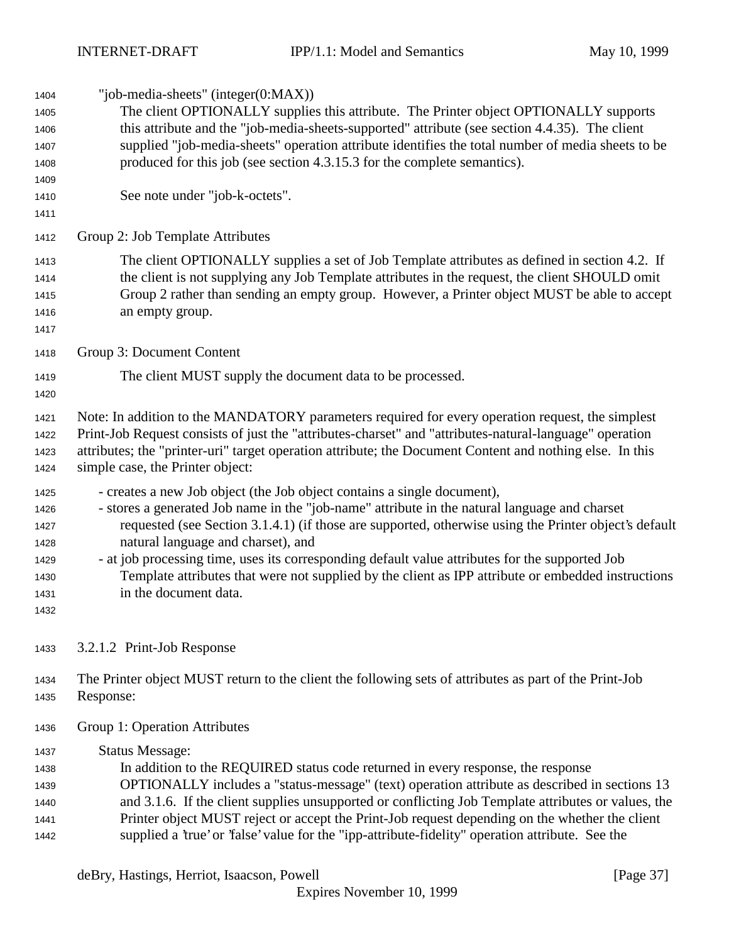"job-media-sheets" (integer(0:MAX)) The client OPTIONALLY supplies this attribute. The Printer object OPTIONALLY supports this attribute and the "job-media-sheets-supported" attribute (see section 4.4.35). The client supplied "job-media-sheets" operation attribute identifies the total number of media sheets to be produced for this job (see section 4.3.15.3 for the complete semantics). See note under "job-k-octets". Group 2: Job Template Attributes The client OPTIONALLY supplies a set of Job Template attributes as defined in section 4.2. If the client is not supplying any Job Template attributes in the request, the client SHOULD omit Group 2 rather than sending an empty group. However, a Printer object MUST be able to accept an empty group. Group 3: Document Content The client MUST supply the document data to be processed. Note: In addition to the MANDATORY parameters required for every operation request, the simplest Print-Job Request consists of just the "attributes-charset" and "attributes-natural-language" operation attributes; the "printer-uri" target operation attribute; the Document Content and nothing else. In this simple case, the Printer object: - creates a new Job object (the Job object contains a single document), - stores a generated Job name in the "job-name" attribute in the natural language and charset requested (see Section 3.1.4.1) (if those are supported, otherwise using the Printer object's default natural language and charset), and - at job processing time, uses its corresponding default value attributes for the supported Job Template attributes that were not supplied by the client as IPP attribute or embedded instructions in the document data. 3.2.1.2 Print-Job Response The Printer object MUST return to the client the following sets of attributes as part of the Print-Job Response: Group 1: Operation Attributes Status Message: In addition to the REQUIRED status code returned in every response, the response OPTIONALLY includes a "status-message" (text) operation attribute as described in sections 13 and 3.1.6. If the client supplies unsupported or conflicting Job Template attributes or values, the

 Printer object MUST reject or accept the Print-Job request depending on the whether the client supplied a 'true' or 'false' value for the "ipp-attribute-fidelity" operation attribute. See the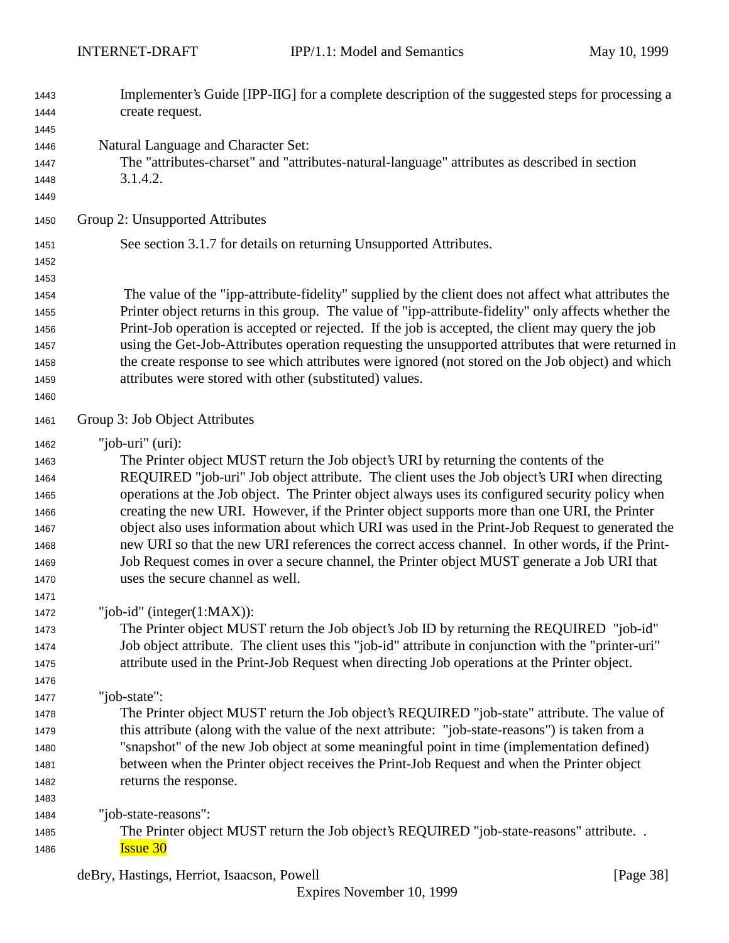| 1443 | Implementer's Guide [IPP-IIG] for a complete description of the suggested steps for processing a     |  |  |  |  |
|------|------------------------------------------------------------------------------------------------------|--|--|--|--|
| 1444 | create request.                                                                                      |  |  |  |  |
| 1445 |                                                                                                      |  |  |  |  |
| 1446 | Natural Language and Character Set:                                                                  |  |  |  |  |
| 1447 | The "attributes-charset" and "attributes-natural-language" attributes as described in section        |  |  |  |  |
| 1448 | 3.1.4.2.                                                                                             |  |  |  |  |
| 1449 |                                                                                                      |  |  |  |  |
| 1450 | Group 2: Unsupported Attributes                                                                      |  |  |  |  |
| 1451 | See section 3.1.7 for details on returning Unsupported Attributes.                                   |  |  |  |  |
| 1452 |                                                                                                      |  |  |  |  |
| 1453 |                                                                                                      |  |  |  |  |
| 1454 | The value of the "ipp-attribute-fidelity" supplied by the client does not affect what attributes the |  |  |  |  |
| 1455 | Printer object returns in this group. The value of "ipp-attribute-fidelity" only affects whether the |  |  |  |  |
| 1456 | Print-Job operation is accepted or rejected. If the job is accepted, the client may query the job    |  |  |  |  |
| 1457 | using the Get-Job-Attributes operation requesting the unsupported attributes that were returned in   |  |  |  |  |
| 1458 | the create response to see which attributes were ignored (not stored on the Job object) and which    |  |  |  |  |
| 1459 | attributes were stored with other (substituted) values.                                              |  |  |  |  |
| 1460 |                                                                                                      |  |  |  |  |
| 1461 | Group 3: Job Object Attributes                                                                       |  |  |  |  |
| 1462 | "job-uri" $(i)$ :                                                                                    |  |  |  |  |
| 1463 | The Printer object MUST return the Job object's URI by returning the contents of the                 |  |  |  |  |
| 1464 | REQUIRED "job-uri" Job object attribute. The client uses the Job object's URI when directing         |  |  |  |  |
| 1465 | operations at the Job object. The Printer object always uses its configured security policy when     |  |  |  |  |
| 1466 | creating the new URI. However, if the Printer object supports more than one URI, the Printer         |  |  |  |  |
| 1467 | object also uses information about which URI was used in the Print-Job Request to generated the      |  |  |  |  |
| 1468 | new URI so that the new URI references the correct access channel. In other words, if the Print-     |  |  |  |  |
| 1469 | Job Request comes in over a secure channel, the Printer object MUST generate a Job URI that          |  |  |  |  |
| 1470 | uses the secure channel as well.                                                                     |  |  |  |  |
| 1471 |                                                                                                      |  |  |  |  |
| 1472 | "job-id" (integer $(1:MAX)$ ):                                                                       |  |  |  |  |
| 1473 | The Printer object MUST return the Job object's Job ID by returning the REQUIRED "job-id"            |  |  |  |  |
| 1474 | Job object attribute. The client uses this "job-id" attribute in conjunction with the "printer-uri"  |  |  |  |  |
| 1475 | attribute used in the Print-Job Request when directing Job operations at the Printer object.         |  |  |  |  |
| 1476 |                                                                                                      |  |  |  |  |
| 1477 | "job-state":                                                                                         |  |  |  |  |
| 1478 | The Printer object MUST return the Job object's REQUIRED "job-state" attribute. The value of         |  |  |  |  |
| 1479 | this attribute (along with the value of the next attribute: "job-state-reasons") is taken from a     |  |  |  |  |
| 1480 | "snapshot" of the new Job object at some meaningful point in time (implementation defined)           |  |  |  |  |
| 1481 | between when the Printer object receives the Print-Job Request and when the Printer object           |  |  |  |  |
| 1482 | returns the response.                                                                                |  |  |  |  |
| 1483 |                                                                                                      |  |  |  |  |
| 1484 | "job-state-reasons":                                                                                 |  |  |  |  |
| 1485 | The Printer object MUST return the Job object's REQUIRED "job-state-reasons" attribute               |  |  |  |  |
| 1486 | <b>Issue 30</b>                                                                                      |  |  |  |  |

deBry, Hastings, Herriot, Isaacson, Powell [Page 38]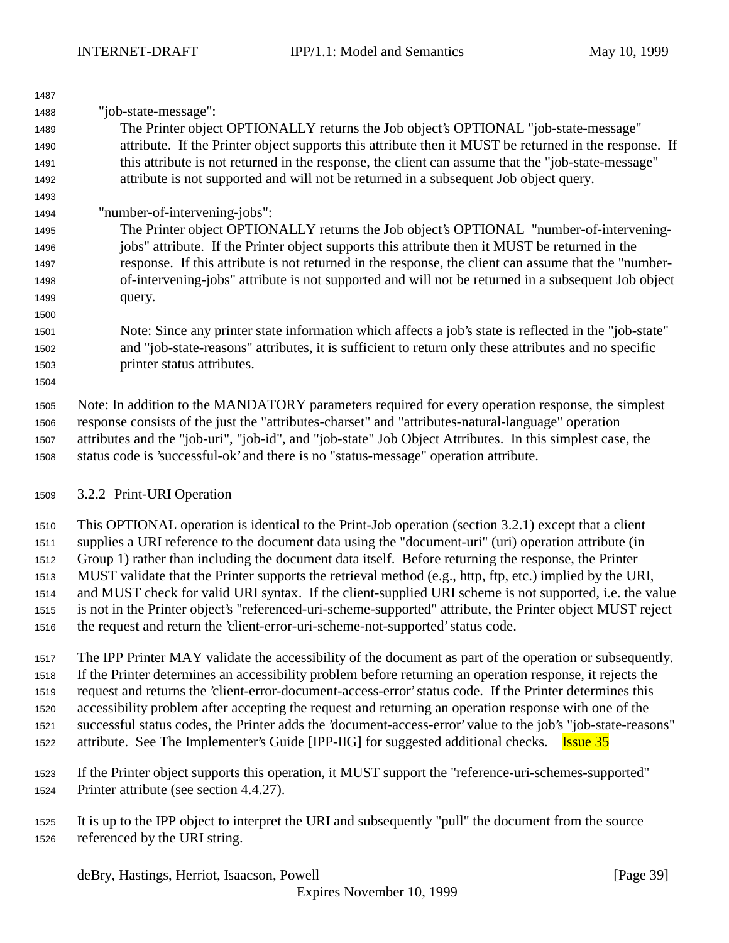| 1487 |                                                                                                              |  |  |  |
|------|--------------------------------------------------------------------------------------------------------------|--|--|--|
| 1488 | "job-state-message":                                                                                         |  |  |  |
| 1489 | The Printer object OPTIONALLY returns the Job object's OPTIONAL "job-state-message"                          |  |  |  |
| 1490 | attribute. If the Printer object supports this attribute then it MUST be returned in the response. If        |  |  |  |
| 1491 | this attribute is not returned in the response, the client can assume that the "job-state-message"           |  |  |  |
| 1492 | attribute is not supported and will not be returned in a subsequent Job object query.                        |  |  |  |
| 1493 |                                                                                                              |  |  |  |
| 1494 | "number-of-intervening-jobs":                                                                                |  |  |  |
| 1495 | The Printer object OPTIONALLY returns the Job object's OPTIONAL "number-of-intervening-                      |  |  |  |
| 1496 | jobs" attribute. If the Printer object supports this attribute then it MUST be returned in the               |  |  |  |
| 1497 | response. If this attribute is not returned in the response, the client can assume that the "number-         |  |  |  |
| 1498 | of-intervening-jobs" attribute is not supported and will not be returned in a subsequent Job object          |  |  |  |
| 1499 | query.                                                                                                       |  |  |  |
| 1500 |                                                                                                              |  |  |  |
| 1501 | Note: Since any printer state information which affects a job's state is reflected in the "job-state"        |  |  |  |
| 1502 | and "job-state-reasons" attributes, it is sufficient to return only these attributes and no specific         |  |  |  |
| 1503 | printer status attributes.                                                                                   |  |  |  |
| 1504 |                                                                                                              |  |  |  |
| 1505 | Note: In addition to the MANDATORY parameters required for every operation response, the simplest            |  |  |  |
| 1506 | response consists of the just the "attributes-charset" and "attributes-natural-language" operation           |  |  |  |
| 1507 | attributes and the "job-uri", "job-id", and "job-state" Job Object Attributes. In this simplest case, the    |  |  |  |
| 1508 | status code is 'successful-ok' and there is no "status-message" operation attribute.                         |  |  |  |
|      |                                                                                                              |  |  |  |
| 1509 | 3.2.2 Print-URI Operation                                                                                    |  |  |  |
| 1510 | This OPTIONAL operation is identical to the Print-Job operation (section 3.2.1) except that a client         |  |  |  |
| 1511 | supplies a URI reference to the document data using the "document-uri" (uri) operation attribute (in         |  |  |  |
| 1512 | Group 1) rather than including the document data itself. Before returning the response, the Printer          |  |  |  |
| 1513 | MUST validate that the Printer supports the retrieval method (e.g., http, ftp, etc.) implied by the URI,     |  |  |  |
| 1514 | and MUST check for valid URI syntax. If the client-supplied URI scheme is not supported, i.e. the value      |  |  |  |
| 1515 | is not in the Printer object's "referenced-uri-scheme-supported" attribute, the Printer object MUST reject   |  |  |  |
| 1516 | the request and return the 'client-error-uri-scheme-not-supported' status code.                              |  |  |  |
|      |                                                                                                              |  |  |  |
| 1517 | The IPP Printer MAY validate the accessibility of the document as part of the operation or subsequently.     |  |  |  |
| 1518 | If the Printer determines an accessibility problem before returning an operation response, it rejects the    |  |  |  |
| 1519 | request and returns the 'client-error-document-access-error' status code. If the Printer determines this     |  |  |  |
| 1520 | accessibility problem after accepting the request and returning an operation response with one of the        |  |  |  |
| 1521 | successful status codes, the Printer adds the 'document-access-error' value to the job's "job-state-reasons" |  |  |  |
| 1522 | attribute. See The Implementer's Guide [IPP-IIG] for suggested additional checks.<br><b>Issue 35</b>         |  |  |  |
|      |                                                                                                              |  |  |  |
| 1523 | If the Printer object supports this operation, it MUST support the "reference-uri-schemes-supported"         |  |  |  |
| 1524 | Printer attribute (see section 4.4.27).                                                                      |  |  |  |

 It is up to the IPP object to interpret the URI and subsequently "pull" the document from the source referenced by the URI string.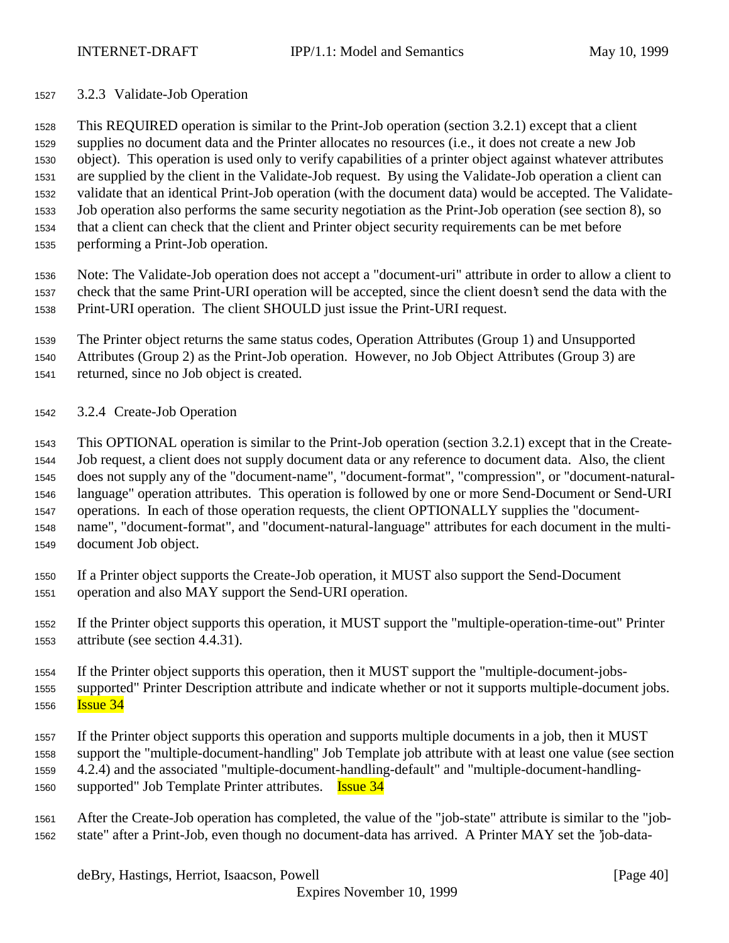3.2.3 Validate-Job Operation

 This REQUIRED operation is similar to the Print-Job operation (section 3.2.1) except that a client supplies no document data and the Printer allocates no resources (i.e., it does not create a new Job object). This operation is used only to verify capabilities of a printer object against whatever attributes are supplied by the client in the Validate-Job request. By using the Validate-Job operation a client can validate that an identical Print-Job operation (with the document data) would be accepted. The Validate- Job operation also performs the same security negotiation as the Print-Job operation (see section 8), so that a client can check that the client and Printer object security requirements can be met before performing a Print-Job operation.

 Note: The Validate-Job operation does not accept a "document-uri" attribute in order to allow a client to check that the same Print-URI operation will be accepted, since the client doesn't send the data with the Print-URI operation. The client SHOULD just issue the Print-URI request.

 The Printer object returns the same status codes, Operation Attributes (Group 1) and Unsupported Attributes (Group 2) as the Print-Job operation. However, no Job Object Attributes (Group 3) are returned, since no Job object is created.

3.2.4 Create-Job Operation

 This OPTIONAL operation is similar to the Print-Job operation (section 3.2.1) except that in the Create- Job request, a client does not supply document data or any reference to document data. Also, the client does not supply any of the "document-name", "document-format", "compression", or "document-natural- language" operation attributes. This operation is followed by one or more Send-Document or Send-URI operations. In each of those operation requests, the client OPTIONALLY supplies the "document- name", "document-format", and "document-natural-language" attributes for each document in the multi-document Job object.

- If a Printer object supports the Create-Job operation, it MUST also support the Send-Document operation and also MAY support the Send-URI operation.
- If the Printer object supports this operation, it MUST support the "multiple-operation-time-out" Printer attribute (see section 4.4.31).
- If the Printer object supports this operation, then it MUST support the "multiple-document-jobs- supported" Printer Description attribute and indicate whether or not it supports multiple-document jobs. **Issue 34**
- If the Printer object supports this operation and supports multiple documents in a job, then it MUST support the "multiple-document-handling" Job Template job attribute with at least one value (see section 4.2.4) and the associated "multiple-document-handling-default" and "multiple-document-handling-
- 1560 supported" Job Template Printer attributes. **Issue 34**
- After the Create-Job operation has completed, the value of the "job-state" attribute is similar to the "job-state" after a Print-Job, even though no document-data has arrived. A Printer MAY set the 'job-data-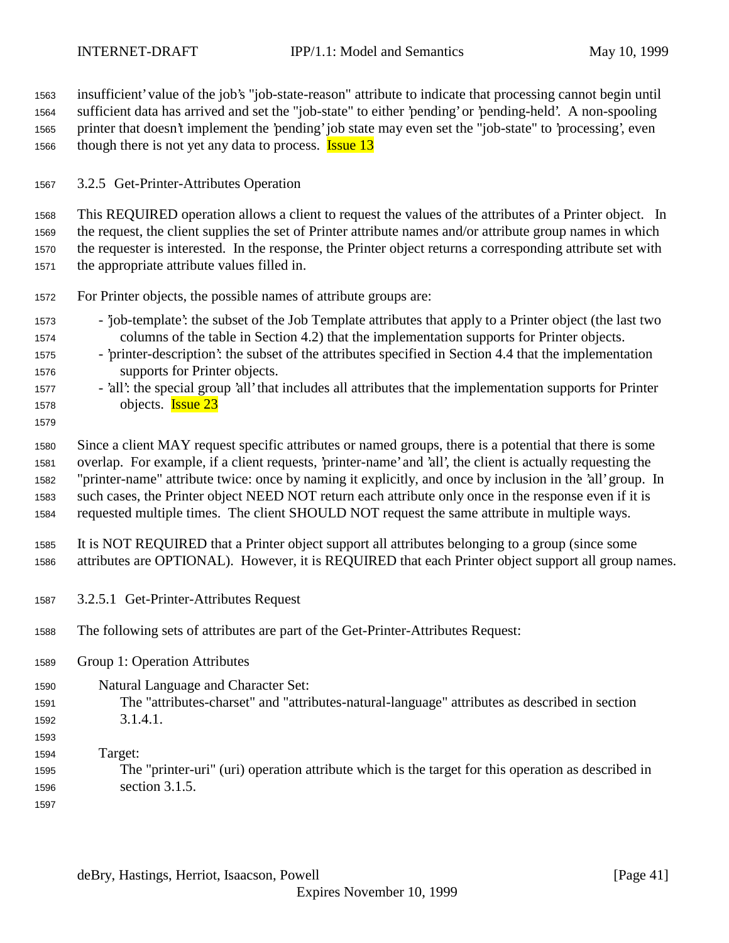insufficient' value of the job's "job-state-reason" attribute to indicate that processing cannot begin until sufficient data has arrived and set the "job-state" to either 'pending' or 'pending-held'. A non-spooling printer that doesn't implement the 'pending' job state may even set the "job-state" to 'processing', even 1566 though there is not yet any data to process. **Issue 13** 

3.2.5 Get-Printer-Attributes Operation

 This REQUIRED operation allows a client to request the values of the attributes of a Printer object. In the request, the client supplies the set of Printer attribute names and/or attribute group names in which the requester is interested. In the response, the Printer object returns a corresponding attribute set with the appropriate attribute values filled in.

- For Printer objects, the possible names of attribute groups are:
- 'job-template': the subset of the Job Template attributes that apply to a Printer object (the last two columns of the table in Section 4.2) that the implementation supports for Printer objects.
- 'printer-description': the subset of the attributes specified in Section 4.4 that the implementation supports for Printer objects.
- 'all': the special group 'all' that includes all attributes that the implementation supports for Printer 1578 objects. **Issue 23**
- 

 Since a client MAY request specific attributes or named groups, there is a potential that there is some overlap. For example, if a client requests, 'printer-name' and 'all', the client is actually requesting the "printer-name" attribute twice: once by naming it explicitly, and once by inclusion in the 'all' group. In such cases, the Printer object NEED NOT return each attribute only once in the response even if it is requested multiple times. The client SHOULD NOT request the same attribute in multiple ways.

 It is NOT REQUIRED that a Printer object support all attributes belonging to a group (since some attributes are OPTIONAL). However, it is REQUIRED that each Printer object support all group names.

- 3.2.5.1 Get-Printer-Attributes Request
- The following sets of attributes are part of the Get-Printer-Attributes Request:
- Group 1: Operation Attributes
- Natural Language and Character Set: The "attributes-charset" and "attributes-natural-language" attributes as described in section 3.1.4.1.
- 

 Target: The "printer-uri" (uri) operation attribute which is the target for this operation as described in section 3.1.5.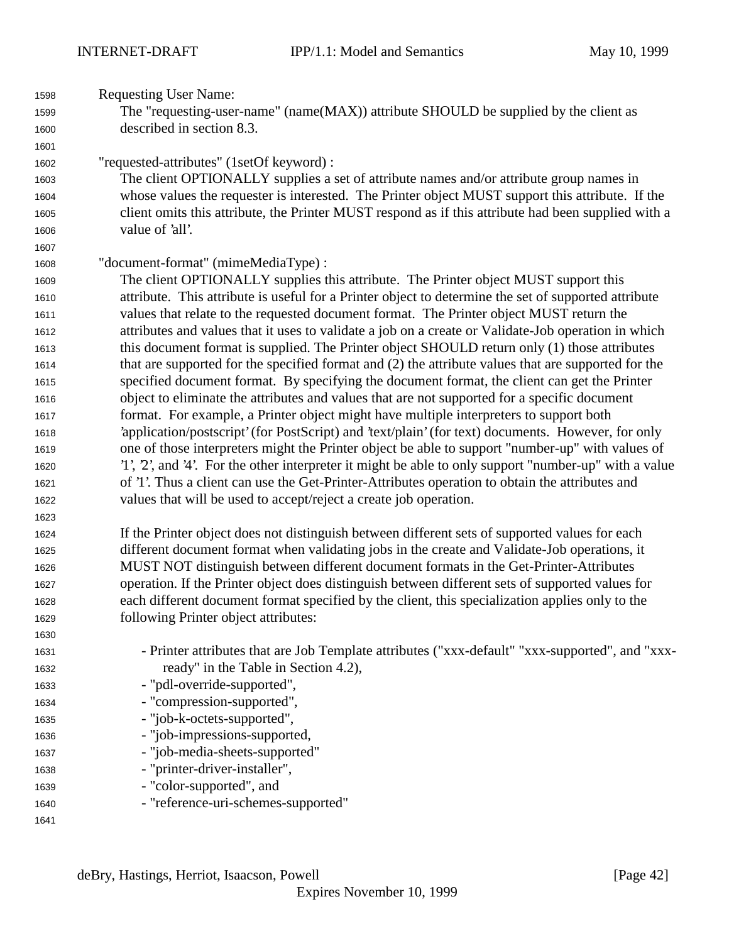| 1598 | <b>Requesting User Name:</b>                                                                          |
|------|-------------------------------------------------------------------------------------------------------|
| 1599 | The "requesting-user-name" (name(MAX)) attribute SHOULD be supplied by the client as                  |
| 1600 | described in section 8.3.                                                                             |
| 1601 |                                                                                                       |
| 1602 | "requested-attributes" (1setOf keyword) :                                                             |
| 1603 | The client OPTIONALLY supplies a set of attribute names and/or attribute group names in               |
| 1604 | whose values the requester is interested. The Printer object MUST support this attribute. If the      |
| 1605 | client omits this attribute, the Printer MUST respond as if this attribute had been supplied with a   |
| 1606 | value of 'all'.                                                                                       |
| 1607 |                                                                                                       |
| 1608 | "document-format" (mimeMediaType) :                                                                   |
| 1609 | The client OPTIONALLY supplies this attribute. The Printer object MUST support this                   |
| 1610 | attribute. This attribute is useful for a Printer object to determine the set of supported attribute  |
| 1611 | values that relate to the requested document format. The Printer object MUST return the               |
| 1612 | attributes and values that it uses to validate a job on a create or Validate-Job operation in which   |
| 1613 | this document format is supplied. The Printer object SHOULD return only (1) those attributes          |
| 1614 | that are supported for the specified format and (2) the attribute values that are supported for the   |
| 1615 | specified document format. By specifying the document format, the client can get the Printer          |
| 1616 | object to eliminate the attributes and values that are not supported for a specific document          |
| 1617 | format. For example, a Printer object might have multiple interpreters to support both                |
| 1618 | 'application/postscript' (for PostScript) and 'text/plain' (for text) documents. However, for only    |
| 1619 | one of those interpreters might the Printer object be able to support "number-up" with values of      |
| 1620 | '1', 2', and '4'. For the other interpreter it might be able to only support "number-up" with a value |
| 1621 | of '1'. Thus a client can use the Get-Printer-Attributes operation to obtain the attributes and       |
| 1622 | values that will be used to accept/reject a create job operation.                                     |
| 1623 |                                                                                                       |
| 1624 | If the Printer object does not distinguish between different sets of supported values for each        |
| 1625 | different document format when validating jobs in the create and Validate-Job operations, it          |
| 1626 | MUST NOT distinguish between different document formats in the Get-Printer-Attributes                 |
| 1627 | operation. If the Printer object does distinguish between different sets of supported values for      |
| 1628 | each different document format specified by the client, this specialization applies only to the       |
| 1629 | following Printer object attributes:                                                                  |
| 1630 |                                                                                                       |
| 1631 | - Printer attributes that are Job Template attributes ("xxx-default" "xxx-supported", and "xxx-       |
| 1632 | ready" in the Table in Section 4.2),                                                                  |
| 1633 | - "pdl-override-supported",                                                                           |
| 1634 | - "compression-supported",                                                                            |
| 1635 | - "job-k-octets-supported",                                                                           |
| 1636 | - "job-impressions-supported,                                                                         |
| 1637 | - "job-media-sheets-supported"                                                                        |
| 1638 | - "printer-driver-installer",                                                                         |
| 1639 | - "color-supported", and                                                                              |
| 1640 | - "reference-uri-schemes-supported"                                                                   |
| 1641 |                                                                                                       |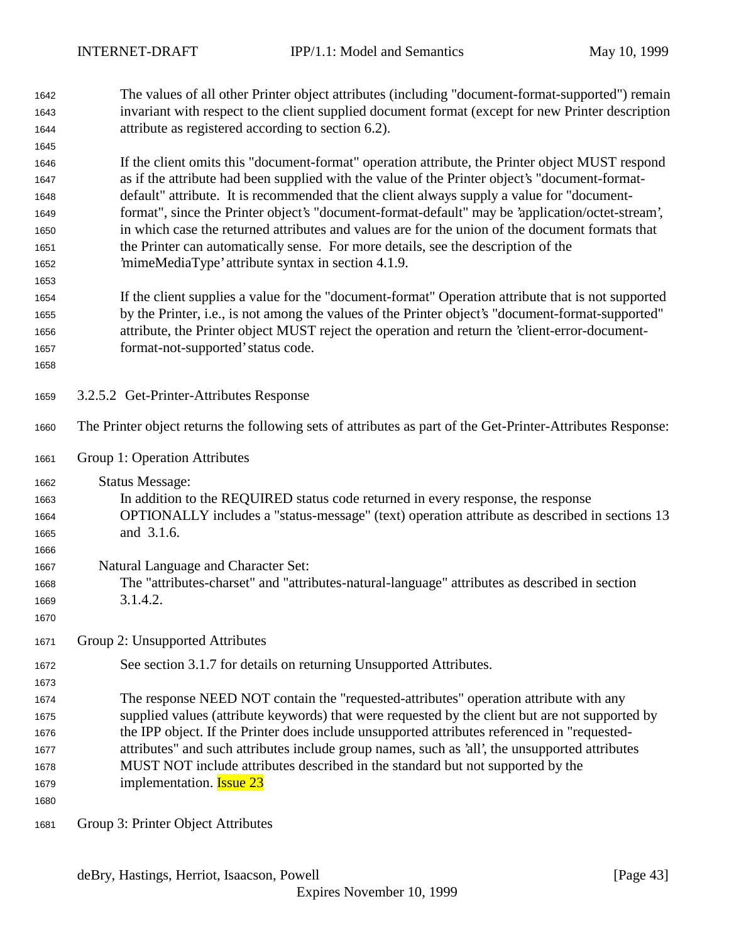| 1642<br>1643 | The values of all other Printer object attributes (including "document-format-supported") remain<br>invariant with respect to the client supplied document format (except for new Printer description |
|--------------|-------------------------------------------------------------------------------------------------------------------------------------------------------------------------------------------------------|
| 1644         | attribute as registered according to section 6.2).                                                                                                                                                    |
| 1645         | If the client omits this "document-format" operation attribute, the Printer object MUST respond                                                                                                       |
| 1646<br>1647 | as if the attribute had been supplied with the value of the Printer object's "document-format-                                                                                                        |
| 1648         | default" attribute. It is recommended that the client always supply a value for "document-                                                                                                            |
| 1649         | format", since the Printer object's "document-format-default" may be 'application/octet-stream',                                                                                                      |
| 1650         | in which case the returned attributes and values are for the union of the document formats that                                                                                                       |
| 1651         | the Printer can automatically sense. For more details, see the description of the                                                                                                                     |
| 1652         | 'mimeMediaType' attribute syntax in section 4.1.9.                                                                                                                                                    |
| 1653         |                                                                                                                                                                                                       |
| 1654         | If the client supplies a value for the "document-format" Operation attribute that is not supported                                                                                                    |
| 1655         | by the Printer, i.e., is not among the values of the Printer object's "document-format-supported"                                                                                                     |
| 1656         | attribute, the Printer object MUST reject the operation and return the 'client-error-document-                                                                                                        |
| 1657         | format-not-supported' status code.                                                                                                                                                                    |
| 1658         |                                                                                                                                                                                                       |
| 1659         | 3.2.5.2 Get-Printer-Attributes Response                                                                                                                                                               |
| 1660         | The Printer object returns the following sets of attributes as part of the Get-Printer-Attributes Response:                                                                                           |
| 1661         | Group 1: Operation Attributes                                                                                                                                                                         |
| 1662         | <b>Status Message:</b>                                                                                                                                                                                |
| 1663         | In addition to the REQUIRED status code returned in every response, the response                                                                                                                      |
| 1664         | OPTIONALLY includes a "status-message" (text) operation attribute as described in sections 13                                                                                                         |
| 1665         | and 3.1.6.                                                                                                                                                                                            |
| 1666         |                                                                                                                                                                                                       |
| 1667         | Natural Language and Character Set:                                                                                                                                                                   |
| 1668         | The "attributes-charset" and "attributes-natural-language" attributes as described in section                                                                                                         |
| 1669<br>1670 | 3.1.4.2.                                                                                                                                                                                              |
| 1671         | Group 2: Unsupported Attributes                                                                                                                                                                       |
|              |                                                                                                                                                                                                       |
| 1672<br>1673 | See section 3.1.7 for details on returning Unsupported Attributes.                                                                                                                                    |
| 1674         | The response NEED NOT contain the "requested-attributes" operation attribute with any                                                                                                                 |
| 1675         | supplied values (attribute keywords) that were requested by the client but are not supported by                                                                                                       |
| 1676         | the IPP object. If the Printer does include unsupported attributes referenced in "requested-                                                                                                          |
| 1677         | attributes" and such attributes include group names, such as 'all', the unsupported attributes                                                                                                        |
| 1678         | MUST NOT include attributes described in the standard but not supported by the                                                                                                                        |
| 1679         | implementation. <b>Issue 23</b>                                                                                                                                                                       |
| 1680         |                                                                                                                                                                                                       |
| 1681         | Group 3: Printer Object Attributes                                                                                                                                                                    |

deBry, Hastings, Herriot, Isaacson, Powell [Page 43]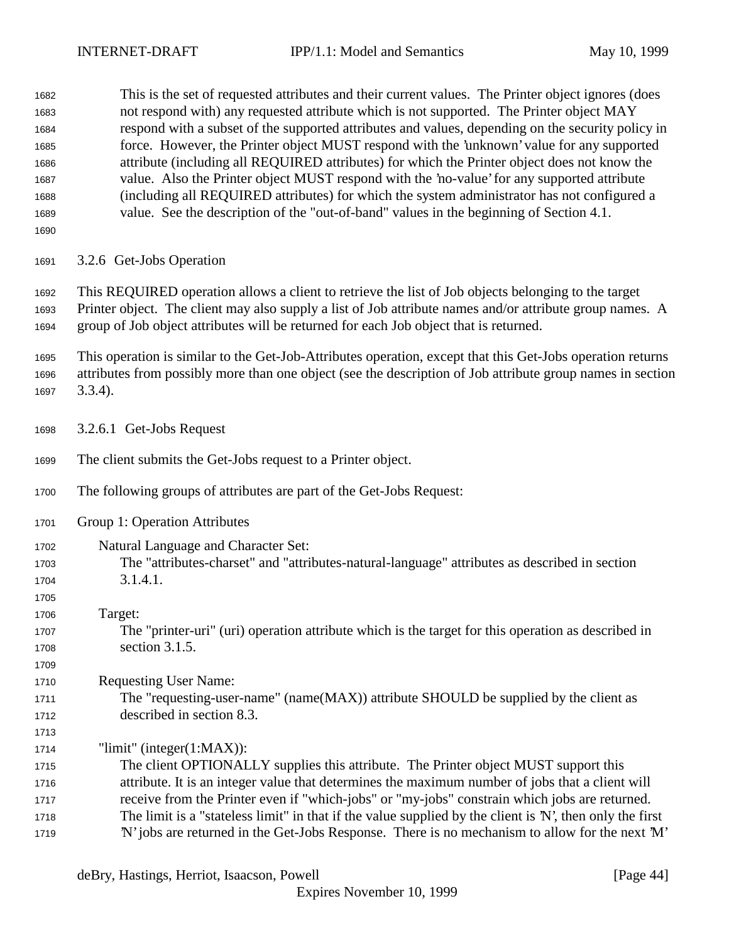This is the set of requested attributes and their current values. The Printer object ignores (does not respond with) any requested attribute which is not supported. The Printer object MAY respond with a subset of the supported attributes and values, depending on the security policy in force. However, the Printer object MUST respond with the 'unknown' value for any supported attribute (including all REQUIRED attributes) for which the Printer object does not know the value. Also the Printer object MUST respond with the 'no-value' for any supported attribute (including all REQUIRED attributes) for which the system administrator has not configured a value. See the description of the "out-of-band" values in the beginning of Section 4.1.

3.2.6 Get-Jobs Operation

 This REQUIRED operation allows a client to retrieve the list of Job objects belonging to the target Printer object. The client may also supply a list of Job attribute names and/or attribute group names. A group of Job object attributes will be returned for each Job object that is returned.

 This operation is similar to the Get-Job-Attributes operation, except that this Get-Jobs operation returns attributes from possibly more than one object (see the description of Job attribute group names in section 3.3.4).

- 3.2.6.1 Get-Jobs Request
- The client submits the Get-Jobs request to a Printer object.
- The following groups of attributes are part of the Get-Jobs Request:
- Group 1: Operation Attributes
- Natural Language and Character Set: The "attributes-charset" and "attributes-natural-language" attributes as described in section 3.1.4.1.
- Target:

- The "printer-uri" (uri) operation attribute which is the target for this operation as described in section 3.1.5.
- Requesting User Name:
- 1711 The "requesting-user-name" (name(MAX)) attribute SHOULD be supplied by the client as described in section 8.3.

"limit" (integer(1:MAX)):

 The client OPTIONALLY supplies this attribute. The Printer object MUST support this attribute. It is an integer value that determines the maximum number of jobs that a client will receive from the Printer even if "which-jobs" or "my-jobs" constrain which jobs are returned. The limit is a "stateless limit" in that if the value supplied by the client is 'N', then only the first 'N' jobs are returned in the Get-Jobs Response. There is no mechanism to allow for the next 'M'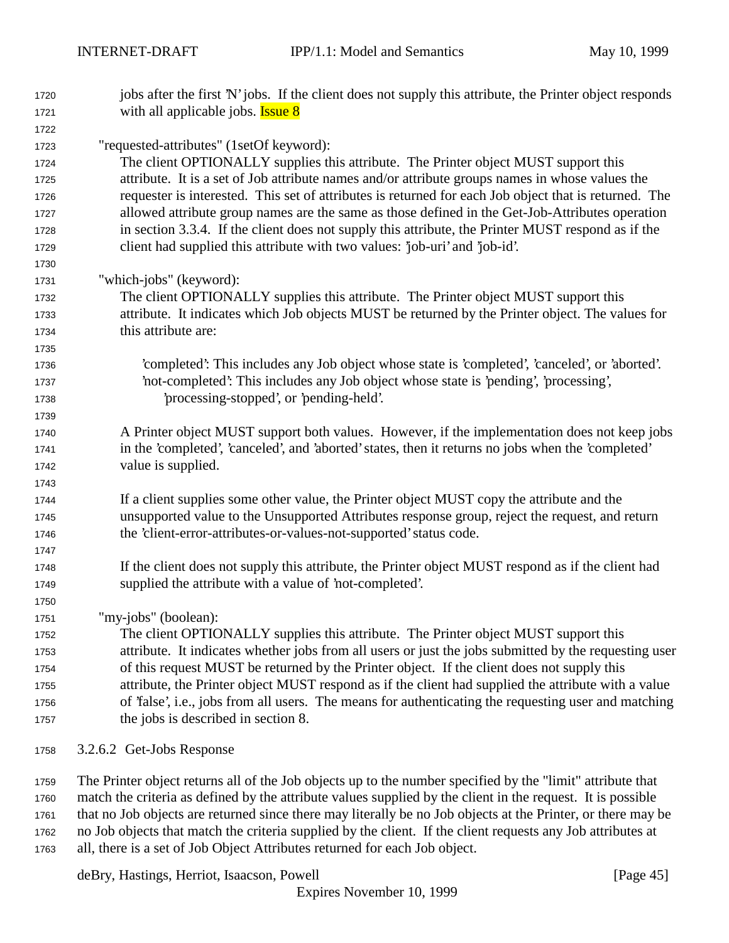| 1720 | jobs after the first 'N' jobs. If the client does not supply this attribute, the Printer object responds |
|------|----------------------------------------------------------------------------------------------------------|
| 1721 | with all applicable jobs. <b>Issue 8</b>                                                                 |
| 1722 |                                                                                                          |
| 1723 | "requested-attributes" (1setOf keyword):                                                                 |
| 1724 | The client OPTIONALLY supplies this attribute. The Printer object MUST support this                      |
| 1725 | attribute. It is a set of Job attribute names and/or attribute groups names in whose values the          |
| 1726 | requester is interested. This set of attributes is returned for each Job object that is returned. The    |
| 1727 | allowed attribute group names are the same as those defined in the Get-Job-Attributes operation          |
| 1728 | in section 3.3.4. If the client does not supply this attribute, the Printer MUST respond as if the       |
| 1729 | client had supplied this attribute with two values: 'job-uri' and 'job-id'.                              |
| 1730 |                                                                                                          |
| 1731 | "which-jobs" (keyword):                                                                                  |
| 1732 | The client OPTIONALLY supplies this attribute. The Printer object MUST support this                      |
| 1733 | attribute. It indicates which Job objects MUST be returned by the Printer object. The values for         |
| 1734 | this attribute are:                                                                                      |
| 1735 |                                                                                                          |
| 1736 | 'completed': This includes any Job object whose state is 'completed', 'canceled', or 'aborted'.          |
| 1737 | 'not-completed': This includes any Job object whose state is 'pending', 'processing',                    |
| 1738 | processing-stopped', or 'pending-held'.                                                                  |
| 1739 |                                                                                                          |
| 1740 | A Printer object MUST support both values. However, if the implementation does not keep jobs             |
| 1741 | in the 'completed', 'canceled', and 'aborted' states, then it returns no jobs when the 'completed'       |
| 1742 | value is supplied.                                                                                       |
| 1743 |                                                                                                          |
| 1744 | If a client supplies some other value, the Printer object MUST copy the attribute and the                |
| 1745 | unsupported value to the Unsupported Attributes response group, reject the request, and return           |
| 1746 | the 'client-error-attributes-or-values-not-supported' status code.                                       |
| 1747 |                                                                                                          |
| 1748 | If the client does not supply this attribute, the Printer object MUST respond as if the client had       |
| 1749 | supplied the attribute with a value of 'not-completed'.                                                  |
| 1750 |                                                                                                          |
| 1751 | "my-jobs" (boolean):                                                                                     |
| 1752 | The client OPTIONALLY supplies this attribute. The Printer object MUST support this                      |
| 1753 | attribute. It indicates whether jobs from all users or just the jobs submitted by the requesting user    |
| 1754 | of this request MUST be returned by the Printer object. If the client does not supply this               |
| 1755 | attribute, the Printer object MUST respond as if the client had supplied the attribute with a value      |
| 1756 | of 'false', i.e., jobs from all users. The means for authenticating the requesting user and matching     |
| 1757 | the jobs is described in section 8.                                                                      |
|      |                                                                                                          |

3.2.6.2 Get-Jobs Response

 The Printer object returns all of the Job objects up to the number specified by the "limit" attribute that match the criteria as defined by the attribute values supplied by the client in the request. It is possible that no Job objects are returned since there may literally be no Job objects at the Printer, or there may be no Job objects that match the criteria supplied by the client. If the client requests any Job attributes at all, there is a set of Job Object Attributes returned for each Job object.

deBry, Hastings, Herriot, Isaacson, Powell [Page 45]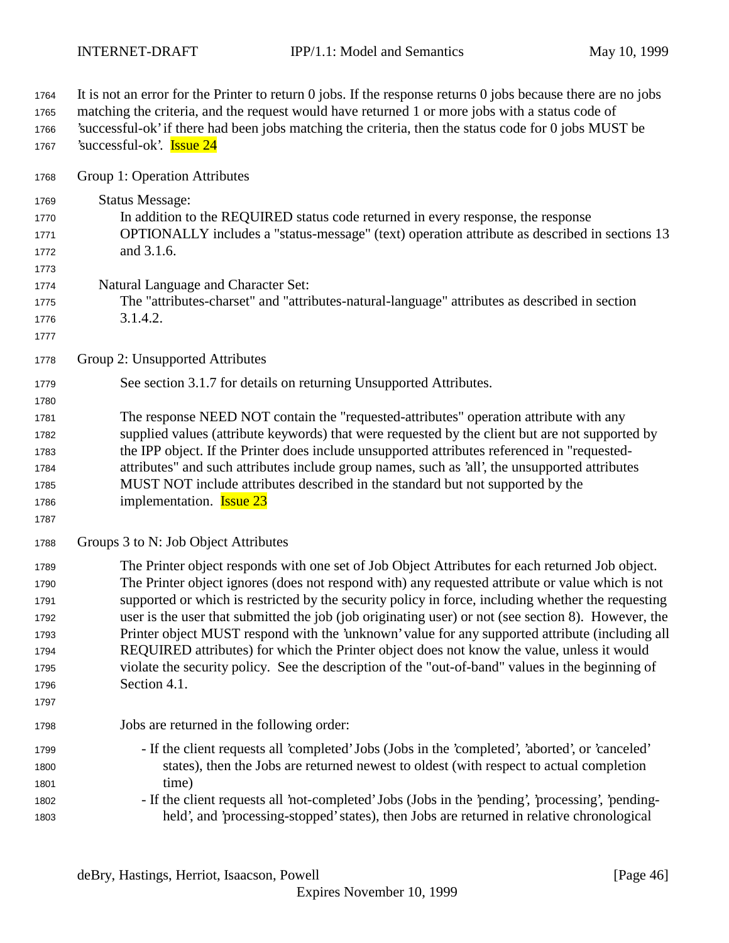| 1764<br>1765<br>1766<br>1767 | It is not an error for the Printer to return $0$ jobs. If the response returns $0$ jobs because there are no jobs<br>matching the criteria, and the request would have returned 1 or more jobs with a status code of<br>'successful-ok' if there had been jobs matching the criteria, then the status code for 0 jobs MUST be<br>'successful-ok'. <b>Issue 24</b> |
|------------------------------|-------------------------------------------------------------------------------------------------------------------------------------------------------------------------------------------------------------------------------------------------------------------------------------------------------------------------------------------------------------------|
| 1768                         | Group 1: Operation Attributes                                                                                                                                                                                                                                                                                                                                     |
| 1769                         | <b>Status Message:</b>                                                                                                                                                                                                                                                                                                                                            |
| 1770                         | In addition to the REQUIRED status code returned in every response, the response                                                                                                                                                                                                                                                                                  |
| 1771                         | OPTIONALLY includes a "status-message" (text) operation attribute as described in sections 13                                                                                                                                                                                                                                                                     |
| 1772                         | and 3.1.6.                                                                                                                                                                                                                                                                                                                                                        |
| 1773                         |                                                                                                                                                                                                                                                                                                                                                                   |
| 1774                         | Natural Language and Character Set:                                                                                                                                                                                                                                                                                                                               |
| 1775                         | The "attributes-charset" and "attributes-natural-language" attributes as described in section                                                                                                                                                                                                                                                                     |
| 1776<br>1777                 | 3.1.4.2.                                                                                                                                                                                                                                                                                                                                                          |
| 1778                         | Group 2: Unsupported Attributes                                                                                                                                                                                                                                                                                                                                   |
| 1779                         | See section 3.1.7 for details on returning Unsupported Attributes.                                                                                                                                                                                                                                                                                                |
| 1780                         |                                                                                                                                                                                                                                                                                                                                                                   |
| 1781                         | The response NEED NOT contain the "requested-attributes" operation attribute with any                                                                                                                                                                                                                                                                             |
| 1782                         | supplied values (attribute keywords) that were requested by the client but are not supported by                                                                                                                                                                                                                                                                   |
| 1783                         | the IPP object. If the Printer does include unsupported attributes referenced in "requested-                                                                                                                                                                                                                                                                      |
| 1784                         | attributes" and such attributes include group names, such as 'all', the unsupported attributes                                                                                                                                                                                                                                                                    |
| 1785                         | MUST NOT include attributes described in the standard but not supported by the<br>implementation. <b>Issue 23</b>                                                                                                                                                                                                                                                 |
| 1786<br>1787                 |                                                                                                                                                                                                                                                                                                                                                                   |
| 1788                         | Groups 3 to N: Job Object Attributes                                                                                                                                                                                                                                                                                                                              |
| 1789                         | The Printer object responds with one set of Job Object Attributes for each returned Job object.                                                                                                                                                                                                                                                                   |
| 1790                         | The Printer object ignores (does not respond with) any requested attribute or value which is not                                                                                                                                                                                                                                                                  |
| 1791                         | supported or which is restricted by the security policy in force, including whether the requesting                                                                                                                                                                                                                                                                |
| 1792                         | user is the user that submitted the job (job originating user) or not (see section 8). However, the                                                                                                                                                                                                                                                               |
| 1793                         | Printer object MUST respond with the 'unknown' value for any supported attribute (including all                                                                                                                                                                                                                                                                   |
| 1794                         | REQUIRED attributes) for which the Printer object does not know the value, unless it would<br>violate the security policy. See the description of the "out-of-band" values in the beginning of                                                                                                                                                                    |
| 1795<br>1796                 | Section 4.1.                                                                                                                                                                                                                                                                                                                                                      |
| 1797                         |                                                                                                                                                                                                                                                                                                                                                                   |
| 1798                         | Jobs are returned in the following order:                                                                                                                                                                                                                                                                                                                         |
| 1799                         | - If the client requests all 'completed' Jobs (Jobs in the 'completed', 'aborted', or 'canceled'                                                                                                                                                                                                                                                                  |
| 1800                         | states), then the Jobs are returned newest to oldest (with respect to actual completion                                                                                                                                                                                                                                                                           |
| 1801                         | time)                                                                                                                                                                                                                                                                                                                                                             |
| 1802                         | - If the client requests all 'not-completed' Jobs (Jobs in the 'pending', 'processing', 'pending-                                                                                                                                                                                                                                                                 |
| 1803                         | held', and 'processing-stopped' states), then Jobs are returned in relative chronological                                                                                                                                                                                                                                                                         |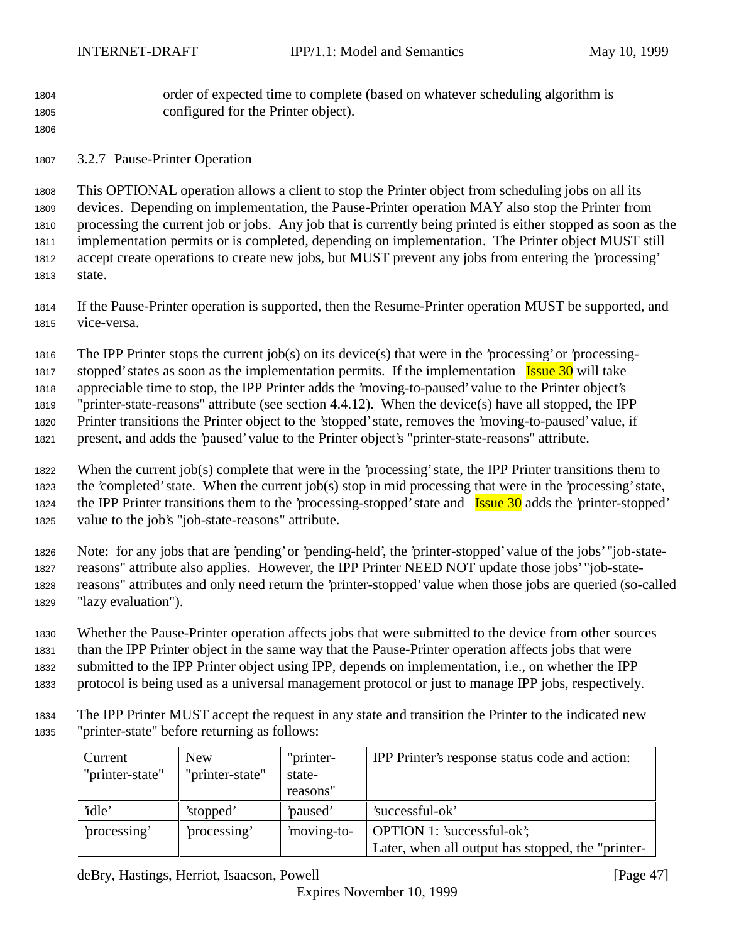order of expected time to complete (based on whatever scheduling algorithm is configured for the Printer object).

3.2.7 Pause-Printer Operation

 This OPTIONAL operation allows a client to stop the Printer object from scheduling jobs on all its devices. Depending on implementation, the Pause-Printer operation MAY also stop the Printer from processing the current job or jobs. Any job that is currently being printed is either stopped as soon as the implementation permits or is completed, depending on implementation. The Printer object MUST still accept create operations to create new jobs, but MUST prevent any jobs from entering the 'processing' state.

 If the Pause-Printer operation is supported, then the Resume-Printer operation MUST be supported, and vice-versa.

The IPP Printer stops the current job(s) on its device(s) that were in the 'processing' or 'processing-

1817 stopped' states as soon as the implementation permits. If the implementation  $\frac{I_{\text{ssue}}}{I_{\text{ssue}}}$  10 will take

appreciable time to stop, the IPP Printer adds the 'moving-to-paused' value to the Printer object's

 "printer-state-reasons" attribute (see section 4.4.12). When the device(s) have all stopped, the IPP Printer transitions the Printer object to the 'stopped' state, removes the 'moving-to-paused' value, if

present, and adds the 'paused' value to the Printer object's "printer-state-reasons" attribute.

When the current job(s) complete that were in the 'processing' state, the IPP Printer transitions them to

 the 'completed' state. When the current job(s) stop in mid processing that were in the 'processing' state, 1824 the IPP Printer transitions them to the 'processing-stopped' state and **Issue 30** adds the 'printer-stopped' value to the job's "job-state-reasons" attribute.

 Note: for any jobs that are 'pending' or 'pending-held', the 'printer-stopped' value of the jobs' "job-state- reasons" attribute also applies. However, the IPP Printer NEED NOT update those jobs' "job-state-reasons" attributes and only need return the 'printer-stopped' value when those jobs are queried (so-called

"lazy evaluation").

Whether the Pause-Printer operation affects jobs that were submitted to the device from other sources

than the IPP Printer object in the same way that the Pause-Printer operation affects jobs that were

submitted to the IPP Printer object using IPP, depends on implementation, i.e., on whether the IPP

protocol is being used as a universal management protocol or just to manage IPP jobs, respectively.

 The IPP Printer MUST accept the request in any state and transition the Printer to the indicated new "printer-state" before returning as follows:

| Current<br>"printer-state" | New<br>"printer-state" | "printer-<br>state-<br>reasons" | IPP Printer's response status code and action:    |
|----------------------------|------------------------|---------------------------------|---------------------------------------------------|
| 'idle'                     | 'stopped'              | 'paused'                        | 'successful-ok'                                   |
| processing'                | processing'            | moving-to-                      | OPTION 1: 'successful-ok';                        |
|                            |                        |                                 | Later, when all output has stopped, the "printer- |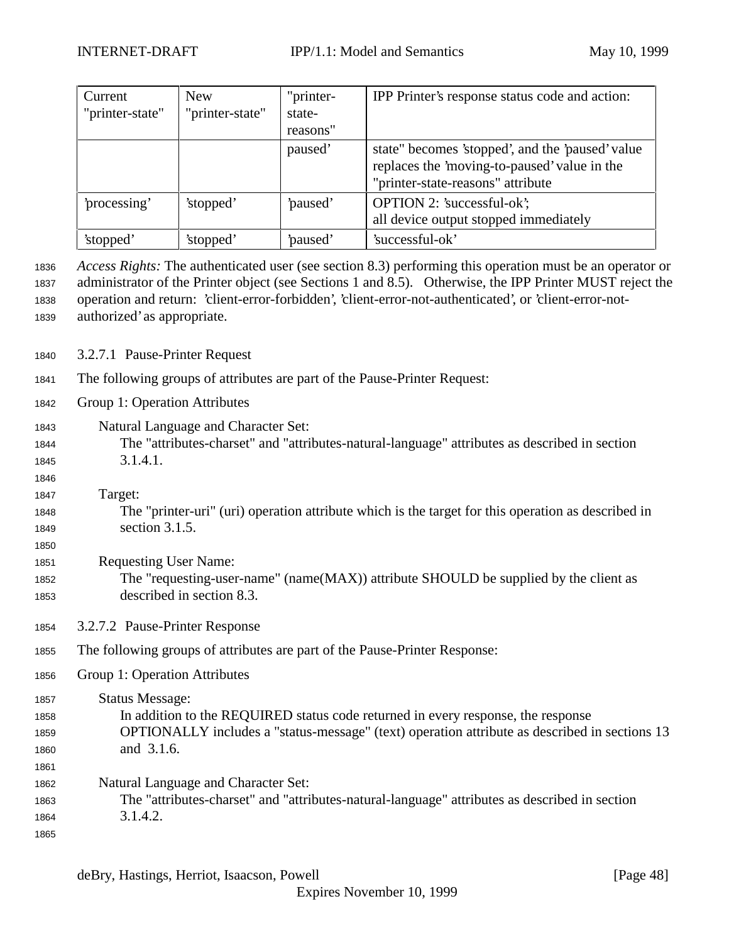| Current         | <b>New</b>      | "printer- | IPP Printer's response status code and action:   |
|-----------------|-----------------|-----------|--------------------------------------------------|
| "printer-state" | "printer-state" | state-    |                                                  |
|                 |                 | reasons"  |                                                  |
|                 |                 | paused'   | state" becomes 'stopped', and the 'paused' value |
|                 |                 |           | replaces the 'moving-to-paused' value in the     |
|                 |                 |           | "printer-state-reasons" attribute                |
| processing'     | 'stopped'       | paused'   | OPTION 2: 'successful-ok';                       |
|                 |                 |           | all device output stopped immediately            |
| 'stopped'       | 'stopped'       | paused'   | 'successful-ok'                                  |

 *Access Rights:* The authenticated user (see section 8.3) performing this operation must be an operator or administrator of the Printer object (see Sections 1 and 8.5). Otherwise, the IPP Printer MUST reject the operation and return: 'client-error-forbidden', 'client-error-not-authenticated', or 'client-error-not-authorized' as appropriate.

- 3.2.7.1 Pause-Printer Request
- The following groups of attributes are part of the Pause-Printer Request:
- Group 1: Operation Attributes
- Natural Language and Character Set: The "attributes-charset" and "attributes-natural-language" attributes as described in section 3.1.4.1.
- 

- Target:
- The "printer-uri" (uri) operation attribute which is the target for this operation as described in section 3.1.5.
- Requesting User Name: The "requesting-user-name" (name(MAX)) attribute SHOULD be supplied by the client as described in section 8.3.
- 3.2.7.2 Pause-Printer Response
- The following groups of attributes are part of the Pause-Printer Response:
- Group 1: Operation Attributes
- Status Message: In addition to the REQUIRED status code returned in every response, the response OPTIONALLY includes a "status-message" (text) operation attribute as described in sections 13 and 3.1.6. Natural Language and Character Set: The "attributes-charset" and "attributes-natural-language" attributes as described in section
- 3.1.4.2.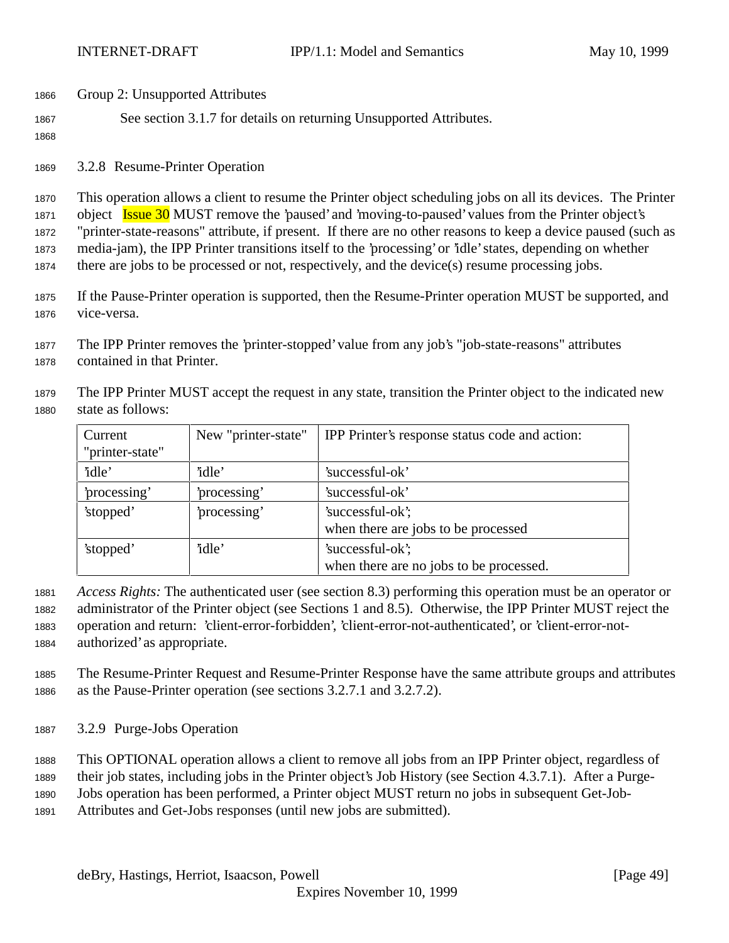- Group 2: Unsupported Attributes
- See section 3.1.7 for details on returning Unsupported Attributes.
- 

3.2.8 Resume-Printer Operation

 This operation allows a client to resume the Printer object scheduling jobs on all its devices. The Printer 1871 object **Issue 30** MUST remove the 'paused' and 'moving-to-paused' values from the Printer object's "printer-state-reasons" attribute, if present. If there are no other reasons to keep a device paused (such as media-jam), the IPP Printer transitions itself to the 'processing' or 'idle' states, depending on whether there are jobs to be processed or not, respectively, and the device(s) resume processing jobs.

- If the Pause-Printer operation is supported, then the Resume-Printer operation MUST be supported, and vice-versa.
- The IPP Printer removes the 'printer-stopped' value from any job's "job-state-reasons" attributes contained in that Printer.
- 
- The IPP Printer MUST accept the request in any state, transition the Printer object to the indicated new state as follows:

| Current<br>"printer-state" | New "printer-state" | IPP Printer's response status code and action:              |
|----------------------------|---------------------|-------------------------------------------------------------|
| 'idle'                     | 'idle'              | 'successful-ok'                                             |
| 'processing'               | 'processing'        | 'successful-ok'                                             |
| 'stopped'                  | processing'         | 'successful-ok';<br>when there are jobs to be processed     |
| 'stopped'                  | 'idle'              | 'successful-ok';<br>when there are no jobs to be processed. |

*Access Rights:* The authenticated user (see section 8.3) performing this operation must be an operator or

 administrator of the Printer object (see Sections 1 and 8.5). Otherwise, the IPP Printer MUST reject the operation and return: 'client-error-forbidden', 'client-error-not-authenticated', or 'client-error-not-

authorized' as appropriate.

- The Resume-Printer Request and Resume-Printer Response have the same attribute groups and attributes as the Pause-Printer operation (see sections 3.2.7.1 and 3.2.7.2).
- 3.2.9 Purge-Jobs Operation
- This OPTIONAL operation allows a client to remove all jobs from an IPP Printer object, regardless of
- their job states, including jobs in the Printer object's Job History (see Section 4.3.7.1). After a Purge-
- Jobs operation has been performed, a Printer object MUST return no jobs in subsequent Get-Job-
- Attributes and Get-Jobs responses (until new jobs are submitted).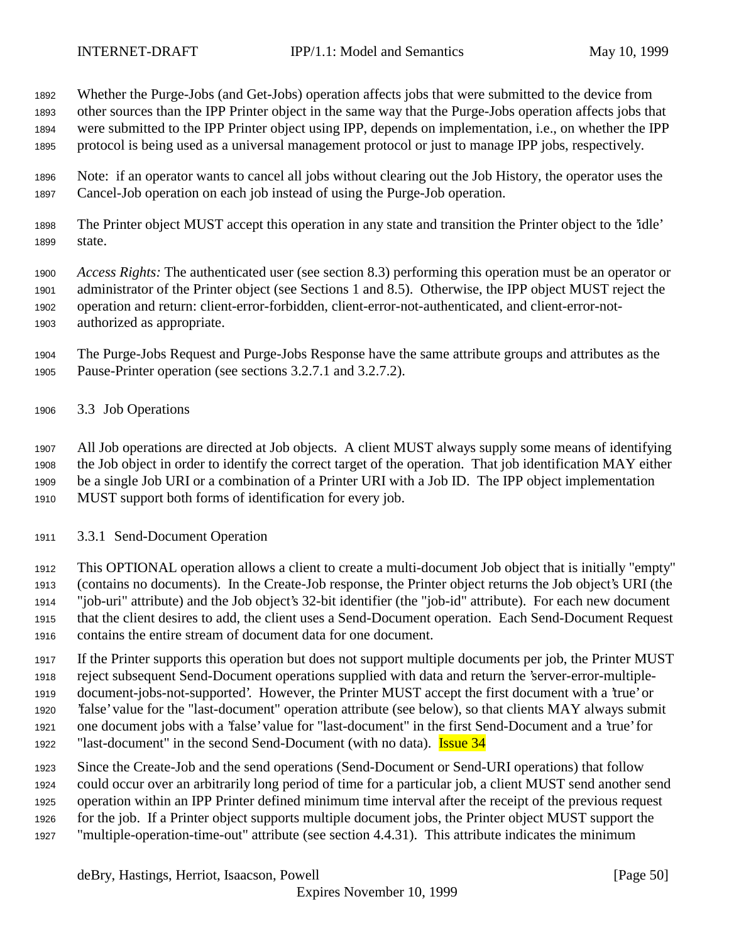Whether the Purge-Jobs (and Get-Jobs) operation affects jobs that were submitted to the device from

other sources than the IPP Printer object in the same way that the Purge-Jobs operation affects jobs that

were submitted to the IPP Printer object using IPP, depends on implementation, i.e., on whether the IPP

protocol is being used as a universal management protocol or just to manage IPP jobs, respectively.

- Note: if an operator wants to cancel all jobs without clearing out the Job History, the operator uses the Cancel-Job operation on each job instead of using the Purge-Job operation.
- The Printer object MUST accept this operation in any state and transition the Printer object to the 'idle' state.

 *Access Rights:* The authenticated user (see section 8.3) performing this operation must be an operator or administrator of the Printer object (see Sections 1 and 8.5). Otherwise, the IPP object MUST reject the operation and return: client-error-forbidden, client-error-not-authenticated, and client-error-not-authorized as appropriate.

 The Purge-Jobs Request and Purge-Jobs Response have the same attribute groups and attributes as the Pause-Printer operation (see sections 3.2.7.1 and 3.2.7.2).

3.3 Job Operations

 All Job operations are directed at Job objects. A client MUST always supply some means of identifying the Job object in order to identify the correct target of the operation. That job identification MAY either be a single Job URI or a combination of a Printer URI with a Job ID. The IPP object implementation MUST support both forms of identification for every job.

3.3.1 Send-Document Operation

 This OPTIONAL operation allows a client to create a multi-document Job object that is initially "empty" (contains no documents). In the Create-Job response, the Printer object returns the Job object's URI (the "job-uri" attribute) and the Job object's 32-bit identifier (the "job-id" attribute). For each new document that the client desires to add, the client uses a Send-Document operation. Each Send-Document Request contains the entire stream of document data for one document.

 If the Printer supports this operation but does not support multiple documents per job, the Printer MUST reject subsequent Send-Document operations supplied with data and return the 'server-error-multiple- document-jobs-not-supported'. However, the Printer MUST accept the first document with a 'true' or 'false' value for the "last-document" operation attribute (see below), so that clients MAY always submit one document jobs with a 'false' value for "last-document" in the first Send-Document and a 'true' for 1922 "last-document" in the second Send-Document (with no data). **Issue 34** 

Since the Create-Job and the send operations (Send-Document or Send-URI operations) that follow

 could occur over an arbitrarily long period of time for a particular job, a client MUST send another send operation within an IPP Printer defined minimum time interval after the receipt of the previous request

for the job. If a Printer object supports multiple document jobs, the Printer object MUST support the

"multiple-operation-time-out" attribute (see section 4.4.31). This attribute indicates the minimum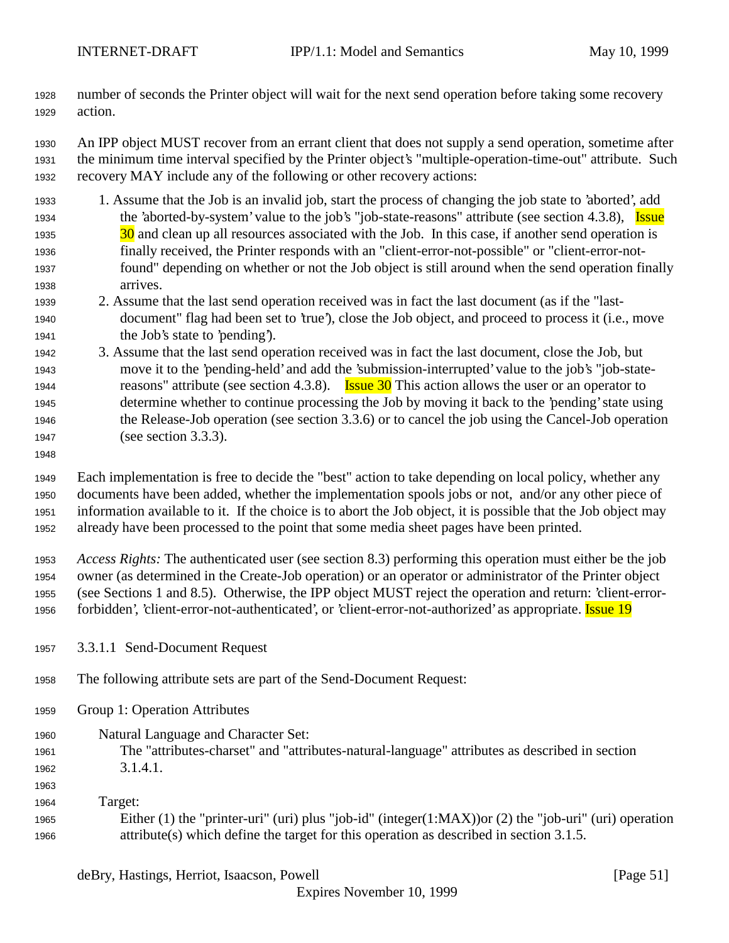number of seconds the Printer object will wait for the next send operation before taking some recovery action.

 An IPP object MUST recover from an errant client that does not supply a send operation, sometime after the minimum time interval specified by the Printer object's "multiple-operation-time-out" attribute. Such recovery MAY include any of the following or other recovery actions:

- 1. Assume that the Job is an invalid job, start the process of changing the job state to 'aborted', add 1934 the 'aborted-by-system' value to the job's "job-state-reasons" attribute (see section 4.3.8), Issue 30 and clean up all resources associated with the Job. In this case, if another send operation is finally received, the Printer responds with an "client-error-not-possible" or "client-error-not- found" depending on whether or not the Job object is still around when the send operation finally arrives.
- 2. Assume that the last send operation received was in fact the last document (as if the "last- document" flag had been set to 'true'), close the Job object, and proceed to process it (i.e., move the Job's state to 'pending').
- 3. Assume that the last send operation received was in fact the last document, close the Job, but move it to the 'pending-held' and add the 'submission-interrupted' value to the job's "job-state-1944 reasons" attribute (see section 4.3.8). **Issue 30** This action allows the user or an operator to determine whether to continue processing the Job by moving it back to the 'pending' state using the Release-Job operation (see section 3.3.6) or to cancel the job using the Cancel-Job operation 1947 (see section 3.3.3).
- 

 Each implementation is free to decide the "best" action to take depending on local policy, whether any documents have been added, whether the implementation spools jobs or not, and/or any other piece of information available to it. If the choice is to abort the Job object, it is possible that the Job object may already have been processed to the point that some media sheet pages have been printed.

 *Access Rights:* The authenticated user (see section 8.3) performing this operation must either be the job owner (as determined in the Create-Job operation) or an operator or administrator of the Printer object (see Sections 1 and 8.5). Otherwise, the IPP object MUST reject the operation and return: 'client-error-1956 forbidden', 'client-error-not-authenticated', or 'client-error-not-authorized' as appropriate. Issue 19

- 3.3.1.1 Send-Document Request
- The following attribute sets are part of the Send-Document Request:
- Group 1: Operation Attributes
- Natural Language and Character Set: The "attributes-charset" and "attributes-natural-language" attributes as described in section 3.1.4.1.
- Target: Either (1) the "printer-uri" (uri) plus "job-id" (integer(1:MAX))or (2) the "job-uri" (uri) operation attribute(s) which define the target for this operation as described in section 3.1.5.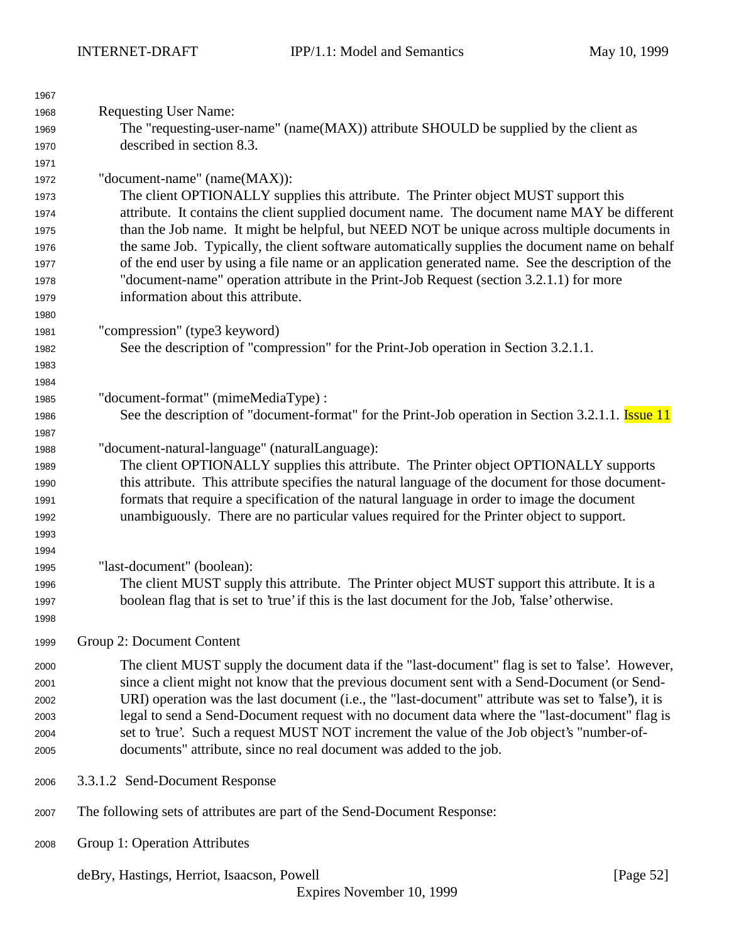| 1967 |                                                                                                          |  |  |
|------|----------------------------------------------------------------------------------------------------------|--|--|
| 1968 | <b>Requesting User Name:</b>                                                                             |  |  |
| 1969 | The "requesting-user-name" (name(MAX)) attribute SHOULD be supplied by the client as                     |  |  |
| 1970 | described in section 8.3.                                                                                |  |  |
| 1971 |                                                                                                          |  |  |
| 1972 | "document-name" (name(MAX)):                                                                             |  |  |
| 1973 | The client OPTIONALLY supplies this attribute. The Printer object MUST support this                      |  |  |
| 1974 | attribute. It contains the client supplied document name. The document name MAY be different             |  |  |
| 1975 | than the Job name. It might be helpful, but NEED NOT be unique across multiple documents in              |  |  |
| 1976 | the same Job. Typically, the client software automatically supplies the document name on behalf          |  |  |
| 1977 | of the end user by using a file name or an application generated name. See the description of the        |  |  |
| 1978 | "document-name" operation attribute in the Print-Job Request (section 3.2.1.1) for more                  |  |  |
| 1979 | information about this attribute.                                                                        |  |  |
| 1980 |                                                                                                          |  |  |
| 1981 | "compression" (type3 keyword)                                                                            |  |  |
| 1982 | See the description of "compression" for the Print-Job operation in Section 3.2.1.1.                     |  |  |
| 1983 |                                                                                                          |  |  |
| 1984 |                                                                                                          |  |  |
| 1985 | "document-format" (mimeMediaType):                                                                       |  |  |
| 1986 | See the description of "document-format" for the Print-Job operation in Section 3.2.1.1. <b>Issue 11</b> |  |  |
| 1987 |                                                                                                          |  |  |
| 1988 | "document-natural-language" (naturalLanguage):                                                           |  |  |
| 1989 | The client OPTIONALLY supplies this attribute. The Printer object OPTIONALLY supports                    |  |  |
| 1990 | this attribute. This attribute specifies the natural language of the document for those document-        |  |  |
| 1991 | formats that require a specification of the natural language in order to image the document              |  |  |
| 1992 | unambiguously. There are no particular values required for the Printer object to support.                |  |  |
| 1993 |                                                                                                          |  |  |
| 1994 |                                                                                                          |  |  |
| 1995 | "last-document" (boolean):                                                                               |  |  |
| 1996 | The client MUST supply this attribute. The Printer object MUST support this attribute. It is a           |  |  |
| 1997 | boolean flag that is set to 'true' if this is the last document for the Job, 'false' otherwise.          |  |  |
| 1998 |                                                                                                          |  |  |
| 1999 | Group 2: Document Content                                                                                |  |  |
| 2000 | The client MUST supply the document data if the "last-document" flag is set to 'false'. However,         |  |  |
| 2001 | since a client might not know that the previous document sent with a Send-Document (or Send-             |  |  |
| 2002 | URI) operation was the last document (i.e., the "last-document" attribute was set to 'false'), it is     |  |  |
| 2003 | legal to send a Send-Document request with no document data where the "last-document" flag is            |  |  |
| 2004 | set to 'true'. Such a request MUST NOT increment the value of the Job object's "number-of-               |  |  |
| 2005 | documents" attribute, since no real document was added to the job.                                       |  |  |
| 2006 | 3.3.1.2 Send-Document Response                                                                           |  |  |
| 2007 | The following sets of attributes are part of the Send-Document Response:                                 |  |  |
| 2008 | Group 1: Operation Attributes                                                                            |  |  |

deBry, Hastings, Herriot, Isaacson, Powell [Page 52]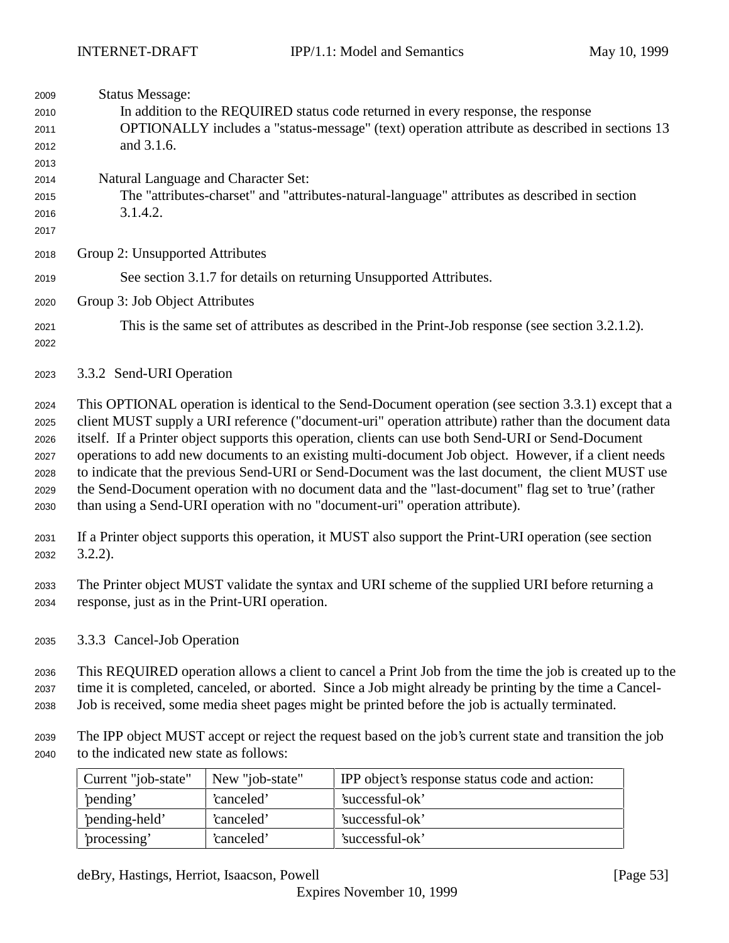| 2009<br>2010<br>2011<br>2012<br>2013<br>2014<br>2015<br>2016<br>2017 | <b>Status Message:</b><br>In addition to the REQUIRED status code returned in every response, the response<br>OPTIONALLY includes a "status-message" (text) operation attribute as described in sections 13<br>and 3.1.6.<br>Natural Language and Character Set:<br>The "attributes-charset" and "attributes-natural-language" attributes as described in section<br>3.1.4.2.                                                                                                                                                                                                                                                                                                                                               |  |
|----------------------------------------------------------------------|-----------------------------------------------------------------------------------------------------------------------------------------------------------------------------------------------------------------------------------------------------------------------------------------------------------------------------------------------------------------------------------------------------------------------------------------------------------------------------------------------------------------------------------------------------------------------------------------------------------------------------------------------------------------------------------------------------------------------------|--|
| 2018                                                                 | Group 2: Unsupported Attributes                                                                                                                                                                                                                                                                                                                                                                                                                                                                                                                                                                                                                                                                                             |  |
| 2019                                                                 | See section 3.1.7 for details on returning Unsupported Attributes.                                                                                                                                                                                                                                                                                                                                                                                                                                                                                                                                                                                                                                                          |  |
| 2020                                                                 | Group 3: Job Object Attributes                                                                                                                                                                                                                                                                                                                                                                                                                                                                                                                                                                                                                                                                                              |  |
| 2021<br>2022                                                         | This is the same set of attributes as described in the Print-Job response (see section 3.2.1.2).                                                                                                                                                                                                                                                                                                                                                                                                                                                                                                                                                                                                                            |  |
| 2023                                                                 | 3.3.2 Send-URI Operation                                                                                                                                                                                                                                                                                                                                                                                                                                                                                                                                                                                                                                                                                                    |  |
| 2024<br>2025<br>2026<br>2027<br>2028<br>2029<br>2030                 | This OPTIONAL operation is identical to the Send-Document operation (see section 3.3.1) except that a<br>client MUST supply a URI reference ("document-uri" operation attribute) rather than the document data<br>itself. If a Printer object supports this operation, clients can use both Send-URI or Send-Document<br>operations to add new documents to an existing multi-document Job object. However, if a client needs<br>to indicate that the previous Send-URI or Send-Document was the last document, the client MUST use<br>the Send-Document operation with no document data and the "last-document" flag set to 'true' (rather<br>than using a Send-URI operation with no "document-uri" operation attribute). |  |
| 2031<br>2032                                                         | If a Printer object supports this operation, it MUST also support the Print-URI operation (see section<br>$3.2.2$ ).                                                                                                                                                                                                                                                                                                                                                                                                                                                                                                                                                                                                        |  |
| 2033<br>2034                                                         | The Printer object MUST validate the syntax and URI scheme of the supplied URI before returning a<br>response, just as in the Print-URI operation.                                                                                                                                                                                                                                                                                                                                                                                                                                                                                                                                                                          |  |
| 2035                                                                 | 3.3.3 Cancel-Job Operation                                                                                                                                                                                                                                                                                                                                                                                                                                                                                                                                                                                                                                                                                                  |  |
| 2036<br>2037<br>2038                                                 | This REQUIRED operation allows a client to cancel a Print Job from the time the job is created up to the<br>time it is completed, canceled, or aborted. Since a Job might already be printing by the time a Cancel-<br>Job is received, some media sheet pages might be printed before the job is actually terminated.                                                                                                                                                                                                                                                                                                                                                                                                      |  |
| 2039<br>2040                                                         | The IPP object MUST accept or reject the request based on the job's current state and transition the job<br>to the indicated new state as follows:                                                                                                                                                                                                                                                                                                                                                                                                                                                                                                                                                                          |  |

| Current "job-state" | New "job-state" | IPP object's response status code and action: |
|---------------------|-----------------|-----------------------------------------------|
| 'pending'           | 'canceled'      | 'successful-ok'                               |
| 'pending-held'      | 'canceled'      | 'successful-ok'                               |
| processing'         | 'canceled'      | 'successful-ok'                               |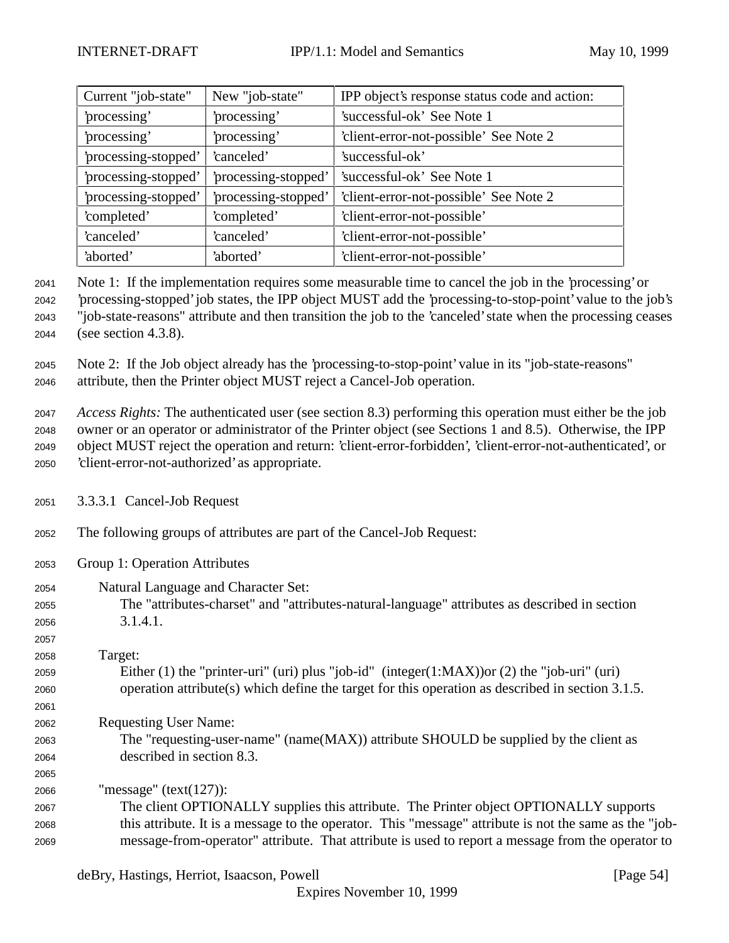| Current "job-state"  | New "job-state"      | IPP object's response status code and action: |
|----------------------|----------------------|-----------------------------------------------|
| 'processing'         | 'processing'         | 'successful-ok' See Note 1                    |
| 'processing'         | processing'          | 'client-error-not-possible' See Note 2        |
| 'processing-stopped' | 'canceled'           | 'successful-ok'                               |
| 'processing-stopped' | 'processing-stopped' | 'successful-ok' See Note 1                    |
| 'processing-stopped' | 'processing-stopped' | 'client-error-not-possible' See Note 2        |
| 'completed'          | 'completed'          | 'client-error-not-possible'                   |
| 'canceled'           | 'canceled'           | 'client-error-not-possible'                   |
| 'aborted'            | 'aborted'            | 'client-error-not-possible'                   |

 Note 1: If the implementation requires some measurable time to cancel the job in the 'processing' or 'processing-stopped' job states, the IPP object MUST add the 'processing-to-stop-point' value to the job's "job-state-reasons" attribute and then transition the job to the 'canceled' state when the processing ceases (see section 4.3.8).

 Note 2: If the Job object already has the 'processing-to-stop-point' value in its "job-state-reasons" attribute, then the Printer object MUST reject a Cancel-Job operation.

 *Access Rights:* The authenticated user (see section 8.3) performing this operation must either be the job owner or an operator or administrator of the Printer object (see Sections 1 and 8.5). Otherwise, the IPP object MUST reject the operation and return: 'client-error-forbidden', 'client-error-not-authenticated', or 'client-error-not-authorized' as appropriate.

- 3.3.3.1 Cancel-Job Request
- The following groups of attributes are part of the Cancel-Job Request:
- Group 1: Operation Attributes
- Natural Language and Character Set:
- The "attributes-charset" and "attributes-natural-language" attributes as described in section 3.1.4.1.

## 

 Target: Either (1) the "printer-uri" (uri) plus "job-id" (integer(1:MAX))or (2) the "job-uri" (uri) operation attribute(s) which define the target for this operation as described in section 3.1.5.

- Requesting User Name:
- The "requesting-user-name" (name(MAX)) attribute SHOULD be supplied by the client as
- described in section 8.3.
- "message" (text(127)):

 The client OPTIONALLY supplies this attribute. The Printer object OPTIONALLY supports this attribute. It is a message to the operator. This "message" attribute is not the same as the "job-message-from-operator" attribute. That attribute is used to report a message from the operator to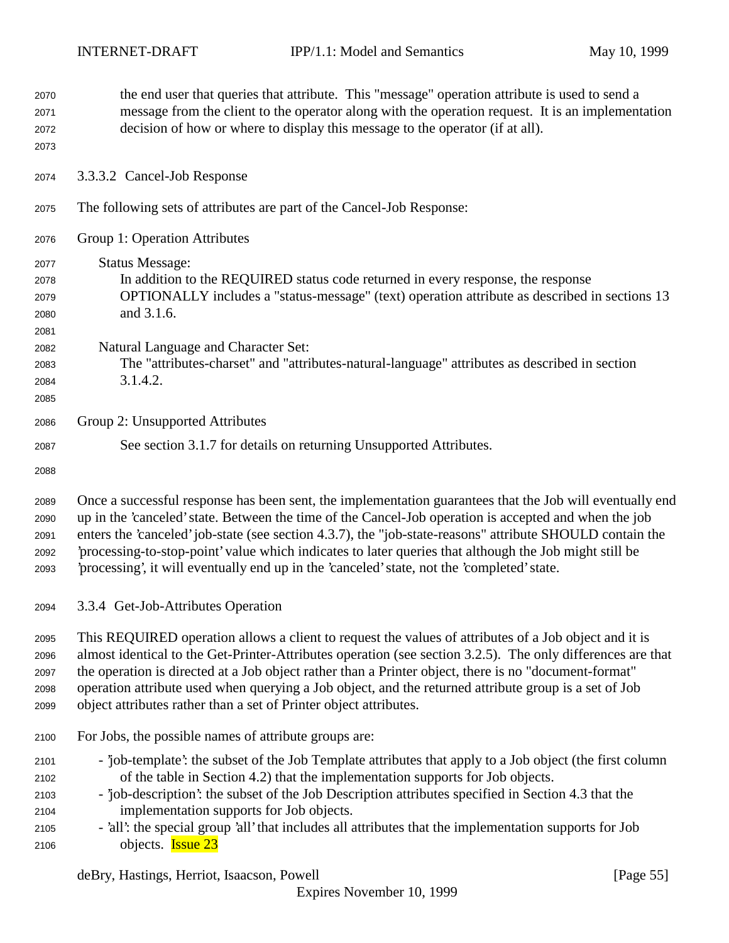| 2070<br>2071<br>2072<br>2073 | the end user that queries that attribute. This "message" operation attribute is used to send a<br>message from the client to the operator along with the operation request. It is an implementation<br>decision of how or where to display this message to the operator (if at all). |
|------------------------------|--------------------------------------------------------------------------------------------------------------------------------------------------------------------------------------------------------------------------------------------------------------------------------------|
| 2074                         | 3.3.3.2 Cancel-Job Response                                                                                                                                                                                                                                                          |
| 2075                         | The following sets of attributes are part of the Cancel-Job Response:                                                                                                                                                                                                                |
| 2076                         | Group 1: Operation Attributes                                                                                                                                                                                                                                                        |
| 2077                         | <b>Status Message:</b>                                                                                                                                                                                                                                                               |
| 2078                         | In addition to the REQUIRED status code returned in every response, the response                                                                                                                                                                                                     |
| 2079                         | OPTIONALLY includes a "status-message" (text) operation attribute as described in sections 13                                                                                                                                                                                        |
| 2080                         | and 3.1.6.                                                                                                                                                                                                                                                                           |
| 2081                         |                                                                                                                                                                                                                                                                                      |
| 2082                         | Natural Language and Character Set:                                                                                                                                                                                                                                                  |
| 2083                         | The "attributes-charset" and "attributes-natural-language" attributes as described in section                                                                                                                                                                                        |
| 2084                         | 3.1.4.2.                                                                                                                                                                                                                                                                             |
| 2085                         |                                                                                                                                                                                                                                                                                      |
| 2086                         | Group 2: Unsupported Attributes                                                                                                                                                                                                                                                      |
| 2087                         | See section 3.1.7 for details on returning Unsupported Attributes.                                                                                                                                                                                                                   |
| 2088                         |                                                                                                                                                                                                                                                                                      |
| 2089                         | Once a successful response has been sent, the implementation guarantees that the Job will eventually end                                                                                                                                                                             |
| 2090                         | up in the 'canceled' state. Between the time of the Cancel-Job operation is accepted and when the job                                                                                                                                                                                |
| 2091                         | enters the 'canceled' job-state (see section 4.3.7), the "job-state-reasons" attribute SHOULD contain the                                                                                                                                                                            |
| 2092                         | processing-to-stop-point' value which indicates to later queries that although the Job might still be                                                                                                                                                                                |
| 2093                         | processing, it will eventually end up in the 'canceled' state, not the 'completed' state.                                                                                                                                                                                            |
| 2094                         | 3.3.4 Get-Job-Attributes Operation                                                                                                                                                                                                                                                   |
| 2095                         | This REQUIRED operation allows a client to request the values of attributes of a Job object and it is                                                                                                                                                                                |
| 2096                         | almost identical to the Get-Printer-Attributes operation (see section 3.2.5). The only differences are that                                                                                                                                                                          |
| 2097                         | the operation is directed at a Job object rather than a Printer object, there is no "document-format"                                                                                                                                                                                |
| 2098                         | operation attribute used when querying a Job object, and the returned attribute group is a set of Job                                                                                                                                                                                |
| 2099                         | object attributes rather than a set of Printer object attributes.                                                                                                                                                                                                                    |
| 2100                         | For Jobs, the possible names of attribute groups are:                                                                                                                                                                                                                                |
| 2101                         | - job-template': the subset of the Job Template attributes that apply to a Job object (the first column                                                                                                                                                                              |
| 2102                         | of the table in Section 4.2) that the implementation supports for Job objects.                                                                                                                                                                                                       |
| 2103                         | - job-description': the subset of the Job Description attributes specified in Section 4.3 that the                                                                                                                                                                                   |
| 2104                         | implementation supports for Job objects.                                                                                                                                                                                                                                             |
| 2105                         | - 'all': the special group 'all' that includes all attributes that the implementation supports for Job                                                                                                                                                                               |
| 2106                         | objects. <b>Issue 23</b>                                                                                                                                                                                                                                                             |
|                              |                                                                                                                                                                                                                                                                                      |

deBry, Hastings, Herriot, Isaacson, Powell [Page 55]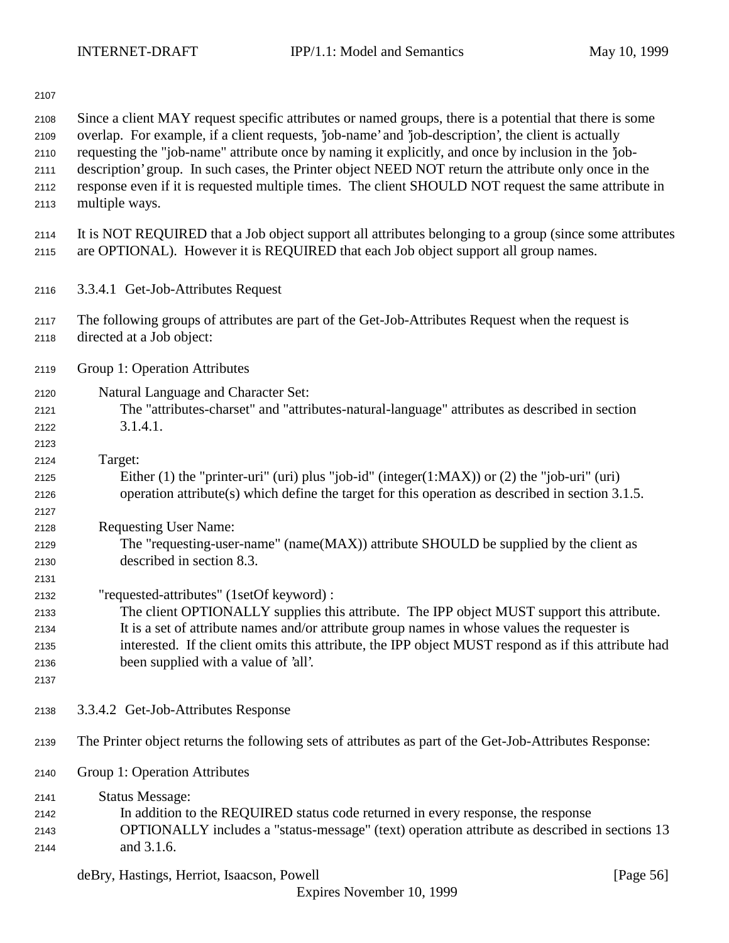| 2107                                         |                                                                                                                                                                                                                                                                                                                                                                                                                                                                                                                                                           |
|----------------------------------------------|-----------------------------------------------------------------------------------------------------------------------------------------------------------------------------------------------------------------------------------------------------------------------------------------------------------------------------------------------------------------------------------------------------------------------------------------------------------------------------------------------------------------------------------------------------------|
| 2108<br>2109<br>2110<br>2111<br>2112<br>2113 | Since a client MAY request specific attributes or named groups, there is a potential that there is some<br>overlap. For example, if a client requests, 'job-name' and 'job-description', the client is actually<br>requesting the "job-name" attribute once by naming it explicitly, and once by inclusion in the 'job-<br>description' group. In such cases, the Printer object NEED NOT return the attribute only once in the<br>response even if it is requested multiple times. The client SHOULD NOT request the same attribute in<br>multiple ways. |
| 2114<br>2115                                 | It is NOT REQUIRED that a Job object support all attributes belonging to a group (since some attributes<br>are OPTIONAL). However it is REQUIRED that each Job object support all group names.                                                                                                                                                                                                                                                                                                                                                            |
| 2116                                         | 3.3.4.1 Get-Job-Attributes Request                                                                                                                                                                                                                                                                                                                                                                                                                                                                                                                        |
| 2117<br>2118                                 | The following groups of attributes are part of the Get-Job-Attributes Request when the request is<br>directed at a Job object:                                                                                                                                                                                                                                                                                                                                                                                                                            |
| 2119                                         | Group 1: Operation Attributes                                                                                                                                                                                                                                                                                                                                                                                                                                                                                                                             |
| 2120<br>2121<br>2122<br>2123                 | Natural Language and Character Set:<br>The "attributes-charset" and "attributes-natural-language" attributes as described in section<br>3.1.4.1.                                                                                                                                                                                                                                                                                                                                                                                                          |
| 2124<br>2125<br>2126<br>2127                 | Target:<br>Either (1) the "printer-uri" (uri) plus "job-id" (integer(1:MAX)) or (2) the "job-uri" (uri)<br>operation attribute(s) which define the target for this operation as described in section 3.1.5.                                                                                                                                                                                                                                                                                                                                               |
| 2128<br>2129<br>2130<br>2131                 | <b>Requesting User Name:</b><br>The "requesting-user-name" (name(MAX)) attribute SHOULD be supplied by the client as<br>described in section 8.3.                                                                                                                                                                                                                                                                                                                                                                                                         |
| 2132<br>2133<br>2134<br>2135<br>2136<br>2137 | "requested-attributes" (1setOf keyword) :<br>The client OPTIONALLY supplies this attribute. The IPP object MUST support this attribute.<br>It is a set of attribute names and/or attribute group names in whose values the requester is<br>interested. If the client omits this attribute, the IPP object MUST respond as if this attribute had<br>been supplied with a value of 'all'.                                                                                                                                                                   |
| 2138                                         | 3.3.4.2 Get-Job-Attributes Response                                                                                                                                                                                                                                                                                                                                                                                                                                                                                                                       |
| 2139                                         | The Printer object returns the following sets of attributes as part of the Get-Job-Attributes Response:                                                                                                                                                                                                                                                                                                                                                                                                                                                   |
| 2140                                         | Group 1: Operation Attributes                                                                                                                                                                                                                                                                                                                                                                                                                                                                                                                             |
| 2141<br>2142<br>2143<br>2144                 | <b>Status Message:</b><br>In addition to the REQUIRED status code returned in every response, the response<br>OPTIONALLY includes a "status-message" (text) operation attribute as described in sections 13<br>and 3.1.6.                                                                                                                                                                                                                                                                                                                                 |

deBry, Hastings, Herriot, Isaacson, Powell [Page 56]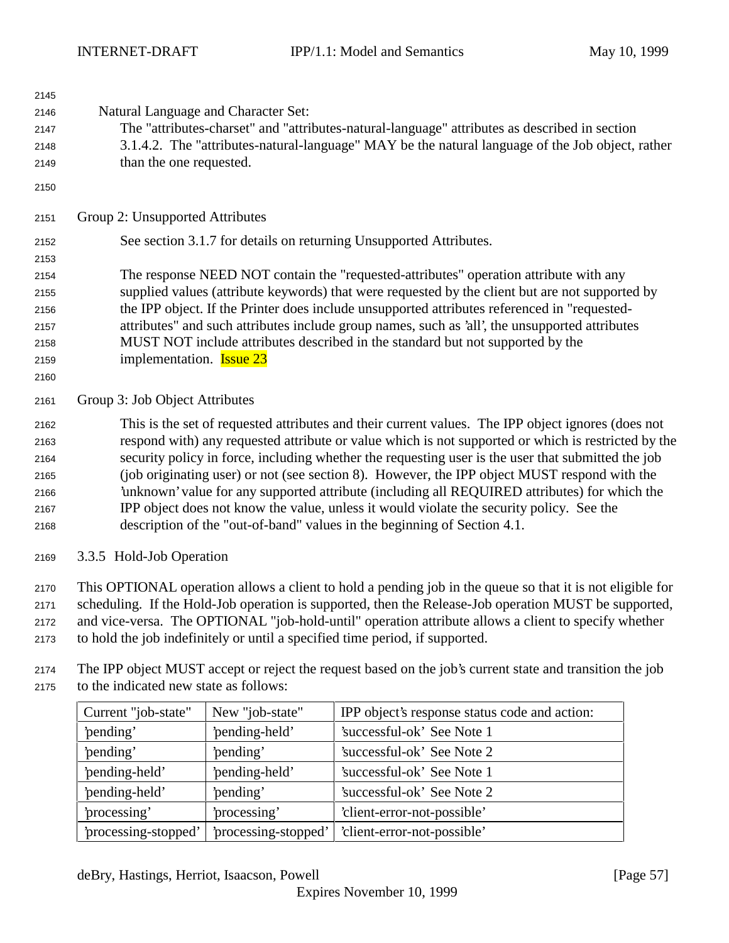| 2145 |                                                                                                     |
|------|-----------------------------------------------------------------------------------------------------|
| 2146 | Natural Language and Character Set:                                                                 |
| 2147 | The "attributes-charset" and "attributes-natural-language" attributes as described in section       |
| 2148 | 3.1.4.2. The "attributes-natural-language" MAY be the natural language of the Job object, rather    |
| 2149 | than the one requested.                                                                             |
| 2150 |                                                                                                     |
| 2151 | Group 2: Unsupported Attributes                                                                     |
| 2152 | See section 3.1.7 for details on returning Unsupported Attributes.                                  |
| 2153 |                                                                                                     |
| 2154 | The response NEED NOT contain the "requested-attributes" operation attribute with any               |
| 2155 | supplied values (attribute keywords) that were requested by the client but are not supported by     |
| 2156 | the IPP object. If the Printer does include unsupported attributes referenced in "requested-        |
| 2157 | attributes" and such attributes include group names, such as 'all', the unsupported attributes      |
| 2158 | MUST NOT include attributes described in the standard but not supported by the                      |
| 2159 | implementation. <b>Issue 23</b>                                                                     |
| 2160 |                                                                                                     |
| 2161 | Group 3: Job Object Attributes                                                                      |
| 2162 | This is the set of requested attributes and their current values. The IPP object ignores (does not  |
| 2163 | respond with) any requested attribute or value which is not supported or which is restricted by the |
| 2164 | security policy in force, including whether the requesting user is the user that submitted the job  |
| 2165 | (job originating user) or not (see section 8). However, the IPP object MUST respond with the        |
| 2166 | 'unknown' value for any supported attribute (including all REQUIRED attributes) for which the       |
| 2167 | IPP object does not know the value, unless it would violate the security policy. See the            |
| 2168 | description of the "out-of-band" values in the beginning of Section 4.1.                            |
| 2169 | 3.3.5 Hold-Job Operation                                                                            |

 This OPTIONAL operation allows a client to hold a pending job in the queue so that it is not eligible for scheduling. If the Hold-Job operation is supported, then the Release-Job operation MUST be supported, and vice-versa. The OPTIONAL "job-hold-until" operation attribute allows a client to specify whether to hold the job indefinitely or until a specified time period, if supported.

 The IPP object MUST accept or reject the request based on the job's current state and transition the job to the indicated new state as follows:

| Current "job-state" | New "job-state"      | IPP object's response status code and action: |
|---------------------|----------------------|-----------------------------------------------|
| 'pending'           | 'pending-held'       | 'successful-ok' See Note 1                    |
| 'pending'           | 'pending'            | 'successful-ok' See Note 2                    |
| 'pending-held'      | 'pending-held'       | 'successful-ok' See Note 1                    |
| 'pending-held'      | 'pending'            | 'successful-ok' See Note 2                    |
| processing'         | processing'          | 'client-error-not-possible'                   |
| processing-stopped' | 'processing-stopped' | 'client-error-not-possible'                   |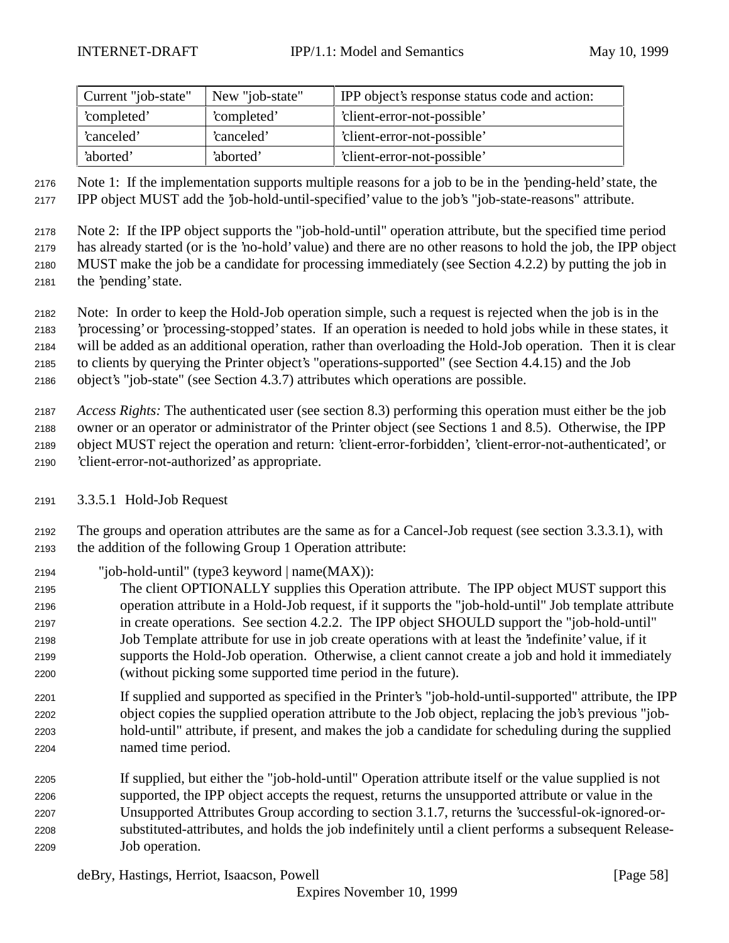| Current "job-state" | New "job-state" | IPP object's response status code and action: |
|---------------------|-----------------|-----------------------------------------------|
| 'completed'         | 'completed'     | 'client-error-not-possible'                   |
| canceled'           | 'canceled'      | 'client-error-not-possible'                   |
| 'aborted'           | 'aborted'       | 'client-error-not-possible'                   |

 Note 1: If the implementation supports multiple reasons for a job to be in the 'pending-held' state, the IPP object MUST add the 'job-hold-until-specified' value to the job's "job-state-reasons" attribute.

 Note 2: If the IPP object supports the "job-hold-until" operation attribute, but the specified time period has already started (or is the 'no-hold' value) and there are no other reasons to hold the job, the IPP object MUST make the job be a candidate for processing immediately (see Section 4.2.2) by putting the job in the 'pending' state.

Note: In order to keep the Hold-Job operation simple, such a request is rejected when the job is in the

'processing' or 'processing-stopped' states. If an operation is needed to hold jobs while in these states, it

will be added as an additional operation, rather than overloading the Hold-Job operation. Then it is clear

 to clients by querying the Printer object's "operations-supported" (see Section 4.4.15) and the Job object's "job-state" (see Section 4.3.7) attributes which operations are possible.

 *Access Rights:* The authenticated user (see section 8.3) performing this operation must either be the job owner or an operator or administrator of the Printer object (see Sections 1 and 8.5). Otherwise, the IPP object MUST reject the operation and return: 'client-error-forbidden', 'client-error-not-authenticated', or 'client-error-not-authorized' as appropriate.

## 3.3.5.1 Hold-Job Request

 The groups and operation attributes are the same as for a Cancel-Job request (see section 3.3.3.1), with the addition of the following Group 1 Operation attribute:

- "job-hold-until" (type3 keyword | name(MAX)):
- The client OPTIONALLY supplies this Operation attribute. The IPP object MUST support this operation attribute in a Hold-Job request, if it supports the "job-hold-until" Job template attribute in create operations. See section 4.2.2. The IPP object SHOULD support the "job-hold-until" Job Template attribute for use in job create operations with at least the 'indefinite' value, if it supports the Hold-Job operation. Otherwise, a client cannot create a job and hold it immediately (without picking some supported time period in the future).
- If supplied and supported as specified in the Printer's "job-hold-until-supported" attribute, the IPP object copies the supplied operation attribute to the Job object, replacing the job's previous "job- hold-until" attribute, if present, and makes the job a candidate for scheduling during the supplied named time period.
- If supplied, but either the "job-hold-until" Operation attribute itself or the value supplied is not supported, the IPP object accepts the request, returns the unsupported attribute or value in the Unsupported Attributes Group according to section 3.1.7, returns the 'successful-ok-ignored-or- substituted-attributes, and holds the job indefinitely until a client performs a subsequent Release-Job operation.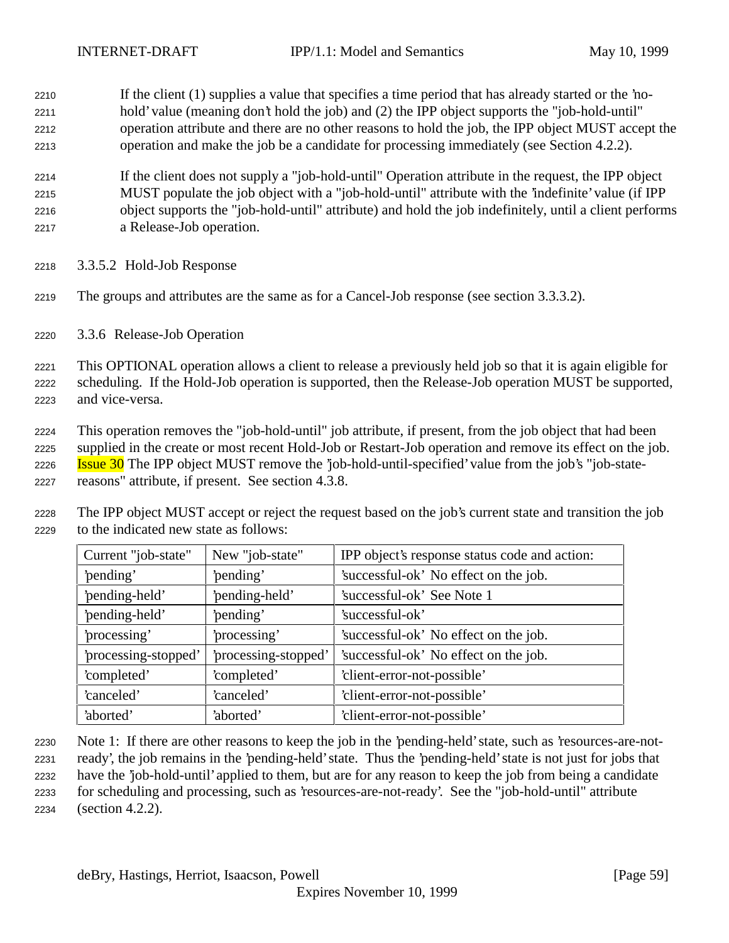If the client (1) supplies a value that specifies a time period that has already started or the 'no- hold' value (meaning don't hold the job) and (2) the IPP object supports the "job-hold-until" operation attribute and there are no other reasons to hold the job, the IPP object MUST accept the operation and make the job be a candidate for processing immediately (see Section 4.2.2).

 If the client does not supply a "job-hold-until" Operation attribute in the request, the IPP object MUST populate the job object with a "job-hold-until" attribute with the 'indefinite' value (if IPP object supports the "job-hold-until" attribute) and hold the job indefinitely, until a client performs a Release-Job operation.

- 3.3.5.2 Hold-Job Response
- The groups and attributes are the same as for a Cancel-Job response (see section 3.3.3.2).
- 3.3.6 Release-Job Operation

 This OPTIONAL operation allows a client to release a previously held job so that it is again eligible for scheduling. If the Hold-Job operation is supported, then the Release-Job operation MUST be supported, and vice-versa.

 This operation removes the "job-hold-until" job attribute, if present, from the job object that had been supplied in the create or most recent Hold-Job or Restart-Job operation and remove its effect on the job. **Issue 30** The IPP object MUST remove the 'job-hold-until-specified' value from the job's "job-state-

- reasons" attribute, if present. See section 4.3.8.
- The IPP object MUST accept or reject the request based on the job's current state and transition the job to the indicated new state as follows:

| Current "job-state"  | New "job-state"      | IPP object's response status code and action: |
|----------------------|----------------------|-----------------------------------------------|
| 'pending'            | 'pending'            | 'successful-ok' No effect on the job.         |
| 'pending-held'       | 'pending-held'       | 'successful-ok' See Note 1                    |
| 'pending-held'       | 'pending'            | 'successful-ok'                               |
| 'processing'         | 'processing'         | 'successful-ok' No effect on the job.         |
| 'processing-stopped' | 'processing-stopped' | 'successful-ok' No effect on the job.         |
| 'completed'          | 'completed'          | 'client-error-not-possible'                   |
| 'canceled'           | 'canceled'           | 'client-error-not-possible'                   |
| 'aborted'            | 'aborted'            | 'client-error-not-possible'                   |

 Note 1: If there are other reasons to keep the job in the 'pending-held' state, such as 'resources-are-not- ready', the job remains in the 'pending-held' state. Thus the 'pending-held' state is not just for jobs that have the 'job-hold-until' applied to them, but are for any reason to keep the job from being a candidate for scheduling and processing, such as 'resources-are-not-ready'. See the "job-hold-until" attribute (section 4.2.2).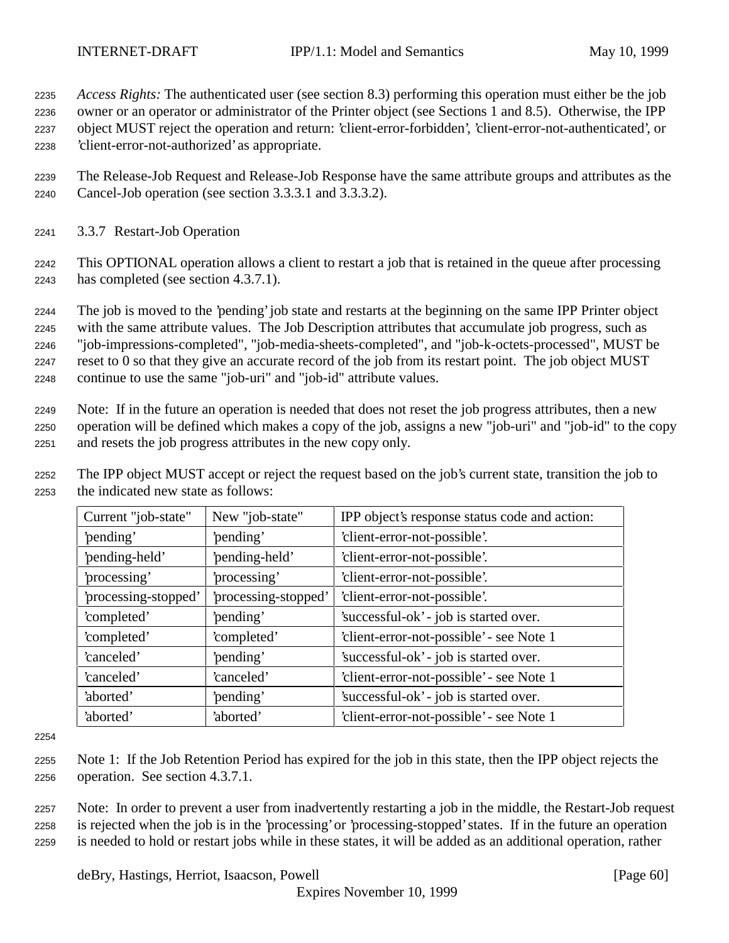*Access Rights:* The authenticated user (see section 8.3) performing this operation must either be the job owner or an operator or administrator of the Printer object (see Sections 1 and 8.5). Otherwise, the IPP object MUST reject the operation and return: 'client-error-forbidden', 'client-error-not-authenticated', or 'client-error-not-authorized' as appropriate.

- The Release-Job Request and Release-Job Response have the same attribute groups and attributes as the Cancel-Job operation (see section 3.3.3.1 and 3.3.3.2).
- 3.3.7 Restart-Job Operation

 This OPTIONAL operation allows a client to restart a job that is retained in the queue after processing has completed (see section 4.3.7.1).

 The job is moved to the 'pending' job state and restarts at the beginning on the same IPP Printer object with the same attribute values. The Job Description attributes that accumulate job progress, such as "job-impressions-completed", "job-media-sheets-completed", and "job-k-octets-processed", MUST be reset to 0 so that they give an accurate record of the job from its restart point. The job object MUST continue to use the same "job-uri" and "job-id" attribute values.

 Note: If in the future an operation is needed that does not reset the job progress attributes, then a new operation will be defined which makes a copy of the job, assigns a new "job-uri" and "job-id" to the copy and resets the job progress attributes in the new copy only.

 The IPP object MUST accept or reject the request based on the job's current state, transition the job to the indicated new state as follows:

| Current "job-state"  | New "job-state"      | IPP object's response status code and action: |
|----------------------|----------------------|-----------------------------------------------|
| 'pending'            | 'pending'            | 'client-error-not-possible'.                  |
| 'pending-held'       | 'pending-held'       | 'client-error-not-possible'.                  |
| processing'          | processing'          | 'client-error-not-possible'.                  |
| 'processing-stopped' | 'processing-stopped' | 'client-error-not-possible'.                  |
| 'completed'          | 'pending'            | 'successful-ok' - job is started over.        |
| 'completed'          | 'completed'          | 'client-error-not-possible' - see Note 1      |
| 'canceled'           | 'pending'            | 'successful-ok' - job is started over.        |
| 'canceled'           | 'canceled'           | 'client-error-not-possible' - see Note 1      |
| 'aborted'            | 'pending'            | 'successful-ok' - job is started over.        |
| 'aborted'            | 'aborted'            | 'client-error-not-possible' - see Note 1      |

 Note 1: If the Job Retention Period has expired for the job in this state, then the IPP object rejects the operation. See section 4.3.7.1.

 Note: In order to prevent a user from inadvertently restarting a job in the middle, the Restart-Job request is rejected when the job is in the 'processing' or 'processing-stopped' states. If in the future an operation is needed to hold or restart jobs while in these states, it will be added as an additional operation, rather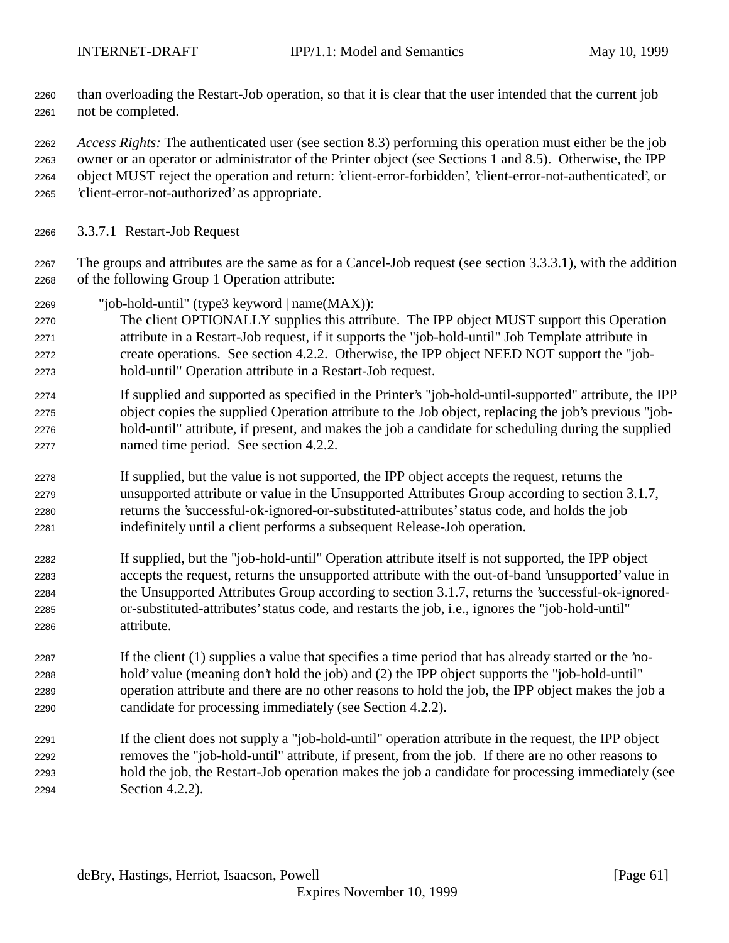than overloading the Restart-Job operation, so that it is clear that the user intended that the current job not be completed.

 *Access Rights:* The authenticated user (see section 8.3) performing this operation must either be the job owner or an operator or administrator of the Printer object (see Sections 1 and 8.5). Otherwise, the IPP object MUST reject the operation and return: 'client-error-forbidden', 'client-error-not-authenticated', or 'client-error-not-authorized' as appropriate.

- 3.3.7.1 Restart-Job Request
- The groups and attributes are the same as for a Cancel-Job request (see section 3.3.3.1), with the addition of the following Group 1 Operation attribute:
- "job-hold-until" (type3 keyword | name(MAX)):
- The client OPTIONALLY supplies this attribute. The IPP object MUST support this Operation attribute in a Restart-Job request, if it supports the "job-hold-until" Job Template attribute in create operations. See section 4.2.2. Otherwise, the IPP object NEED NOT support the "job-hold-until" Operation attribute in a Restart-Job request.
- If supplied and supported as specified in the Printer's "job-hold-until-supported" attribute, the IPP object copies the supplied Operation attribute to the Job object, replacing the job's previous "job- hold-until" attribute, if present, and makes the job a candidate for scheduling during the supplied named time period. See section 4.2.2.
- If supplied, but the value is not supported, the IPP object accepts the request, returns the unsupported attribute or value in the Unsupported Attributes Group according to section 3.1.7, returns the 'successful-ok-ignored-or-substituted-attributes' status code, and holds the job indefinitely until a client performs a subsequent Release-Job operation.
- If supplied, but the "job-hold-until" Operation attribute itself is not supported, the IPP object accepts the request, returns the unsupported attribute with the out-of-band 'unsupported' value in the Unsupported Attributes Group according to section 3.1.7, returns the 'successful-ok-ignored- or-substituted-attributes' status code, and restarts the job, i.e., ignores the "job-hold-until" attribute.
- If the client (1) supplies a value that specifies a time period that has already started or the 'no- hold' value (meaning don't hold the job) and (2) the IPP object supports the "job-hold-until" operation attribute and there are no other reasons to hold the job, the IPP object makes the job a candidate for processing immediately (see Section 4.2.2).
- If the client does not supply a "job-hold-until" operation attribute in the request, the IPP object removes the "job-hold-until" attribute, if present, from the job. If there are no other reasons to hold the job, the Restart-Job operation makes the job a candidate for processing immediately (see Section 4.2.2).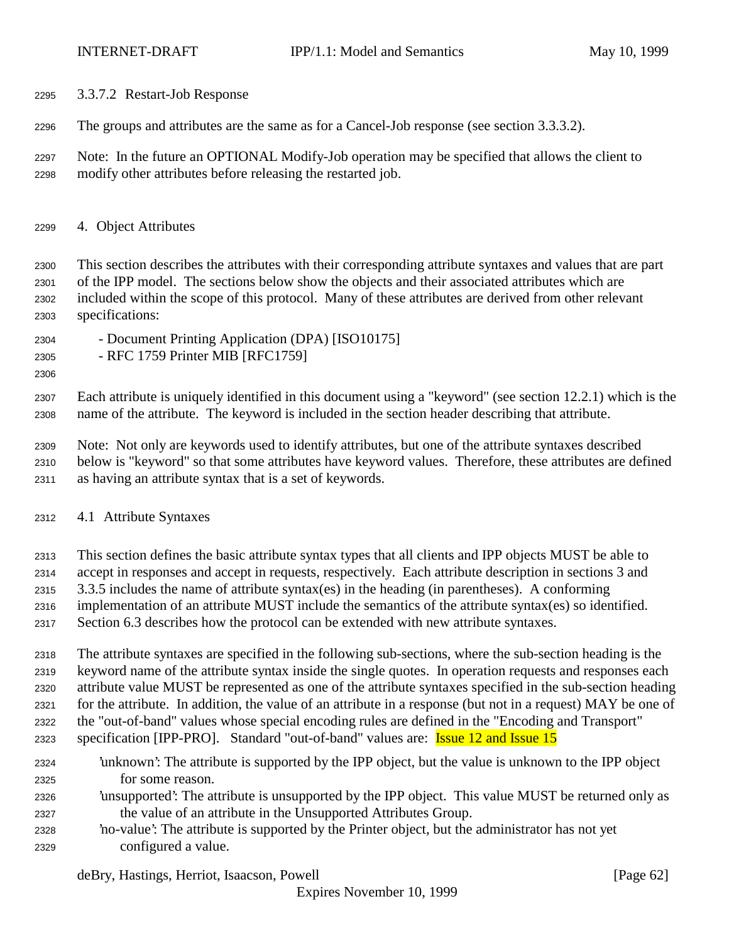- 3.3.7.2 Restart-Job Response
- The groups and attributes are the same as for a Cancel-Job response (see section 3.3.3.2).
- Note: In the future an OPTIONAL Modify-Job operation may be specified that allows the client to modify other attributes before releasing the restarted job.
- 4. Object Attributes

 This section describes the attributes with their corresponding attribute syntaxes and values that are part of the IPP model. The sections below show the objects and their associated attributes which are included within the scope of this protocol. Many of these attributes are derived from other relevant specifications:

- Document Printing Application (DPA) [ISO10175]
- RFC 1759 Printer MIB [RFC1759]
- 

 Each attribute is uniquely identified in this document using a "keyword" (see section 12.2.1) which is the name of the attribute. The keyword is included in the section header describing that attribute.

 Note: Not only are keywords used to identify attributes, but one of the attribute syntaxes described below is "keyword" so that some attributes have keyword values. Therefore, these attributes are defined as having an attribute syntax that is a set of keywords.

- 4.1 Attribute Syntaxes
- This section defines the basic attribute syntax types that all clients and IPP objects MUST be able to
- accept in responses and accept in requests, respectively. Each attribute description in sections 3 and
- 3.3.5 includes the name of attribute syntax(es) in the heading (in parentheses). A conforming
- implementation of an attribute MUST include the semantics of the attribute syntax(es) so identified.
- Section 6.3 describes how the protocol can be extended with new attribute syntaxes.

 The attribute syntaxes are specified in the following sub-sections, where the sub-section heading is the keyword name of the attribute syntax inside the single quotes. In operation requests and responses each attribute value MUST be represented as one of the attribute syntaxes specified in the sub-section heading for the attribute. In addition, the value of an attribute in a response (but not in a request) MAY be one of the "out-of-band" values whose special encoding rules are defined in the "Encoding and Transport"

- specification [IPP-PRO]. Standard "out-of-band" values are: Issue 12 and Issue 15
- 'unknown': The attribute is supported by the IPP object, but the value is unknown to the IPP object for some reason.
- 'unsupported': The attribute is unsupported by the IPP object. This value MUST be returned only as the value of an attribute in the Unsupported Attributes Group.
- 'no-value': The attribute is supported by the Printer object, but the administrator has not yet configured a value.

deBry, Hastings, Herriot, Isaacson, Powell [Page 62]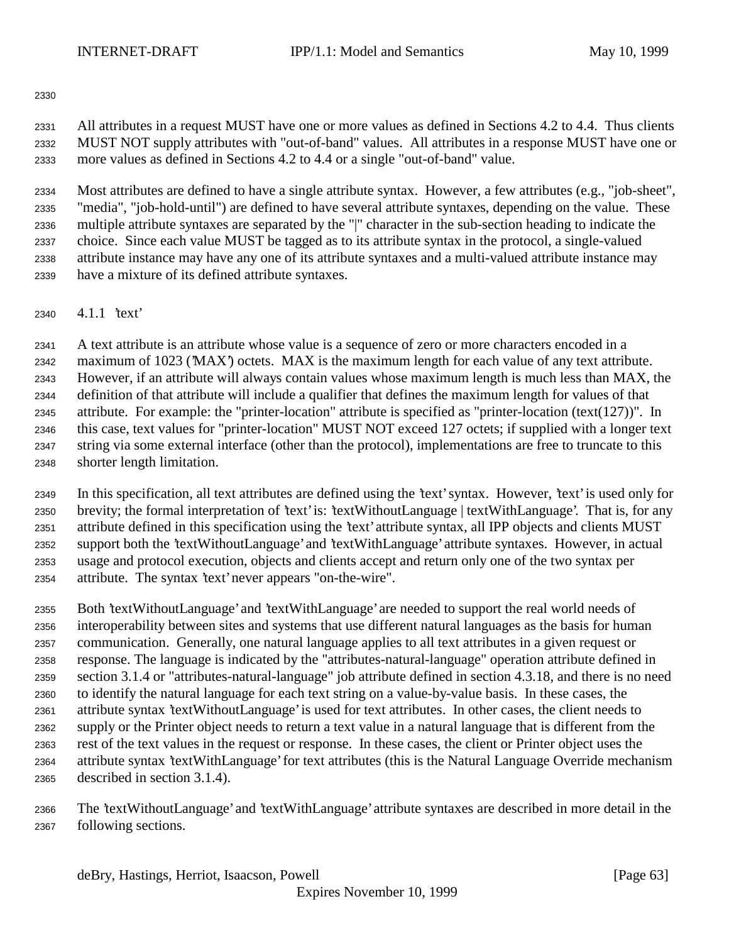All attributes in a request MUST have one or more values as defined in Sections 4.2 to 4.4. Thus clients MUST NOT supply attributes with "out-of-band" values. All attributes in a response MUST have one or more values as defined in Sections 4.2 to 4.4 or a single "out-of-band" value.

 Most attributes are defined to have a single attribute syntax. However, a few attributes (e.g., "job-sheet", "media", "job-hold-until") are defined to have several attribute syntaxes, depending on the value. These multiple attribute syntaxes are separated by the "|" character in the sub-section heading to indicate the choice. Since each value MUST be tagged as to its attribute syntax in the protocol, a single-valued attribute instance may have any one of its attribute syntaxes and a multi-valued attribute instance may have a mixture of its defined attribute syntaxes.

4.1.1 'text'

 A text attribute is an attribute whose value is a sequence of zero or more characters encoded in a maximum of 1023 ('MAX') octets. MAX is the maximum length for each value of any text attribute. However, if an attribute will always contain values whose maximum length is much less than MAX, the definition of that attribute will include a qualifier that defines the maximum length for values of that attribute. For example: the "printer-location" attribute is specified as "printer-location (text(127))". In this case, text values for "printer-location" MUST NOT exceed 127 octets; if supplied with a longer text string via some external interface (other than the protocol), implementations are free to truncate to this shorter length limitation.

 In this specification, all text attributes are defined using the 'text' syntax. However, 'text' is used only for brevity; the formal interpretation of 'text' is: 'textWithoutLanguage | textWithLanguage'. That is, for any attribute defined in this specification using the 'text' attribute syntax, all IPP objects and clients MUST support both the 'textWithoutLanguage' and 'textWithLanguage' attribute syntaxes. However, in actual usage and protocol execution, objects and clients accept and return only one of the two syntax per attribute. The syntax 'text' never appears "on-the-wire".

 Both 'textWithoutLanguage' and 'textWithLanguage' are needed to support the real world needs of interoperability between sites and systems that use different natural languages as the basis for human communication. Generally, one natural language applies to all text attributes in a given request or response. The language is indicated by the "attributes-natural-language" operation attribute defined in section 3.1.4 or "attributes-natural-language" job attribute defined in section 4.3.18, and there is no need to identify the natural language for each text string on a value-by-value basis. In these cases, the attribute syntax 'textWithoutLanguage' is used for text attributes. In other cases, the client needs to supply or the Printer object needs to return a text value in a natural language that is different from the rest of the text values in the request or response. In these cases, the client or Printer object uses the attribute syntax 'textWithLanguage' for text attributes (this is the Natural Language Override mechanism described in section 3.1.4).

 The 'textWithoutLanguage' and 'textWithLanguage' attribute syntaxes are described in more detail in the following sections.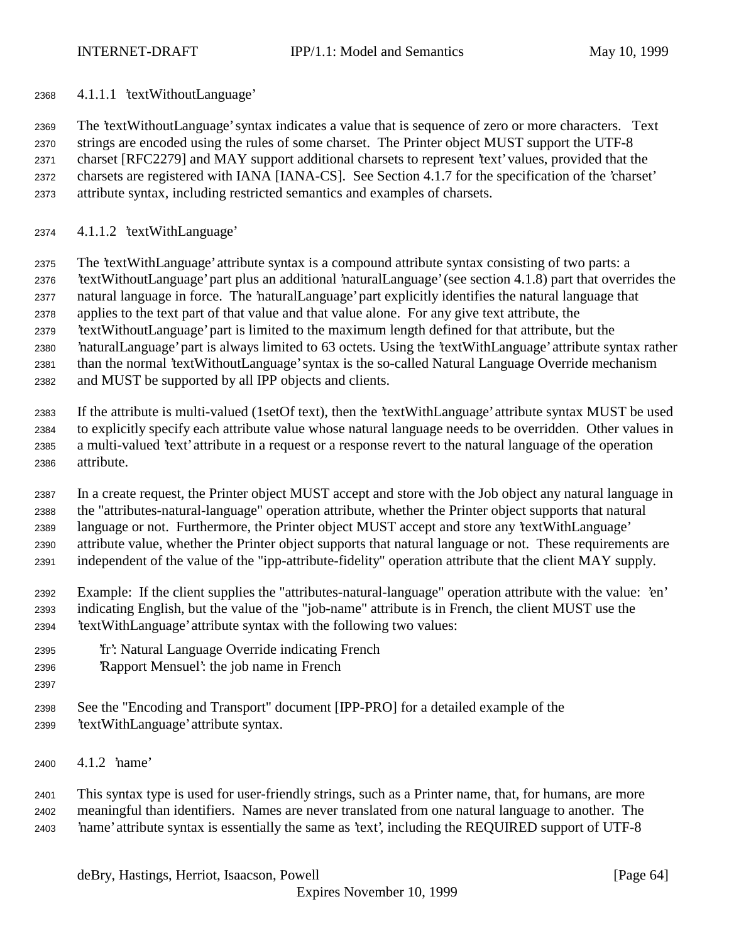4.1.1.1 'textWithoutLanguage'

 The 'textWithoutLanguage' syntax indicates a value that is sequence of zero or more characters. Text strings are encoded using the rules of some charset. The Printer object MUST support the UTF-8 charset [RFC2279] and MAY support additional charsets to represent 'text' values, provided that the charsets are registered with IANA [IANA-CS]. See Section 4.1.7 for the specification of the 'charset' attribute syntax, including restricted semantics and examples of charsets.

4.1.1.2 'textWithLanguage'

 The 'textWithLanguage' attribute syntax is a compound attribute syntax consisting of two parts: a 'textWithoutLanguage' part plus an additional 'naturalLanguage' (see section 4.1.8) part that overrides the natural language in force. The 'naturalLanguage' part explicitly identifies the natural language that applies to the text part of that value and that value alone. For any give text attribute, the 'textWithoutLanguage' part is limited to the maximum length defined for that attribute, but the 'naturalLanguage' part is always limited to 63 octets. Using the 'textWithLanguage' attribute syntax rather than the normal 'textWithoutLanguage' syntax is the so-called Natural Language Override mechanism

and MUST be supported by all IPP objects and clients.

 If the attribute is multi-valued (1setOf text), then the 'textWithLanguage' attribute syntax MUST be used to explicitly specify each attribute value whose natural language needs to be overridden. Other values in a multi-valued 'text' attribute in a request or a response revert to the natural language of the operation attribute.

 In a create request, the Printer object MUST accept and store with the Job object any natural language in the "attributes-natural-language" operation attribute, whether the Printer object supports that natural language or not. Furthermore, the Printer object MUST accept and store any 'textWithLanguage' attribute value, whether the Printer object supports that natural language or not. These requirements are independent of the value of the "ipp-attribute-fidelity" operation attribute that the client MAY supply.

 Example: If the client supplies the "attributes-natural-language" operation attribute with the value: 'en' indicating English, but the value of the "job-name" attribute is in French, the client MUST use the 'textWithLanguage' attribute syntax with the following two values:

- 'fr': Natural Language Override indicating French
- 'Rapport Mensuel': the job name in French
- 
- See the "Encoding and Transport" document [IPP-PRO] for a detailed example of the
- 'textWithLanguage' attribute syntax.
- 4.1.2 'name'

 This syntax type is used for user-friendly strings, such as a Printer name, that, for humans, are more meaningful than identifiers. Names are never translated from one natural language to another. The 'name' attribute syntax is essentially the same as 'text', including the REQUIRED support of UTF-8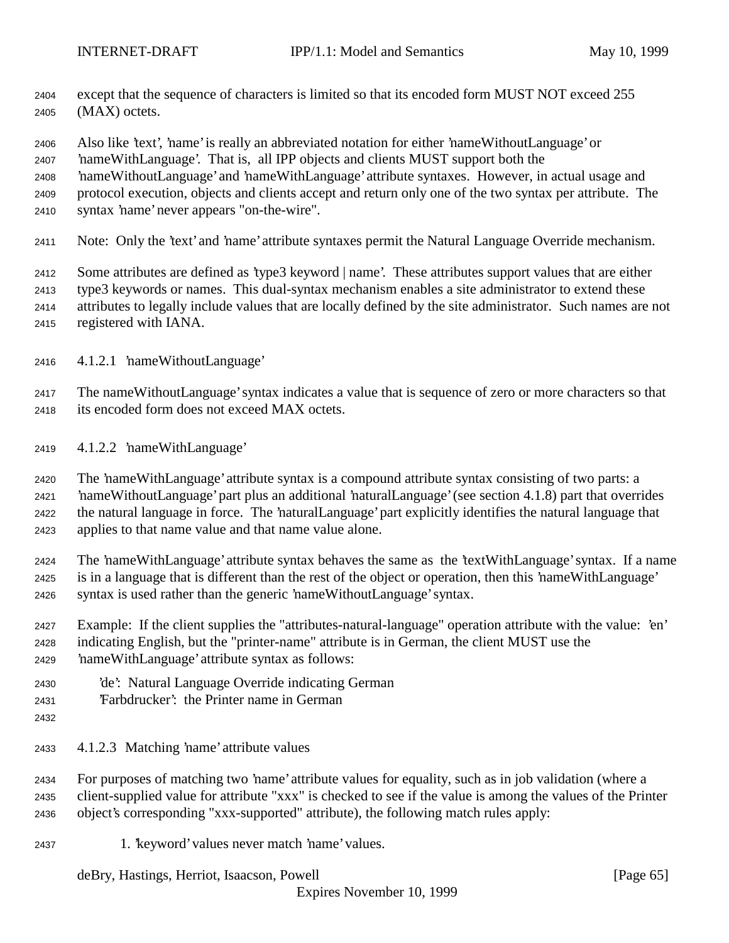except that the sequence of characters is limited so that its encoded form MUST NOT exceed 255 (MAX) octets.

Also like 'text', 'name' is really an abbreviated notation for either 'nameWithoutLanguage' or

'nameWithLanguage'. That is, all IPP objects and clients MUST support both the

'nameWithoutLanguage' and 'nameWithLanguage' attribute syntaxes. However, in actual usage and

- protocol execution, objects and clients accept and return only one of the two syntax per attribute. The
- syntax 'name' never appears "on-the-wire".
- 2411 Note: Only the 'text' and 'name' attribute syntaxes permit the Natural Language Override mechanism.

Some attributes are defined as 'type3 keyword | name'. These attributes support values that are either

type3 keywords or names. This dual-syntax mechanism enables a site administrator to extend these

- attributes to legally include values that are locally defined by the site administrator. Such names are not registered with IANA.
- 4.1.2.1 'nameWithoutLanguage'

 The nameWithoutLanguage' syntax indicates a value that is sequence of zero or more characters so that its encoded form does not exceed MAX octets.

4.1.2.2 'nameWithLanguage'

 The 'nameWithLanguage' attribute syntax is a compound attribute syntax consisting of two parts: a 'nameWithoutLanguage' part plus an additional 'naturalLanguage' (see section 4.1.8) part that overrides the natural language in force. The 'naturalLanguage' part explicitly identifies the natural language that applies to that name value and that name value alone.

 The 'nameWithLanguage' attribute syntax behaves the same as the 'textWithLanguage' syntax. If a name is in a language that is different than the rest of the object or operation, then this 'nameWithLanguage' syntax is used rather than the generic 'nameWithoutLanguage' syntax.

- Example: If the client supplies the "attributes-natural-language" operation attribute with the value: 'en' indicating English, but the "printer-name" attribute is in German, the client MUST use the 'nameWithLanguage' attribute syntax as follows:
- 'de': Natural Language Override indicating German
- 'Farbdrucker': the Printer name in German
- 
- 4.1.2.3 Matching 'name' attribute values

 For purposes of matching two 'name' attribute values for equality, such as in job validation (where a client-supplied value for attribute "xxx" is checked to see if the value is among the values of the Printer object's corresponding "xxx-supported" attribute), the following match rules apply:

1. 'keyword' values never match 'name' values.

deBry, Hastings, Herriot, Isaacson, Powell [Page 65]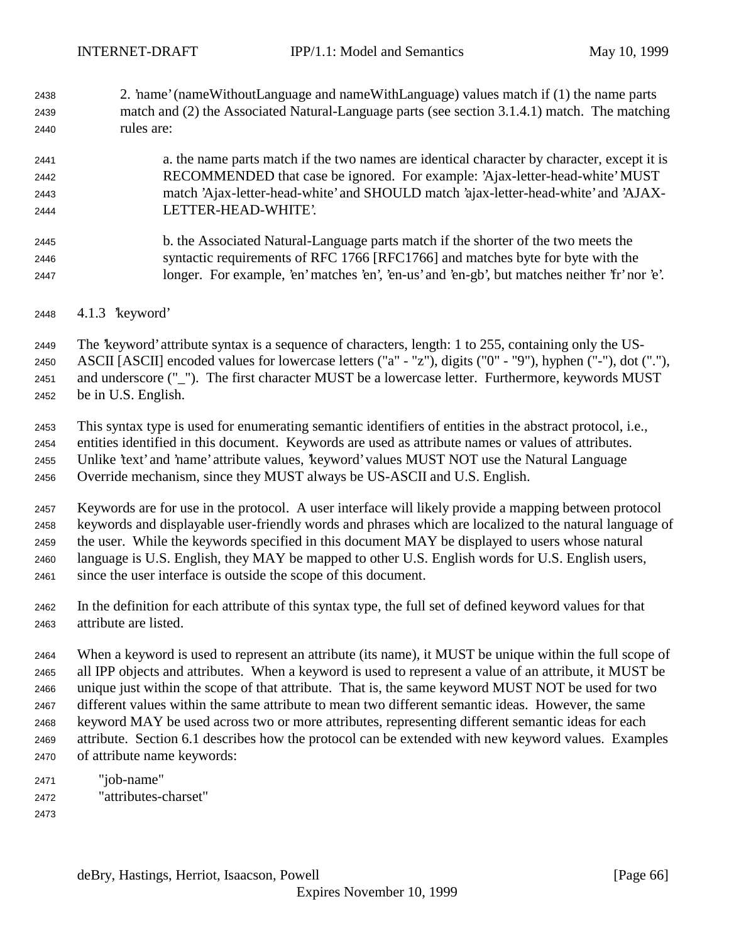2. 'name' (nameWithoutLanguage and nameWithLanguage) values match if (1) the name parts match and (2) the Associated Natural-Language parts (see section 3.1.4.1) match. The matching rules are:

## a. the name parts match if the two names are identical character by character, except it is RECOMMENDED that case be ignored. For example: 'Ajax-letter-head-white' MUST match 'Ajax-letter-head-white' and SHOULD match 'ajax-letter-head-white' and 'AJAX-LETTER-HEAD-WHITE'.

- b. the Associated Natural-Language parts match if the shorter of the two meets the syntactic requirements of RFC 1766 [RFC1766] and matches byte for byte with the longer. For example, 'en' matches 'en', 'en-us' and 'en-gb', but matches neither 'fr' nor 'e'.
- 4.1.3 'keyword'

The 'keyword' attribute syntax is a sequence of characters, length: 1 to 255, containing only the US-

ASCII [ASCII] encoded values for lowercase letters ("a" - "z"), digits ("0" - "9"), hyphen ("-"), dot ("."),

and underscore ("\_"). The first character MUST be a lowercase letter. Furthermore, keywords MUST

be in U.S. English.

 This syntax type is used for enumerating semantic identifiers of entities in the abstract protocol, i.e., entities identified in this document. Keywords are used as attribute names or values of attributes. Unlike 'text' and 'name' attribute values, 'keyword' values MUST NOT use the Natural Language Override mechanism, since they MUST always be US-ASCII and U.S. English.

 Keywords are for use in the protocol. A user interface will likely provide a mapping between protocol keywords and displayable user-friendly words and phrases which are localized to the natural language of the user. While the keywords specified in this document MAY be displayed to users whose natural language is U.S. English, they MAY be mapped to other U.S. English words for U.S. English users, since the user interface is outside the scope of this document.

 In the definition for each attribute of this syntax type, the full set of defined keyword values for that attribute are listed.

 When a keyword is used to represent an attribute (its name), it MUST be unique within the full scope of all IPP objects and attributes. When a keyword is used to represent a value of an attribute, it MUST be unique just within the scope of that attribute. That is, the same keyword MUST NOT be used for two different values within the same attribute to mean two different semantic ideas. However, the same keyword MAY be used across two or more attributes, representing different semantic ideas for each attribute. Section 6.1 describes how the protocol can be extended with new keyword values. Examples of attribute name keywords:

- "job-name" "attributes-charset"
-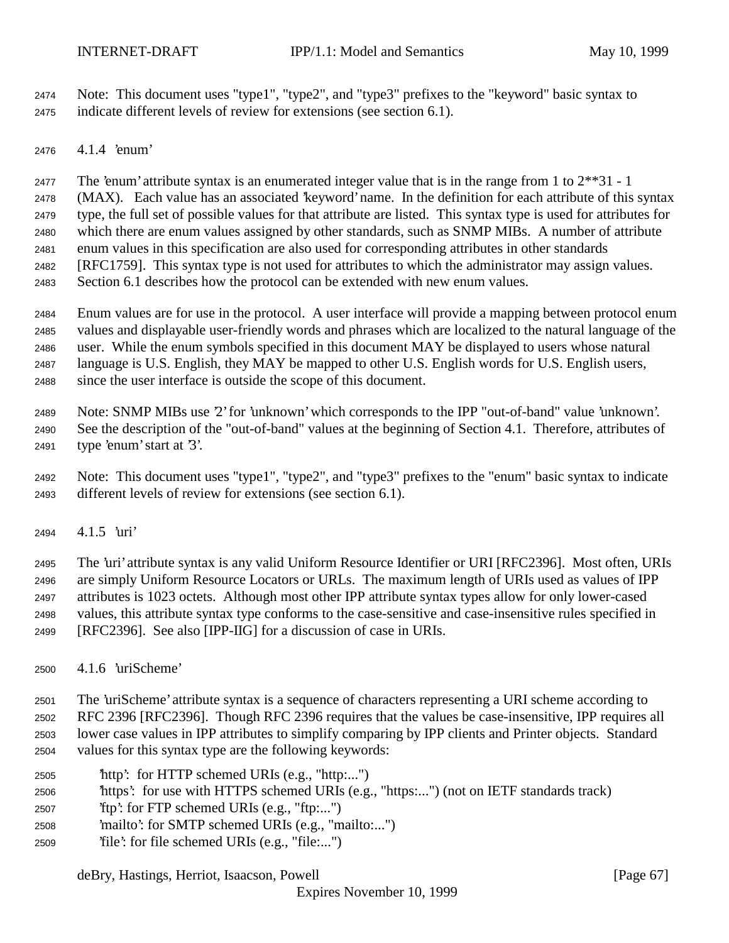Note: This document uses "type1", "type2", and "type3" prefixes to the "keyword" basic syntax to indicate different levels of review for extensions (see section 6.1).

4.1.4 'enum'

The 'enum' attribute syntax is an enumerated integer value that is in the range from 1 to 2\*\*31 - 1

(MAX). Each value has an associated 'keyword' name. In the definition for each attribute of this syntax

 type, the full set of possible values for that attribute are listed. This syntax type is used for attributes for which there are enum values assigned by other standards, such as SNMP MIBs. A number of attribute

enum values in this specification are also used for corresponding attributes in other standards

[RFC1759]. This syntax type is not used for attributes to which the administrator may assign values.

Section 6.1 describes how the protocol can be extended with new enum values.

 Enum values are for use in the protocol. A user interface will provide a mapping between protocol enum values and displayable user-friendly words and phrases which are localized to the natural language of the user. While the enum symbols specified in this document MAY be displayed to users whose natural language is U.S. English, they MAY be mapped to other U.S. English words for U.S. English users,

since the user interface is outside the scope of this document.

Note: SNMP MIBs use '2' for 'unknown' which corresponds to the IPP "out-of-band" value 'unknown'.

 See the description of the "out-of-band" values at the beginning of Section 4.1. Therefore, attributes of type 'enum' start at '3'.

 Note: This document uses "type1", "type2", and "type3" prefixes to the "enum" basic syntax to indicate different levels of review for extensions (see section 6.1).

4.1.5 'uri'

 The 'uri' attribute syntax is any valid Uniform Resource Identifier or URI [RFC2396]. Most often, URIs are simply Uniform Resource Locators or URLs. The maximum length of URIs used as values of IPP attributes is 1023 octets. Although most other IPP attribute syntax types allow for only lower-cased values, this attribute syntax type conforms to the case-sensitive and case-insensitive rules specified in [RFC2396]. See also [IPP-IIG] for a discussion of case in URIs.

4.1.6 'uriScheme'

 The 'uriScheme' attribute syntax is a sequence of characters representing a URI scheme according to RFC 2396 [RFC2396]. Though RFC 2396 requires that the values be case-insensitive, IPP requires all lower case values in IPP attributes to simplify comparing by IPP clients and Printer objects. Standard values for this syntax type are the following keywords:

- 'http': for HTTP schemed URIs (e.g., "http:...")
- 'https': for use with HTTPS schemed URIs (e.g., "https:...") (not on IETF standards track)
- 'ftp': for FTP schemed URIs (e.g., "ftp:...")
- 'mailto': for SMTP schemed URIs (e.g., "mailto:...")
- 'file': for file schemed URIs (e.g., "file:...")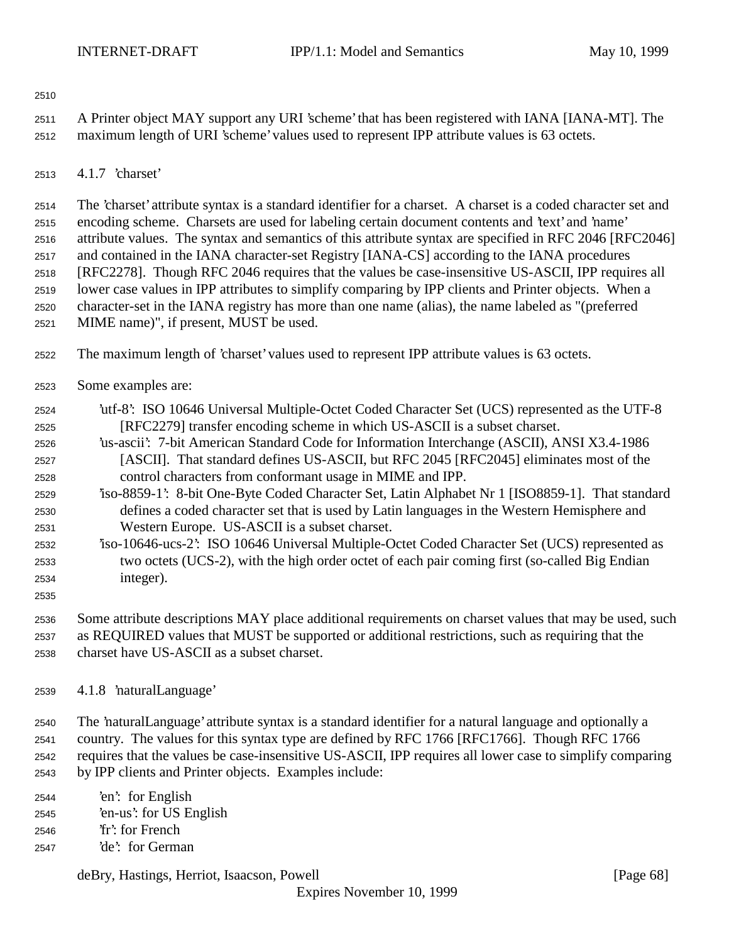- A Printer object MAY support any URI 'scheme' that has been registered with IANA [IANA-MT]. The maximum length of URI 'scheme' values used to represent IPP attribute values is 63 octets.
- 4.1.7 'charset'

 The 'charset' attribute syntax is a standard identifier for a charset. A charset is a coded character set and encoding scheme. Charsets are used for labeling certain document contents and 'text' and 'name' attribute values. The syntax and semantics of this attribute syntax are specified in RFC 2046 [RFC2046] and contained in the IANA character-set Registry [IANA-CS] according to the IANA procedures [RFC2278]. Though RFC 2046 requires that the values be case-insensitive US-ASCII, IPP requires all lower case values in IPP attributes to simplify comparing by IPP clients and Printer objects. When a character-set in the IANA registry has more than one name (alias), the name labeled as "(preferred MIME name)", if present, MUST be used.

- The maximum length of 'charset' values used to represent IPP attribute values is 63 octets.
- Some examples are:
- 'utf-8': ISO 10646 Universal Multiple-Octet Coded Character Set (UCS) represented as the UTF-8 [RFC2279] transfer encoding scheme in which US-ASCII is a subset charset.
- 'us-ascii': 7-bit American Standard Code for Information Interchange (ASCII), ANSI X3.4-1986 [ASCII]. That standard defines US-ASCII, but RFC 2045 [RFC2045] eliminates most of the control characters from conformant usage in MIME and IPP.
- 'iso-8859-1': 8-bit One-Byte Coded Character Set, Latin Alphabet Nr 1 [ISO8859-1]. That standard defines a coded character set that is used by Latin languages in the Western Hemisphere and Western Europe. US-ASCII is a subset charset.
- 'iso-10646-ucs-2': ISO 10646 Universal Multiple-Octet Coded Character Set (UCS) represented as two octets (UCS-2), with the high order octet of each pair coming first (so-called Big Endian integer).
- 

 Some attribute descriptions MAY place additional requirements on charset values that may be used, such as REQUIRED values that MUST be supported or additional restrictions, such as requiring that the charset have US-ASCII as a subset charset.

4.1.8 'naturalLanguage'

 The 'naturalLanguage' attribute syntax is a standard identifier for a natural language and optionally a country. The values for this syntax type are defined by RFC 1766 [RFC1766]. Though RFC 1766 requires that the values be case-insensitive US-ASCII, IPP requires all lower case to simplify comparing by IPP clients and Printer objects. Examples include:

- 'en': for English 'en-us': for US English 'fr': for French 'de': for German
	- deBry, Hastings, Herriot, Isaacson, Powell [Page 68]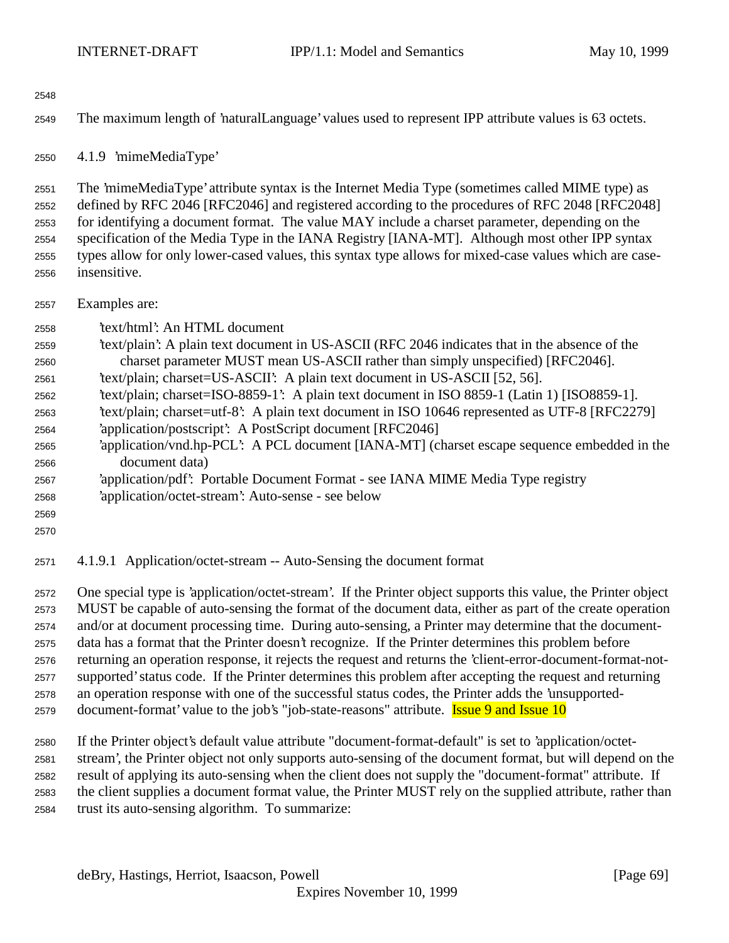The maximum length of 'naturalLanguage' values used to represent IPP attribute values is 63 octets.

4.1.9 'mimeMediaType'

 The 'mimeMediaType' attribute syntax is the Internet Media Type (sometimes called MIME type) as defined by RFC 2046 [RFC2046] and registered according to the procedures of RFC 2048 [RFC2048] for identifying a document format. The value MAY include a charset parameter, depending on the specification of the Media Type in the IANA Registry [IANA-MT]. Although most other IPP syntax types allow for only lower-cased values, this syntax type allows for mixed-case values which are case-insensitive.

Examples are:

'text/html': An HTML document

- 'text/plain': A plain text document in US-ASCII (RFC 2046 indicates that in the absence of the charset parameter MUST mean US-ASCII rather than simply unspecified) [RFC2046].
- 'text/plain; charset=US-ASCII': A plain text document in US-ASCII [52, 56].
- 'text/plain; charset=ISO-8859-1': A plain text document in ISO 8859-1 (Latin 1) [ISO8859-1].
- 'text/plain; charset=utf-8': A plain text document in ISO 10646 represented as UTF-8 [RFC2279]
- 'application/postscript': A PostScript document [RFC2046]
- 'application/vnd.hp-PCL': A PCL document [IANA-MT] (charset escape sequence embedded in the document data)
- 'application/pdf': Portable Document Format see IANA MIME Media Type registry 'application/octet-stream': Auto-sense - see below
- 
- 
- 4.1.9.1 Application/octet-stream -- Auto-Sensing the document format

 One special type is 'application/octet-stream'. If the Printer object supports this value, the Printer object MUST be capable of auto-sensing the format of the document data, either as part of the create operation and/or at document processing time. During auto-sensing, a Printer may determine that the document- data has a format that the Printer doesn't recognize. If the Printer determines this problem before returning an operation response, it rejects the request and returns the 'client-error-document-format-not- supported' status code. If the Printer determines this problem after accepting the request and returning an operation response with one of the successful status codes, the Printer adds the 'unsupported-2579 document-format' value to the job's "job-state-reasons" attribute. **Issue 9 and Issue 10** 

 If the Printer object's default value attribute "document-format-default" is set to 'application/octet- stream', the Printer object not only supports auto-sensing of the document format, but will depend on the result of applying its auto-sensing when the client does not supply the "document-format" attribute. If the client supplies a document format value, the Printer MUST rely on the supplied attribute, rather than trust its auto-sensing algorithm. To summarize: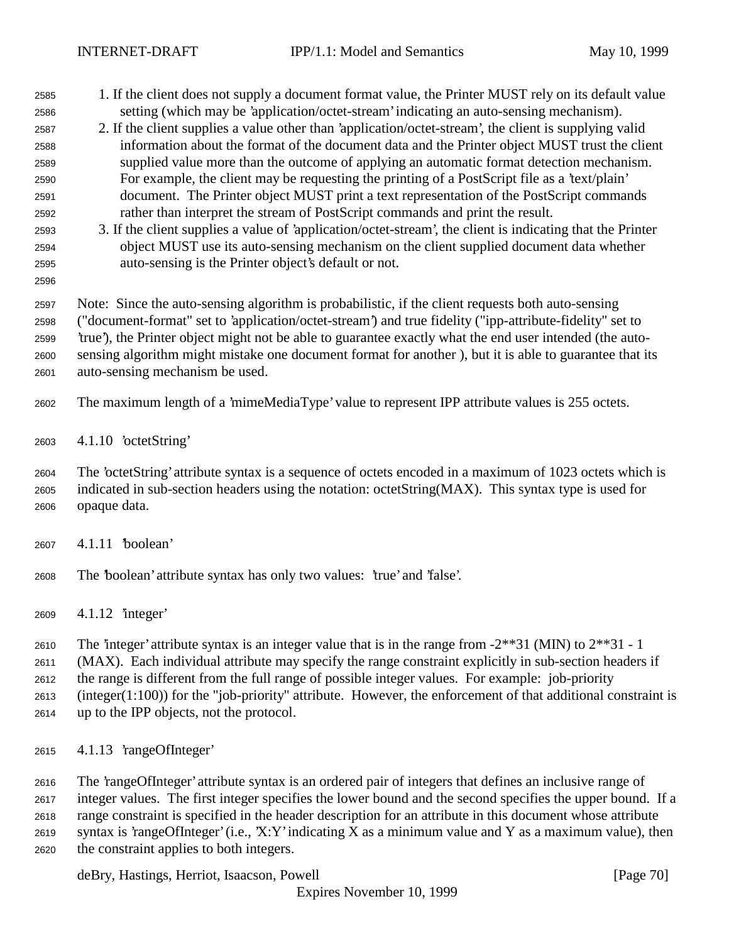- 1. If the client does not supply a document format value, the Printer MUST rely on its default value setting (which may be 'application/octet-stream' indicating an auto-sensing mechanism).
- 2. If the client supplies a value other than 'application/octet-stream', the client is supplying valid information about the format of the document data and the Printer object MUST trust the client supplied value more than the outcome of applying an automatic format detection mechanism. For example, the client may be requesting the printing of a PostScript file as a 'text/plain' document. The Printer object MUST print a text representation of the PostScript commands rather than interpret the stream of PostScript commands and print the result.
- 3. If the client supplies a value of 'application/octet-stream', the client is indicating that the Printer object MUST use its auto-sensing mechanism on the client supplied document data whether auto-sensing is the Printer object's default or not.
- 

 Note: Since the auto-sensing algorithm is probabilistic, if the client requests both auto-sensing ("document-format" set to 'application/octet-stream') and true fidelity ("ipp-attribute-fidelity" set to 'true'), the Printer object might not be able to guarantee exactly what the end user intended (the auto- sensing algorithm might mistake one document format for another ), but it is able to guarantee that its auto-sensing mechanism be used.

- The maximum length of a 'mimeMediaType' value to represent IPP attribute values is 255 octets.
- 4.1.10 'octetString'

 The 'octetString' attribute syntax is a sequence of octets encoded in a maximum of 1023 octets which is indicated in sub-section headers using the notation: octetString(MAX). This syntax type is used for opaque data.

- 4.1.11 'boolean'
- The 'boolean' attribute syntax has only two values: 'true' and 'false'.
- 4.1.12 'integer'

2610 The 'integer' attribute syntax is an integer value that is in the range from  $-2**31$  (MIN) to  $2**31 - 1$ 

(MAX). Each individual attribute may specify the range constraint explicitly in sub-section headers if

the range is different from the full range of possible integer values. For example: job-priority

(integer(1:100)) for the "job-priority" attribute. However, the enforcement of that additional constraint is

- up to the IPP objects, not the protocol.
- 4.1.13 'rangeOfInteger'

 The 'rangeOfInteger' attribute syntax is an ordered pair of integers that defines an inclusive range of integer values. The first integer specifies the lower bound and the second specifies the upper bound. If a range constraint is specified in the header description for an attribute in this document whose attribute syntax is 'rangeOfInteger' (i.e., 'X:Y' indicating X as a minimum value and Y as a maximum value), then the constraint applies to both integers.

deBry, Hastings, Herriot, Isaacson, Powell [Page 70]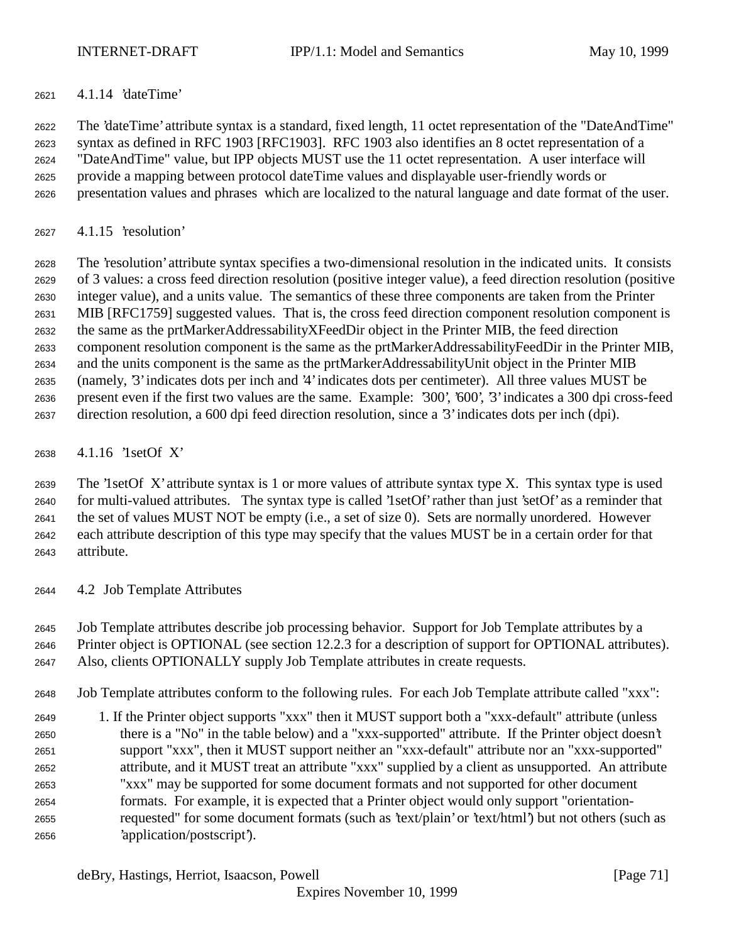4.1.14 'dateTime'

 The 'dateTime' attribute syntax is a standard, fixed length, 11 octet representation of the "DateAndTime" syntax as defined in RFC 1903 [RFC1903]. RFC 1903 also identifies an 8 octet representation of a "DateAndTime" value, but IPP objects MUST use the 11 octet representation. A user interface will provide a mapping between protocol dateTime values and displayable user-friendly words or presentation values and phrases which are localized to the natural language and date format of the user.

4.1.15 'resolution'

 The 'resolution' attribute syntax specifies a two-dimensional resolution in the indicated units. It consists of 3 values: a cross feed direction resolution (positive integer value), a feed direction resolution (positive integer value), and a units value. The semantics of these three components are taken from the Printer MIB [RFC1759] suggested values. That is, the cross feed direction component resolution component is the same as the prtMarkerAddressabilityXFeedDir object in the Printer MIB, the feed direction component resolution component is the same as the prtMarkerAddressabilityFeedDir in the Printer MIB, and the units component is the same as the prtMarkerAddressabilityUnit object in the Printer MIB (namely, '3' indicates dots per inch and '4' indicates dots per centimeter). All three values MUST be present even if the first two values are the same. Example: '300', '600', '3' indicates a 300 dpi cross-feed direction resolution, a 600 dpi feed direction resolution, since a '3' indicates dots per inch (dpi).

4.1.16 '1setOf X'

 The '1setOf X' attribute syntax is 1 or more values of attribute syntax type X. This syntax type is used for multi-valued attributes. The syntax type is called '1setOf' rather than just 'setOf' as a reminder that the set of values MUST NOT be empty (i.e., a set of size 0). Sets are normally unordered. However each attribute description of this type may specify that the values MUST be in a certain order for that attribute.

4.2 Job Template Attributes

 Job Template attributes describe job processing behavior. Support for Job Template attributes by a Printer object is OPTIONAL (see section 12.2.3 for a description of support for OPTIONAL attributes).

- Also, clients OPTIONALLY supply Job Template attributes in create requests.
- Job Template attributes conform to the following rules. For each Job Template attribute called "xxx":
- 1. If the Printer object supports "xxx" then it MUST support both a "xxx-default" attribute (unless there is a "No" in the table below) and a "xxx-supported" attribute. If the Printer object doesn't support "xxx", then it MUST support neither an "xxx-default" attribute nor an "xxx-supported" attribute, and it MUST treat an attribute "xxx" supplied by a client as unsupported. An attribute "xxx" may be supported for some document formats and not supported for other document formats. For example, it is expected that a Printer object would only support "orientation- requested" for some document formats (such as 'text/plain' or 'text/html') but not others (such as 'application/postscript').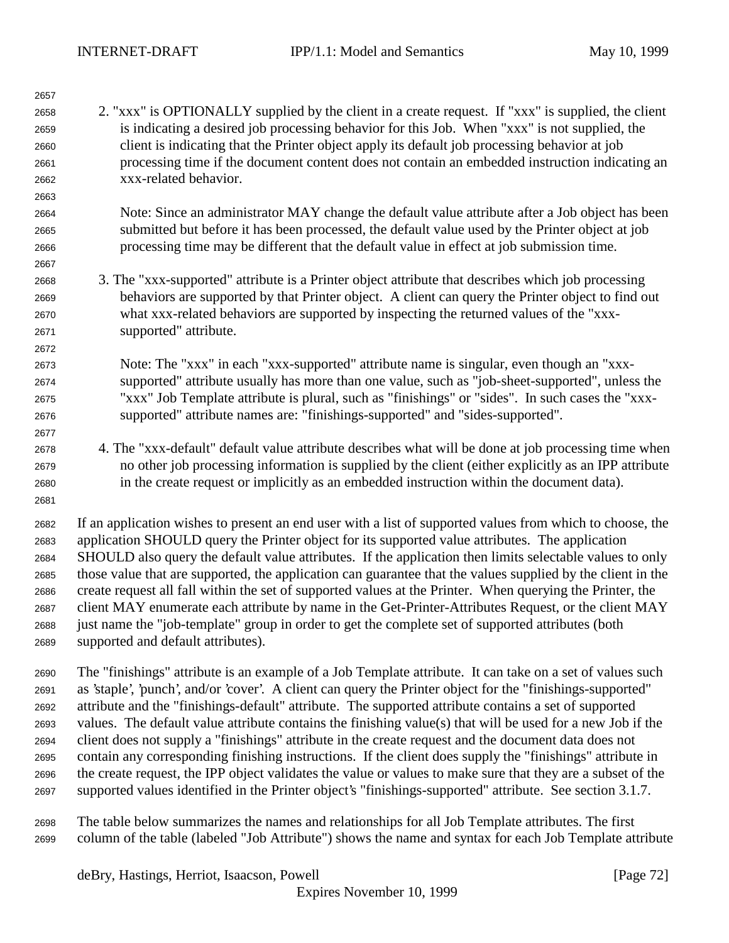| 2. "xxx" is OPTIONALLY supplied by the client in a create request. If "xxx" is supplied, the client<br>2658<br>is indicating a desired job processing behavior for this Job. When "xxx" is not supplied, the<br>2659<br>client is indicating that the Printer object apply its default job processing behavior at job<br>2660<br>processing time if the document content does not contain an embedded instruction indicating an<br>2661<br>xxx-related behavior.<br>2662<br>2663<br>Note: Since an administrator MAY change the default value attribute after a Job object has been<br>2664 |
|---------------------------------------------------------------------------------------------------------------------------------------------------------------------------------------------------------------------------------------------------------------------------------------------------------------------------------------------------------------------------------------------------------------------------------------------------------------------------------------------------------------------------------------------------------------------------------------------|
|                                                                                                                                                                                                                                                                                                                                                                                                                                                                                                                                                                                             |
|                                                                                                                                                                                                                                                                                                                                                                                                                                                                                                                                                                                             |
|                                                                                                                                                                                                                                                                                                                                                                                                                                                                                                                                                                                             |
|                                                                                                                                                                                                                                                                                                                                                                                                                                                                                                                                                                                             |
|                                                                                                                                                                                                                                                                                                                                                                                                                                                                                                                                                                                             |
|                                                                                                                                                                                                                                                                                                                                                                                                                                                                                                                                                                                             |
|                                                                                                                                                                                                                                                                                                                                                                                                                                                                                                                                                                                             |
| submitted but before it has been processed, the default value used by the Printer object at job<br>2665                                                                                                                                                                                                                                                                                                                                                                                                                                                                                     |
| processing time may be different that the default value in effect at job submission time.<br>2666                                                                                                                                                                                                                                                                                                                                                                                                                                                                                           |
| 2667                                                                                                                                                                                                                                                                                                                                                                                                                                                                                                                                                                                        |
| 3. The "xxx-supported" attribute is a Printer object attribute that describes which job processing<br>2668                                                                                                                                                                                                                                                                                                                                                                                                                                                                                  |
| behaviors are supported by that Printer object. A client can query the Printer object to find out<br>2669                                                                                                                                                                                                                                                                                                                                                                                                                                                                                   |
| what xxx-related behaviors are supported by inspecting the returned values of the "xxx-<br>2670                                                                                                                                                                                                                                                                                                                                                                                                                                                                                             |
| supported" attribute.<br>2671                                                                                                                                                                                                                                                                                                                                                                                                                                                                                                                                                               |
| 2672                                                                                                                                                                                                                                                                                                                                                                                                                                                                                                                                                                                        |
| Note: The "xxx" in each "xxx-supported" attribute name is singular, even though an "xxx-<br>2673                                                                                                                                                                                                                                                                                                                                                                                                                                                                                            |
| supported" attribute usually has more than one value, such as "job-sheet-supported", unless the<br>2674                                                                                                                                                                                                                                                                                                                                                                                                                                                                                     |
| "xxx" Job Template attribute is plural, such as "finishings" or "sides". In such cases the "xxx-<br>2675                                                                                                                                                                                                                                                                                                                                                                                                                                                                                    |
| supported" attribute names are: "finishings-supported" and "sides-supported".<br>2676                                                                                                                                                                                                                                                                                                                                                                                                                                                                                                       |
| 2677                                                                                                                                                                                                                                                                                                                                                                                                                                                                                                                                                                                        |
| 4. The "xxx-default" default value attribute describes what will be done at job processing time when<br>2678                                                                                                                                                                                                                                                                                                                                                                                                                                                                                |
| no other job processing information is supplied by the client (either explicitly as an IPP attribute<br>2679                                                                                                                                                                                                                                                                                                                                                                                                                                                                                |
| in the create request or implicitly as an embedded instruction within the document data).<br>2680                                                                                                                                                                                                                                                                                                                                                                                                                                                                                           |
| 2681                                                                                                                                                                                                                                                                                                                                                                                                                                                                                                                                                                                        |
| If an application wishes to present an end user with a list of supported values from which to choose, the<br>2682                                                                                                                                                                                                                                                                                                                                                                                                                                                                           |
| application SHOULD query the Printer object for its supported value attributes. The application<br>2683                                                                                                                                                                                                                                                                                                                                                                                                                                                                                     |
| SHOULD also query the default value attributes. If the application then limits selectable values to only<br>2684                                                                                                                                                                                                                                                                                                                                                                                                                                                                            |
| those value that are supported, the application can guarantee that the values supplied by the client in the<br>2685                                                                                                                                                                                                                                                                                                                                                                                                                                                                         |
| create request all fall within the set of supported values at the Printer. When querying the Printer, the<br>2686                                                                                                                                                                                                                                                                                                                                                                                                                                                                           |
| client MAY enumerate each attribute by name in the Get-Printer-Attributes Request, or the client MAY<br>2687                                                                                                                                                                                                                                                                                                                                                                                                                                                                                |
| just name the "job-template" group in order to get the complete set of supported attributes (both<br>2688                                                                                                                                                                                                                                                                                                                                                                                                                                                                                   |
| supported and default attributes).<br>2689                                                                                                                                                                                                                                                                                                                                                                                                                                                                                                                                                  |
| The "finishings" attribute is an example of a Job Template attribute. It can take on a set of values such<br>2690                                                                                                                                                                                                                                                                                                                                                                                                                                                                           |
| as 'staple', 'punch', and/or 'cover'. A client can query the Printer object for the "finishings-supported"                                                                                                                                                                                                                                                                                                                                                                                                                                                                                  |
| 2691<br>attribute and the "finishings-default" attribute. The supported attribute contains a set of supported<br>2692                                                                                                                                                                                                                                                                                                                                                                                                                                                                       |
| values. The default value attribute contains the finishing value(s) that will be used for a new Job if the                                                                                                                                                                                                                                                                                                                                                                                                                                                                                  |
| 2693<br>client does not supply a "finishings" attribute in the create request and the document data does not<br>2694                                                                                                                                                                                                                                                                                                                                                                                                                                                                        |
| contain any corresponding finishing instructions. If the client does supply the "finishings" attribute in<br>2695                                                                                                                                                                                                                                                                                                                                                                                                                                                                           |
| the create request, the IPP object validates the value or values to make sure that they are a subset of the<br>2696                                                                                                                                                                                                                                                                                                                                                                                                                                                                         |
| supported values identified in the Printer object's "finishings-supported" attribute. See section 3.1.7.<br>2697                                                                                                                                                                                                                                                                                                                                                                                                                                                                            |

 The table below summarizes the names and relationships for all Job Template attributes. The first column of the table (labeled "Job Attribute") shows the name and syntax for each Job Template attribute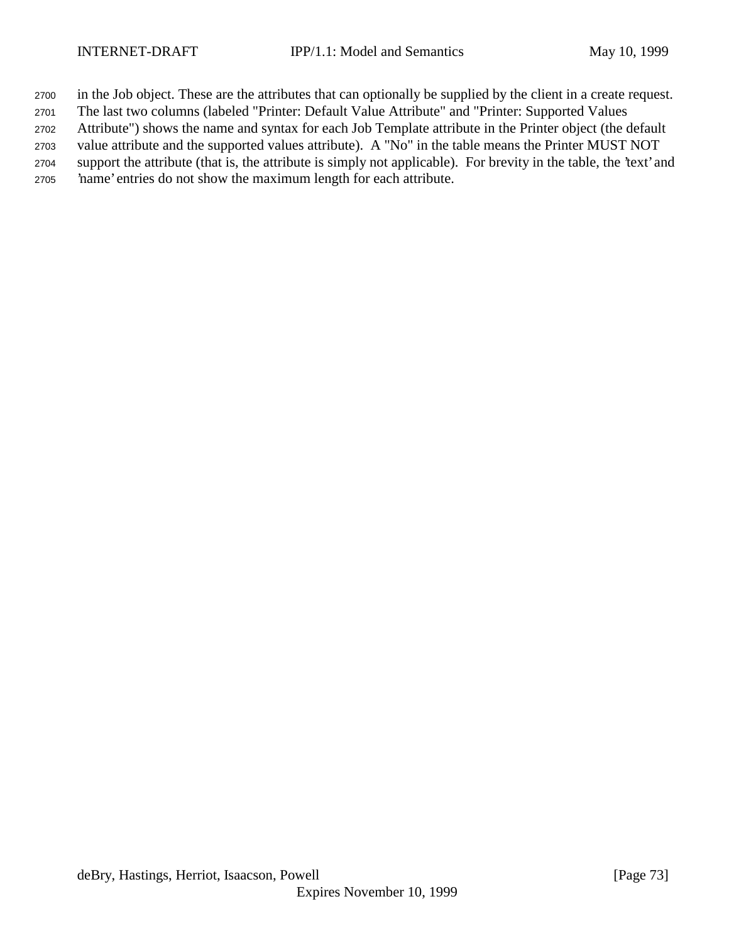in the Job object. These are the attributes that can optionally be supplied by the client in a create request.

The last two columns (labeled "Printer: Default Value Attribute" and "Printer: Supported Values

Attribute") shows the name and syntax for each Job Template attribute in the Printer object (the default

 value attribute and the supported values attribute). A "No" in the table means the Printer MUST NOT support the attribute (that is, the attribute is simply not applicable). For brevity in the table, the 'text' and

'name' entries do not show the maximum length for each attribute.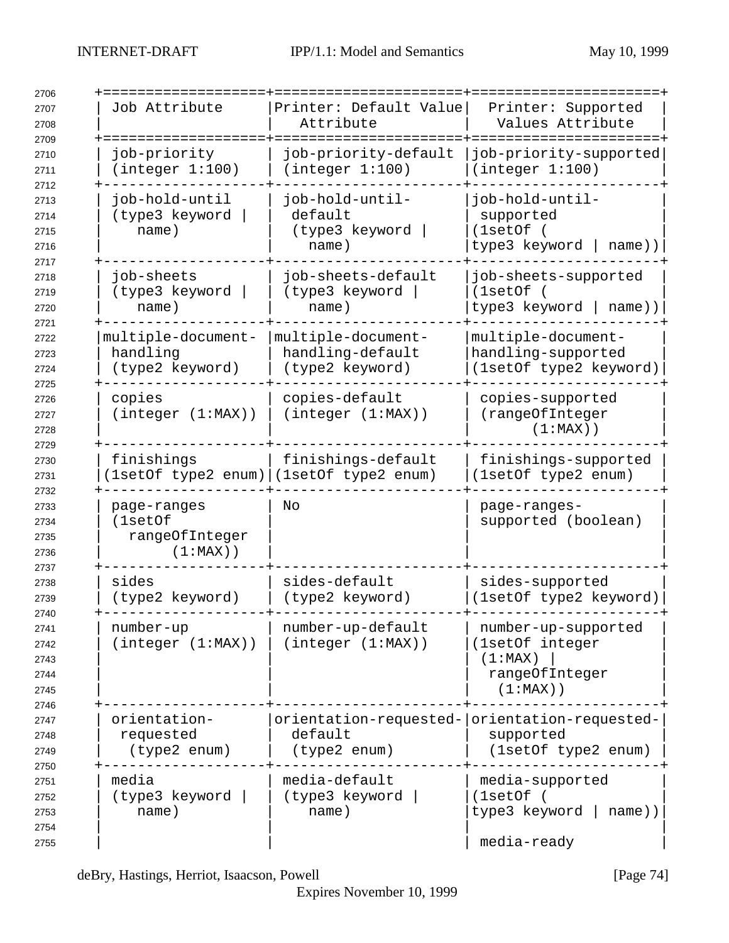| Job Attribute                                           | Printer: Default Value<br>Attribute                           | Printer: Supported<br>Values Attribute                                             |
|---------------------------------------------------------|---------------------------------------------------------------|------------------------------------------------------------------------------------|
| job-priority<br>(integer 1:100)                         | job-priority-default<br>(integer 1:100)                       | job-priority-supported<br>(integer 1:100)                                          |
| job-hold-until<br>(type3 keyword<br>name)               | job-hold-until-<br>default<br>(type3 keyword<br>name)         | job-hold-until-<br>supported<br>(1setOf (<br>type3 keyword<br>$name)$ )            |
| job-sheets<br>(type3 keyword<br>name)                   | job-sheets-default<br>(type3 keyword<br>name)                 | job-sheets-supported<br>(1setOf (<br>type3 keyword  <br>name))                     |
| multiple-document-<br>handling<br>(type2 keyword)       | multiple-document-<br>handling-default<br>(type2 keyword)     | multiple-document-<br>handling-supported<br>(1setOf type2 keyword)                 |
| copies<br>(integer (1:MAX))                             | copies-default<br>(integer (1:MAX))                           | copies-supported<br>(rangeOfInteger<br>$(1:MAX)$ )                                 |
| finishings                                              | finishings-default<br>[1setOf type2 enum) (1setOf type2 enum) | finishings-supported<br>(1setOf type2 enum)                                        |
| page-ranges<br>(1setOf<br>rangeOfInteger<br>$(1:MAX)$ ) | No                                                            | page-ranges-<br>supported (boolean)                                                |
| sides<br>(type2 keyword)                                | sides-default<br>(type2 keyword)                              | sides-supported<br>(1setOf type2 keyword)                                          |
| number-up<br>(integer (1:MAX))                          | number-up-default<br>(integer (1:MAX))                        | number-up-supported<br>(1setOf integer<br>(1:MAX)<br>rangeOfInteger<br>$(1:MAX)$ ) |
| orientation-<br>requested<br>(type2 enum)               | default<br>(type2 enum)                                       | orientation-requested- orientation-requested-<br>supported<br>(1setOf type2 enum)  |
| media<br>(type3 keyword<br>name)                        | media-default<br>(type3 keyword<br>name)                      | media-supported<br>(1setOf)<br>type3 keyword<br>$name)$ )<br>media-ready           |

deBry, Hastings, Herriot, Isaacson, Powell [Page 74]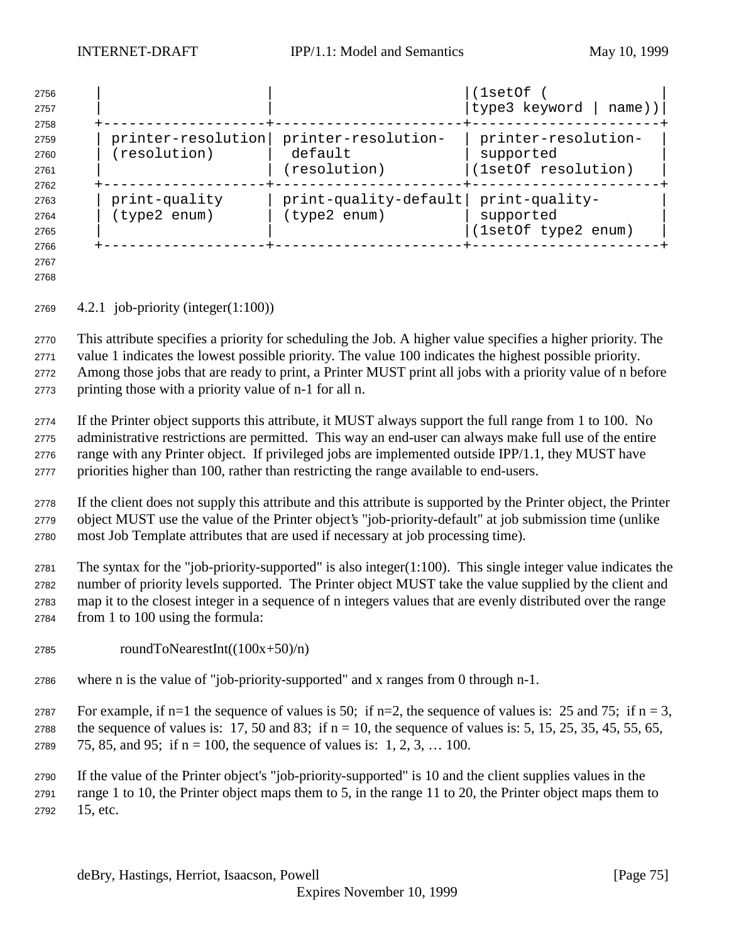| 2756<br>2757 |                    |                       | (1setOf<br> type3 keyword   name)) |
|--------------|--------------------|-----------------------|------------------------------------|
| 2758<br>2759 | printer-resolution | printer-resolution-   | printer-resolution-                |
|              |                    |                       |                                    |
| 2760         | (resolution)       | default               | supported                          |
| 2761         |                    | (resolution)          | (1setOf resolution)                |
| 2762         |                    |                       |                                    |
| 2763         | print-quality      | print-quality-default | print-quality-                     |
| 2764         | (type2 enum)       | (type2 enum)          | supported                          |
| 2765         |                    |                       | (1setOf type2 enum)                |
| 2766         |                    |                       |                                    |

 

4.2.1 job-priority (integer(1:100))

 This attribute specifies a priority for scheduling the Job. A higher value specifies a higher priority. The value 1 indicates the lowest possible priority. The value 100 indicates the highest possible priority. Among those jobs that are ready to print, a Printer MUST print all jobs with a priority value of n before printing those with a priority value of n-1 for all n.

 If the Printer object supports this attribute, it MUST always support the full range from 1 to 100. No administrative restrictions are permitted. This way an end-user can always make full use of the entire range with any Printer object. If privileged jobs are implemented outside IPP/1.1, they MUST have priorities higher than 100, rather than restricting the range available to end-users.

 If the client does not supply this attribute and this attribute is supported by the Printer object, the Printer object MUST use the value of the Printer object's "job-priority-default" at job submission time (unlike most Job Template attributes that are used if necessary at job processing time).

 The syntax for the "job-priority-supported" is also integer(1:100). This single integer value indicates the number of priority levels supported. The Printer object MUST take the value supplied by the client and map it to the closest integer in a sequence of n integers values that are evenly distributed over the range from 1 to 100 using the formula:

- roundToNearestInt( $(100x+50)/n$ )
- where n is the value of "job-priority-supported" and x ranges from 0 through n-1.

2787 For example, if n=1 the sequence of values is 50; if n=2, the sequence of values is: 25 and 75; if n = 3,

2788 the sequence of values is: 17, 50 and 83; if  $n = 10$ , the sequence of values is: 5, 15, 25, 35, 45, 55, 65, 2789 75, 85, and 95; if  $n = 100$ , the sequence of values is: 1, 2, 3, ... 100.

 If the value of the Printer object's "job-priority-supported" is 10 and the client supplies values in the range 1 to 10, the Printer object maps them to 5, in the range 11 to 20, the Printer object maps them to 15, etc.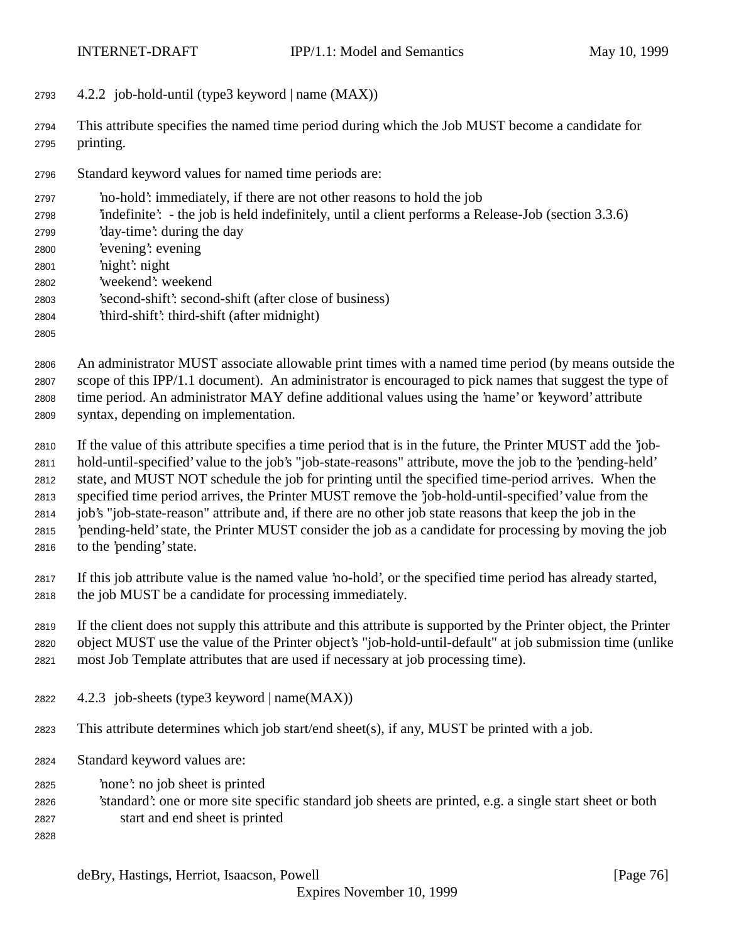- 4.2.2 job-hold-until (type3 keyword | name (MAX))
- This attribute specifies the named time period during which the Job MUST become a candidate for printing.
- Standard keyword values for named time periods are:
- 'no-hold': immediately, if there are not other reasons to hold the job
- 'indefinite': the job is held indefinitely, until a client performs a Release-Job (section 3.3.6)
- 'day-time': during the day
- 'evening': evening
- 'night': night
- 'weekend': weekend
- 'second-shift': second-shift (after close of business)
- 'third-shift': third-shift (after midnight)
- 

 An administrator MUST associate allowable print times with a named time period (by means outside the scope of this IPP/1.1 document). An administrator is encouraged to pick names that suggest the type of time period. An administrator MAY define additional values using the 'name' or 'keyword' attribute syntax, depending on implementation.

- If the value of this attribute specifies a time period that is in the future, the Printer MUST add the 'job- hold-until-specified' value to the job's "job-state-reasons" attribute, move the job to the 'pending-held' state, and MUST NOT schedule the job for printing until the specified time-period arrives. When the specified time period arrives, the Printer MUST remove the 'job-hold-until-specified' value from the job's "job-state-reason" attribute and, if there are no other job state reasons that keep the job in the 'pending-held' state, the Printer MUST consider the job as a candidate for processing by moving the job
- to the 'pending' state.
- If this job attribute value is the named value 'no-hold', or the specified time period has already started, the job MUST be a candidate for processing immediately.

If the client does not supply this attribute and this attribute is supported by the Printer object, the Printer

object MUST use the value of the Printer object's "job-hold-until-default" at job submission time (unlike

- most Job Template attributes that are used if necessary at job processing time).
- 4.2.3 job-sheets (type3 keyword | name(MAX))
- This attribute determines which job start/end sheet(s), if any, MUST be printed with a job.
- Standard keyword values are:
- 'none': no job sheet is printed
- 'standard': one or more site specific standard job sheets are printed, e.g. a single start sheet or both start and end sheet is printed
-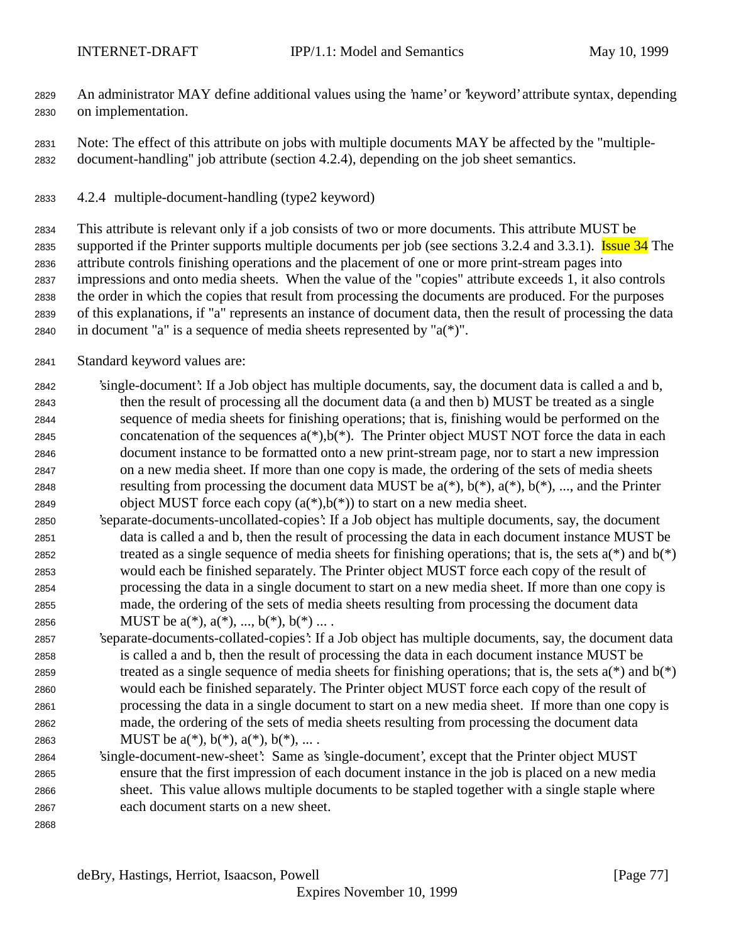An administrator MAY define additional values using the 'name' or 'keyword' attribute syntax, depending on implementation.

 Note: The effect of this attribute on jobs with multiple documents MAY be affected by the "multiple-document-handling" job attribute (section 4.2.4), depending on the job sheet semantics.

4.2.4 multiple-document-handling (type2 keyword)

 This attribute is relevant only if a job consists of two or more documents. This attribute MUST be 2835 supported if the Printer supports multiple documents per job (see sections 3.2.4 and 3.3.1). Issue 34 The attribute controls finishing operations and the placement of one or more print-stream pages into impressions and onto media sheets. When the value of the "copies" attribute exceeds 1, it also controls the order in which the copies that result from processing the documents are produced. For the purposes of this explanations, if "a" represents an instance of document data, then the result of processing the data 2840 in document "a" is a sequence of media sheets represented by " $a(*)$ ".

- Standard keyword values are:
- 'single-document': If a Job object has multiple documents, say, the document data is called a and b, then the result of processing all the document data (a and then b) MUST be treated as a single sequence of media sheets for finishing operations; that is, finishing would be performed on the 2845 concatenation of the sequences  $a(*)$ ,  $b(*)$ . The Printer object MUST NOT force the data in each document instance to be formatted onto a new print-stream page, nor to start a new impression on a new media sheet. If more than one copy is made, the ordering of the sets of media sheets 2848 resulting from processing the document data MUST be  $a(*)$ ,  $b(*)$ ,  $a(*)$ ,  $b(*)$ , ..., and the Printer 2849 object MUST force each copy  $(a(*),b(*))$  to start on a new media sheet.
- 'separate-documents-uncollated-copies': If a Job object has multiple documents, say, the document data is called a and b, then the result of processing the data in each document instance MUST be 2852 treated as a single sequence of media sheets for finishing operations; that is, the sets  $a(*)$  and  $b(*)$  would each be finished separately. The Printer object MUST force each copy of the result of processing the data in a single document to start on a new media sheet. If more than one copy is made, the ordering of the sets of media sheets resulting from processing the document data 2856 MUST be  $a(*), a(*), ..., b(*), b(*)...$ .
- 'separate-documents-collated-copies': If a Job object has multiple documents, say, the document data is called a and b, then the result of processing the data in each document instance MUST be 2859 treated as a single sequence of media sheets for finishing operations; that is, the sets  $a(*)$  and  $b(*)$  would each be finished separately. The Printer object MUST force each copy of the result of processing the data in a single document to start on a new media sheet. If more than one copy is made, the ordering of the sets of media sheets resulting from processing the document data 2863 MUST be  $a(*), b(*), a(*), b(*), \ldots$ .
- 'single-document-new-sheet': Same as 'single-document', except that the Printer object MUST ensure that the first impression of each document instance in the job is placed on a new media sheet. This value allows multiple documents to be stapled together with a single staple where each document starts on a new sheet.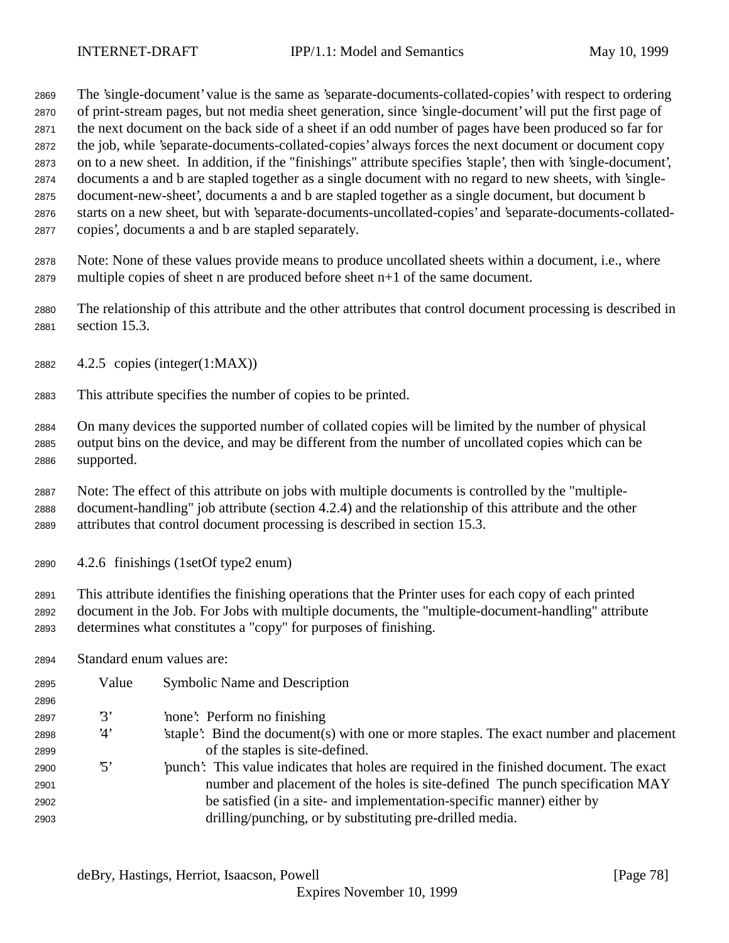The 'single-document' value is the same as 'separate-documents-collated-copies' with respect to ordering of print-stream pages, but not media sheet generation, since 'single-document' will put the first page of the next document on the back side of a sheet if an odd number of pages have been produced so far for the job, while 'separate-documents-collated-copies' always forces the next document or document copy on to a new sheet. In addition, if the "finishings" attribute specifies 'staple', then with 'single-document', documents a and b are stapled together as a single document with no regard to new sheets, with 'single- document-new-sheet', documents a and b are stapled together as a single document, but document b starts on a new sheet, but with 'separate-documents-uncollated-copies' and 'separate-documents-collated-copies', documents a and b are stapled separately.

 Note: None of these values provide means to produce uncollated sheets within a document, i.e., where multiple copies of sheet n are produced before sheet n+1 of the same document.

 The relationship of this attribute and the other attributes that control document processing is described in section 15.3.

- 4.2.5 copies (integer(1:MAX))
- This attribute specifies the number of copies to be printed.

 On many devices the supported number of collated copies will be limited by the number of physical output bins on the device, and may be different from the number of uncollated copies which can be supported.

 Note: The effect of this attribute on jobs with multiple documents is controlled by the "multiple- document-handling" job attribute (section 4.2.4) and the relationship of this attribute and the other attributes that control document processing is described in section 15.3.

4.2.6 finishings (1setOf type2 enum)

 This attribute identifies the finishing operations that the Printer uses for each copy of each printed document in the Job. For Jobs with multiple documents, the "multiple-document-handling" attribute determines what constitutes a "copy" for purposes of finishing.

Standard enum values are:

| 2895 | Value          | <b>Symbolic Name and Description</b>                                                     |
|------|----------------|------------------------------------------------------------------------------------------|
| 2896 |                |                                                                                          |
| 2897 | $\mathcal{B}'$ | 'none': Perform no finishing                                                             |
| 2898 | '4'            | staple. Bind the document (s) with one or more staples. The exact number and placement   |
| 2899 |                | of the staples is site-defined.                                                          |
| 2900 | '5'            | punch': This value indicates that holes are required in the finished document. The exact |
| 2901 |                | number and placement of the holes is site-defined. The punch specification MAY           |
| 2902 |                | be satisfied (in a site- and implementation-specific manner) either by                   |
| 2903 |                | drilling/punching, or by substituting pre-drilled media.                                 |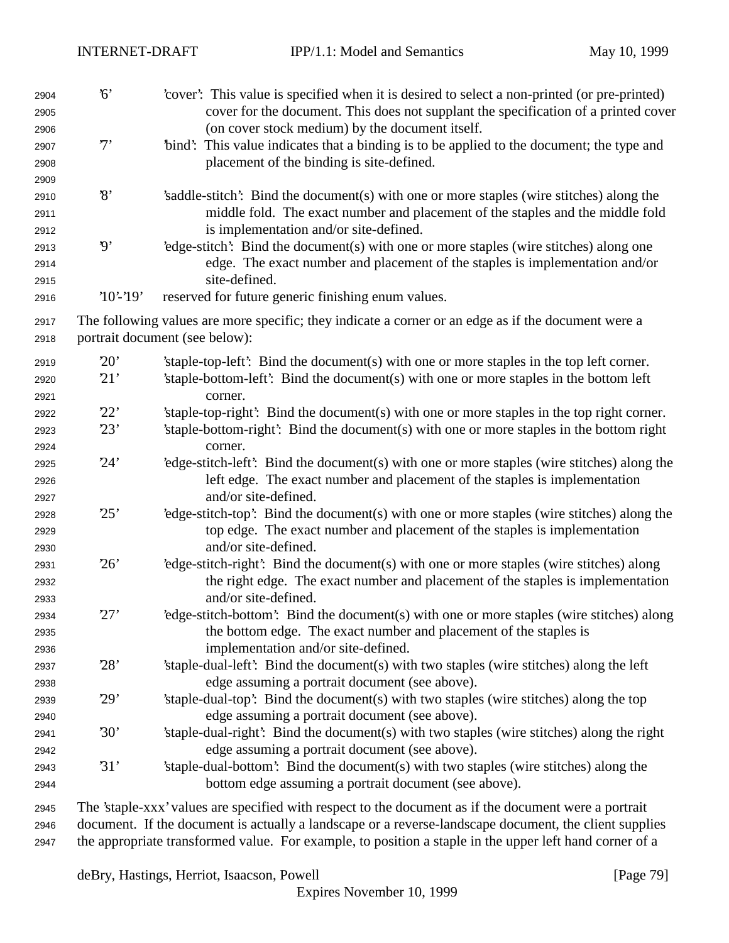| 2904<br>2905 | 6'                       | 'cover': This value is specified when it is desired to select a non-printed (or pre-printed)<br>cover for the document. This does not supplant the specification of a printed cover |
|--------------|--------------------------|-------------------------------------------------------------------------------------------------------------------------------------------------------------------------------------|
| 2906         | 7'                       | (on cover stock medium) by the document itself.<br>"bind": This value indicates that a binding is to be applied to the document; the type and                                       |
| 2907<br>2908 |                          | placement of the binding is site-defined.                                                                                                                                           |
| 2909         |                          |                                                                                                                                                                                     |
| 2910         | $\mathcal{S}$            | 'saddle-stitch': Bind the document(s) with one or more staples (wire stitches) along the                                                                                            |
| 2911         |                          | middle fold. The exact number and placement of the staples and the middle fold                                                                                                      |
| 2912         |                          | is implementation and/or site-defined.                                                                                                                                              |
| 2913         | $\boldsymbol{\vartheta}$ | 'edge-stitch': Bind the document(s) with one or more staples (wire stitches) along one                                                                                              |
| 2914         |                          | edge. The exact number and placement of the staples is implementation and/or                                                                                                        |
| 2915         |                          | site-defined.                                                                                                                                                                       |
| 2916         | $'10'$ -'19'             | reserved for future generic finishing enum values.                                                                                                                                  |
| 2917         |                          | The following values are more specific; they indicate a corner or an edge as if the document were a                                                                                 |
| 2918         |                          | portrait document (see below):                                                                                                                                                      |
|              |                          |                                                                                                                                                                                     |
| 2919         | 20'                      | 'staple-top-left': Bind the document(s) with one or more staples in the top left corner.                                                                                            |
| 2920         | 21'                      | 'staple-bottom-left': Bind the document(s) with one or more staples in the bottom left                                                                                              |
| 2921         |                          | corner.                                                                                                                                                                             |
| 2922         | 22'                      | 'staple-top-right': Bind the document(s) with one or more staples in the top right corner.                                                                                          |
| 2923         | 23'                      | 'staple-bottom-right': Bind the document(s) with one or more staples in the bottom right                                                                                            |
| 2924         |                          | corner.                                                                                                                                                                             |
| 2925         | 24'                      | 'edge-stitch-left': Bind the document(s) with one or more staples (wire stitches) along the                                                                                         |
| 2926         |                          | left edge. The exact number and placement of the staples is implementation<br>and/or site-defined.                                                                                  |
| 2927         | 25'                      |                                                                                                                                                                                     |
| 2928         |                          | 'edge-stitch-top': Bind the document(s) with one or more staples (wire stitches) along the                                                                                          |
| 2929         |                          | top edge. The exact number and placement of the staples is implementation<br>and/or site-defined.                                                                                   |
| 2930         | 26'                      | 'edge-stitch-right': Bind the document(s) with one or more staples (wire stitches) along                                                                                            |
| 2931<br>2932 |                          | the right edge. The exact number and placement of the staples is implementation                                                                                                     |
| 2933         |                          | and/or site-defined.                                                                                                                                                                |
| 2934         | 27'                      | 'edge-stitch-bottom': Bind the document(s) with one or more staples (wire stitches) along                                                                                           |
| 2935         |                          | the bottom edge. The exact number and placement of the staples is                                                                                                                   |
| 2936         |                          | implementation and/or site-defined.                                                                                                                                                 |
| 2937         | 28'                      | 'staple-dual-left': Bind the document(s) with two staples (wire stitches) along the left                                                                                            |
| 2938         |                          | edge assuming a portrait document (see above).                                                                                                                                      |
| 2939         | 29'                      | 'staple-dual-top': Bind the document(s) with two staples (wire stitches) along the top                                                                                              |
| 2940         |                          | edge assuming a portrait document (see above).                                                                                                                                      |
| 2941         | 30'                      | 'staple-dual-right': Bind the document(s) with two staples (wire stitches) along the right                                                                                          |
| 2942         |                          | edge assuming a portrait document (see above).                                                                                                                                      |
| 2943         | 31'                      | 'staple-dual-bottom': Bind the document(s) with two staples (wire stitches) along the                                                                                               |
| 2944         |                          | bottom edge assuming a portrait document (see above).                                                                                                                               |
| 2945         |                          | The 'staple-xxx' values are specified with respect to the document as if the document were a portrait                                                                               |
|              |                          |                                                                                                                                                                                     |

 document. If the document is actually a landscape or a reverse-landscape document, the client supplies the appropriate transformed value. For example, to position a staple in the upper left hand corner of a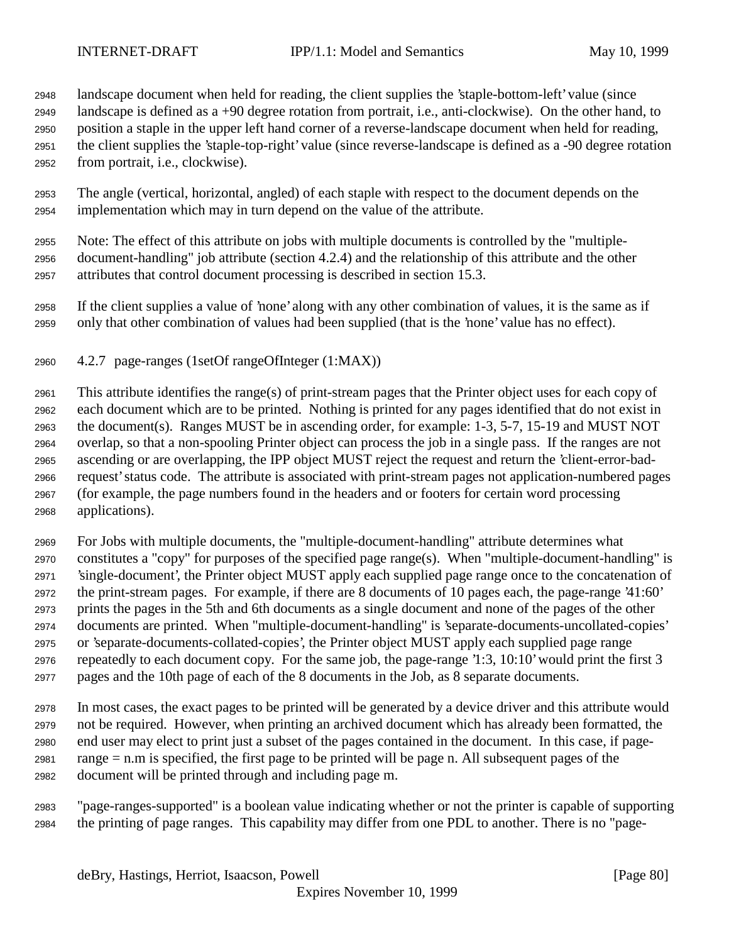landscape document when held for reading, the client supplies the 'staple-bottom-left' value (since

 landscape is defined as a +90 degree rotation from portrait, i.e., anti-clockwise). On the other hand, to position a staple in the upper left hand corner of a reverse-landscape document when held for reading, the client supplies the 'staple-top-right' value (since reverse-landscape is defined as a -90 degree rotation from portrait, i.e., clockwise).

 The angle (vertical, horizontal, angled) of each staple with respect to the document depends on the implementation which may in turn depend on the value of the attribute.

 Note: The effect of this attribute on jobs with multiple documents is controlled by the "multiple- document-handling" job attribute (section 4.2.4) and the relationship of this attribute and the other attributes that control document processing is described in section 15.3.

 If the client supplies a value of 'none' along with any other combination of values, it is the same as if only that other combination of values had been supplied (that is the 'none' value has no effect).

4.2.7 page-ranges (1setOf rangeOfInteger (1:MAX))

 This attribute identifies the range(s) of print-stream pages that the Printer object uses for each copy of each document which are to be printed. Nothing is printed for any pages identified that do not exist in the document(s). Ranges MUST be in ascending order, for example: 1-3, 5-7, 15-19 and MUST NOT overlap, so that a non-spooling Printer object can process the job in a single pass. If the ranges are not ascending or are overlapping, the IPP object MUST reject the request and return the 'client-error-bad- request' status code. The attribute is associated with print-stream pages not application-numbered pages (for example, the page numbers found in the headers and or footers for certain word processing applications).

 For Jobs with multiple documents, the "multiple-document-handling" attribute determines what constitutes a "copy" for purposes of the specified page range(s). When "multiple-document-handling" is 'single-document', the Printer object MUST apply each supplied page range once to the concatenation of the print-stream pages. For example, if there are 8 documents of 10 pages each, the page-range '41:60' prints the pages in the 5th and 6th documents as a single document and none of the pages of the other documents are printed. When "multiple-document-handling" is 'separate-documents-uncollated-copies' or 'separate-documents-collated-copies', the Printer object MUST apply each supplied page range repeatedly to each document copy. For the same job, the page-range '1:3, 10:10' would print the first 3 pages and the 10th page of each of the 8 documents in the Job, as 8 separate documents.

 In most cases, the exact pages to be printed will be generated by a device driver and this attribute would not be required. However, when printing an archived document which has already been formatted, the end user may elect to print just a subset of the pages contained in the document. In this case, if page- range = n.m is specified, the first page to be printed will be page n. All subsequent pages of the document will be printed through and including page m.

 "page-ranges-supported" is a boolean value indicating whether or not the printer is capable of supporting the printing of page ranges. This capability may differ from one PDL to another. There is no "page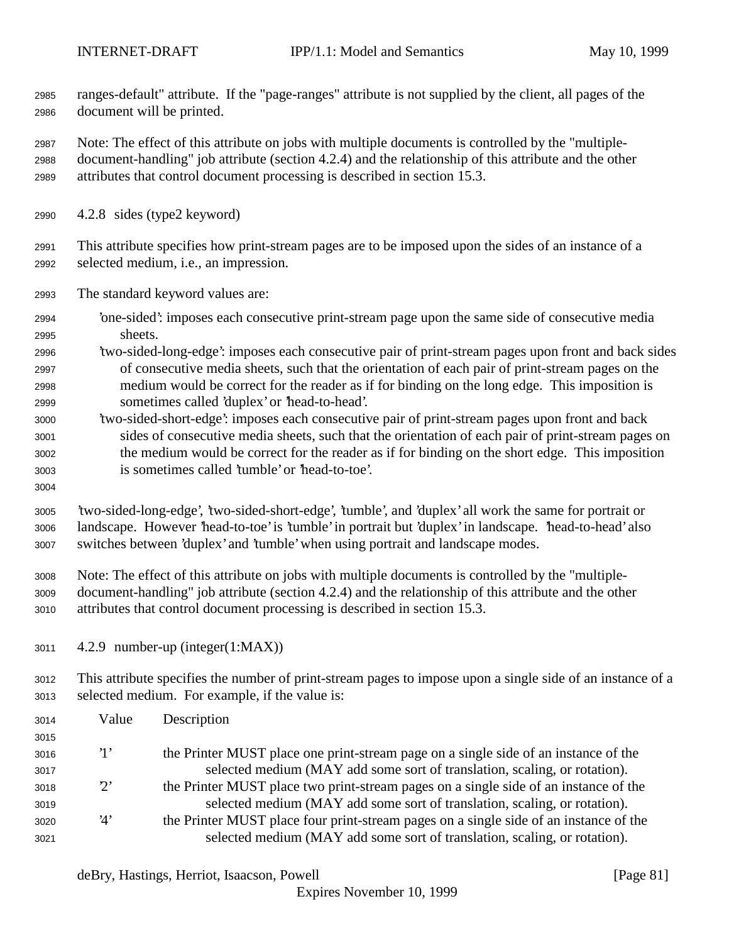ranges-default" attribute. If the "page-ranges" attribute is not supplied by the client, all pages of the document will be printed.

 Note: The effect of this attribute on jobs with multiple documents is controlled by the "multiple- document-handling" job attribute (section 4.2.4) and the relationship of this attribute and the other attributes that control document processing is described in section 15.3.

- 4.2.8 sides (type2 keyword)
- This attribute specifies how print-stream pages are to be imposed upon the sides of an instance of a selected medium, i.e., an impression.
- The standard keyword values are:
- 'one-sided': imposes each consecutive print-stream page upon the same side of consecutive media sheets.
- 'two-sided-long-edge': imposes each consecutive pair of print-stream pages upon front and back sides of consecutive media sheets, such that the orientation of each pair of print-stream pages on the medium would be correct for the reader as if for binding on the long edge. This imposition is sometimes called 'duplex' or 'head-to-head'.
- 'two-sided-short-edge': imposes each consecutive pair of print-stream pages upon front and back sides of consecutive media sheets, such that the orientation of each pair of print-stream pages on the medium would be correct for the reader as if for binding on the short edge. This imposition is sometimes called 'tumble' or 'head-to-toe'.
- 

 'two-sided-long-edge', 'two-sided-short-edge', 'tumble', and 'duplex' all work the same for portrait or landscape. However 'head-to-toe' is 'tumble' in portrait but 'duplex' in landscape. 'head-to-head' also switches between 'duplex' and 'tumble' when using portrait and landscape modes.

- Note: The effect of this attribute on jobs with multiple documents is controlled by the "multiple- document-handling" job attribute (section 4.2.4) and the relationship of this attribute and the other attributes that control document processing is described in section 15.3.
- 4.2.9 number-up (integer(1:MAX))

 This attribute specifies the number of print-stream pages to impose upon a single side of an instance of a selected medium. For example, if the value is:

| 3014 | Value       | Description                                                                           |
|------|-------------|---------------------------------------------------------------------------------------|
| 3015 |             |                                                                                       |
| 3016 | $\cdot_1$ , | the Printer MUST place one print-stream page on a single side of an instance of the   |
| 3017 |             | selected medium (MAY add some sort of translation, scaling, or rotation).             |
| 3018 | $2^{\circ}$ | the Printer MUST place two print-stream pages on a single side of an instance of the  |
| 3019 |             | selected medium (MAY add some sort of translation, scaling, or rotation).             |
| 3020 | '4'         | the Printer MUST place four print-stream pages on a single side of an instance of the |
| 3021 |             | selected medium (MAY add some sort of translation, scaling, or rotation).             |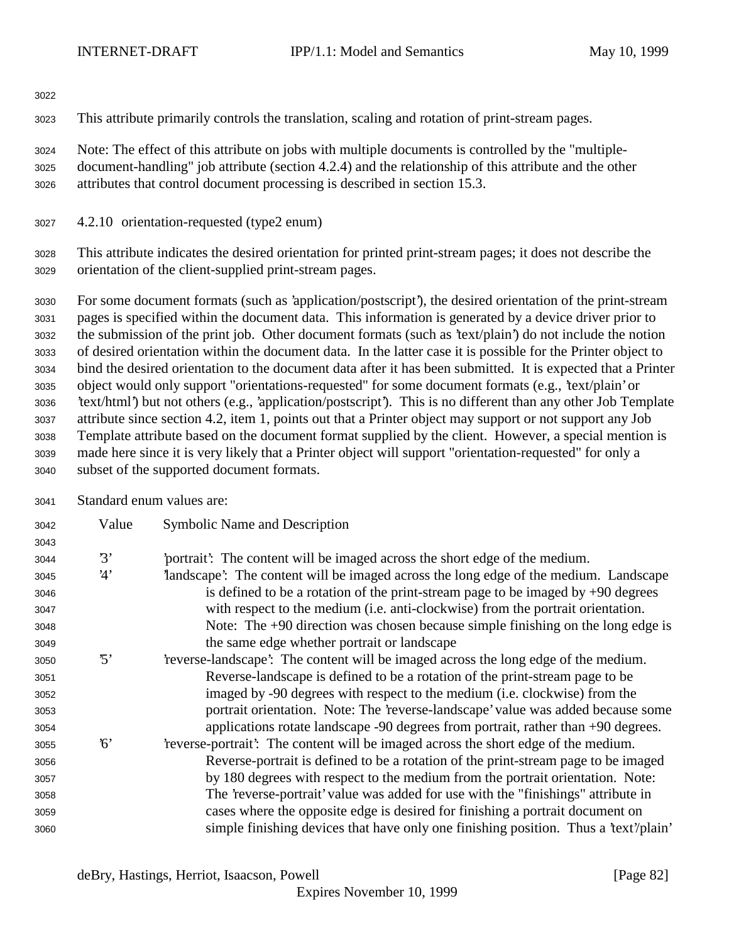This attribute primarily controls the translation, scaling and rotation of print-stream pages.

 Note: The effect of this attribute on jobs with multiple documents is controlled by the "multiple- document-handling" job attribute (section 4.2.4) and the relationship of this attribute and the other attributes that control document processing is described in section 15.3.

4.2.10 orientation-requested (type2 enum)

 This attribute indicates the desired orientation for printed print-stream pages; it does not describe the orientation of the client-supplied print-stream pages.

 For some document formats (such as 'application/postscript'), the desired orientation of the print-stream pages is specified within the document data. This information is generated by a device driver prior to the submission of the print job. Other document formats (such as 'text/plain') do not include the notion of desired orientation within the document data. In the latter case it is possible for the Printer object to bind the desired orientation to the document data after it has been submitted. It is expected that a Printer object would only support "orientations-requested" for some document formats (e.g., 'text/plain' or 'text/html') but not others (e.g., 'application/postscript'). This is no different than any other Job Template attribute since section 4.2, item 1, points out that a Printer object may support or not support any Job Template attribute based on the document format supplied by the client. However, a special mention is made here since it is very likely that a Printer object will support "orientation-requested" for only a subset of the supported document formats.

Standard enum values are:

| 3042 | Value      | Symbolic Name and Description                                                        |
|------|------------|--------------------------------------------------------------------------------------|
| 3043 |            |                                                                                      |
| 3044 | 3'         | portrait? The content will be imaged across the short edge of the medium.            |
| 3045 | 4'         | landscape': The content will be imaged across the long edge of the medium. Landscape |
| 3046 |            | is defined to be a rotation of the print-stream page to be imaged by $+90$ degrees   |
| 3047 |            | with respect to the medium (i.e. anti-clockwise) from the portrait orientation.      |
| 3048 |            | Note: The $+90$ direction was chosen because simple finishing on the long edge is    |
| 3049 |            | the same edge whether portrait or landscape                                          |
| 3050 | $\cdot$ 5' | reverse-landscape': The content will be imaged across the long edge of the medium.   |
| 3051 |            | Reverse-landscape is defined to be a rotation of the print-stream page to be         |
| 3052 |            | imaged by -90 degrees with respect to the medium (i.e. clockwise) from the           |
| 3053 |            | portrait orientation. Note: The 'reverse-landscape' value was added because some     |
| 3054 |            | applications rotate landscape -90 degrees from portrait, rather than +90 degrees.    |
| 3055 | 6'         | reverse-portrait? The content will be imaged across the short edge of the medium.    |
| 3056 |            | Reverse-portrait is defined to be a rotation of the print-stream page to be imaged   |
| 3057 |            | by 180 degrees with respect to the medium from the portrait orientation. Note:       |
| 3058 |            | The 'reverse-portrait' value was added for use with the "finishings" attribute in    |
| 3059 |            | cases where the opposite edge is desired for finishing a portrait document on        |
| 3060 |            | simple finishing devices that have only one finishing position. Thus a 'text'/plain' |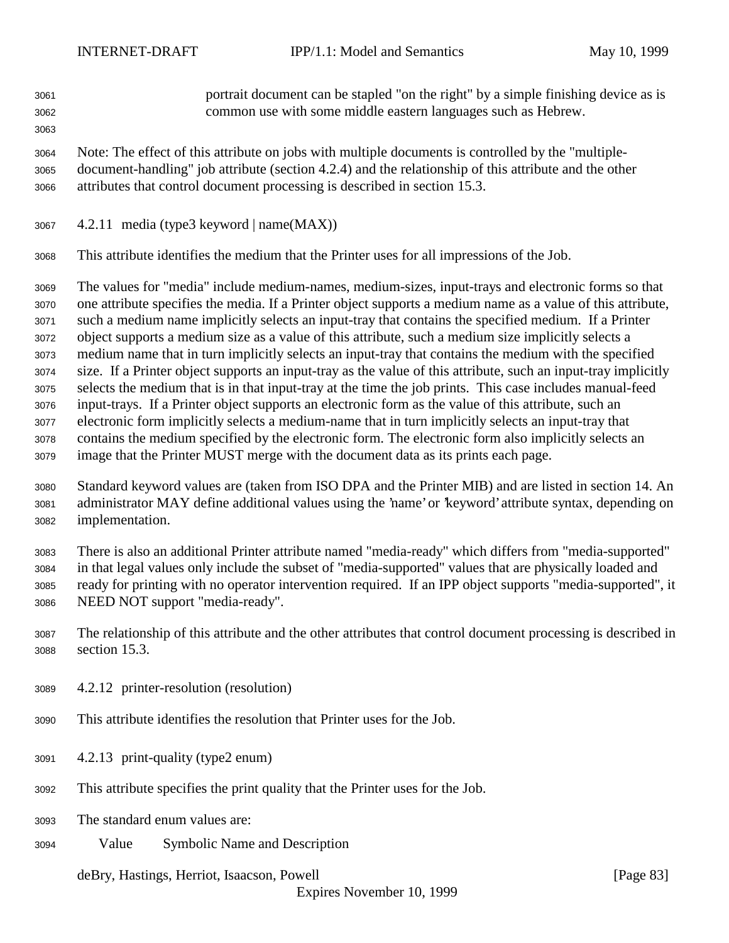portrait document can be stapled "on the right" by a simple finishing device as is common use with some middle eastern languages such as Hebrew. 

 Note: The effect of this attribute on jobs with multiple documents is controlled by the "multiple- document-handling" job attribute (section 4.2.4) and the relationship of this attribute and the other attributes that control document processing is described in section 15.3.

- 4.2.11 media (type3 keyword | name $(MAX)$ )
- This attribute identifies the medium that the Printer uses for all impressions of the Job.

 The values for "media" include medium-names, medium-sizes, input-trays and electronic forms so that one attribute specifies the media. If a Printer object supports a medium name as a value of this attribute, such a medium name implicitly selects an input-tray that contains the specified medium. If a Printer object supports a medium size as a value of this attribute, such a medium size implicitly selects a medium name that in turn implicitly selects an input-tray that contains the medium with the specified size. If a Printer object supports an input-tray as the value of this attribute, such an input-tray implicitly selects the medium that is in that input-tray at the time the job prints. This case includes manual-feed input-trays. If a Printer object supports an electronic form as the value of this attribute, such an electronic form implicitly selects a medium-name that in turn implicitly selects an input-tray that contains the medium specified by the electronic form. The electronic form also implicitly selects an image that the Printer MUST merge with the document data as its prints each page.

 Standard keyword values are (taken from ISO DPA and the Printer MIB) and are listed in section 14. An administrator MAY define additional values using the 'name' or 'keyword' attribute syntax, depending on implementation.

 There is also an additional Printer attribute named "media-ready" which differs from "media-supported" in that legal values only include the subset of "media-supported" values that are physically loaded and ready for printing with no operator intervention required. If an IPP object supports "media-supported", it NEED NOT support "media-ready".

- The relationship of this attribute and the other attributes that control document processing is described in section 15.3.
- 4.2.12 printer-resolution (resolution)
- This attribute identifies the resolution that Printer uses for the Job.
- 4.2.13 print-quality (type2 enum)
- This attribute specifies the print quality that the Printer uses for the Job.
- The standard enum values are:
- Value Symbolic Name and Description

deBry, Hastings, Herriot, Isaacson, Powell [Page 83]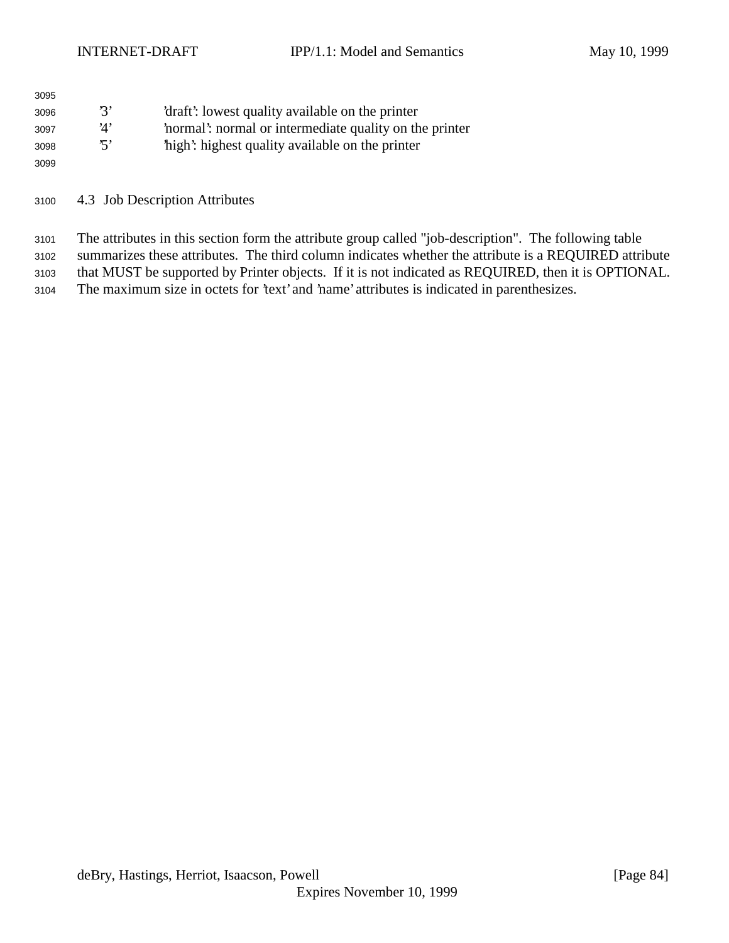| 3095 |            |                                                       |
|------|------------|-------------------------------------------------------|
| 3096 | י גי       | 'draft': lowest quality available on the printer      |
| 3097 | <u>'Λ'</u> | normal: normal or intermediate quality on the printer |
| 3098 | 'ה'        | high': highest quality available on the printer       |
| 3099 |            |                                                       |

4.3 Job Description Attributes

 The attributes in this section form the attribute group called "job-description". The following table summarizes these attributes. The third column indicates whether the attribute is a REQUIRED attribute that MUST be supported by Printer objects. If it is not indicated as REQUIRED, then it is OPTIONAL. The maximum size in octets for 'text' and 'name' attributes is indicated in parenthesizes.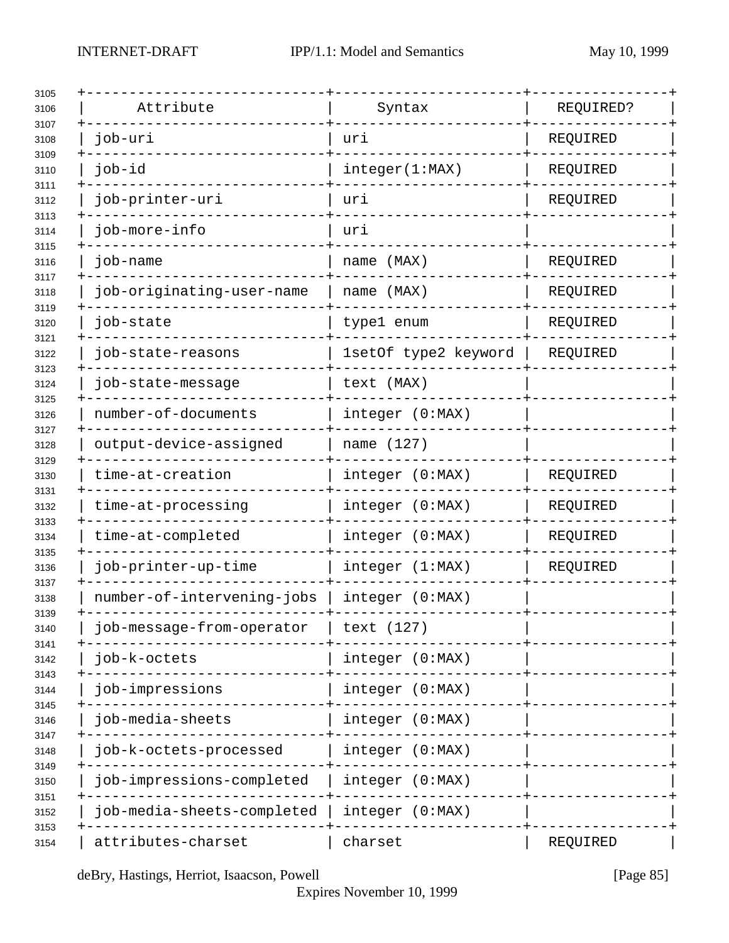| Attribute                  | Syntax               | REQUIRED? |
|----------------------------|----------------------|-----------|
| job-uri                    | uri                  | REQUIRED  |
| job-id                     | integer(1:MAX)       | REQUIRED  |
| job-printer-uri            | uri                  | REQUIRED  |
| job-more-info              | uri                  |           |
| job-name                   | name (MAX)           | REQUIRED  |
| job-originating-user-name  | name (MAX)           | REQUIRED  |
| job-state                  | type1 enum           | REQUIRED  |
| job-state-reasons          | 1setOf type2 keyword | REQUIRED  |
| job-state-message          | text (MAX)           |           |
| number-of-documents        | integer (0:MAX)      |           |
| output-device-assigned     | name (127)           |           |
| time-at-creation           | integer (0:MAX)      | REQUIRED  |
| time-at-processing         | integer (0:MAX)      | REQUIRED  |
| time-at-completed          | integer (0:MAX)      | REQUIRED  |
| job-printer-up-time        | integer (1:MAX)      | REQUIRED  |
| number-of-intervening-jobs | integer (0:MAX)      |           |
| job-message-from-operator  | text (127)           |           |
| job-k-octets               | integer (0:MAX)      |           |
| job-impressions            | integer (0:MAX)      |           |
| job-media-sheets           | integer (0:MAX)      |           |
| job-k-octets-processed     | integer (0:MAX)      |           |
| job-impressions-completed  | integer (0:MAX)      |           |
| job-media-sheets-completed | integer (0:MAX)      |           |
| attributes-charset         | charset              | REQUIRED  |

deBry, Hastings, Herriot, Isaacson, Powell [Page 85]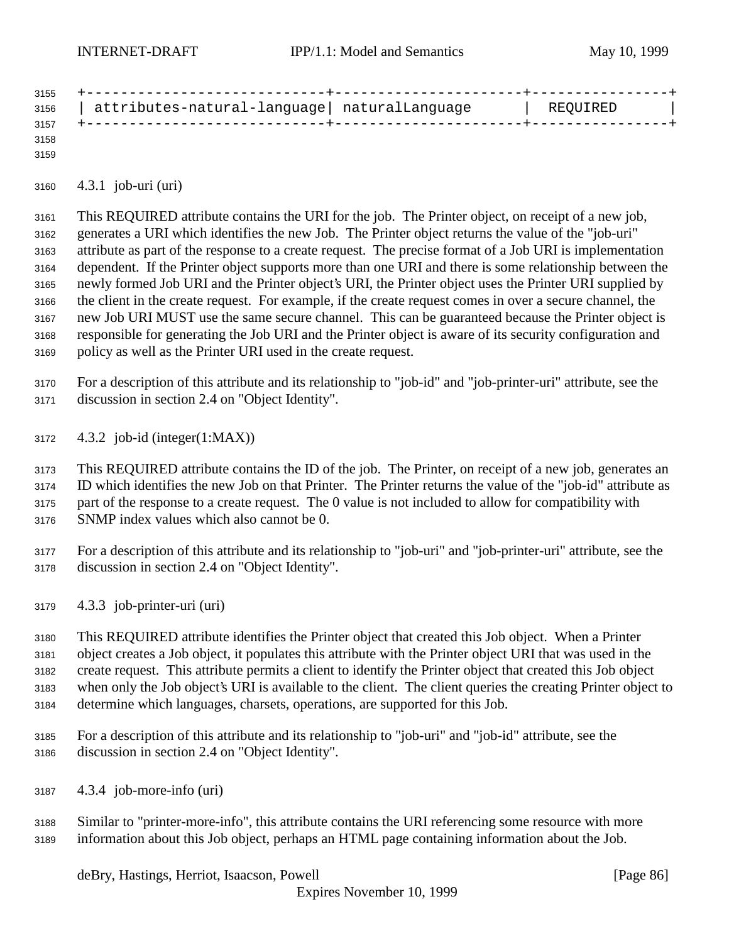| 3155 |                                              |          |  |
|------|----------------------------------------------|----------|--|
| 3156 | attributes-natural-language  naturalLanguage | REQUIRED |  |
| 3157 |                                              |          |  |
| 3158 |                                              |          |  |

4.3.1 job-uri (uri)

 This REQUIRED attribute contains the URI for the job. The Printer object, on receipt of a new job, generates a URI which identifies the new Job. The Printer object returns the value of the "job-uri" attribute as part of the response to a create request. The precise format of a Job URI is implementation dependent. If the Printer object supports more than one URI and there is some relationship between the newly formed Job URI and the Printer object's URI, the Printer object uses the Printer URI supplied by the client in the create request. For example, if the create request comes in over a secure channel, the new Job URI MUST use the same secure channel. This can be guaranteed because the Printer object is responsible for generating the Job URI and the Printer object is aware of its security configuration and policy as well as the Printer URI used in the create request.

 For a description of this attribute and its relationship to "job-id" and "job-printer-uri" attribute, see the discussion in section 2.4 on "Object Identity".

4.3.2 job-id (integer(1:MAX))

 This REQUIRED attribute contains the ID of the job. The Printer, on receipt of a new job, generates an ID which identifies the new Job on that Printer. The Printer returns the value of the "job-id" attribute as part of the response to a create request. The 0 value is not included to allow for compatibility with SNMP index values which also cannot be 0.

 For a description of this attribute and its relationship to "job-uri" and "job-printer-uri" attribute, see the discussion in section 2.4 on "Object Identity".

4.3.3 job-printer-uri (uri)

 This REQUIRED attribute identifies the Printer object that created this Job object. When a Printer object creates a Job object, it populates this attribute with the Printer object URI that was used in the create request. This attribute permits a client to identify the Printer object that created this Job object when only the Job object's URI is available to the client. The client queries the creating Printer object to determine which languages, charsets, operations, are supported for this Job.

- For a description of this attribute and its relationship to "job-uri" and "job-id" attribute, see the discussion in section 2.4 on "Object Identity".
- 4.3.4 job-more-info (uri)
- Similar to "printer-more-info", this attribute contains the URI referencing some resource with more information about this Job object, perhaps an HTML page containing information about the Job.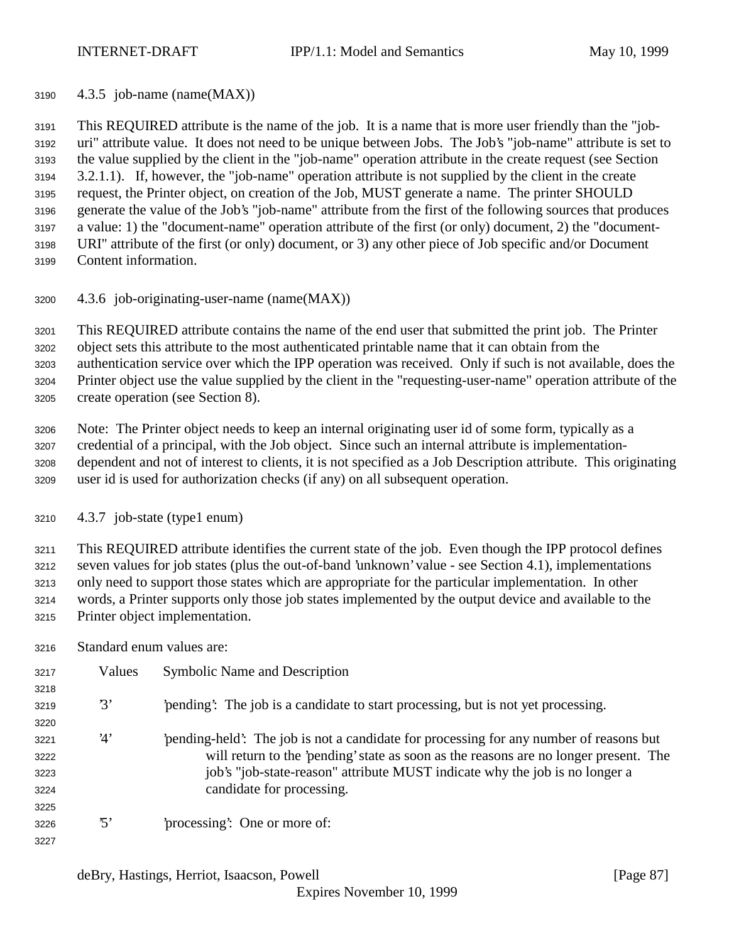4.3.5 job-name (name(MAX))

 This REQUIRED attribute is the name of the job. It is a name that is more user friendly than the "job- uri" attribute value. It does not need to be unique between Jobs. The Job's "job-name" attribute is set to the value supplied by the client in the "job-name" operation attribute in the create request (see Section 3.2.1.1). If, however, the "job-name" operation attribute is not supplied by the client in the create request, the Printer object, on creation of the Job, MUST generate a name. The printer SHOULD generate the value of the Job's "job-name" attribute from the first of the following sources that produces a value: 1) the "document-name" operation attribute of the first (or only) document, 2) the "document- URI" attribute of the first (or only) document, or 3) any other piece of Job specific and/or Document Content information.

4.3.6 job-originating-user-name (name(MAX))

 This REQUIRED attribute contains the name of the end user that submitted the print job. The Printer object sets this attribute to the most authenticated printable name that it can obtain from the authentication service over which the IPP operation was received. Only if such is not available, does the Printer object use the value supplied by the client in the "requesting-user-name" operation attribute of the create operation (see Section 8).

 Note: The Printer object needs to keep an internal originating user id of some form, typically as a credential of a principal, with the Job object. Since such an internal attribute is implementation- dependent and not of interest to clients, it is not specified as a Job Description attribute. This originating user id is used for authorization checks (if any) on all subsequent operation.

4.3.7 job-state (type1 enum)

 This REQUIRED attribute identifies the current state of the job. Even though the IPP protocol defines seven values for job states (plus the out-of-band 'unknown' value - see Section 4.1), implementations only need to support those states which are appropriate for the particular implementation. In other words, a Printer supports only those job states implemented by the output device and available to the Printer object implementation.

Standard enum values are:

| 3217 | Values          | <b>Symbolic Name and Description</b>                                                    |
|------|-----------------|-----------------------------------------------------------------------------------------|
| 3218 |                 |                                                                                         |
| 3219 | 3'              | pending. The job is a candidate to start processing, but is not yet processing.         |
| 3220 |                 |                                                                                         |
| 3221 | 4'              | 'pending-held': The job is not a candidate for processing for any number of reasons but |
| 3222 |                 | will return to the 'pending' state as soon as the reasons are no longer present. The    |
| 3223 |                 | job's "job-state-reason" attribute MUST indicate why the job is no longer a             |
| 3224 |                 | candidate for processing.                                                               |
| 3225 |                 |                                                                                         |
| 3226 | $\mathfrak{B}'$ | processing: One or more of:                                                             |
| 3227 |                 |                                                                                         |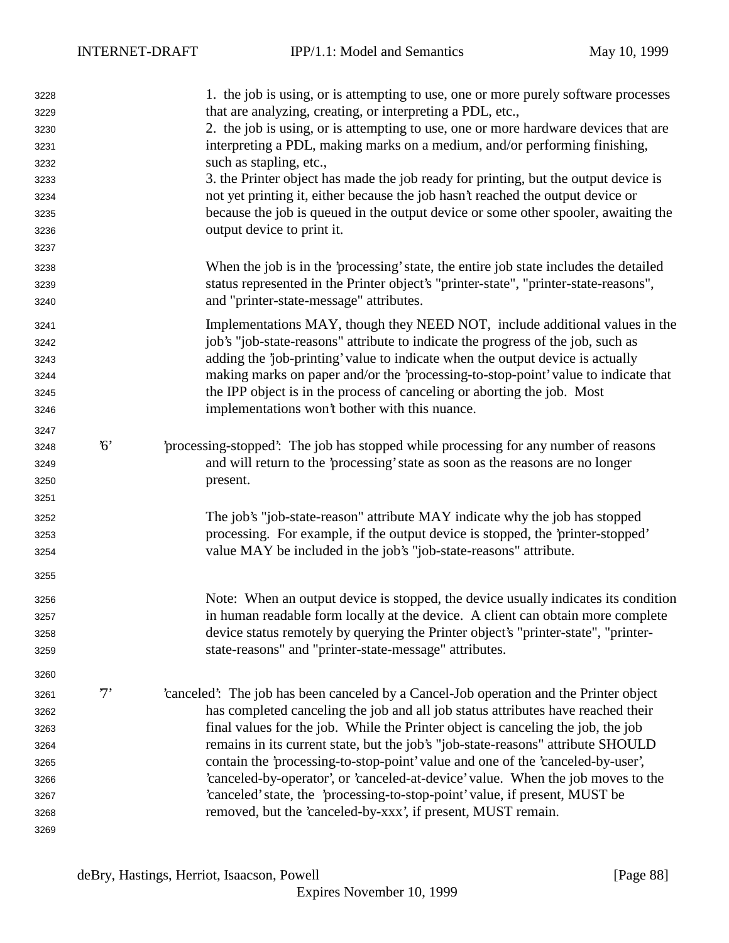| 3228 |             | 1. the job is using, or is attempting to use, one or more purely software processes    |
|------|-------------|----------------------------------------------------------------------------------------|
| 3229 |             | that are analyzing, creating, or interpreting a PDL, etc.,                             |
| 3230 |             | 2. the job is using, or is attempting to use, one or more hardware devices that are    |
| 3231 |             | interpreting a PDL, making marks on a medium, and/or performing finishing,             |
| 3232 |             | such as stapling, etc.,                                                                |
| 3233 |             | 3. the Printer object has made the job ready for printing, but the output device is    |
| 3234 |             | not yet printing it, either because the job hasn't reached the output device or        |
| 3235 |             | because the job is queued in the output device or some other spooler, awaiting the     |
| 3236 |             | output device to print it.                                                             |
| 3237 |             |                                                                                        |
| 3238 |             | When the job is in the 'processing' state, the entire job state includes the detailed  |
| 3239 |             | status represented in the Printer object's "printer-state", "printer-state-reasons",   |
| 3240 |             | and "printer-state-message" attributes.                                                |
| 3241 |             | Implementations MAY, though they NEED NOT, include additional values in the            |
| 3242 |             | job's "job-state-reasons" attribute to indicate the progress of the job, such as       |
| 3243 |             | adding the 'job-printing' value to indicate when the output device is actually         |
| 3244 |             | making marks on paper and/or the 'processing-to-stop-point' value to indicate that     |
| 3245 |             | the IPP object is in the process of canceling or aborting the job. Most                |
| 3246 |             | implementations won't bother with this nuance.                                         |
| 3247 |             |                                                                                        |
| 3248 | $6^{\circ}$ | processing-stopped: The job has stopped while processing for any number of reasons     |
| 3249 |             | and will return to the 'processing' state as soon as the reasons are no longer         |
| 3250 |             | present.                                                                               |
| 3251 |             |                                                                                        |
| 3252 |             | The job's "job-state-reason" attribute MAY indicate why the job has stopped            |
| 3253 |             | processing. For example, if the output device is stopped, the 'printer-stopped'        |
| 3254 |             | value MAY be included in the job's "job-state-reasons" attribute.                      |
| 3255 |             |                                                                                        |
| 3256 |             | Note: When an output device is stopped, the device usually indicates its condition     |
| 3257 |             | in human readable form locally at the device. A client can obtain more complete        |
| 3258 |             | device status remotely by querying the Printer object's "printer-state", "printer-     |
| 3259 |             | state-reasons" and "printer-state-message" attributes.                                 |
| 3260 |             |                                                                                        |
| 3261 | $7^,$       | 'canceled': The job has been canceled by a Cancel-Job operation and the Printer object |
| 3262 |             | has completed canceling the job and all job status attributes have reached their       |
| 3263 |             | final values for the job. While the Printer object is canceling the job, the job       |
| 3264 |             | remains in its current state, but the job's "job-state-reasons" attribute SHOULD       |
| 3265 |             | contain the 'processing-to-stop-point' value and one of the 'canceled-by-user',        |
| 3266 |             | 'canceled-by-operator', or 'canceled-at-device' value. When the job moves to the       |
| 3267 |             | 'canceled' state, the 'processing-to-stop-point' value, if present, MUST be            |
| 3268 |             | removed, but the 'canceled-by-xxx', if present, MUST remain.                           |
| 3269 |             |                                                                                        |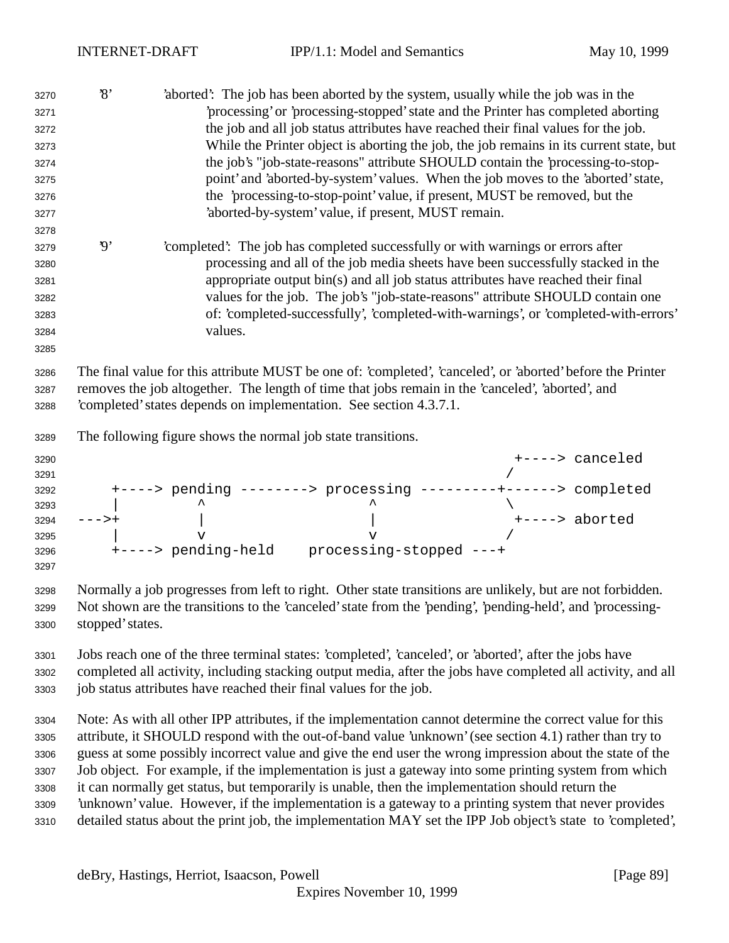| 3270 | $\mathcal{S}$  |                                                              |                                                                                                   | 'aborted': The job has been aborted by the system, usually while the job was in the                         |
|------|----------------|--------------------------------------------------------------|---------------------------------------------------------------------------------------------------|-------------------------------------------------------------------------------------------------------------|
| 3271 |                |                                                              |                                                                                                   | processing' or 'processing-stopped' state and the Printer has completed aborting                            |
| 3272 |                |                                                              |                                                                                                   | the job and all job status attributes have reached their final values for the job.                          |
| 3273 |                |                                                              |                                                                                                   | While the Printer object is aborting the job, the job remains in its current state, but                     |
| 3274 |                |                                                              |                                                                                                   | the job's "job-state-reasons" attribute SHOULD contain the 'processing-to-stop-                             |
| 3275 |                |                                                              |                                                                                                   | point' and 'aborted-by-system' values. When the job moves to the 'aborted' state,                           |
| 3276 |                |                                                              |                                                                                                   | the 'processing-to-stop-point' value, if present, MUST be removed, but the                                  |
| 3277 |                |                                                              | 'aborted-by-system' value, if present, MUST remain.                                               |                                                                                                             |
| 3278 |                |                                                              |                                                                                                   |                                                                                                             |
| 3279 | $\mathfrak{g}$ |                                                              | 'completed': The job has completed successfully or with warnings or errors after                  |                                                                                                             |
| 3280 |                |                                                              |                                                                                                   | processing and all of the job media sheets have been successfully stacked in the                            |
| 3281 |                |                                                              |                                                                                                   | appropriate output bin(s) and all job status attributes have reached their final                            |
| 3282 |                |                                                              |                                                                                                   | values for the job. The job's "job-state-reasons" attribute SHOULD contain one                              |
| 3283 |                |                                                              |                                                                                                   | of: 'completed-successfully', 'completed-with-warnings', or 'completed-with-errors'                         |
| 3284 |                | values.                                                      |                                                                                                   |                                                                                                             |
| 3285 |                |                                                              |                                                                                                   |                                                                                                             |
| 3286 |                |                                                              |                                                                                                   | The final value for this attribute MUST be one of: 'completed', 'canceled', or 'aborted' before the Printer |
| 3287 |                |                                                              | removes the job altogether. The length of time that jobs remain in the 'canceled', 'aborted', and |                                                                                                             |
| 3288 |                |                                                              | completed' states depends on implementation. See section 4.3.7.1.                                 |                                                                                                             |
|      |                |                                                              |                                                                                                   |                                                                                                             |
| 3289 |                | The following figure shows the normal job state transitions. |                                                                                                   |                                                                                                             |
| 3290 |                |                                                              |                                                                                                   | +----> canceled                                                                                             |
| 3291 |                |                                                              |                                                                                                   |                                                                                                             |
| 3292 |                |                                                              |                                                                                                   | +----> pending --------> processing ---------+------> completed                                             |
| 3293 |                |                                                              |                                                                                                   |                                                                                                             |
| 3294 | $--->+$        |                                                              |                                                                                                   | +----> aborted                                                                                              |
| 3295 |                | $\mathbf v$                                                  | $\mathbf v$                                                                                       |                                                                                                             |

 Normally a job progresses from left to right. Other state transitions are unlikely, but are not forbidden. Not shown are the transitions to the 'canceled' state from the 'pending', 'pending-held', and 'processing-stopped' states.

+----> pending-held processing-stopped ---+

 Jobs reach one of the three terminal states: 'completed', 'canceled', or 'aborted', after the jobs have completed all activity, including stacking output media, after the jobs have completed all activity, and all job status attributes have reached their final values for the job.

 Note: As with all other IPP attributes, if the implementation cannot determine the correct value for this attribute, it SHOULD respond with the out-of-band value 'unknown' (see section 4.1) rather than try to guess at some possibly incorrect value and give the end user the wrong impression about the state of the Job object. For example, if the implementation is just a gateway into some printing system from which it can normally get status, but temporarily is unable, then the implementation should return the 'unknown' value. However, if the implementation is a gateway to a printing system that never provides detailed status about the print job, the implementation MAY set the IPP Job object's state to 'completed',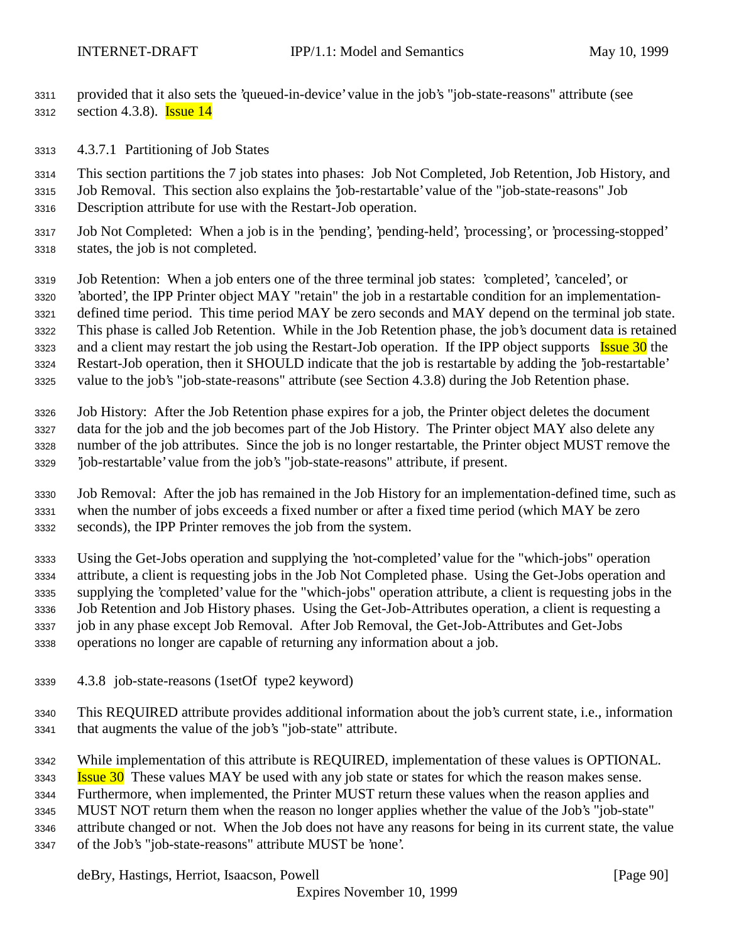provided that it also sets the 'queued-in-device' value in the job's "job-state-reasons" attribute (see 3312 section 4.3.8). **Issue 14** 

4.3.7.1 Partitioning of Job States

 This section partitions the 7 job states into phases: Job Not Completed, Job Retention, Job History, and Job Removal. This section also explains the 'job-restartable' value of the "job-state-reasons" Job Description attribute for use with the Restart-Job operation.

- Job Not Completed: When a job is in the 'pending', 'pending-held', 'processing', or 'processing-stopped' states, the job is not completed.
- Job Retention: When a job enters one of the three terminal job states: 'completed', 'canceled', or 'aborted', the IPP Printer object MAY "retain" the job in a restartable condition for an implementation- defined time period. This time period MAY be zero seconds and MAY depend on the terminal job state. This phase is called Job Retention. While in the Job Retention phase, the job's document data is retained 3323 and a client may restart the job using the Restart-Job operation. If the IPP object supports **Issue 30** the Restart-Job operation, then it SHOULD indicate that the job is restartable by adding the 'job-restartable' value to the job's "job-state-reasons" attribute (see Section 4.3.8) during the Job Retention phase.
- Job History: After the Job Retention phase expires for a job, the Printer object deletes the document data for the job and the job becomes part of the Job History. The Printer object MAY also delete any number of the job attributes. Since the job is no longer restartable, the Printer object MUST remove the 'job-restartable' value from the job's "job-state-reasons" attribute, if present.
- Job Removal: After the job has remained in the Job History for an implementation-defined time, such as when the number of jobs exceeds a fixed number or after a fixed time period (which MAY be zero seconds), the IPP Printer removes the job from the system.
- Using the Get-Jobs operation and supplying the 'not-completed' value for the "which-jobs" operation attribute, a client is requesting jobs in the Job Not Completed phase. Using the Get-Jobs operation and supplying the 'completed' value for the "which-jobs" operation attribute, a client is requesting jobs in the Job Retention and Job History phases. Using the Get-Job-Attributes operation, a client is requesting a job in any phase except Job Removal. After Job Removal, the Get-Job-Attributes and Get-Jobs operations no longer are capable of returning any information about a job.
- 4.3.8 job-state-reasons (1setOf type2 keyword)
- This REQUIRED attribute provides additional information about the job's current state, i.e., information that augments the value of the job's "job-state" attribute.
- While implementation of this attribute is REQUIRED, implementation of these values is OPTIONAL.
- **Issue 30** These values MAY be used with any job state or states for which the reason makes sense.
- Furthermore, when implemented, the Printer MUST return these values when the reason applies and
- MUST NOT return them when the reason no longer applies whether the value of the Job's "job-state"
- attribute changed or not. When the Job does not have any reasons for being in its current state, the value of the Job's "job-state-reasons" attribute MUST be 'none'.

deBry, Hastings, Herriot, Isaacson, Powell [Page 90]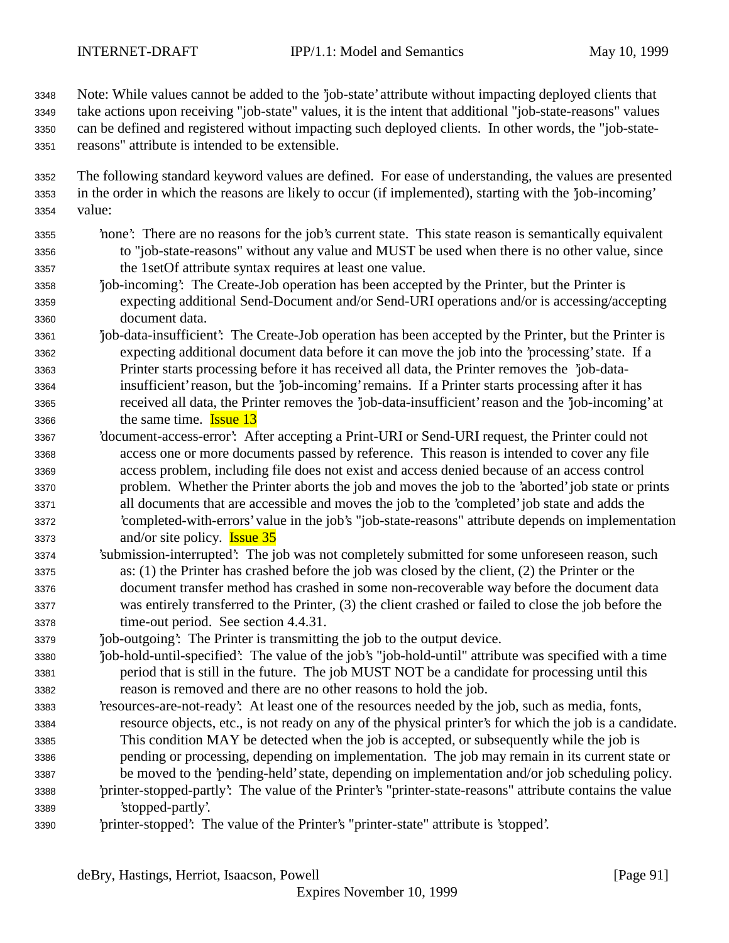Note: While values cannot be added to the 'job-state' attribute without impacting deployed clients that take actions upon receiving "job-state" values, it is the intent that additional "job-state-reasons" values can be defined and registered without impacting such deployed clients. In other words, the "job-state-reasons" attribute is intended to be extensible.

 The following standard keyword values are defined. For ease of understanding, the values are presented in the order in which the reasons are likely to occur (if implemented), starting with the 'job-incoming' value:

- 'none': There are no reasons for the job's current state. This state reason is semantically equivalent to "job-state-reasons" without any value and MUST be used when there is no other value, since the 1setOf attribute syntax requires at least one value.
- 'job-incoming': The Create-Job operation has been accepted by the Printer, but the Printer is expecting additional Send-Document and/or Send-URI operations and/or is accessing/accepting document data.
- 'job-data-insufficient': The Create-Job operation has been accepted by the Printer, but the Printer is expecting additional document data before it can move the job into the 'processing' state. If a Printer starts processing before it has received all data, the Printer removes the 'job-data- insufficient' reason, but the 'job-incoming' remains. If a Printer starts processing after it has received all data, the Printer removes the 'job-data-insufficient' reason and the 'job-incoming' at the same time. Issue 13
- 'document-access-error': After accepting a Print-URI or Send-URI request, the Printer could not access one or more documents passed by reference. This reason is intended to cover any file access problem, including file does not exist and access denied because of an access control problem. Whether the Printer aborts the job and moves the job to the 'aborted' job state or prints all documents that are accessible and moves the job to the 'completed' job state and adds the 'completed-with-errors' value in the job's "job-state-reasons" attribute depends on implementation and/or site policy. **Issue 35**
- 'submission-interrupted': The job was not completely submitted for some unforeseen reason, such as: (1) the Printer has crashed before the job was closed by the client, (2) the Printer or the document transfer method has crashed in some non-recoverable way before the document data was entirely transferred to the Printer, (3) the client crashed or failed to close the job before the time-out period. See section 4.4.31.
- 'job-outgoing': The Printer is transmitting the job to the output device.
- 'job-hold-until-specified': The value of the job's "job-hold-until" attribute was specified with a time period that is still in the future. The job MUST NOT be a candidate for processing until this reason is removed and there are no other reasons to hold the job.
- 'resources-are-not-ready': At least one of the resources needed by the job, such as media, fonts, resource objects, etc., is not ready on any of the physical printer's for which the job is a candidate. This condition MAY be detected when the job is accepted, or subsequently while the job is pending or processing, depending on implementation. The job may remain in its current state or be moved to the 'pending-held' state, depending on implementation and/or job scheduling policy. 'printer-stopped-partly': The value of the Printer's "printer-state-reasons" attribute contains the value 'stopped-partly'.
- 'printer-stopped': The value of the Printer's "printer-state" attribute is 'stopped'.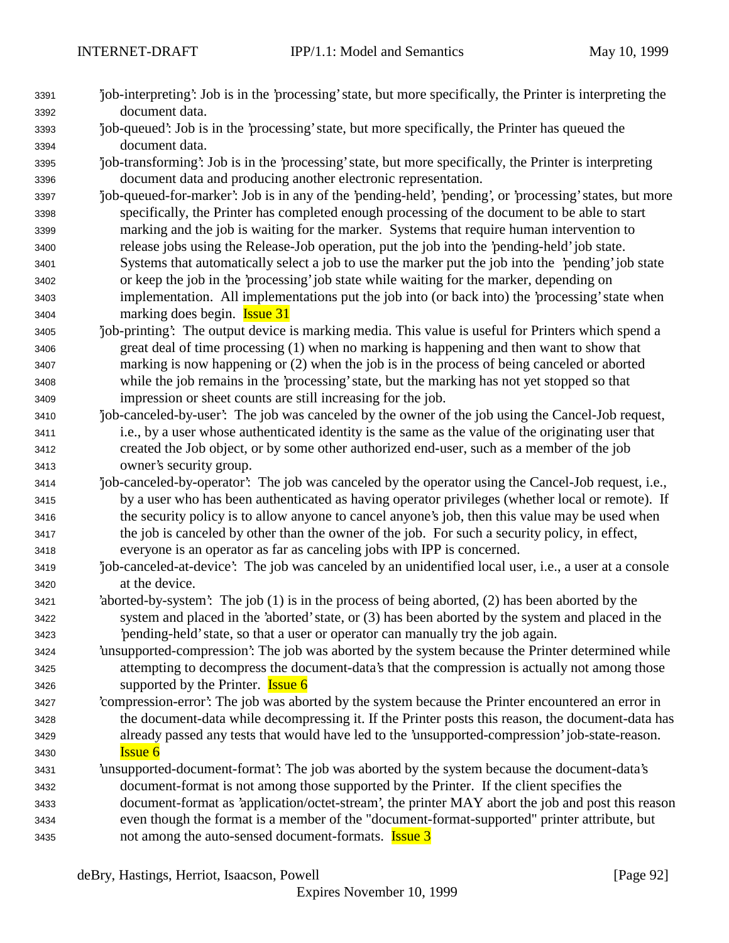- 'job-interpreting': Job is in the 'processing' state, but more specifically, the Printer is interpreting the document data.
- 'job-queued': Job is in the 'processing' state, but more specifically, the Printer has queued the document data.
- 'job-transforming': Job is in the 'processing' state, but more specifically, the Printer is interpreting document data and producing another electronic representation.
- 'job-queued-for-marker': Job is in any of the 'pending-held', 'pending', or 'processing' states, but more specifically, the Printer has completed enough processing of the document to be able to start marking and the job is waiting for the marker. Systems that require human intervention to release jobs using the Release-Job operation, put the job into the 'pending-held' job state. Systems that automatically select a job to use the marker put the job into the 'pending' job state or keep the job in the 'processing' job state while waiting for the marker, depending on implementation. All implementations put the job into (or back into) the 'processing' state when marking does begin. Issue 31
- 'job-printing': The output device is marking media. This value is useful for Printers which spend a great deal of time processing (1) when no marking is happening and then want to show that marking is now happening or (2) when the job is in the process of being canceled or aborted while the job remains in the 'processing' state, but the marking has not yet stopped so that impression or sheet counts are still increasing for the job.
- 'job-canceled-by-user': The job was canceled by the owner of the job using the Cancel-Job request, i.e., by a user whose authenticated identity is the same as the value of the originating user that created the Job object, or by some other authorized end-user, such as a member of the job owner's security group.
- 'job-canceled-by-operator': The job was canceled by the operator using the Cancel-Job request, i.e., by a user who has been authenticated as having operator privileges (whether local or remote). If the security policy is to allow anyone to cancel anyone's job, then this value may be used when the job is canceled by other than the owner of the job. For such a security policy, in effect, everyone is an operator as far as canceling jobs with IPP is concerned.
- 'job-canceled-at-device': The job was canceled by an unidentified local user, i.e., a user at a console at the device.
- 'aborted-by-system': The job (1) is in the process of being aborted, (2) has been aborted by the system and placed in the 'aborted' state, or (3) has been aborted by the system and placed in the 'pending-held' state, so that a user or operator can manually try the job again.
- 'unsupported-compression': The job was aborted by the system because the Printer determined while attempting to decompress the document-data's that the compression is actually not among those 3426 supported by the Printer. **Issue 6**
- 'compression-error': The job was aborted by the system because the Printer encountered an error in the document-data while decompressing it. If the Printer posts this reason, the document-data has already passed any tests that would have led to the 'unsupported-compression' job-state-reason. Issue 6
- 'unsupported-document-format': The job was aborted by the system because the document-data's document-format is not among those supported by the Printer. If the client specifies the document-format as 'application/octet-stream', the printer MAY abort the job and post this reason even though the format is a member of the "document-format-supported" printer attribute, but 3435 not among the auto-sensed document-formats. **Issue 3**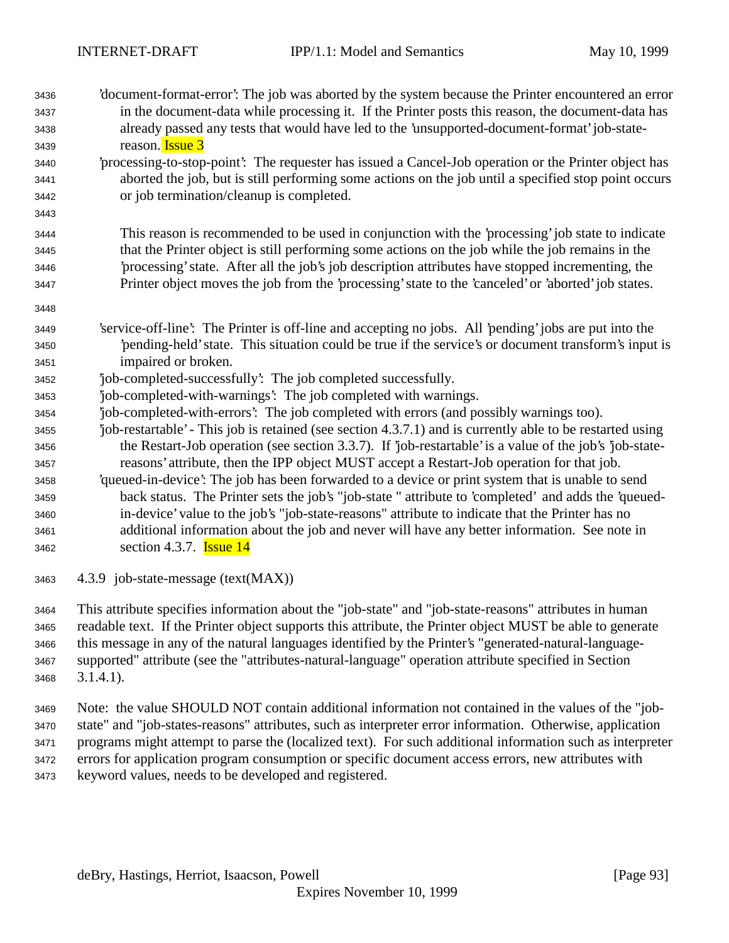- 'document-format-error': The job was aborted by the system because the Printer encountered an error in the document-data while processing it. If the Printer posts this reason, the document-data has already passed any tests that would have led to the 'unsupported-document-format' job-state-reason. Issue 3
- 'processing-to-stop-point': The requester has issued a Cancel-Job operation or the Printer object has aborted the job, but is still performing some actions on the job until a specified stop point occurs or job termination/cleanup is completed.
- This reason is recommended to be used in conjunction with the 'processing' job state to indicate that the Printer object is still performing some actions on the job while the job remains in the 'processing' state. After all the job's job description attributes have stopped incrementing, the Printer object moves the job from the 'processing' state to the 'canceled' or 'aborted' job states.
- 'service-off-line': The Printer is off-line and accepting no jobs. All 'pending' jobs are put into the 'pending-held' state. This situation could be true if the service's or document transform's input is impaired or broken.
- 'job-completed-successfully': The job completed successfully.
- 'job-completed-with-warnings': The job completed with warnings.
- 'job-completed-with-errors': The job completed with errors (and possibly warnings too).
- 'job-restartable' This job is retained (see section 4.3.7.1) and is currently able to be restarted using the Restart-Job operation (see section 3.3.7). If 'job-restartable' is a value of the job's 'job-state-reasons' attribute, then the IPP object MUST accept a Restart-Job operation for that job.
- 'queued-in-device': The job has been forwarded to a device or print system that is unable to send back status. The Printer sets the job's "job-state " attribute to 'completed' and adds the 'queued- in-device' value to the job's "job-state-reasons" attribute to indicate that the Printer has no additional information about the job and never will have any better information. See note in section 4.3.7. Issue 14
- 4.3.9 job-state-message (text(MAX))

 This attribute specifies information about the "job-state" and "job-state-reasons" attributes in human readable text. If the Printer object supports this attribute, the Printer object MUST be able to generate this message in any of the natural languages identified by the Printer's "generated-natural-language- supported" attribute (see the "attributes-natural-language" operation attribute specified in Section 3.1.4.1).

 Note: the value SHOULD NOT contain additional information not contained in the values of the "job- state" and "job-states-reasons" attributes, such as interpreter error information. Otherwise, application programs might attempt to parse the (localized text). For such additional information such as interpreter errors for application program consumption or specific document access errors, new attributes with keyword values, needs to be developed and registered.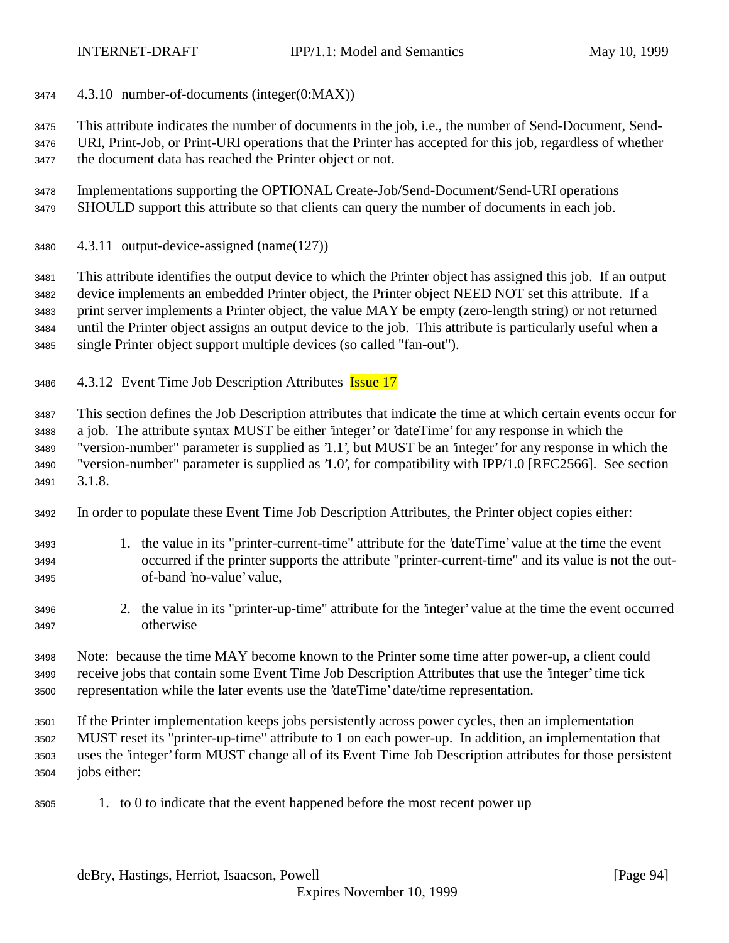4.3.10 number-of-documents (integer(0:MAX))

This attribute indicates the number of documents in the job, i.e., the number of Send-Document, Send-

 URI, Print-Job, or Print-URI operations that the Printer has accepted for this job, regardless of whether the document data has reached the Printer object or not.

 Implementations supporting the OPTIONAL Create-Job/Send-Document/Send-URI operations SHOULD support this attribute so that clients can query the number of documents in each job.

4.3.11 output-device-assigned (name(127))

 This attribute identifies the output device to which the Printer object has assigned this job. If an output device implements an embedded Printer object, the Printer object NEED NOT set this attribute. If a print server implements a Printer object, the value MAY be empty (zero-length string) or not returned until the Printer object assigns an output device to the job. This attribute is particularly useful when a single Printer object support multiple devices (so called "fan-out").

3486 4.3.12 Event Time Job Description Attributes Issue 17

 This section defines the Job Description attributes that indicate the time at which certain events occur for a job. The attribute syntax MUST be either 'integer' or 'dateTime' for any response in which the "version-number" parameter is supplied as '1.1', but MUST be an 'integer' for any response in which the "version-number" parameter is supplied as '1.0', for compatibility with IPP/1.0 [RFC2566]. See section 3.1.8.

- In order to populate these Event Time Job Description Attributes, the Printer object copies either:
- 1. the value in its "printer-current-time" attribute for the 'dateTime' value at the time the event occurred if the printer supports the attribute "printer-current-time" and its value is not the out-of-band 'no-value' value,
- 2. the value in its "printer-up-time" attribute for the 'integer' value at the time the event occurred otherwise

 Note: because the time MAY become known to the Printer some time after power-up, a client could receive jobs that contain some Event Time Job Description Attributes that use the 'integer' time tick representation while the later events use the 'dateTime' date/time representation.

 If the Printer implementation keeps jobs persistently across power cycles, then an implementation MUST reset its "printer-up-time" attribute to 1 on each power-up. In addition, an implementation that uses the 'integer' form MUST change all of its Event Time Job Description attributes for those persistent jobs either:

1. to 0 to indicate that the event happened before the most recent power up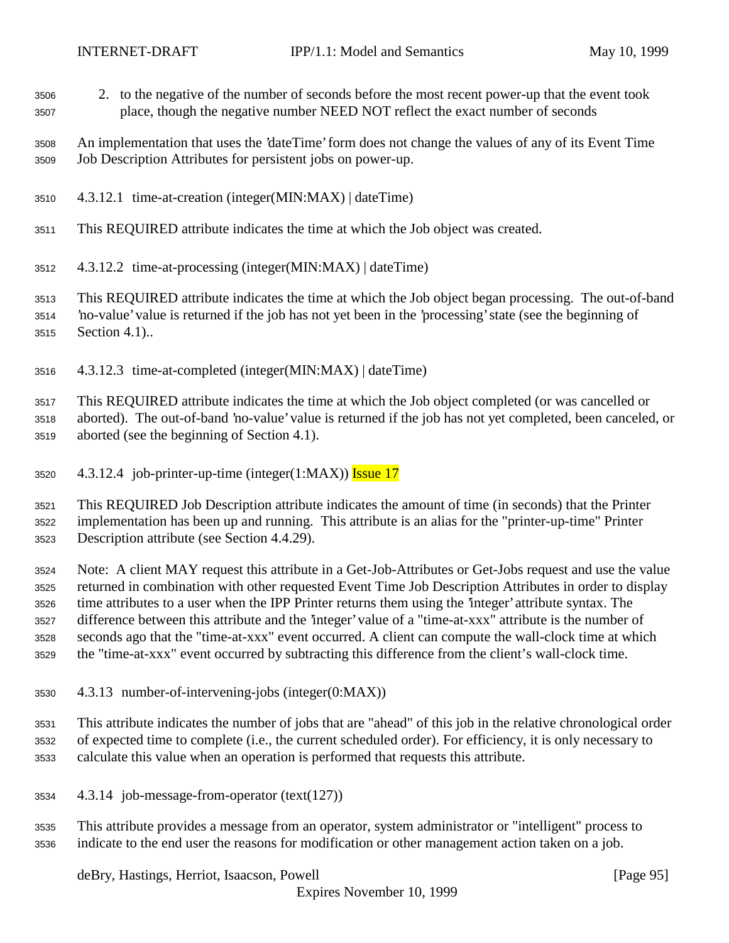- 2. to the negative of the number of seconds before the most recent power-up that the event took place, though the negative number NEED NOT reflect the exact number of seconds
- An implementation that uses the 'dateTime' form does not change the values of any of its Event Time Job Description Attributes for persistent jobs on power-up.
- 4.3.12.1 time-at-creation (integer(MIN:MAX) | dateTime)
- This REQUIRED attribute indicates the time at which the Job object was created.
- 4.3.12.2 time-at-processing (integer(MIN:MAX) | dateTime)
- This REQUIRED attribute indicates the time at which the Job object began processing. The out-of-band 'no-value' value is returned if the job has not yet been in the 'processing' state (see the beginning of Section 4.1)..
- 4.3.12.3 time-at-completed (integer(MIN:MAX) | dateTime)

 This REQUIRED attribute indicates the time at which the Job object completed (or was cancelled or aborted). The out-of-band 'no-value' value is returned if the job has not yet completed, been canceled, or aborted (see the beginning of Section 4.1).

3520  $4.3.12.4$  job-printer-up-time (integer(1:MAX)) Issue 17

 This REQUIRED Job Description attribute indicates the amount of time (in seconds) that the Printer implementation has been up and running. This attribute is an alias for the "printer-up-time" Printer Description attribute (see Section 4.4.29).

 Note: A client MAY request this attribute in a Get-Job-Attributes or Get-Jobs request and use the value returned in combination with other requested Event Time Job Description Attributes in order to display time attributes to a user when the IPP Printer returns them using the 'integer' attribute syntax. The difference between this attribute and the 'integer' value of a "time-at-xxx" attribute is the number of seconds ago that the "time-at-xxx" event occurred. A client can compute the wall-clock time at which the "time-at-xxx" event occurred by subtracting this difference from the client's wall-clock time.

4.3.13 number-of-intervening-jobs (integer(0:MAX))

 This attribute indicates the number of jobs that are "ahead" of this job in the relative chronological order of expected time to complete (i.e., the current scheduled order). For efficiency, it is only necessary to calculate this value when an operation is performed that requests this attribute.

- 4.3.14 job-message-from-operator (text(127))
- This attribute provides a message from an operator, system administrator or "intelligent" process to indicate to the end user the reasons for modification or other management action taken on a job.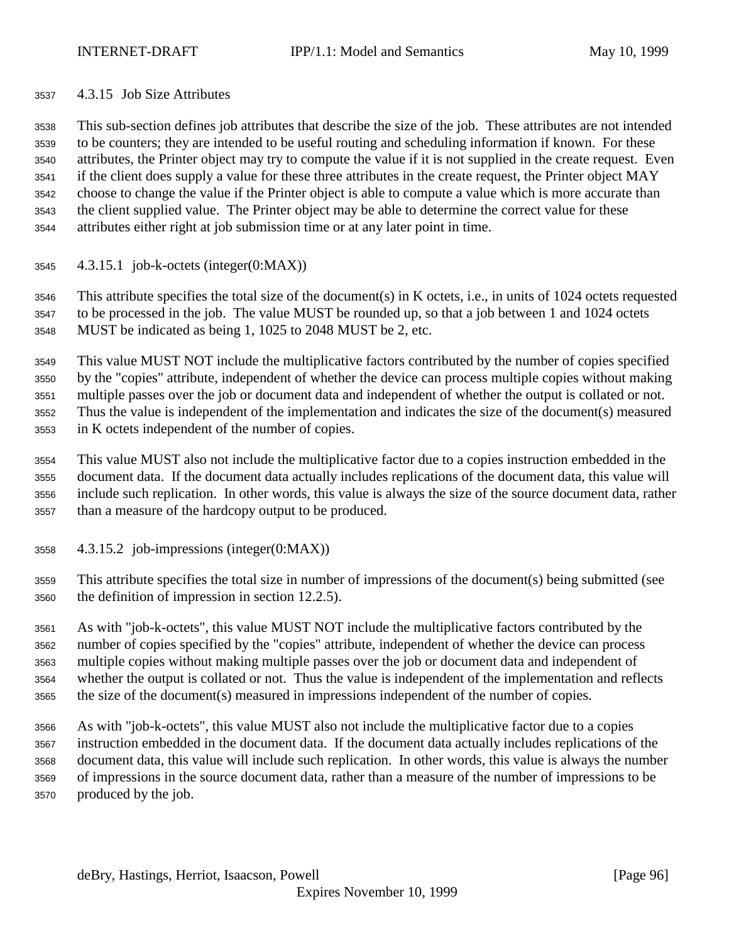## 4.3.15 Job Size Attributes

 This sub-section defines job attributes that describe the size of the job. These attributes are not intended to be counters; they are intended to be useful routing and scheduling information if known. For these attributes, the Printer object may try to compute the value if it is not supplied in the create request. Even if the client does supply a value for these three attributes in the create request, the Printer object MAY choose to change the value if the Printer object is able to compute a value which is more accurate than the client supplied value. The Printer object may be able to determine the correct value for these attributes either right at job submission time or at any later point in time.

4.3.15.1 job-k-octets (integer(0:MAX))

 This attribute specifies the total size of the document(s) in K octets, i.e., in units of 1024 octets requested to be processed in the job. The value MUST be rounded up, so that a job between 1 and 1024 octets MUST be indicated as being 1, 1025 to 2048 MUST be 2, etc.

 This value MUST NOT include the multiplicative factors contributed by the number of copies specified by the "copies" attribute, independent of whether the device can process multiple copies without making multiple passes over the job or document data and independent of whether the output is collated or not. Thus the value is independent of the implementation and indicates the size of the document(s) measured in K octets independent of the number of copies.

- This value MUST also not include the multiplicative factor due to a copies instruction embedded in the document data. If the document data actually includes replications of the document data, this value will include such replication. In other words, this value is always the size of the source document data, rather than a measure of the hardcopy output to be produced.
- 4.3.15.2 job-impressions (integer(0:MAX))

 This attribute specifies the total size in number of impressions of the document(s) being submitted (see the definition of impression in section 12.2.5).

 As with "job-k-octets", this value MUST NOT include the multiplicative factors contributed by the number of copies specified by the "copies" attribute, independent of whether the device can process multiple copies without making multiple passes over the job or document data and independent of whether the output is collated or not. Thus the value is independent of the implementation and reflects the size of the document(s) measured in impressions independent of the number of copies.

 As with "job-k-octets", this value MUST also not include the multiplicative factor due to a copies instruction embedded in the document data. If the document data actually includes replications of the document data, this value will include such replication. In other words, this value is always the number of impressions in the source document data, rather than a measure of the number of impressions to be produced by the job.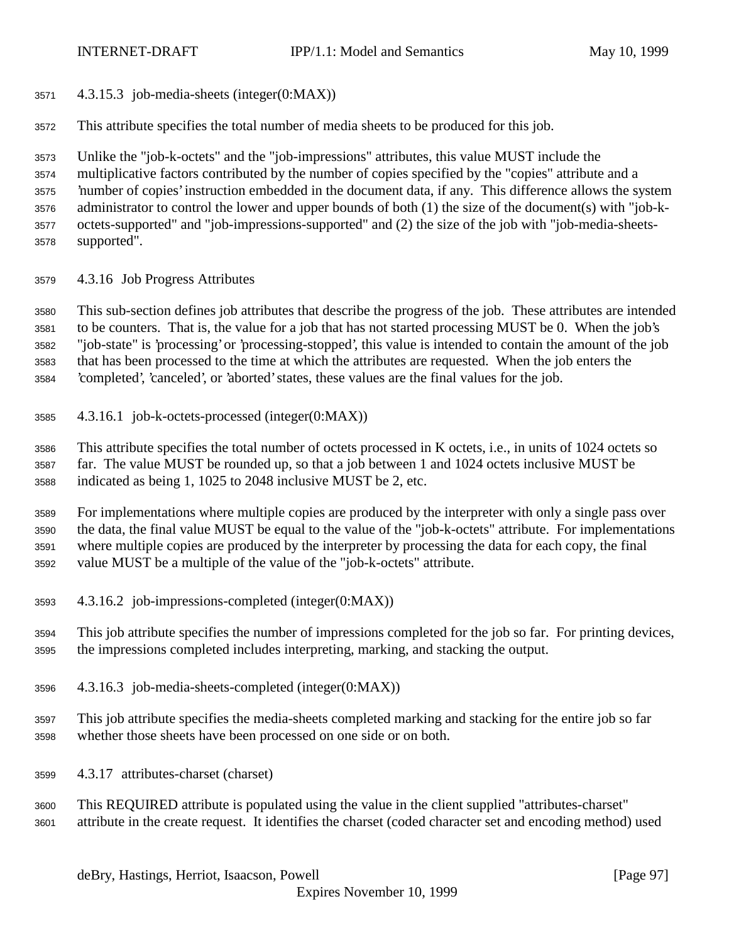- 4.3.15.3 job-media-sheets (integer(0:MAX))
- This attribute specifies the total number of media sheets to be produced for this job.

 Unlike the "job-k-octets" and the "job-impressions" attributes, this value MUST include the multiplicative factors contributed by the number of copies specified by the "copies" attribute and a 'number of copies' instruction embedded in the document data, if any. This difference allows the system administrator to control the lower and upper bounds of both (1) the size of the document(s) with "job-k- octets-supported" and "job-impressions-supported" and (2) the size of the job with "job-media-sheets-supported".

4.3.16 Job Progress Attributes

 This sub-section defines job attributes that describe the progress of the job. These attributes are intended to be counters. That is, the value for a job that has not started processing MUST be 0. When the job's "job-state" is 'processing' or 'processing-stopped', this value is intended to contain the amount of the job that has been processed to the time at which the attributes are requested. When the job enters the 'completed', 'canceled', or 'aborted' states, these values are the final values for the job.

4.3.16.1 job-k-octets-processed (integer(0:MAX))

 This attribute specifies the total number of octets processed in K octets, i.e., in units of 1024 octets so far. The value MUST be rounded up, so that a job between 1 and 1024 octets inclusive MUST be indicated as being 1, 1025 to 2048 inclusive MUST be 2, etc.

 For implementations where multiple copies are produced by the interpreter with only a single pass over the data, the final value MUST be equal to the value of the "job-k-octets" attribute. For implementations where multiple copies are produced by the interpreter by processing the data for each copy, the final value MUST be a multiple of the value of the "job-k-octets" attribute.

- 4.3.16.2 job-impressions-completed (integer(0:MAX))
- This job attribute specifies the number of impressions completed for the job so far. For printing devices, the impressions completed includes interpreting, marking, and stacking the output.
- 4.3.16.3 job-media-sheets-completed (integer(0:MAX))
- This job attribute specifies the media-sheets completed marking and stacking for the entire job so far whether those sheets have been processed on one side or on both.
- 4.3.17 attributes-charset (charset)
- This REQUIRED attribute is populated using the value in the client supplied "attributes-charset" attribute in the create request. It identifies the charset (coded character set and encoding method) used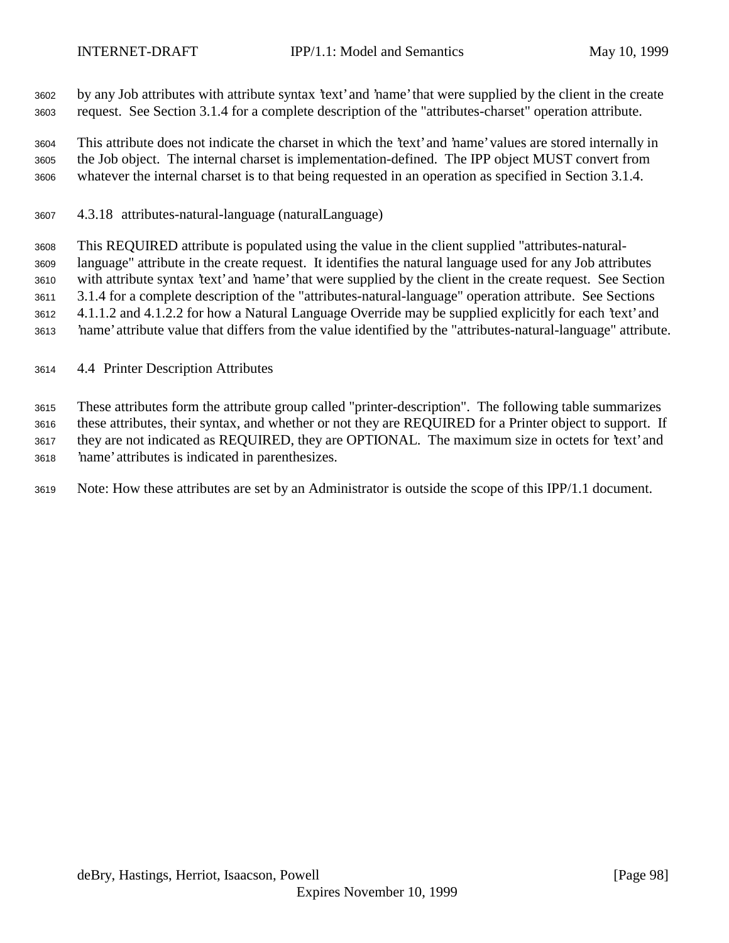by any Job attributes with attribute syntax 'text' and 'name' that were supplied by the client in the create request. See Section 3.1.4 for a complete description of the "attributes-charset" operation attribute.

 This attribute does not indicate the charset in which the 'text' and 'name' values are stored internally in the Job object. The internal charset is implementation-defined. The IPP object MUST convert from whatever the internal charset is to that being requested in an operation as specified in Section 3.1.4.

4.3.18 attributes-natural-language (naturalLanguage)

 This REQUIRED attribute is populated using the value in the client supplied "attributes-natural- language" attribute in the create request. It identifies the natural language used for any Job attributes with attribute syntax 'text' and 'name' that were supplied by the client in the create request. See Section 3.1.4 for a complete description of the "attributes-natural-language" operation attribute. See Sections 4.1.1.2 and 4.1.2.2 for how a Natural Language Override may be supplied explicitly for each 'text' and 'name' attribute value that differs from the value identified by the "attributes-natural-language" attribute.

4.4 Printer Description Attributes

 These attributes form the attribute group called "printer-description". The following table summarizes these attributes, their syntax, and whether or not they are REQUIRED for a Printer object to support. If they are not indicated as REQUIRED, they are OPTIONAL. The maximum size in octets for 'text' and 'name' attributes is indicated in parenthesizes.

Note: How these attributes are set by an Administrator is outside the scope of this IPP/1.1 document.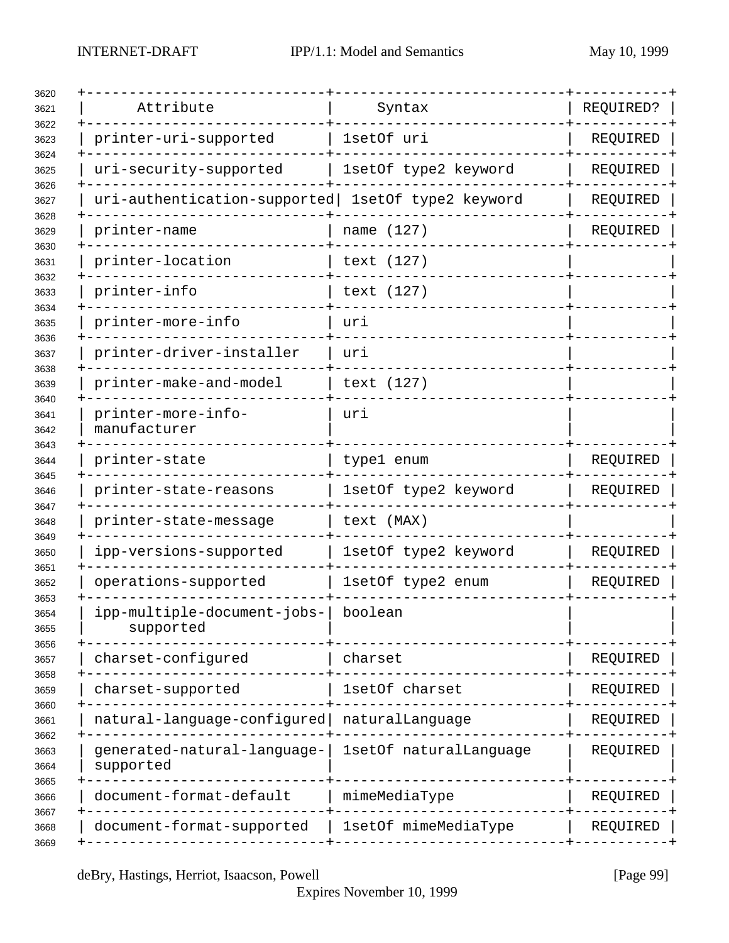| Attribute                                         | Syntax                 | REQUIRED? |
|---------------------------------------------------|------------------------|-----------|
| printer-uri-supported                             | 1setOf uri             | REQUIRED  |
| uri-security-supported                            | 1setOf type2 keyword   | REQUIRED  |
| uri-authentication-supported lsetOf type2 keyword |                        | REQUIRED  |
| printer-name                                      | name (127)             | REQUIRED  |
| printer-location                                  | text (127)             |           |
| printer-info                                      | text (127)             |           |
| printer-more-info                                 | urı                    |           |
| printer-driver-installer                          | uri                    |           |
| printer-make-and-model                            | text (127)             |           |
| printer-more-info-<br>manufacturer                | uri                    |           |
| printer-state                                     | type1 enum             | REQUIRED  |
| printer-state-reasons                             | 1setOf type2 keyword   | REQUIRED  |
| printer-state-message                             | text (MAX)             |           |
| ipp-versions-supported                            | 1setOf type2 keyword   | REQUIRED  |
| operations-supported                              | 1setOf type2 enum      | REQUIRED  |
| ipp-multiple-document-jobs-<br>supported          | boolean                |           |
| charset-configured                                | charset                | REQUIRED  |
| charset-supported                                 | 1setOf charset         | REQUIRED  |
| natural-language-configured                       | naturalLanguage        | REQUIRED  |
| generated-natural-language-<br>supported          | 1setOf naturalLanguage | REQUIRED  |
| document-format-default                           | mimeMediaType          | REQUIRED  |
| document-format-supported                         | 1setOf mimeMediaType   | REQUIRED  |

deBry, Hastings, Herriot, Isaacson, Powell [Page 99]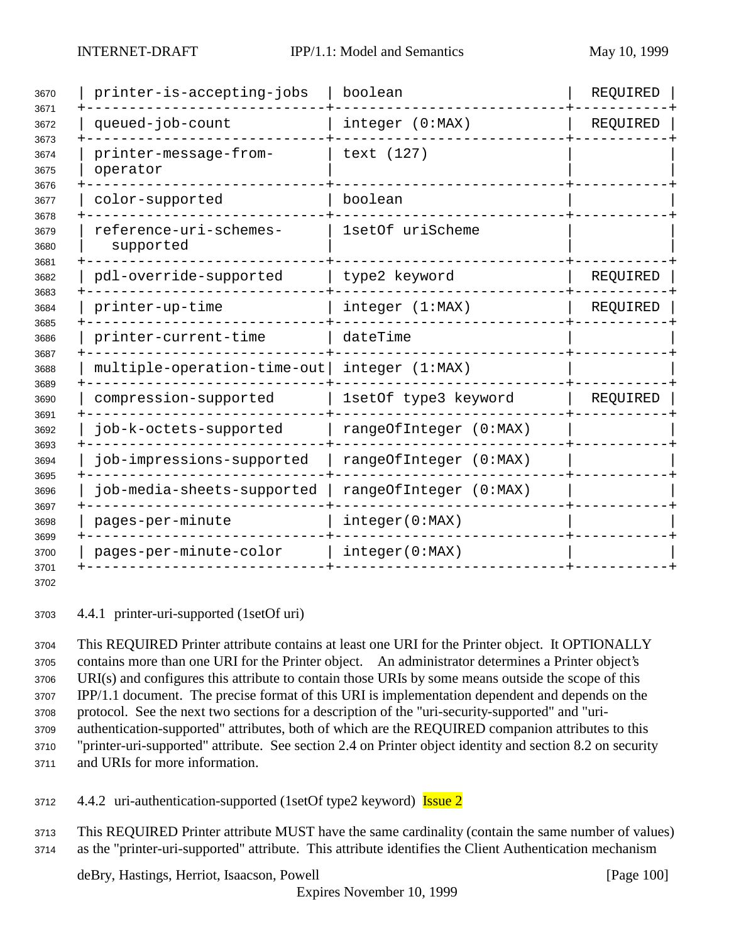| 3670<br>3671<br>3672<br>3673<br>3674<br>3675<br>3676<br>3677<br>3678<br>3679<br>3680 | printer-is-accepting-jobs                               | boolean                | REQUIRED |
|--------------------------------------------------------------------------------------|---------------------------------------------------------|------------------------|----------|
|                                                                                      | queued-job-count                                        | integer (0:MAX)        | REQUIRED |
|                                                                                      | printer-message-from-<br>operator                       | text (127)             |          |
|                                                                                      | color-supported                                         | boolean                |          |
|                                                                                      | reference-uri-schemes-<br>1setOf uriScheme<br>supported |                        |          |
| 3681<br>3682                                                                         | pdl-override-supported                                  | type2 keyword          | REQUIRED |
| 3683<br>3684                                                                         | printer-up-time<br>integer (1:MAX)                      |                        | REQUIRED |
| 3685<br>3686<br>3687<br>3688                                                         | printer-current-time                                    | dateTime               |          |
|                                                                                      | multiple-operation-time-out                             | integer (1:MAX)        |          |
| 3689<br>3690                                                                         | compression-supported                                   | 1setOf type3 keyword   | REQUIRED |
| 3691<br>3692<br>3693<br>3694<br>3695<br>3696<br>3697<br>3698<br>3699<br>3700         | job-k-octets-supported                                  | rangeOfInteger (0:MAX) |          |
|                                                                                      | job-impressions-supported                               | rangeOfInteger (0:MAX) |          |
|                                                                                      | job-media-sheets-supported                              | rangeOfInteger (0:MAX) |          |
|                                                                                      | pages-per-minute                                        | integer(0:MAX)         |          |
|                                                                                      | pages-per-minute-color                                  | integer(0:MAX)         |          |
| 3701<br>3702                                                                         |                                                         |                        |          |

4.4.1 printer-uri-supported (1setOf uri)

 This REQUIRED Printer attribute contains at least one URI for the Printer object. It OPTIONALLY contains more than one URI for the Printer object. An administrator determines a Printer object's URI(s) and configures this attribute to contain those URIs by some means outside the scope of this IPP/1.1 document. The precise format of this URI is implementation dependent and depends on the protocol. See the next two sections for a description of the "uri-security-supported" and "uri- authentication-supported" attributes, both of which are the REQUIRED companion attributes to this "printer-uri-supported" attribute. See section 2.4 on Printer object identity and section 8.2 on security and URIs for more information.

3712 4.4.2 uri-authentication-supported (1setOf type2 keyword) **Issue 2** 

 This REQUIRED Printer attribute MUST have the same cardinality (contain the same number of values) as the "printer-uri-supported" attribute. This attribute identifies the Client Authentication mechanism

deBry, Hastings, Herriot, Isaacson, Powell [Page 100]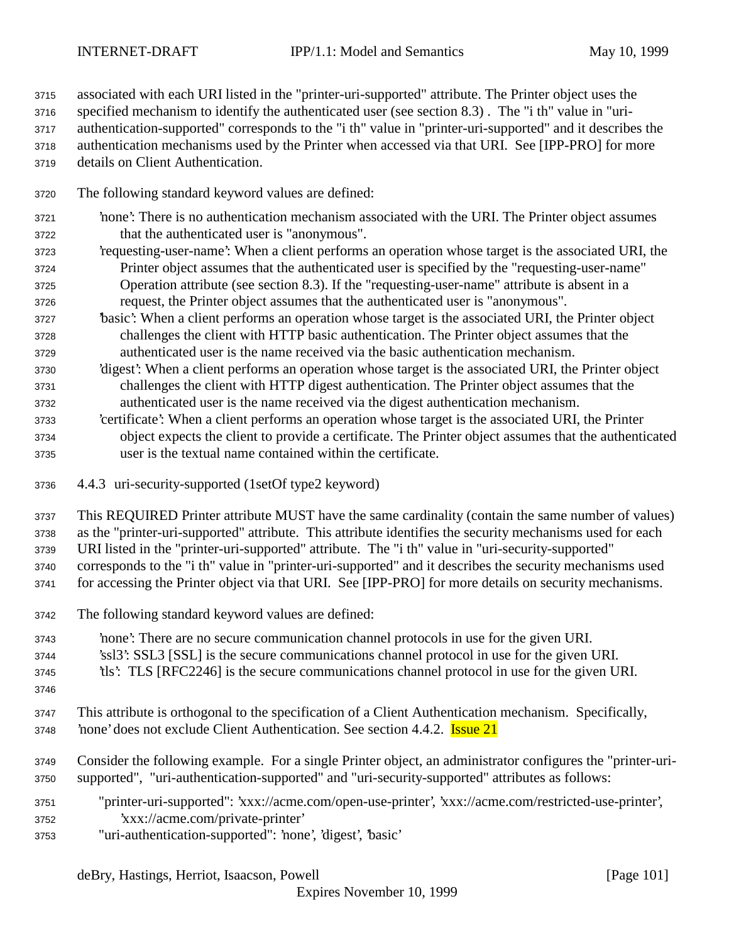associated with each URI listed in the "printer-uri-supported" attribute. The Printer object uses the

 specified mechanism to identify the authenticated user (see section 8.3) . The "i th" value in "uri- authentication-supported" corresponds to the "i th" value in "printer-uri-supported" and it describes the authentication mechanisms used by the Printer when accessed via that URI. See [IPP-PRO] for more

details on Client Authentication.

- The following standard keyword values are defined:
- 'none': There is no authentication mechanism associated with the URI. The Printer object assumes that the authenticated user is "anonymous".
- 'requesting-user-name': When a client performs an operation whose target is the associated URI, the Printer object assumes that the authenticated user is specified by the "requesting-user-name" Operation attribute (see section 8.3). If the "requesting-user-name" attribute is absent in a request, the Printer object assumes that the authenticated user is "anonymous".
- 'basic': When a client performs an operation whose target is the associated URI, the Printer object challenges the client with HTTP basic authentication. The Printer object assumes that the authenticated user is the name received via the basic authentication mechanism.
- 'digest': When a client performs an operation whose target is the associated URI, the Printer object challenges the client with HTTP digest authentication. The Printer object assumes that the authenticated user is the name received via the digest authentication mechanism.
- 'certificate': When a client performs an operation whose target is the associated URI, the Printer object expects the client to provide a certificate. The Printer object assumes that the authenticated user is the textual name contained within the certificate.
- 4.4.3 uri-security-supported (1setOf type2 keyword)
- This REQUIRED Printer attribute MUST have the same cardinality (contain the same number of values) as the "printer-uri-supported" attribute. This attribute identifies the security mechanisms used for each

URI listed in the "printer-uri-supported" attribute. The "i th" value in "uri-security-supported"

corresponds to the "i th" value in "printer-uri-supported" and it describes the security mechanisms used

for accessing the Printer object via that URI. See [IPP-PRO] for more details on security mechanisms.

The following standard keyword values are defined:

 'none': There are no secure communication channel protocols in use for the given URI. 'ssl3': SSL3 [SSL] is the secure communications channel protocol in use for the given URI. 'tls': TLS [RFC2246] is the secure communications channel protocol in use for the given URI.

- 
- This attribute is orthogonal to the specification of a Client Authentication mechanism. Specifically, 'none' does not exclude Client Authentication. See section 4.4.2. Issue 21
- Consider the following example. For a single Printer object, an administrator configures the "printer-uri-supported", "uri-authentication-supported" and "uri-security-supported" attributes as follows:
- "printer-uri-supported": 'xxx://acme.com/open-use-printer', 'xxx://acme.com/restricted-use-printer', 'xxx://acme.com/private-printer'
- "uri-authentication-supported": 'none', 'digest', 'basic'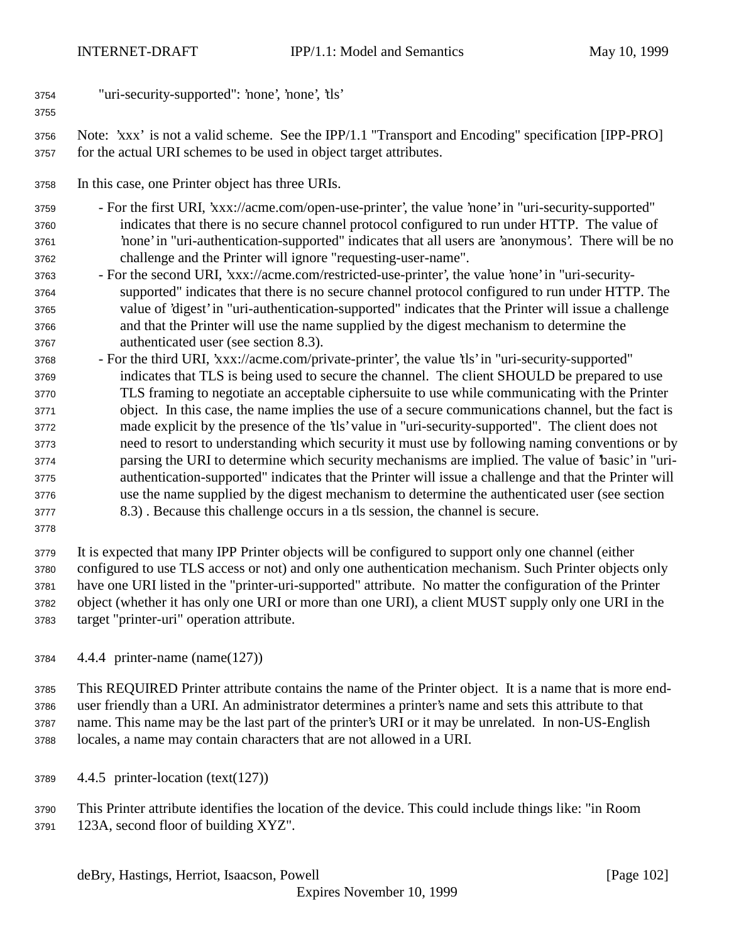- "uri-security-supported": 'none', 'none', 'tls'
- Note: 'xxx' is not a valid scheme. See the IPP/1.1 "Transport and Encoding" specification [IPP-PRO] for the actual URI schemes to be used in object target attributes.
- In this case, one Printer object has three URIs.
- For the first URI, 'xxx://acme.com/open-use-printer', the value 'none' in "uri-security-supported" indicates that there is no secure channel protocol configured to run under HTTP. The value of 'none' in "uri-authentication-supported" indicates that all users are 'anonymous'. There will be no challenge and the Printer will ignore "requesting-user-name".
- For the second URI, 'xxx://acme.com/restricted-use-printer', the value 'none' in "uri-security- supported" indicates that there is no secure channel protocol configured to run under HTTP. The value of 'digest' in "uri-authentication-supported" indicates that the Printer will issue a challenge and that the Printer will use the name supplied by the digest mechanism to determine the authenticated user (see section 8.3).
- For the third URI, 'xxx://acme.com/private-printer', the value 'tls' in "uri-security-supported" indicates that TLS is being used to secure the channel. The client SHOULD be prepared to use TLS framing to negotiate an acceptable ciphersuite to use while communicating with the Printer object. In this case, the name implies the use of a secure communications channel, but the fact is made explicit by the presence of the 'tls' value in "uri-security-supported". The client does not need to resort to understanding which security it must use by following naming conventions or by parsing the URI to determine which security mechanisms are implied. The value of 'basic' in "uri- authentication-supported" indicates that the Printer will issue a challenge and that the Printer will use the name supplied by the digest mechanism to determine the authenticated user (see section 8.3) . Because this challenge occurs in a tls session, the channel is secure.
- 

 It is expected that many IPP Printer objects will be configured to support only one channel (either configured to use TLS access or not) and only one authentication mechanism. Such Printer objects only have one URI listed in the "printer-uri-supported" attribute. No matter the configuration of the Printer object (whether it has only one URI or more than one URI), a client MUST supply only one URI in the target "printer-uri" operation attribute.

4.4.4 printer-name (name(127))

 This REQUIRED Printer attribute contains the name of the Printer object. It is a name that is more end- user friendly than a URI. An administrator determines a printer's name and sets this attribute to that name. This name may be the last part of the printer's URI or it may be unrelated. In non-US-English locales, a name may contain characters that are not allowed in a URI.

- 4.4.5 printer-location (text(127))
- This Printer attribute identifies the location of the device. This could include things like: "in Room 123A, second floor of building XYZ".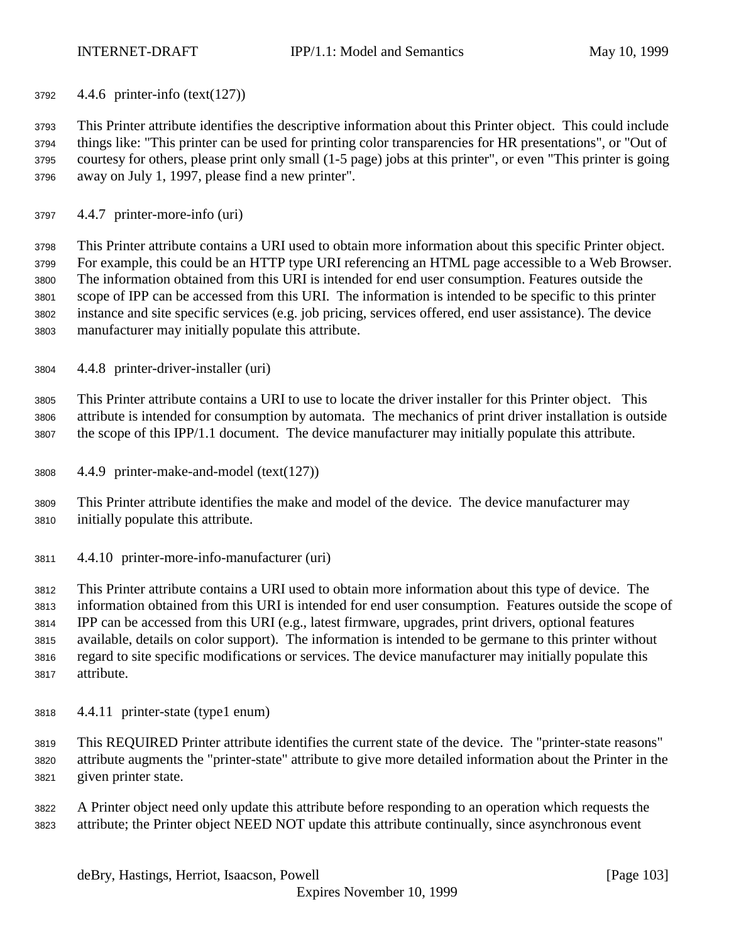4.4.6 printer-info (text(127))

 This Printer attribute identifies the descriptive information about this Printer object. This could include things like: "This printer can be used for printing color transparencies for HR presentations", or "Out of courtesy for others, please print only small (1-5 page) jobs at this printer", or even "This printer is going away on July 1, 1997, please find a new printer".

4.4.7 printer-more-info (uri)

 This Printer attribute contains a URI used to obtain more information about this specific Printer object. For example, this could be an HTTP type URI referencing an HTML page accessible to a Web Browser. The information obtained from this URI is intended for end user consumption. Features outside the scope of IPP can be accessed from this URI. The information is intended to be specific to this printer instance and site specific services (e.g. job pricing, services offered, end user assistance). The device manufacturer may initially populate this attribute.

4.4.8 printer-driver-installer (uri)

 This Printer attribute contains a URI to use to locate the driver installer for this Printer object. This attribute is intended for consumption by automata. The mechanics of print driver installation is outside the scope of this IPP/1.1 document. The device manufacturer may initially populate this attribute.

4.4.9 printer-make-and-model (text(127))

 This Printer attribute identifies the make and model of the device. The device manufacturer may initially populate this attribute.

4.4.10 printer-more-info-manufacturer (uri)

 This Printer attribute contains a URI used to obtain more information about this type of device. The information obtained from this URI is intended for end user consumption. Features outside the scope of IPP can be accessed from this URI (e.g., latest firmware, upgrades, print drivers, optional features available, details on color support). The information is intended to be germane to this printer without regard to site specific modifications or services. The device manufacturer may initially populate this attribute.

- 4.4.11 printer-state (type1 enum)
- This REQUIRED Printer attribute identifies the current state of the device. The "printer-state reasons" attribute augments the "printer-state" attribute to give more detailed information about the Printer in the given printer state.
- A Printer object need only update this attribute before responding to an operation which requests the attribute; the Printer object NEED NOT update this attribute continually, since asynchronous event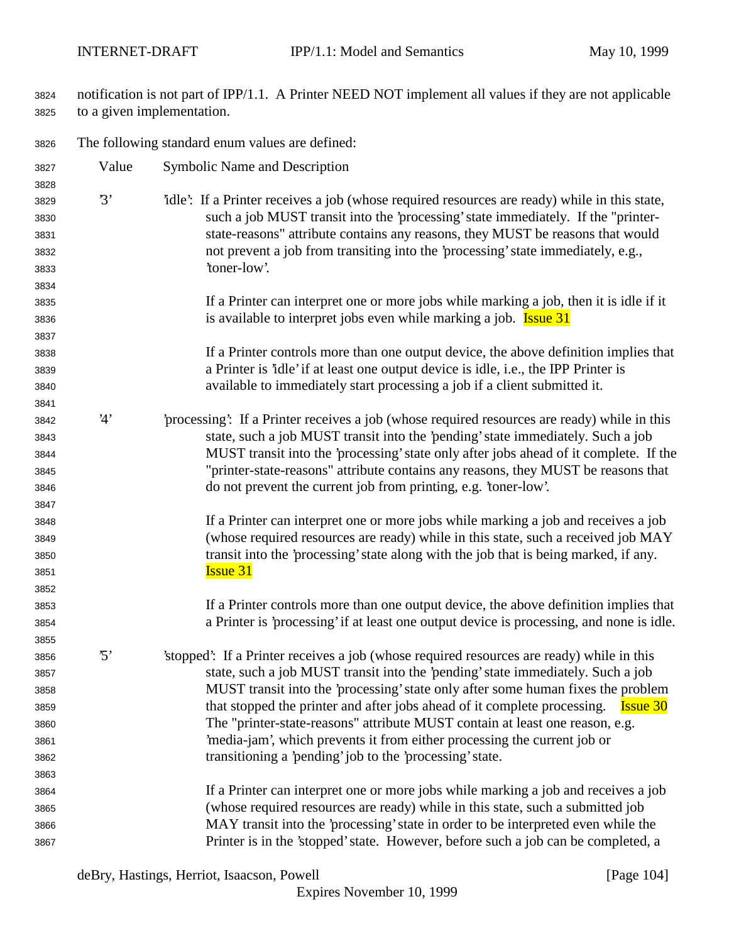- notification is not part of IPP/1.1. A Printer NEED NOT implement all values if they are not applicable to a given implementation.
- The following standard enum values are defined:

| 3827         | Value      | Symbolic Name and Description                                                                 |
|--------------|------------|-----------------------------------------------------------------------------------------------|
| 3828         |            |                                                                                               |
| 3829         | 3'         | "idle": If a Printer receives a job (whose required resources are ready) while in this state, |
| 3830         |            | such a job MUST transit into the 'processing' state immediately. If the "printer-             |
| 3831         |            | state-reasons" attribute contains any reasons, they MUST be reasons that would                |
| 3832         |            | not prevent a job from transiting into the 'processing' state immediately, e.g.,              |
| 3833         |            | 'toner-low'.                                                                                  |
| 3834         |            |                                                                                               |
| 3835         |            | If a Printer can interpret one or more jobs while marking a job, then it is idle if it        |
| 3836         |            | is available to interpret jobs even while marking a job. <b>Issue 31</b>                      |
| 3837         |            |                                                                                               |
| 3838         |            | If a Printer controls more than one output device, the above definition implies that          |
| 3839         |            | a Printer is 'idle' if at least one output device is idle, i.e., the IPP Printer is           |
| 3840         |            | available to immediately start processing a job if a client submitted it.                     |
| 3841         |            |                                                                                               |
| 3842         | 4'         | processing: If a Printer receives a job (whose required resources are ready) while in this    |
| 3843         |            | state, such a job MUST transit into the 'pending' state immediately. Such a job               |
| 3844         |            | MUST transit into the 'processing' state only after jobs ahead of it complete. If the         |
| 3845         |            | "printer-state-reasons" attribute contains any reasons, they MUST be reasons that             |
| 3846         |            | do not prevent the current job from printing, e.g. 'toner-low'.                               |
| 3847         |            |                                                                                               |
| 3848         |            | If a Printer can interpret one or more jobs while marking a job and receives a job            |
| 3849         |            | (whose required resources are ready) while in this state, such a received job MAY             |
| 3850         |            | transit into the 'processing' state along with the job that is being marked, if any.          |
| 3851         |            | <b>Issue 31</b>                                                                               |
| 3852         |            |                                                                                               |
| 3853         |            | If a Printer controls more than one output device, the above definition implies that          |
| 3854         |            | a Printer is 'processing' if at least one output device is processing, and none is idle.      |
| 3855         |            |                                                                                               |
| 3856         | $\cdot$ 5' | 'stopped': If a Printer receives a job (whose required resources are ready) while in this     |
| 3857         |            | state, such a job MUST transit into the 'pending' state immediately. Such a job               |
| 3858         |            | MUST transit into the 'processing' state only after some human fixes the problem              |
| 3859         |            | that stopped the printer and after jobs ahead of it complete processing.<br><b>Issue 30</b>   |
| 3860         |            | The "printer-state-reasons" attribute MUST contain at least one reason, e.g.                  |
| 3861         |            | media-jam', which prevents it from either processing the current job or                       |
| 3862         |            | transitioning a 'pending' job to the 'processing' state.                                      |
| 3863         |            |                                                                                               |
|              |            | If a Printer can interpret one or more jobs while marking a job and receives a job            |
| 3864<br>3865 |            | (whose required resources are ready) while in this state, such a submitted job                |
|              |            | MAY transit into the 'processing' state in order to be interpreted even while the             |
| 3866         |            |                                                                                               |
| 3867         |            | Printer is in the 'stopped' state. However, before such a job can be completed, a             |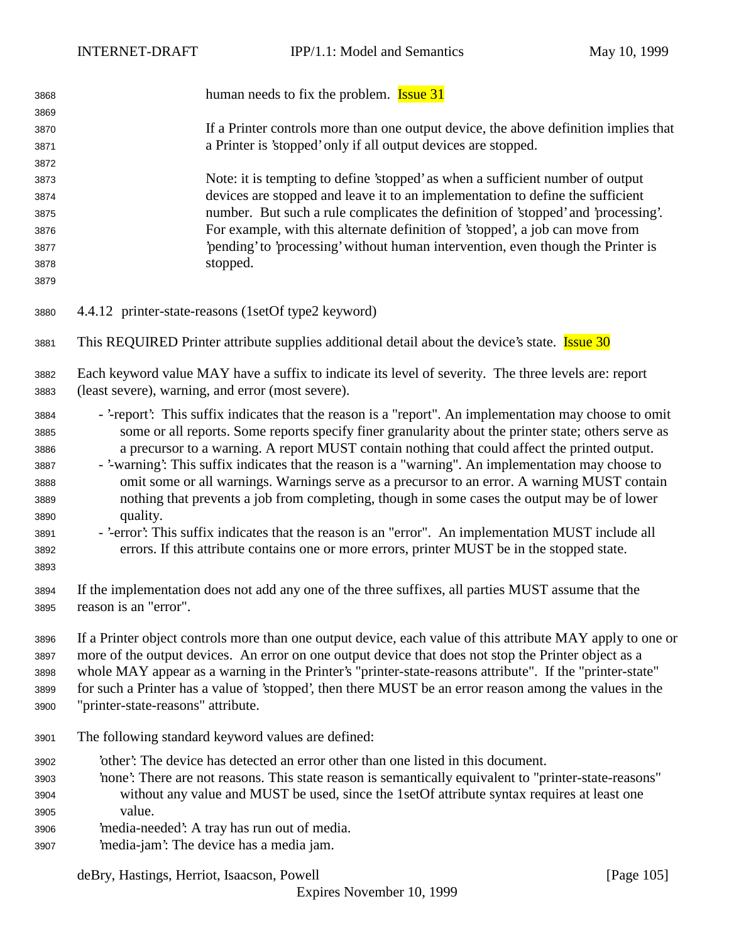| 3868 | human needs to fix the problem. <b>Issue 31</b>                                                            |  |
|------|------------------------------------------------------------------------------------------------------------|--|
| 3869 |                                                                                                            |  |
| 3870 | If a Printer controls more than one output device, the above definition implies that                       |  |
| 3871 | a Printer is 'stopped' only if all output devices are stopped.                                             |  |
| 3872 |                                                                                                            |  |
| 3873 | Note: it is tempting to define 'stopped' as when a sufficient number of output                             |  |
| 3874 | devices are stopped and leave it to an implementation to define the sufficient                             |  |
| 3875 | number. But such a rule complicates the definition of 'stopped' and 'processing'.                          |  |
| 3876 | For example, with this alternate definition of 'stopped', a job can move from                              |  |
| 3877 | 'pending' to 'processing' without human intervention, even though the Printer is                           |  |
| 3878 | stopped.                                                                                                   |  |
| 3879 |                                                                                                            |  |
| 3880 | 4.4.12 printer-state-reasons (1setOf type2 keyword)                                                        |  |
| 3881 | This REQUIRED Printer attribute supplies additional detail about the device's state. <b>Issue 30</b>       |  |
| 3882 | Each keyword value MAY have a suffix to indicate its level of severity. The three levels are: report       |  |
| 3883 | (least severe), warning, and error (most severe).                                                          |  |
| 3884 | - '-report': This suffix indicates that the reason is a "report". An implementation may choose to omit     |  |
| 3885 | some or all reports. Some reports specify finer granularity about the printer state; others serve as       |  |
| 3886 | a precursor to a warning. A report MUST contain nothing that could affect the printed output.              |  |
| 3887 | - '-warning': This suffix indicates that the reason is a "warning". An implementation may choose to        |  |
| 3888 | omit some or all warnings. Warnings serve as a precursor to an error. A warning MUST contain               |  |
| 3889 | nothing that prevents a job from completing, though in some cases the output may be of lower               |  |
| 3890 | quality.                                                                                                   |  |
| 3891 | - '-error': This suffix indicates that the reason is an "error". An implementation MUST include all        |  |
| 3892 | errors. If this attribute contains one or more errors, printer MUST be in the stopped state.               |  |
| 3893 |                                                                                                            |  |
| 3894 | If the implementation does not add any one of the three suffixes, all parties MUST assume that the         |  |
| 3895 | reason is an "error".                                                                                      |  |
|      |                                                                                                            |  |
| 3896 | If a Printer object controls more than one output device, each value of this attribute MAY apply to one or |  |
| 3897 | more of the output devices. An error on one output device that does not stop the Printer object as a       |  |
| 3898 | whole MAY appear as a warning in the Printer's "printer-state-reasons attribute". If the "printer-state"   |  |
| 3899 | for such a Printer has a value of 'stopped', then there MUST be an error reason among the values in the    |  |
| 3900 | "printer-state-reasons" attribute.                                                                         |  |
| 3901 | The following standard keyword values are defined:                                                         |  |
| 3902 | other': The device has detected an error other than one listed in this document.                           |  |
| 3903 | 'none': There are not reasons. This state reason is semantically equivalent to "printer-state-reasons"     |  |
| 3904 | without any value and MUST be used, since the 1set Of attribute syntax requires at least one               |  |
| 3905 | value.                                                                                                     |  |
| 3906 | 'media-needed': A tray has run out of media.                                                               |  |
| 3907 | 'media-jam': The device has a media jam.                                                                   |  |
|      |                                                                                                            |  |

deBry, Hastings, Herriot, Isaacson, Powell [Page 105]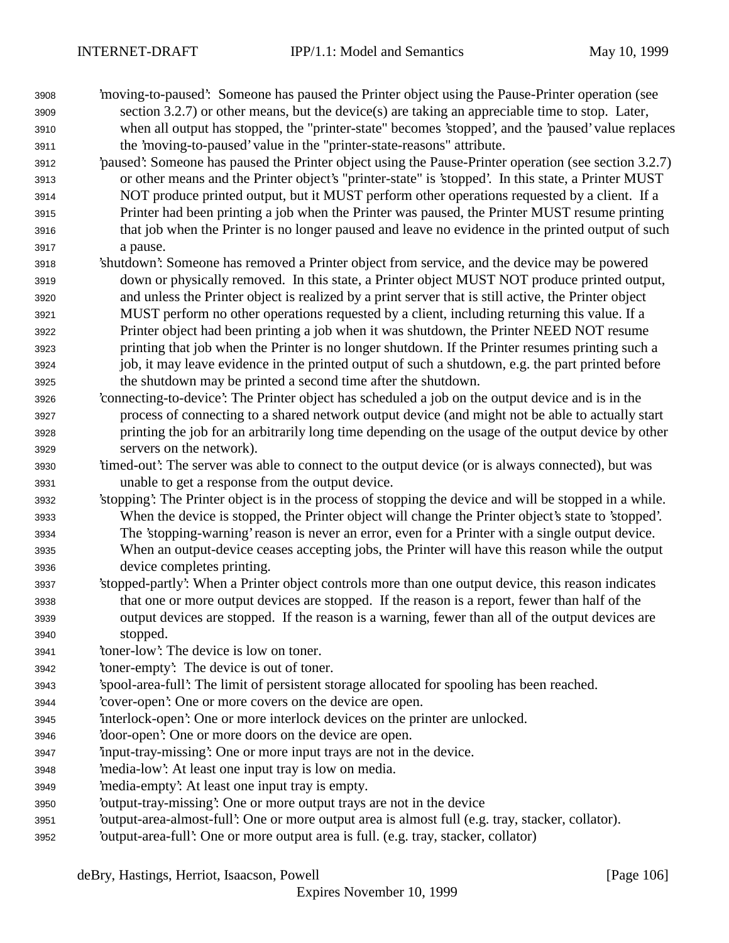- 'moving-to-paused': Someone has paused the Printer object using the Pause-Printer operation (see section 3.2.7) or other means, but the device(s) are taking an appreciable time to stop. Later, when all output has stopped, the "printer-state" becomes 'stopped', and the 'paused' value replaces the 'moving-to-paused' value in the "printer-state-reasons" attribute.
- 'paused': Someone has paused the Printer object using the Pause-Printer operation (see section 3.2.7) or other means and the Printer object's "printer-state" is 'stopped'. In this state, a Printer MUST NOT produce printed output, but it MUST perform other operations requested by a client. If a Printer had been printing a job when the Printer was paused, the Printer MUST resume printing that job when the Printer is no longer paused and leave no evidence in the printed output of such a pause.
- 'shutdown': Someone has removed a Printer object from service, and the device may be powered down or physically removed. In this state, a Printer object MUST NOT produce printed output, and unless the Printer object is realized by a print server that is still active, the Printer object MUST perform no other operations requested by a client, including returning this value. If a Printer object had been printing a job when it was shutdown, the Printer NEED NOT resume printing that job when the Printer is no longer shutdown. If the Printer resumes printing such a job, it may leave evidence in the printed output of such a shutdown, e.g. the part printed before the shutdown may be printed a second time after the shutdown.
- 'connecting-to-device': The Printer object has scheduled a job on the output device and is in the process of connecting to a shared network output device (and might not be able to actually start printing the job for an arbitrarily long time depending on the usage of the output device by other servers on the network).
- 'timed-out': The server was able to connect to the output device (or is always connected), but was unable to get a response from the output device.
- 'stopping': The Printer object is in the process of stopping the device and will be stopped in a while. When the device is stopped, the Printer object will change the Printer object's state to 'stopped'. The 'stopping-warning' reason is never an error, even for a Printer with a single output device. When an output-device ceases accepting jobs, the Printer will have this reason while the output device completes printing.
- 'stopped-partly': When a Printer object controls more than one output device, this reason indicates that one or more output devices are stopped. If the reason is a report, fewer than half of the output devices are stopped. If the reason is a warning, fewer than all of the output devices are stopped.
- 'toner-low': The device is low on toner.
- 'toner-empty': The device is out of toner.
- 'spool-area-full': The limit of persistent storage allocated for spooling has been reached.
- 'cover-open': One or more covers on the device are open.
- 'interlock-open': One or more interlock devices on the printer are unlocked.
- 'door-open': One or more doors on the device are open.
- 'input-tray-missing': One or more input trays are not in the device.
- 'media-low': At least one input tray is low on media.
- 'media-empty': At least one input tray is empty.
- 'output-tray-missing': One or more output trays are not in the device
- 'output-area-almost-full': One or more output area is almost full (e.g. tray, stacker, collator).
- 'output-area-full': One or more output area is full. (e.g. tray, stacker, collator)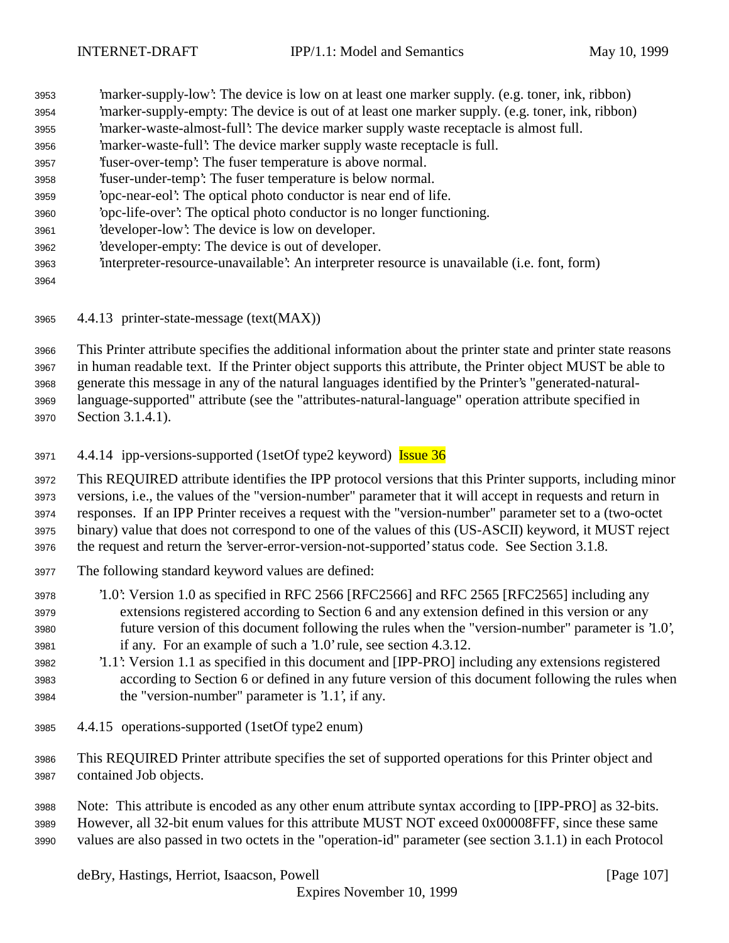'marker-supply-low': The device is low on at least one marker supply. (e.g. toner, ink, ribbon) 'marker-supply-empty: The device is out of at least one marker supply. (e.g. toner, ink, ribbon) 'marker-waste-almost-full': The device marker supply waste receptacle is almost full. 'marker-waste-full': The device marker supply waste receptacle is full. 'fuser-over-temp': The fuser temperature is above normal. 'fuser-under-temp': The fuser temperature is below normal. 'opc-near-eol': The optical photo conductor is near end of life. 'opc-life-over': The optical photo conductor is no longer functioning. 'developer-low': The device is low on developer. 'developer-empty: The device is out of developer. 'interpreter-resource-unavailable': An interpreter resource is unavailable (i.e. font, form) 

4.4.13 printer-state-message (text(MAX))

 This Printer attribute specifies the additional information about the printer state and printer state reasons in human readable text. If the Printer object supports this attribute, the Printer object MUST be able to generate this message in any of the natural languages identified by the Printer's "generated-natural- language-supported" attribute (see the "attributes-natural-language" operation attribute specified in Section 3.1.4.1).

3971 4.4.14 ipp-versions-supported (1setOf type2 keyword) **Issue 36** 

 This REQUIRED attribute identifies the IPP protocol versions that this Printer supports, including minor versions, i.e., the values of the "version-number" parameter that it will accept in requests and return in responses. If an IPP Printer receives a request with the "version-number" parameter set to a (two-octet binary) value that does not correspond to one of the values of this (US-ASCII) keyword, it MUST reject the request and return the 'server-error-version-not-supported' status code. See Section 3.1.8.

- The following standard keyword values are defined:
- '1.0': Version 1.0 as specified in RFC 2566 [RFC2566] and RFC 2565 [RFC2565] including any extensions registered according to Section 6 and any extension defined in this version or any future version of this document following the rules when the "version-number" parameter is '1.0', if any. For an example of such a '1.0' rule, see section 4.3.12.
- '1.1': Version 1.1 as specified in this document and [IPP-PRO] including any extensions registered according to Section 6 or defined in any future version of this document following the rules when the "version-number" parameter is '1.1', if any.
- 4.4.15 operations-supported (1setOf type2 enum)
- This REQUIRED Printer attribute specifies the set of supported operations for this Printer object and contained Job objects.

 Note: This attribute is encoded as any other enum attribute syntax according to [IPP-PRO] as 32-bits. However, all 32-bit enum values for this attribute MUST NOT exceed 0x00008FFF, since these same values are also passed in two octets in the "operation-id" parameter (see section 3.1.1) in each Protocol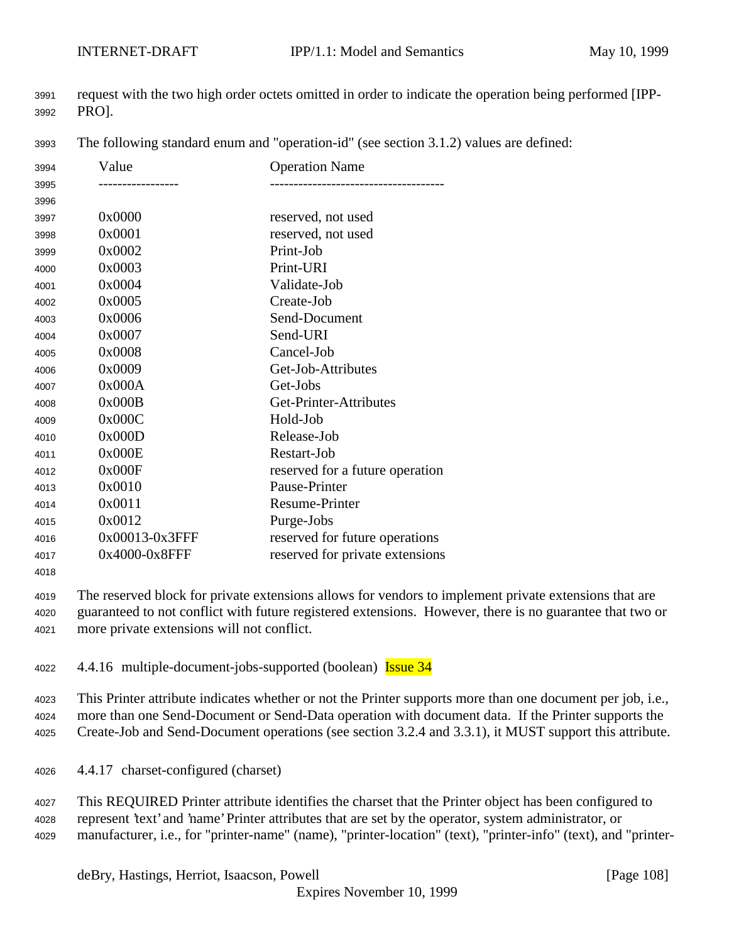request with the two high order octets omitted in order to indicate the operation being performed [IPP-PRO].

The following standard enum and "operation-id" (see section 3.1.2) values are defined:

| 3994 | Value          | <b>Operation Name</b>           |
|------|----------------|---------------------------------|
| 3995 |                |                                 |
| 3996 |                |                                 |
| 3997 | 0x0000         | reserved, not used              |
| 3998 | 0x0001         | reserved, not used              |
| 3999 | 0x0002         | Print-Job                       |
| 4000 | 0x0003         | Print-URI                       |
| 4001 | 0x0004         | Validate-Job                    |
| 4002 | 0x0005         | Create-Job                      |
| 4003 | 0x0006         | Send-Document                   |
| 4004 | 0x0007         | Send-URI                        |
| 4005 | 0x0008         | Cancel-Job                      |
| 4006 | 0x0009         | Get-Job-Attributes              |
| 4007 | 0x000A         | Get-Jobs                        |
| 4008 | 0x000B         | Get-Printer-Attributes          |
| 4009 | 0x000C         | Hold-Job                        |
| 4010 | 0x000D         | Release-Job                     |
| 4011 | 0x000E         | Restart-Job                     |
| 4012 | 0x000F         | reserved for a future operation |
| 4013 | 0x0010         | Pause-Printer                   |
| 4014 | 0x0011         | Resume-Printer                  |
| 4015 | 0x0012         | Purge-Jobs                      |
| 4016 | 0x00013-0x3FFF | reserved for future operations  |
| 4017 | 0x4000-0x8FFF  | reserved for private extensions |
|      |                |                                 |

 The reserved block for private extensions allows for vendors to implement private extensions that are guaranteed to not conflict with future registered extensions. However, there is no guarantee that two or more private extensions will not conflict.

4022 4.4.16 multiple-document-jobs-supported (boolean) Issue 34

This Printer attribute indicates whether or not the Printer supports more than one document per job, i.e.,

more than one Send-Document or Send-Data operation with document data. If the Printer supports the

Create-Job and Send-Document operations (see section 3.2.4 and 3.3.1), it MUST support this attribute.

- 4.4.17 charset-configured (charset)
- This REQUIRED Printer attribute identifies the charset that the Printer object has been configured to represent 'text' and 'name' Printer attributes that are set by the operator, system administrator, or
- manufacturer, i.e., for "printer-name" (name), "printer-location" (text), "printer-info" (text), and "printer-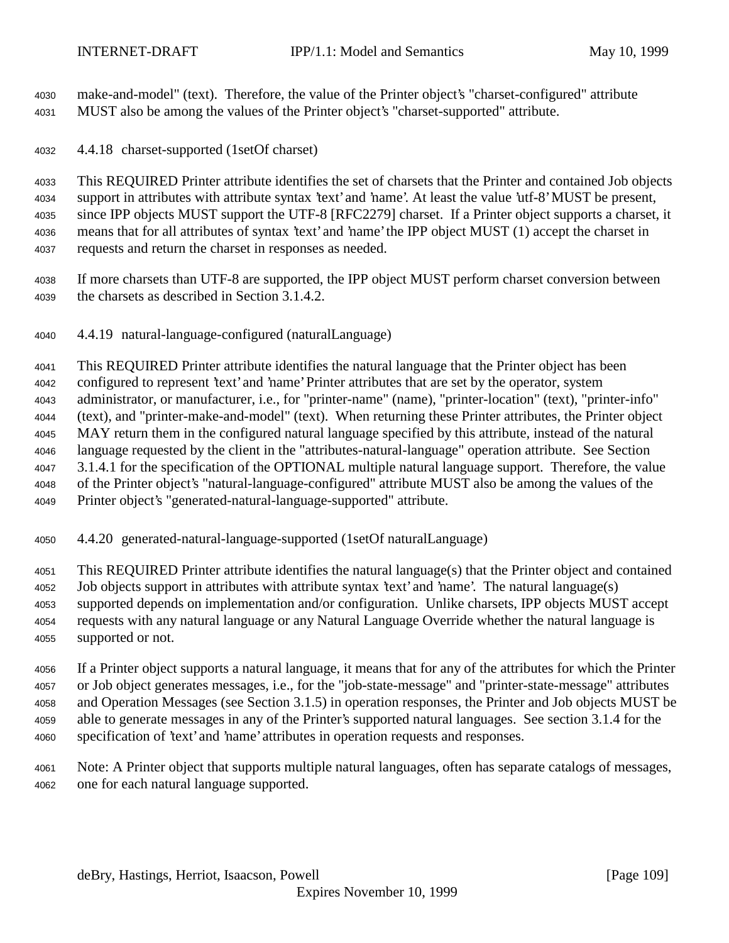make-and-model" (text). Therefore, the value of the Printer object's "charset-configured" attribute MUST also be among the values of the Printer object's "charset-supported" attribute.

4.4.18 charset-supported (1setOf charset)

 This REQUIRED Printer attribute identifies the set of charsets that the Printer and contained Job objects support in attributes with attribute syntax 'text' and 'name'. At least the value 'utf-8' MUST be present, since IPP objects MUST support the UTF-8 [RFC2279] charset. If a Printer object supports a charset, it means that for all attributes of syntax 'text' and 'name' the IPP object MUST (1) accept the charset in requests and return the charset in responses as needed.

- If more charsets than UTF-8 are supported, the IPP object MUST perform charset conversion between the charsets as described in Section 3.1.4.2.
- 4.4.19 natural-language-configured (naturalLanguage)

 This REQUIRED Printer attribute identifies the natural language that the Printer object has been configured to represent 'text' and 'name' Printer attributes that are set by the operator, system administrator, or manufacturer, i.e., for "printer-name" (name), "printer-location" (text), "printer-info" (text), and "printer-make-and-model" (text). When returning these Printer attributes, the Printer object MAY return them in the configured natural language specified by this attribute, instead of the natural language requested by the client in the "attributes-natural-language" operation attribute. See Section 3.1.4.1 for the specification of the OPTIONAL multiple natural language support. Therefore, the value of the Printer object's "natural-language-configured" attribute MUST also be among the values of the Printer object's "generated-natural-language-supported" attribute.

4.4.20 generated-natural-language-supported (1setOf naturalLanguage)

 This REQUIRED Printer attribute identifies the natural language(s) that the Printer object and contained Job objects support in attributes with attribute syntax 'text' and 'name'. The natural language(s) supported depends on implementation and/or configuration. Unlike charsets, IPP objects MUST accept requests with any natural language or any Natural Language Override whether the natural language is supported or not.

 If a Printer object supports a natural language, it means that for any of the attributes for which the Printer or Job object generates messages, i.e., for the "job-state-message" and "printer-state-message" attributes and Operation Messages (see Section 3.1.5) in operation responses, the Printer and Job objects MUST be able to generate messages in any of the Printer's supported natural languages. See section 3.1.4 for the specification of 'text' and 'name' attributes in operation requests and responses.

 Note: A Printer object that supports multiple natural languages, often has separate catalogs of messages, one for each natural language supported.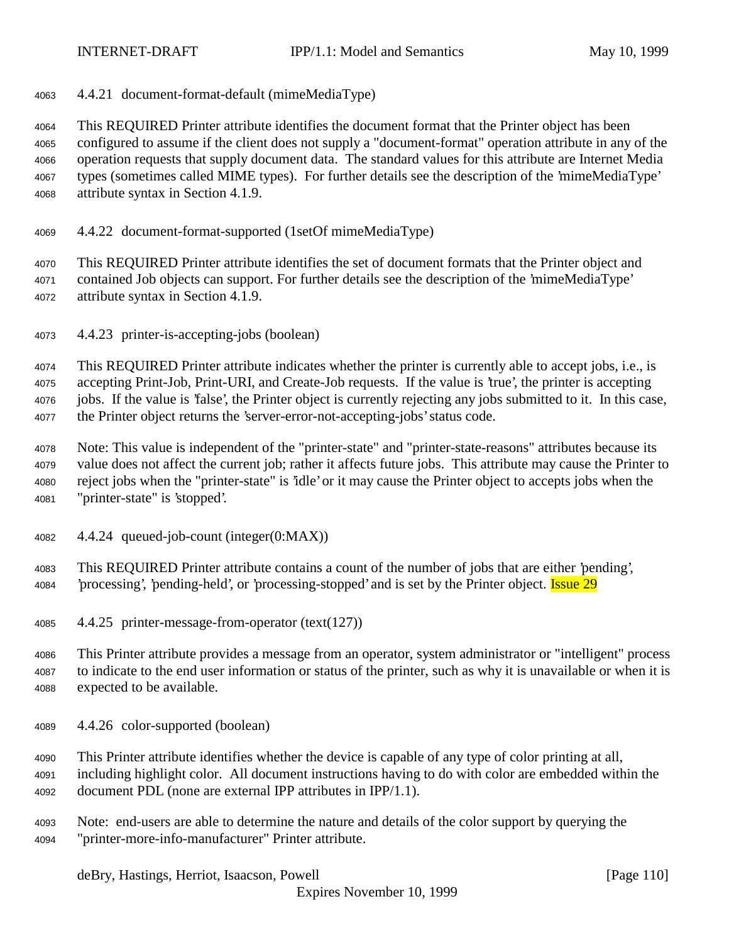4.4.21 document-format-default (mimeMediaType)

 This REQUIRED Printer attribute identifies the document format that the Printer object has been configured to assume if the client does not supply a "document-format" operation attribute in any of the operation requests that supply document data. The standard values for this attribute are Internet Media types (sometimes called MIME types). For further details see the description of the 'mimeMediaType' attribute syntax in Section 4.1.9.

4.4.22 document-format-supported (1setOf mimeMediaType)

 This REQUIRED Printer attribute identifies the set of document formats that the Printer object and contained Job objects can support. For further details see the description of the 'mimeMediaType' attribute syntax in Section 4.1.9.

4.4.23 printer-is-accepting-jobs (boolean)

 This REQUIRED Printer attribute indicates whether the printer is currently able to accept jobs, i.e., is accepting Print-Job, Print-URI, and Create-Job requests. If the value is 'true', the printer is accepting jobs. If the value is 'false', the Printer object is currently rejecting any jobs submitted to it. In this case, the Printer object returns the 'server-error-not-accepting-jobs' status code.

 Note: This value is independent of the "printer-state" and "printer-state-reasons" attributes because its value does not affect the current job; rather it affects future jobs. This attribute may cause the Printer to reject jobs when the "printer-state" is 'idle' or it may cause the Printer object to accepts jobs when the "printer-state" is 'stopped'.

4.4.24 queued-job-count (integer(0:MAX))

 This REQUIRED Printer attribute contains a count of the number of jobs that are either 'pending', *processing'*, 'pending-held', or 'processing-stopped' and is set by the Printer object. **Issue 29** 

4.4.25 printer-message-from-operator (text(127))

 This Printer attribute provides a message from an operator, system administrator or "intelligent" process to indicate to the end user information or status of the printer, such as why it is unavailable or when it is expected to be available.

4.4.26 color-supported (boolean)

 This Printer attribute identifies whether the device is capable of any type of color printing at all, including highlight color. All document instructions having to do with color are embedded within the document PDL (none are external IPP attributes in IPP/1.1).

 Note: end-users are able to determine the nature and details of the color support by querying the "printer-more-info-manufacturer" Printer attribute.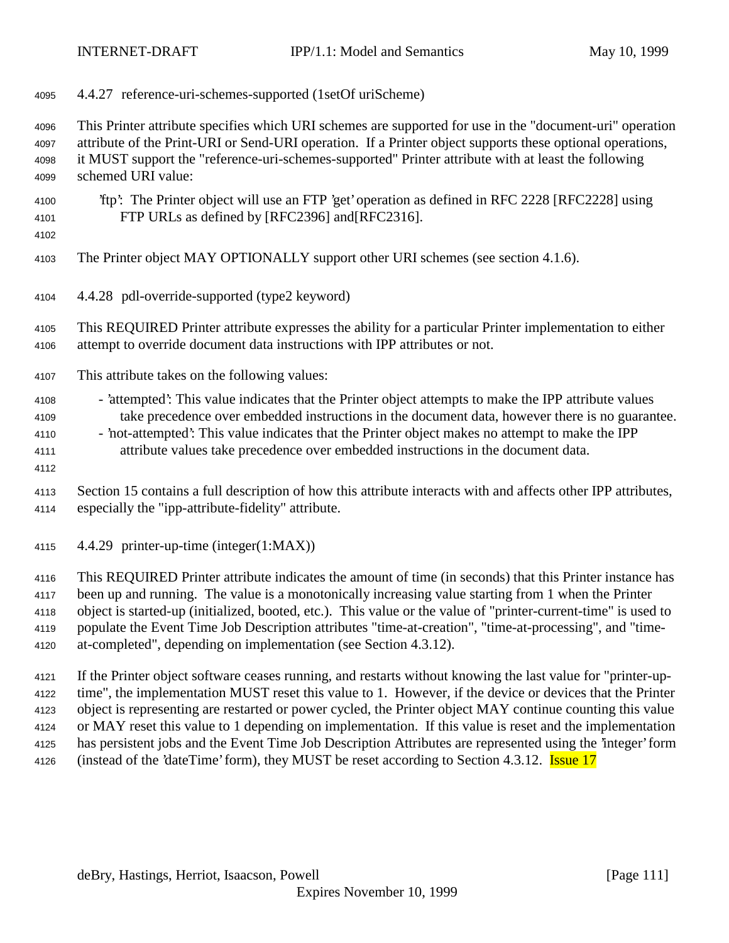4.4.27 reference-uri-schemes-supported (1setOf uriScheme)

 This Printer attribute specifies which URI schemes are supported for use in the "document-uri" operation attribute of the Print-URI or Send-URI operation. If a Printer object supports these optional operations, it MUST support the "reference-uri-schemes-supported" Printer attribute with at least the following schemed URI value:

- 'ftp': The Printer object will use an FTP 'get' operation as defined in RFC 2228 [RFC2228] using FTP URLs as defined by [RFC2396] and[RFC2316].
	-

The Printer object MAY OPTIONALLY support other URI schemes (see section 4.1.6).

4.4.28 pdl-override-supported (type2 keyword)

 This REQUIRED Printer attribute expresses the ability for a particular Printer implementation to either attempt to override document data instructions with IPP attributes or not.

This attribute takes on the following values:

4108 - 'attempted': This value indicates that the Printer object attempts to make the IPP attribute values take precedence over embedded instructions in the document data, however there is no guarantee.

- 4110 'not-attempted': This value indicates that the Printer object makes no attempt to make the IPP attribute values take precedence over embedded instructions in the document data.
- 
- Section 15 contains a full description of how this attribute interacts with and affects other IPP attributes, especially the "ipp-attribute-fidelity" attribute.
- 4.4.29 printer-up-time (integer(1:MAX))

 This REQUIRED Printer attribute indicates the amount of time (in seconds) that this Printer instance has been up and running. The value is a monotonically increasing value starting from 1 when the Printer object is started-up (initialized, booted, etc.). This value or the value of "printer-current-time" is used to populate the Event Time Job Description attributes "time-at-creation", "time-at-processing", and "time-at-completed", depending on implementation (see Section 4.3.12).

 If the Printer object software ceases running, and restarts without knowing the last value for "printer-up- time", the implementation MUST reset this value to 1. However, if the device or devices that the Printer object is representing are restarted or power cycled, the Printer object MAY continue counting this value or MAY reset this value to 1 depending on implementation. If this value is reset and the implementation has persistent jobs and the Event Time Job Description Attributes are represented using the 'integer' form 4126 (instead of the 'dateTime' form), they MUST be reset according to Section 4.3.12. **Issue 17**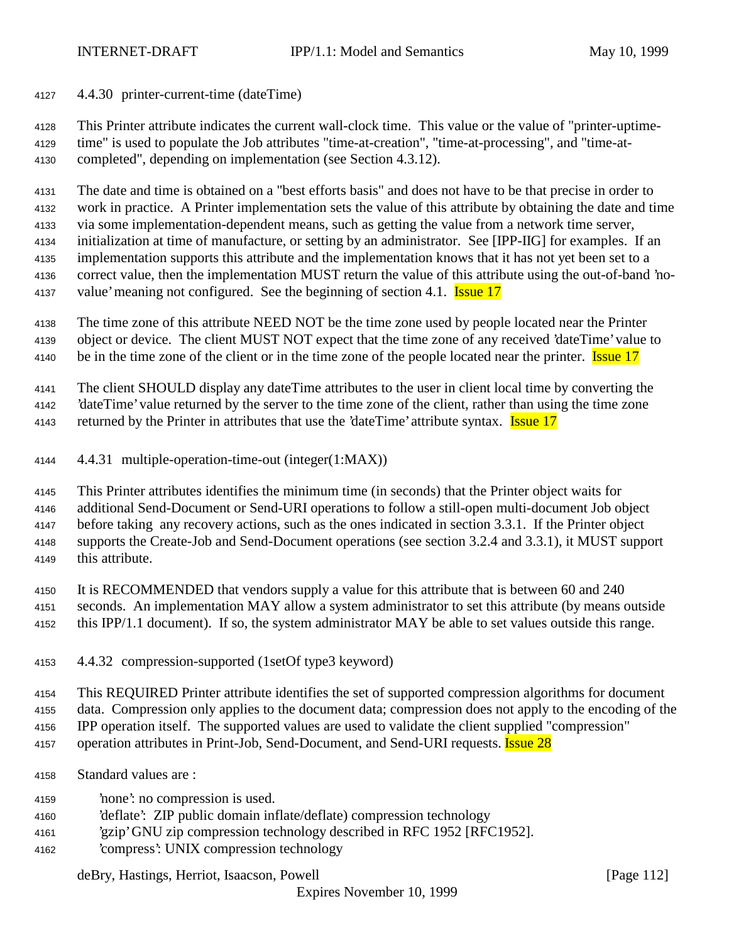4.4.30 printer-current-time (dateTime)

 This Printer attribute indicates the current wall-clock time. This value or the value of "printer-uptime- time" is used to populate the Job attributes "time-at-creation", "time-at-processing", and "time-at-completed", depending on implementation (see Section 4.3.12).

 The date and time is obtained on a "best efforts basis" and does not have to be that precise in order to work in practice. A Printer implementation sets the value of this attribute by obtaining the date and time via some implementation-dependent means, such as getting the value from a network time server, initialization at time of manufacture, or setting by an administrator. See [IPP-IIG] for examples. If an implementation supports this attribute and the implementation knows that it has not yet been set to a correct value, then the implementation MUST return the value of this attribute using the out-of-band 'no-4137 value' meaning not configured. See the beginning of section 4.1. **Issue 17** 

 The time zone of this attribute NEED NOT be the time zone used by people located near the Printer object or device. The client MUST NOT expect that the time zone of any received 'dateTime' value to 4140 be in the time zone of the client or in the time zone of the people located near the printer. **Issue 17** 

The client SHOULD display any dateTime attributes to the user in client local time by converting the

'dateTime' value returned by the server to the time zone of the client, rather than using the time zone

4143 returned by the Printer in attributes that use the 'dateTime' attribute syntax. **Issue 17** 

4.4.31 multiple-operation-time-out (integer(1:MAX))

This Printer attributes identifies the minimum time (in seconds) that the Printer object waits for

additional Send-Document or Send-URI operations to follow a still-open multi-document Job object

before taking any recovery actions, such as the ones indicated in section 3.3.1. If the Printer object

supports the Create-Job and Send-Document operations (see section 3.2.4 and 3.3.1), it MUST support

this attribute.

It is RECOMMENDED that vendors supply a value for this attribute that is between 60 and 240

 seconds. An implementation MAY allow a system administrator to set this attribute (by means outside this IPP/1.1 document). If so, the system administrator MAY be able to set values outside this range.

4.4.32 compression-supported (1setOf type3 keyword)

This REQUIRED Printer attribute identifies the set of supported compression algorithms for document

data. Compression only applies to the document data; compression does not apply to the encoding of the

IPP operation itself. The supported values are used to validate the client supplied "compression"

4157 operation attributes in Print-Job, Send-Document, and Send-URI requests. **Issue 28** 

Standard values are :

'none': no compression is used.

- 'deflate': ZIP public domain inflate/deflate) compression technology
- 'gzip' GNU zip compression technology described in RFC 1952 [RFC1952].
- 'compress': UNIX compression technology

deBry, Hastings, Herriot, Isaacson, Powell [Page 112]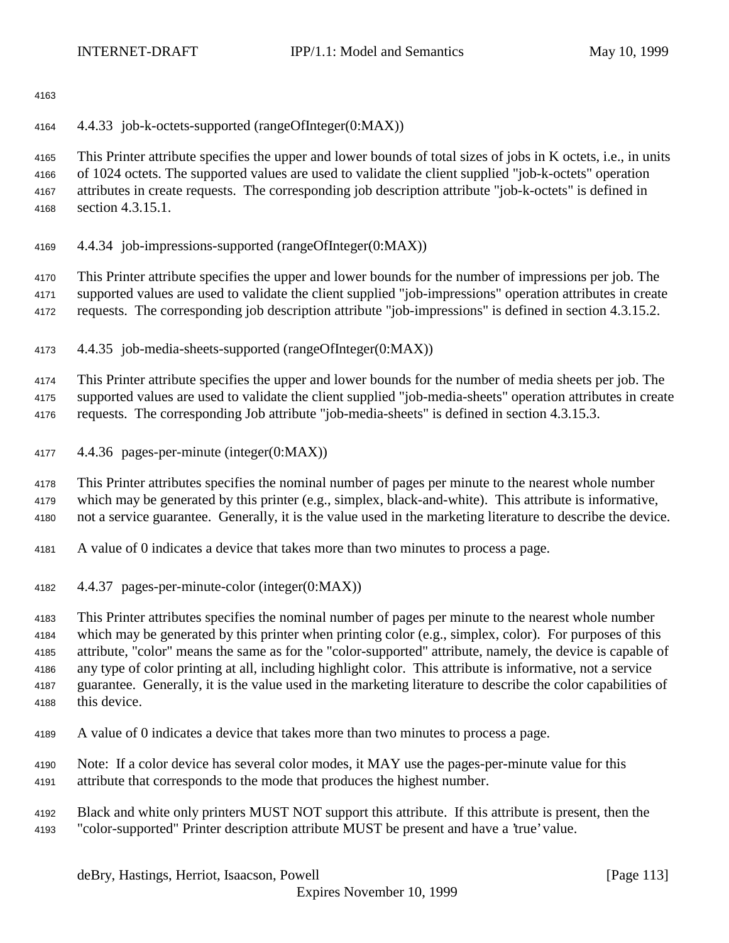4.4.33 job-k-octets-supported (rangeOfInteger(0:MAX))

 This Printer attribute specifies the upper and lower bounds of total sizes of jobs in K octets, i.e., in units of 1024 octets. The supported values are used to validate the client supplied "job-k-octets" operation attributes in create requests. The corresponding job description attribute "job-k-octets" is defined in section 4.3.15.1.

4.4.34 job-impressions-supported (rangeOfInteger(0:MAX))

 This Printer attribute specifies the upper and lower bounds for the number of impressions per job. The supported values are used to validate the client supplied "job-impressions" operation attributes in create requests. The corresponding job description attribute "job-impressions" is defined in section 4.3.15.2.

4.4.35 job-media-sheets-supported (rangeOfInteger(0:MAX))

 This Printer attribute specifies the upper and lower bounds for the number of media sheets per job. The supported values are used to validate the client supplied "job-media-sheets" operation attributes in create

requests. The corresponding Job attribute "job-media-sheets" is defined in section 4.3.15.3.

4.4.36 pages-per-minute (integer(0:MAX))

This Printer attributes specifies the nominal number of pages per minute to the nearest whole number

 which may be generated by this printer (e.g., simplex, black-and-white). This attribute is informative, not a service guarantee. Generally, it is the value used in the marketing literature to describe the device.

- A value of 0 indicates a device that takes more than two minutes to process a page.
- 4.4.37 pages-per-minute-color (integer(0:MAX))

 This Printer attributes specifies the nominal number of pages per minute to the nearest whole number which may be generated by this printer when printing color (e.g., simplex, color). For purposes of this attribute, "color" means the same as for the "color-supported" attribute, namely, the device is capable of any type of color printing at all, including highlight color. This attribute is informative, not a service guarantee. Generally, it is the value used in the marketing literature to describe the color capabilities of this device.

- A value of 0 indicates a device that takes more than two minutes to process a page.
- Note: If a color device has several color modes, it MAY use the pages-per-minute value for this attribute that corresponds to the mode that produces the highest number.
- Black and white only printers MUST NOT support this attribute. If this attribute is present, then the "color-supported" Printer description attribute MUST be present and have a 'true' value.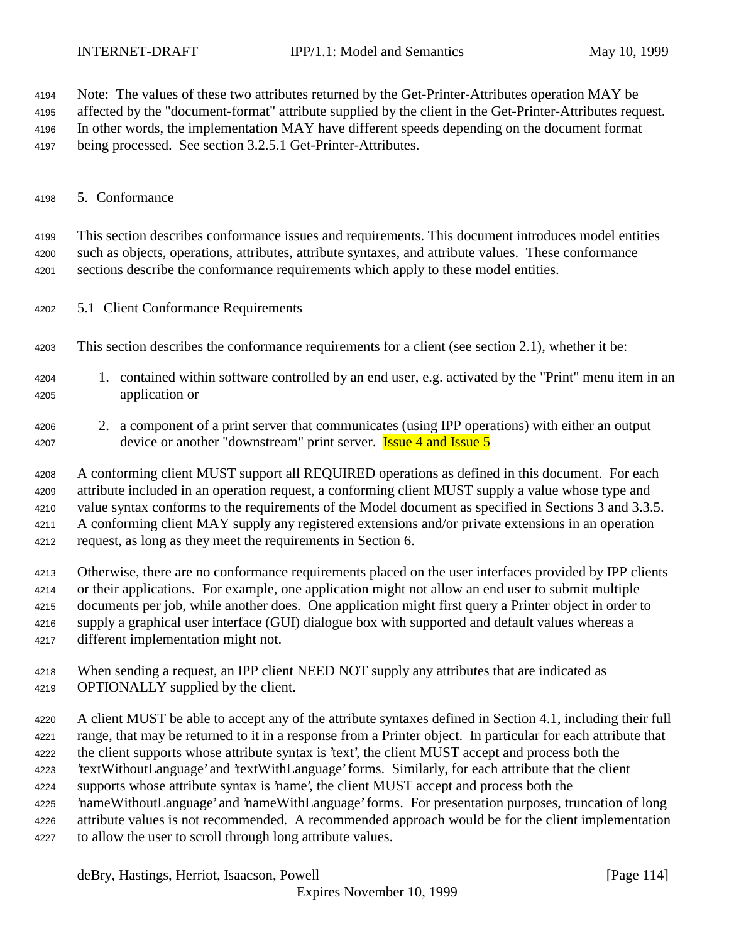Note: The values of these two attributes returned by the Get-Printer-Attributes operation MAY be

affected by the "document-format" attribute supplied by the client in the Get-Printer-Attributes request.

In other words, the implementation MAY have different speeds depending on the document format

being processed. See section 3.2.5.1 Get-Printer-Attributes.

# 5. Conformance

 This section describes conformance issues and requirements. This document introduces model entities such as objects, operations, attributes, attribute syntaxes, and attribute values. These conformance sections describe the conformance requirements which apply to these model entities.

- 5.1 Client Conformance Requirements
- This section describes the conformance requirements for a client (see section 2.1), whether it be:
- 1. contained within software controlled by an end user, e.g. activated by the "Print" menu item in an application or
- 2. a component of a print server that communicates (using IPP operations) with either an output 4207 device or another "downstream" print server. **Issue 4 and Issue 5**

 A conforming client MUST support all REQUIRED operations as defined in this document. For each attribute included in an operation request, a conforming client MUST supply a value whose type and value syntax conforms to the requirements of the Model document as specified in Sections 3 and 3.3.5. A conforming client MAY supply any registered extensions and/or private extensions in an operation

request, as long as they meet the requirements in Section 6.

 Otherwise, there are no conformance requirements placed on the user interfaces provided by IPP clients or their applications. For example, one application might not allow an end user to submit multiple documents per job, while another does. One application might first query a Printer object in order to supply a graphical user interface (GUI) dialogue box with supported and default values whereas a different implementation might not.

| 4218 | When sending a request, an IPP client NEED NOT supply any attributes that are indicated as |
|------|--------------------------------------------------------------------------------------------|
| 4219 | <b>OPTIONALLY</b> supplied by the client.                                                  |

 A client MUST be able to accept any of the attribute syntaxes defined in Section 4.1, including their full range, that may be returned to it in a response from a Printer object. In particular for each attribute that the client supports whose attribute syntax is 'text', the client MUST accept and process both the 'textWithoutLanguage' and 'textWithLanguage' forms. Similarly, for each attribute that the client supports whose attribute syntax is 'name', the client MUST accept and process both the 'nameWithoutLanguage' and 'nameWithLanguage' forms. For presentation purposes, truncation of long attribute values is not recommended. A recommended approach would be for the client implementation to allow the user to scroll through long attribute values.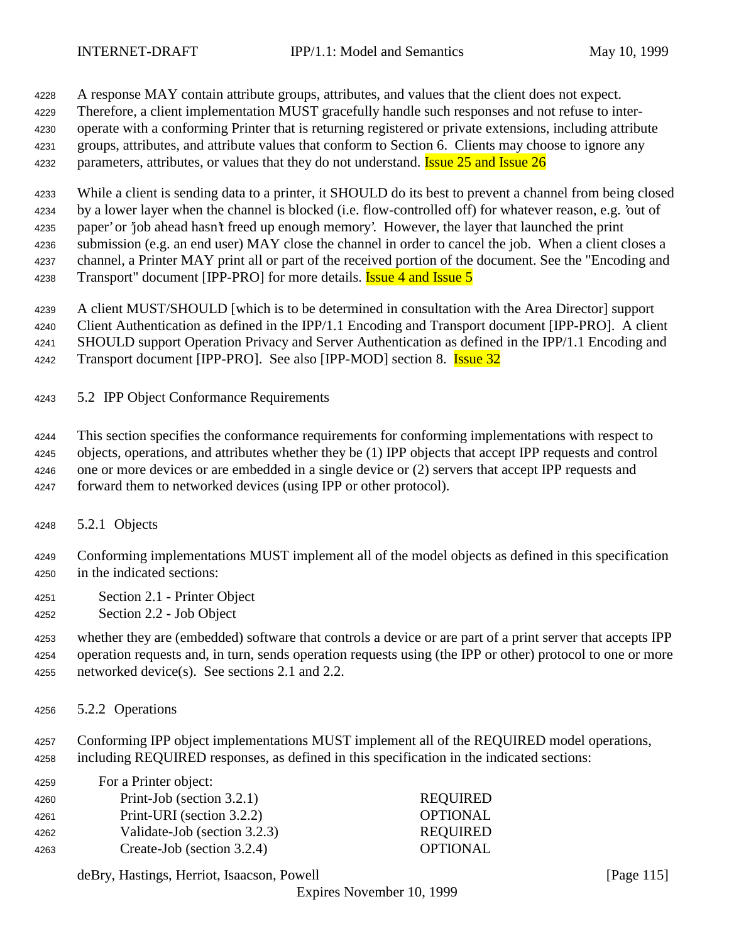A response MAY contain attribute groups, attributes, and values that the client does not expect.

Therefore, a client implementation MUST gracefully handle such responses and not refuse to inter-

 operate with a conforming Printer that is returning registered or private extensions, including attribute groups, attributes, and attribute values that conform to Section 6. Clients may choose to ignore any

4232 parameters, attributes, or values that they do not understand. **Issue 25 and Issue 26** 

 While a client is sending data to a printer, it SHOULD do its best to prevent a channel from being closed by a lower layer when the channel is blocked (i.e. flow-controlled off) for whatever reason, e.g. 'out of paper' or 'job ahead hasn't freed up enough memory'. However, the layer that launched the print submission (e.g. an end user) MAY close the channel in order to cancel the job. When a client closes a channel, a Printer MAY print all or part of the received portion of the document. See the "Encoding and 4238 Transport" document [IPP-PRO] for more details. **Issue 4 and Issue 5** 

A client MUST/SHOULD [which is to be determined in consultation with the Area Director] support

Client Authentication as defined in the IPP/1.1 Encoding and Transport document [IPP-PRO]. A client

SHOULD support Operation Privacy and Server Authentication as defined in the IPP/1.1 Encoding and

4242 Transport document [IPP-PRO]. See also [IPP-MOD] section 8. **Issue 32** 

5.2 IPP Object Conformance Requirements

This section specifies the conformance requirements for conforming implementations with respect to

objects, operations, and attributes whether they be (1) IPP objects that accept IPP requests and control

one or more devices or are embedded in a single device or (2) servers that accept IPP requests and

forward them to networked devices (using IPP or other protocol).

5.2.1 Objects

 Conforming implementations MUST implement all of the model objects as defined in this specification in the indicated sections:

- Section 2.1 Printer Object
- Section 2.2 Job Object

 whether they are (embedded) software that controls a device or are part of a print server that accepts IPP operation requests and, in turn, sends operation requests using (the IPP or other) protocol to one or more networked device(s). See sections 2.1 and 2.2.

5.2.2 Operations

 Conforming IPP object implementations MUST implement all of the REQUIRED model operations, including REQUIRED responses, as defined in this specification in the indicated sections:

| 4259 | For a Printer object:        |                 |
|------|------------------------------|-----------------|
| 4260 | Print-Job (section 3.2.1)    | <b>REQUIRED</b> |
| 4261 | Print-URI (section 3.2.2)    | <b>OPTIONAL</b> |
| 4262 | Validate-Job (section 3.2.3) | <b>REQUIRED</b> |
| 4263 | Create-Job (section 3.2.4)   | <b>OPTIONAL</b> |

deBry, Hastings, Herriot, Isaacson, Powell [Page 115]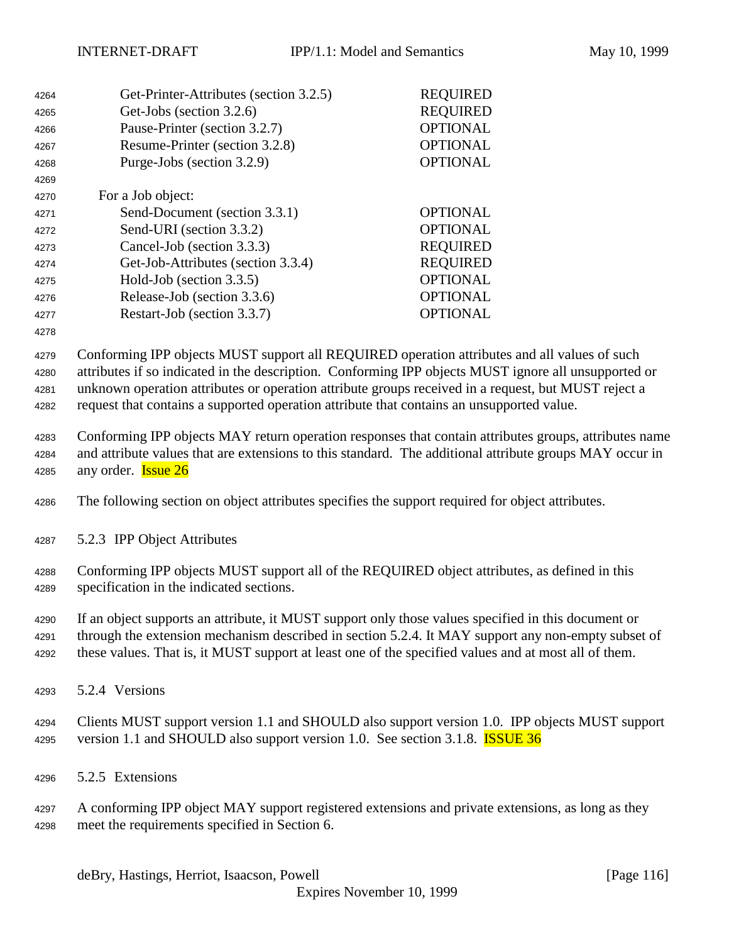| 4264 | Get-Printer-Attributes (section 3.2.5) | <b>REQUIRED</b> |
|------|----------------------------------------|-----------------|
| 4265 | Get-Jobs (section 3.2.6)               | <b>REQUIRED</b> |
| 4266 | Pause-Printer (section 3.2.7)          | <b>OPTIONAL</b> |
| 4267 | Resume-Printer (section 3.2.8)         | <b>OPTIONAL</b> |
| 4268 | Purge-Jobs (section 3.2.9)             | <b>OPTIONAL</b> |
| 4269 |                                        |                 |
| 4270 | For a Job object:                      |                 |
| 4271 | Send-Document (section 3.3.1)          | <b>OPTIONAL</b> |
| 4272 | Send-URI (section 3.3.2)               | <b>OPTIONAL</b> |
| 4273 | Cancel-Job (section 3.3.3)             | <b>REQUIRED</b> |
| 4274 | Get-Job-Attributes (section 3.3.4)     | <b>REQUIRED</b> |
| 4275 | Hold-Job (section 3.3.5)               | <b>OPTIONAL</b> |
| 4276 | Release-Job (section 3.3.6)            | <b>OPTIONAL</b> |
| 4277 | Restart-Job (section 3.3.7)            | <b>OPTIONAL</b> |
| 4278 |                                        |                 |

 Conforming IPP objects MUST support all REQUIRED operation attributes and all values of such attributes if so indicated in the description. Conforming IPP objects MUST ignore all unsupported or unknown operation attributes or operation attribute groups received in a request, but MUST reject a request that contains a supported operation attribute that contains an unsupported value.

 Conforming IPP objects MAY return operation responses that contain attributes groups, attributes name and attribute values that are extensions to this standard. The additional attribute groups MAY occur in 4285 any order. **Issue 26** 

The following section on object attributes specifies the support required for object attributes.

5.2.3 IPP Object Attributes

 Conforming IPP objects MUST support all of the REQUIRED object attributes, as defined in this specification in the indicated sections.

 If an object supports an attribute, it MUST support only those values specified in this document or through the extension mechanism described in section 5.2.4. It MAY support any non-empty subset of these values. That is, it MUST support at least one of the specified values and at most all of them.

5.2.4 Versions

 Clients MUST support version 1.1 and SHOULD also support version 1.0. IPP objects MUST support 4295 version 1.1 and SHOULD also support version 1.0. See section 3.1.8. **ISSUE 36** 

5.2.5 Extensions

 A conforming IPP object MAY support registered extensions and private extensions, as long as they meet the requirements specified in Section 6.

deBry, Hastings, Herriot, Isaacson, Powell **intervalse and the Contract Contract Contract Contract Contract Contract Contract Contract Contract Contract Contract Contract Contract Contract Contract Contract Contract Contra**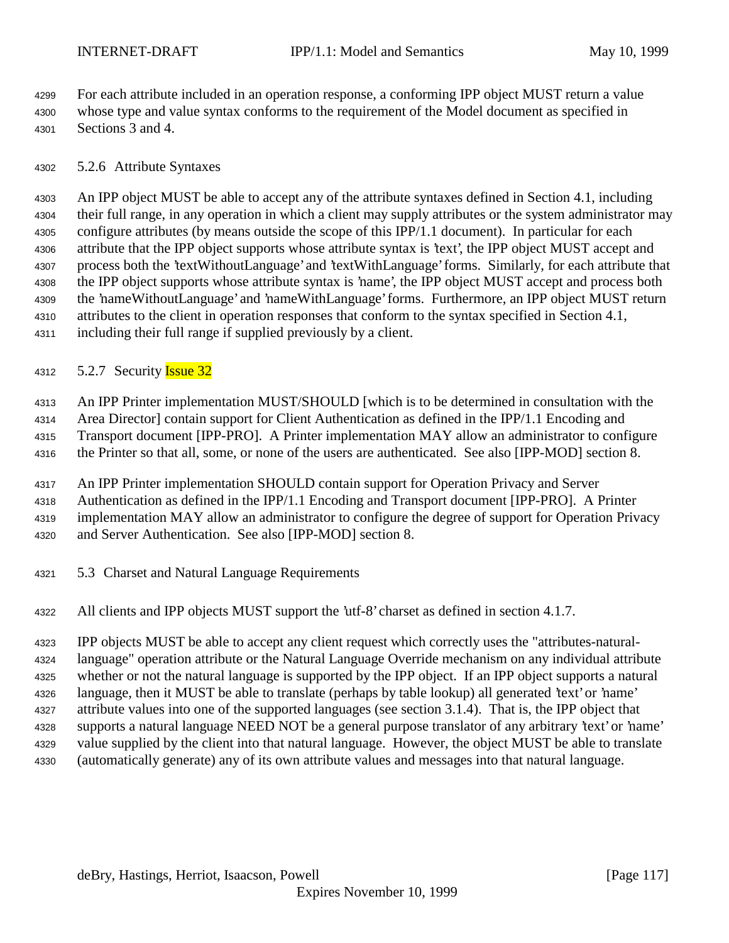For each attribute included in an operation response, a conforming IPP object MUST return a value whose type and value syntax conforms to the requirement of the Model document as specified in

Sections 3 and 4.

5.2.6 Attribute Syntaxes

 An IPP object MUST be able to accept any of the attribute syntaxes defined in Section 4.1, including their full range, in any operation in which a client may supply attributes or the system administrator may configure attributes (by means outside the scope of this IPP/1.1 document). In particular for each attribute that the IPP object supports whose attribute syntax is 'text', the IPP object MUST accept and process both the 'textWithoutLanguage' and 'textWithLanguage' forms. Similarly, for each attribute that the IPP object supports whose attribute syntax is 'name', the IPP object MUST accept and process both the 'nameWithoutLanguage' and 'nameWithLanguage' forms. Furthermore, an IPP object MUST return attributes to the client in operation responses that conform to the syntax specified in Section 4.1, including their full range if supplied previously by a client.

4312 5.2.7 Security **Issue 32** 

 An IPP Printer implementation MUST/SHOULD [which is to be determined in consultation with the Area Director] contain support for Client Authentication as defined in the IPP/1.1 Encoding and Transport document [IPP-PRO]. A Printer implementation MAY allow an administrator to configure the Printer so that all, some, or none of the users are authenticated. See also [IPP-MOD] section 8.

 An IPP Printer implementation SHOULD contain support for Operation Privacy and Server Authentication as defined in the IPP/1.1 Encoding and Transport document [IPP-PRO]. A Printer implementation MAY allow an administrator to configure the degree of support for Operation Privacy and Server Authentication. See also [IPP-MOD] section 8.

- 5.3 Charset and Natural Language Requirements
- All clients and IPP objects MUST support the 'utf-8' charset as defined in section 4.1.7.

 IPP objects MUST be able to accept any client request which correctly uses the "attributes-natural- language" operation attribute or the Natural Language Override mechanism on any individual attribute whether or not the natural language is supported by the IPP object. If an IPP object supports a natural language, then it MUST be able to translate (perhaps by table lookup) all generated 'text' or 'name' attribute values into one of the supported languages (see section 3.1.4). That is, the IPP object that supports a natural language NEED NOT be a general purpose translator of any arbitrary 'text' or 'name' value supplied by the client into that natural language. However, the object MUST be able to translate (automatically generate) any of its own attribute values and messages into that natural language.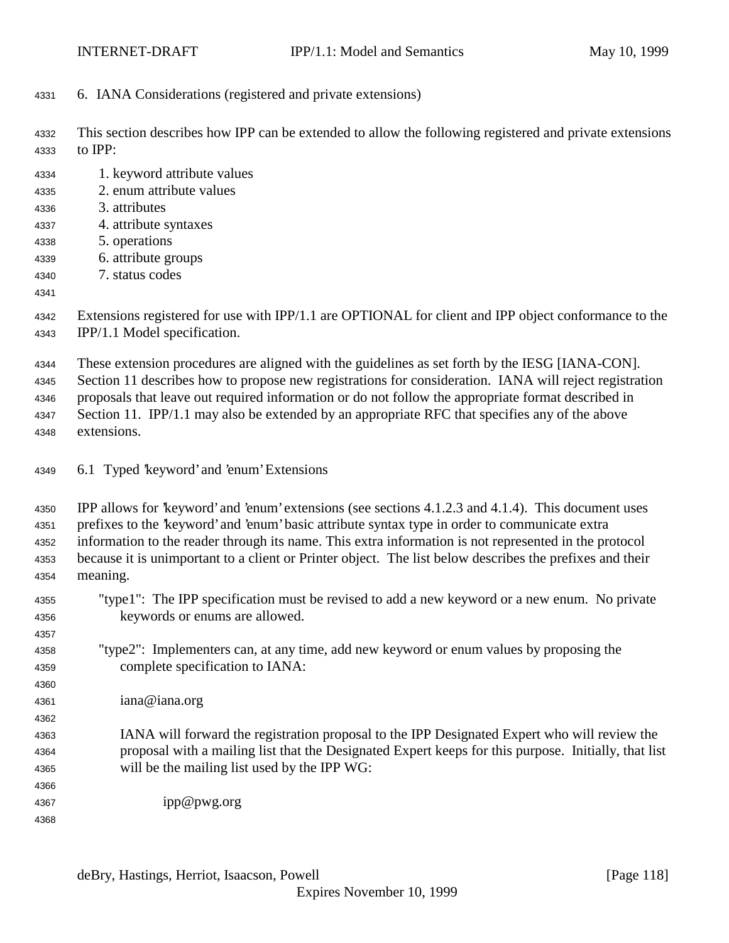- 6. IANA Considerations (registered and private extensions)
- This section describes how IPP can be extended to allow the following registered and private extensions to IPP:
- 1. keyword attribute values
- 2. enum attribute values
- 3. attributes
- 4. attribute syntaxes
- 5. operations
- 6. attribute groups
- 7. status codes
- 

 Extensions registered for use with IPP/1.1 are OPTIONAL for client and IPP object conformance to the IPP/1.1 Model specification.

These extension procedures are aligned with the guidelines as set forth by the IESG [IANA-CON].

Section 11 describes how to propose new registrations for consideration. IANA will reject registration

proposals that leave out required information or do not follow the appropriate format described in

4347 Section 11. IPP/1.1 may also be extended by an appropriate RFC that specifies any of the above extensions.

6.1 Typed 'keyword' and 'enum' Extensions

 IPP allows for 'keyword' and 'enum' extensions (see sections 4.1.2.3 and 4.1.4). This document uses prefixes to the 'keyword' and 'enum' basic attribute syntax type in order to communicate extra information to the reader through its name. This extra information is not represented in the protocol because it is unimportant to a client or Printer object. The list below describes the prefixes and their meaning.

- "type1": The IPP specification must be revised to add a new keyword or a new enum. No private keywords or enums are allowed.
- "type2": Implementers can, at any time, add new keyword or enum values by proposing the complete specification to IANA:
- iana@iana.org
- IANA will forward the registration proposal to the IPP Designated Expert who will review the proposal with a mailing list that the Designated Expert keeps for this purpose. Initially, that list will be the mailing list used by the IPP WG:
- ipp@pwg.org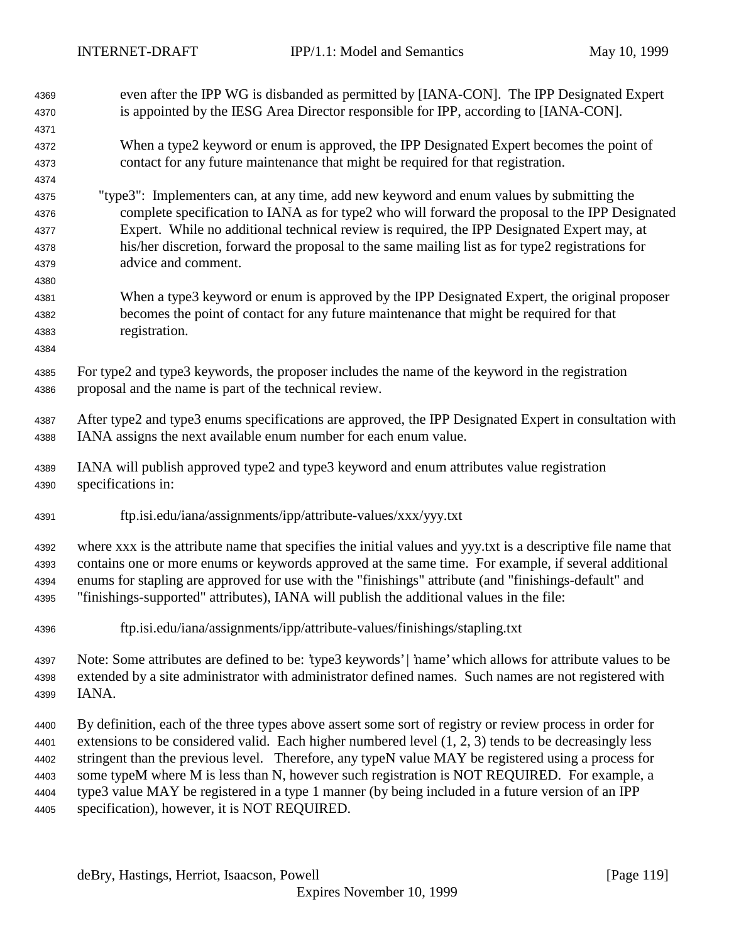| 4369                         | even after the IPP WG is disbanded as permitted by [IANA-CON]. The IPP Designated Expert<br>is appointed by the IESG Area Director responsible for IPP, according to [IANA-CON].                                                                                                                                                                                                                                           |
|------------------------------|----------------------------------------------------------------------------------------------------------------------------------------------------------------------------------------------------------------------------------------------------------------------------------------------------------------------------------------------------------------------------------------------------------------------------|
| 4370                         |                                                                                                                                                                                                                                                                                                                                                                                                                            |
| 4371<br>4372                 | When a type2 keyword or enum is approved, the IPP Designated Expert becomes the point of                                                                                                                                                                                                                                                                                                                                   |
| 4373                         | contact for any future maintenance that might be required for that registration.                                                                                                                                                                                                                                                                                                                                           |
| 4374                         |                                                                                                                                                                                                                                                                                                                                                                                                                            |
| 4375                         | "type3": Implementers can, at any time, add new keyword and enum values by submitting the                                                                                                                                                                                                                                                                                                                                  |
| 4376                         | complete specification to IANA as for type2 who will forward the proposal to the IPP Designated                                                                                                                                                                                                                                                                                                                            |
| 4377                         | Expert. While no additional technical review is required, the IPP Designated Expert may, at                                                                                                                                                                                                                                                                                                                                |
| 4378                         | his/her discretion, forward the proposal to the same mailing list as for type2 registrations for                                                                                                                                                                                                                                                                                                                           |
| 4379                         | advice and comment.                                                                                                                                                                                                                                                                                                                                                                                                        |
| 4380                         |                                                                                                                                                                                                                                                                                                                                                                                                                            |
| 4381                         | When a type3 keyword or enum is approved by the IPP Designated Expert, the original proposer                                                                                                                                                                                                                                                                                                                               |
| 4382                         | becomes the point of contact for any future maintenance that might be required for that                                                                                                                                                                                                                                                                                                                                    |
| 4383                         | registration.                                                                                                                                                                                                                                                                                                                                                                                                              |
| 4384                         |                                                                                                                                                                                                                                                                                                                                                                                                                            |
| 4385                         | For type2 and type3 keywords, the proposer includes the name of the keyword in the registration                                                                                                                                                                                                                                                                                                                            |
| 4386                         | proposal and the name is part of the technical review.                                                                                                                                                                                                                                                                                                                                                                     |
|                              |                                                                                                                                                                                                                                                                                                                                                                                                                            |
| 4387                         | After type2 and type3 enums specifications are approved, the IPP Designated Expert in consultation with                                                                                                                                                                                                                                                                                                                    |
| 4388                         | IANA assigns the next available enum number for each enum value.                                                                                                                                                                                                                                                                                                                                                           |
| 4389                         | IANA will publish approved type2 and type3 keyword and enum attributes value registration<br>specifications in:                                                                                                                                                                                                                                                                                                            |
| 4390                         |                                                                                                                                                                                                                                                                                                                                                                                                                            |
| 4391                         | ftp.isi.edu/iana/assignments/ipp/attribute-values/xxx/yyy.txt                                                                                                                                                                                                                                                                                                                                                              |
| 4392<br>4393<br>4394<br>4395 | where xxx is the attribute name that specifies the initial values and yyy.txt is a descriptive file name that<br>contains one or more enums or keywords approved at the same time. For example, if several additional<br>enums for stapling are approved for use with the "finishings" attribute (and "finishings-default" and<br>"finishings-supported" attributes), IANA will publish the additional values in the file: |
| 4396                         | ftp.isi.edu/iana/assignments/ipp/attribute-values/finishings/stapling.txt                                                                                                                                                                                                                                                                                                                                                  |
| 4397                         | Note: Some attributes are defined to be: 'type3 keywords'   'name' which allows for attribute values to be                                                                                                                                                                                                                                                                                                                 |
| 4398                         | extended by a site administrator with administrator defined names. Such names are not registered with                                                                                                                                                                                                                                                                                                                      |
| 4399                         | IANA.                                                                                                                                                                                                                                                                                                                                                                                                                      |
| 4400                         | By definition, each of the three types above assert some sort of registry or review process in order for                                                                                                                                                                                                                                                                                                                   |
| 4401                         | extensions to be considered valid. Each higher numbered level $(1, 2, 3)$ tends to be decreasingly less                                                                                                                                                                                                                                                                                                                    |
| 4402                         | stringent than the previous level. Therefore, any typeN value MAY be registered using a process for                                                                                                                                                                                                                                                                                                                        |
| 4403                         | some typeM where M is less than N, however such registration is NOT REQUIRED. For example, a                                                                                                                                                                                                                                                                                                                               |
| 4404                         | type3 value MAY be registered in a type 1 manner (by being included in a future version of an IPP                                                                                                                                                                                                                                                                                                                          |
| 4405                         | specification), however, it is NOT REQUIRED.                                                                                                                                                                                                                                                                                                                                                                               |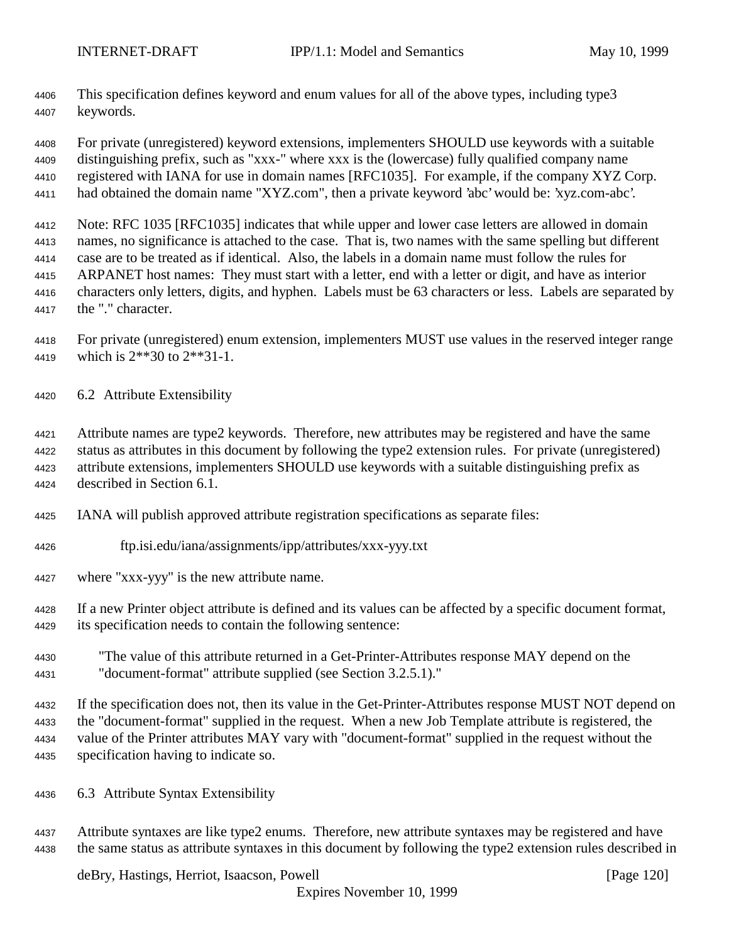This specification defines keyword and enum values for all of the above types, including type3 keywords.

For private (unregistered) keyword extensions, implementers SHOULD use keywords with a suitable

 distinguishing prefix, such as "xxx-" where xxx is the (lowercase) fully qualified company name registered with IANA for use in domain names [RFC1035]. For example, if the company XYZ Corp.

had obtained the domain name "XYZ.com", then a private keyword 'abc' would be: 'xyz.com-abc'.

 Note: RFC 1035 [RFC1035] indicates that while upper and lower case letters are allowed in domain names, no significance is attached to the case. That is, two names with the same spelling but different case are to be treated as if identical. Also, the labels in a domain name must follow the rules for ARPANET host names: They must start with a letter, end with a letter or digit, and have as interior characters only letters, digits, and hyphen. Labels must be 63 characters or less. Labels are separated by the "." character.

- For private (unregistered) enum extension, implementers MUST use values in the reserved integer range which is 2\*\*30 to 2\*\*31-1.
- 6.2 Attribute Extensibility

 Attribute names are type2 keywords. Therefore, new attributes may be registered and have the same status as attributes in this document by following the type2 extension rules. For private (unregistered) attribute extensions, implementers SHOULD use keywords with a suitable distinguishing prefix as described in Section 6.1.

- IANA will publish approved attribute registration specifications as separate files:
- ftp.isi.edu/iana/assignments/ipp/attributes/xxx-yyy.txt
- where "xxx-yyy" is the new attribute name.
- If a new Printer object attribute is defined and its values can be affected by a specific document format, its specification needs to contain the following sentence:
- "The value of this attribute returned in a Get-Printer-Attributes response MAY depend on the "document-format" attribute supplied (see Section 3.2.5.1)."

 If the specification does not, then its value in the Get-Printer-Attributes response MUST NOT depend on the "document-format" supplied in the request. When a new Job Template attribute is registered, the value of the Printer attributes MAY vary with "document-format" supplied in the request without the specification having to indicate so.

- 6.3 Attribute Syntax Extensibility
- Attribute syntaxes are like type2 enums. Therefore, new attribute syntaxes may be registered and have the same status as attribute syntaxes in this document by following the type2 extension rules described in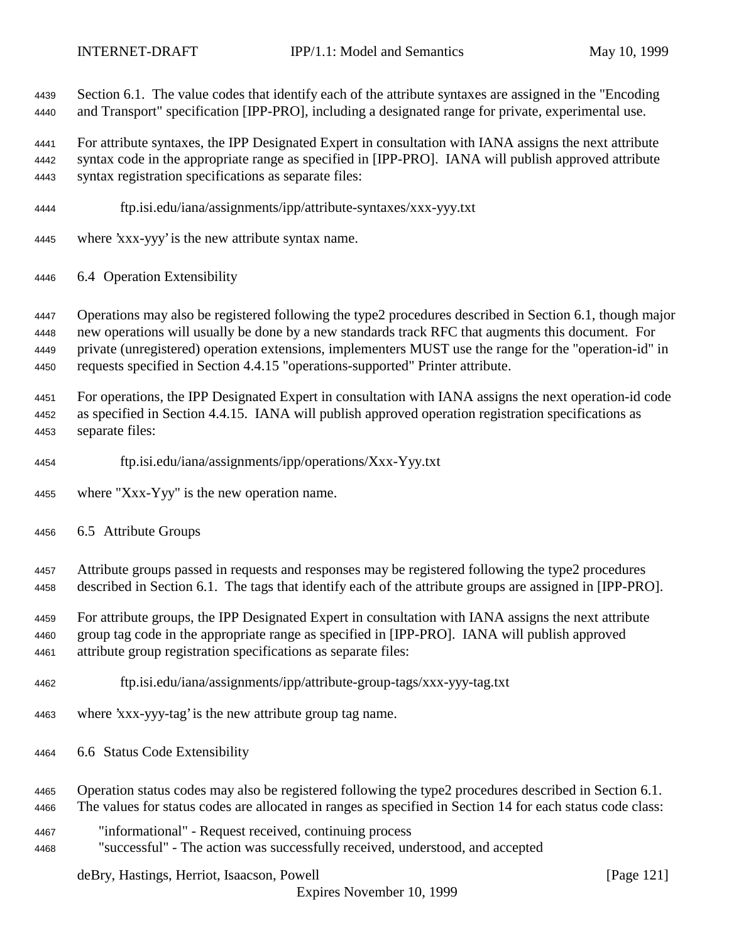Section 6.1. The value codes that identify each of the attribute syntaxes are assigned in the "Encoding and Transport" specification [IPP-PRO], including a designated range for private, experimental use.

 For attribute syntaxes, the IPP Designated Expert in consultation with IANA assigns the next attribute syntax code in the appropriate range as specified in [IPP-PRO]. IANA will publish approved attribute syntax registration specifications as separate files:

- ftp.isi.edu/iana/assignments/ipp/attribute-syntaxes/xxx-yyy.txt
- where 'xxx-yyy' is the new attribute syntax name.
- 6.4 Operation Extensibility

 Operations may also be registered following the type2 procedures described in Section 6.1, though major new operations will usually be done by a new standards track RFC that augments this document. For private (unregistered) operation extensions, implementers MUST use the range for the "operation-id" in requests specified in Section 4.4.15 "operations-supported" Printer attribute.

 For operations, the IPP Designated Expert in consultation with IANA assigns the next operation-id code as specified in Section 4.4.15. IANA will publish approved operation registration specifications as separate files:

- ftp.isi.edu/iana/assignments/ipp/operations/Xxx-Yyy.txt
- where "Xxx-Yyy" is the new operation name.
- 6.5 Attribute Groups

 Attribute groups passed in requests and responses may be registered following the type2 procedures described in Section 6.1. The tags that identify each of the attribute groups are assigned in [IPP-PRO].

 For attribute groups, the IPP Designated Expert in consultation with IANA assigns the next attribute group tag code in the appropriate range as specified in [IPP-PRO]. IANA will publish approved attribute group registration specifications as separate files:

- ftp.isi.edu/iana/assignments/ipp/attribute-group-tags/xxx-yyy-tag.txt
- where 'xxx-yyy-tag' is the new attribute group tag name.
- 6.6 Status Code Extensibility
- Operation status codes may also be registered following the type2 procedures described in Section 6.1.

The values for status codes are allocated in ranges as specified in Section 14 for each status code class:

- "informational" Request received, continuing process
- "successful" The action was successfully received, understood, and accepted

deBry, Hastings, Herriot, Isaacson, Powell [Page 121]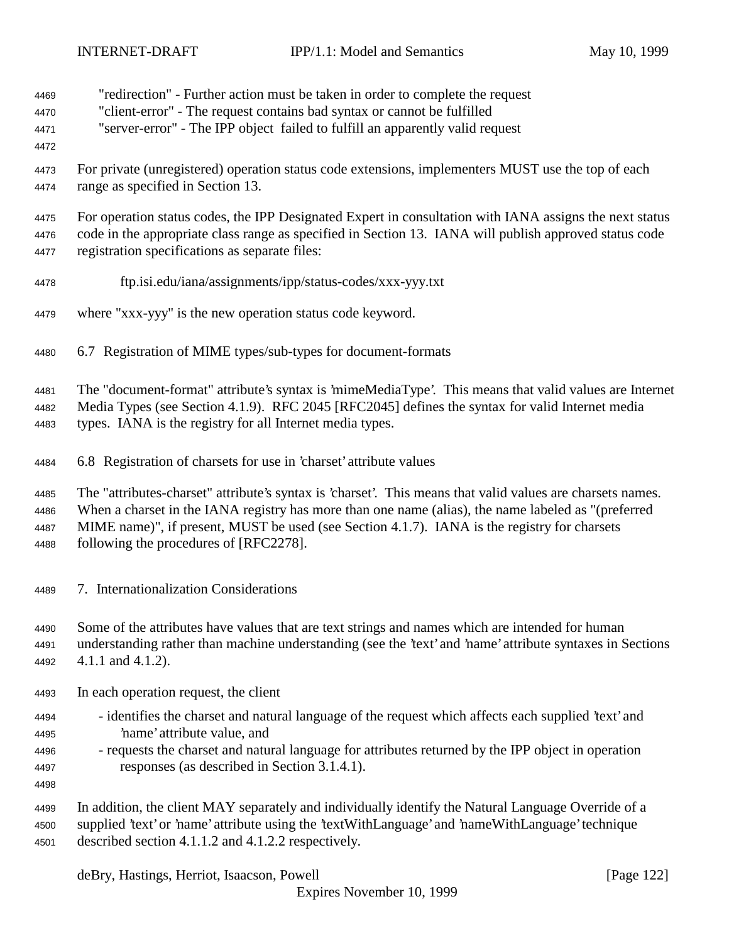- "redirection" Further action must be taken in order to complete the request
- "client-error" The request contains bad syntax or cannot be fulfilled
- "server-error" The IPP object failed to fulfill an apparently valid request
- 
- For private (unregistered) operation status code extensions, implementers MUST use the top of each range as specified in Section 13.

 For operation status codes, the IPP Designated Expert in consultation with IANA assigns the next status code in the appropriate class range as specified in Section 13. IANA will publish approved status code registration specifications as separate files:

- ftp.isi.edu/iana/assignments/ipp/status-codes/xxx-yyy.txt
- where "xxx-yyy" is the new operation status code keyword.
- 6.7 Registration of MIME types/sub-types for document-formats

The "document-format" attribute's syntax is 'mimeMediaType'. This means that valid values are Internet

 Media Types (see Section 4.1.9). RFC 2045 [RFC2045] defines the syntax for valid Internet media types. IANA is the registry for all Internet media types.

6.8 Registration of charsets for use in 'charset' attribute values

 The "attributes-charset" attribute's syntax is 'charset'. This means that valid values are charsets names. When a charset in the IANA registry has more than one name (alias), the name labeled as "(preferred MIME name)", if present, MUST be used (see Section 4.1.7). IANA is the registry for charsets following the procedures of [RFC2278].

- 7. Internationalization Considerations
- Some of the attributes have values that are text strings and names which are intended for human

 understanding rather than machine understanding (see the 'text' and 'name' attribute syntaxes in Sections 4.1.1 and 4.1.2).

- In each operation request, the client
- identifies the charset and natural language of the request which affects each supplied 'text' and 'name' attribute value, and
- requests the charset and natural language for attributes returned by the IPP object in operation responses (as described in Section 3.1.4.1).
- 

 In addition, the client MAY separately and individually identify the Natural Language Override of a supplied 'text' or 'name' attribute using the 'textWithLanguage' and 'nameWithLanguage' technique described section 4.1.1.2 and 4.1.2.2 respectively.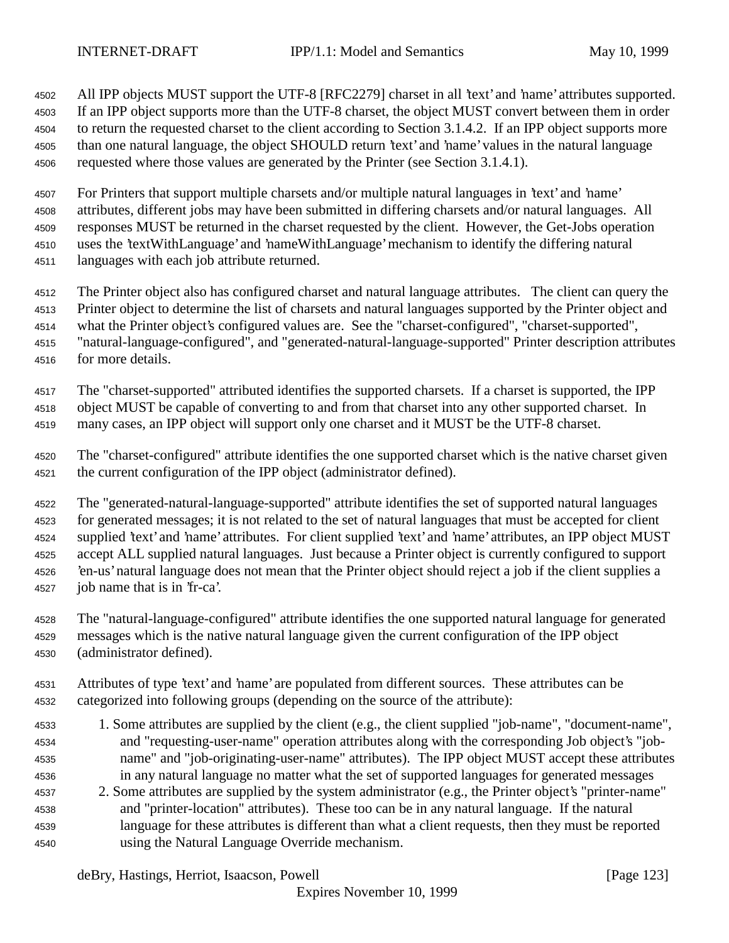All IPP objects MUST support the UTF-8 [RFC2279] charset in all 'text' and 'name' attributes supported. If an IPP object supports more than the UTF-8 charset, the object MUST convert between them in order to return the requested charset to the client according to Section 3.1.4.2. If an IPP object supports more than one natural language, the object SHOULD return 'text' and 'name' values in the natural language requested where those values are generated by the Printer (see Section 3.1.4.1).

 For Printers that support multiple charsets and/or multiple natural languages in 'text' and 'name' attributes, different jobs may have been submitted in differing charsets and/or natural languages. All responses MUST be returned in the charset requested by the client. However, the Get-Jobs operation uses the 'textWithLanguage' and 'nameWithLanguage' mechanism to identify the differing natural languages with each job attribute returned.

 The Printer object also has configured charset and natural language attributes. The client can query the Printer object to determine the list of charsets and natural languages supported by the Printer object and

what the Printer object's configured values are. See the "charset-configured", "charset-supported",

 "natural-language-configured", and "generated-natural-language-supported" Printer description attributes for more details.

The "charset-supported" attributed identifies the supported charsets. If a charset is supported, the IPP

 object MUST be capable of converting to and from that charset into any other supported charset. In many cases, an IPP object will support only one charset and it MUST be the UTF-8 charset.

 The "charset-configured" attribute identifies the one supported charset which is the native charset given the current configuration of the IPP object (administrator defined).

 The "generated-natural-language-supported" attribute identifies the set of supported natural languages for generated messages; it is not related to the set of natural languages that must be accepted for client supplied 'text' and 'name' attributes. For client supplied 'text' and 'name' attributes, an IPP object MUST 4525 accept ALL supplied natural languages. Just because a Printer object is currently configured to support 'en-us' natural language does not mean that the Printer object should reject a job if the client supplies a job name that is in 'fr-ca'.

- The "natural-language-configured" attribute identifies the one supported natural language for generated messages which is the native natural language given the current configuration of the IPP object (administrator defined).
- Attributes of type 'text' and 'name' are populated from different sources. These attributes can be categorized into following groups (depending on the source of the attribute):
- 1. Some attributes are supplied by the client (e.g., the client supplied "job-name", "document-name", and "requesting-user-name" operation attributes along with the corresponding Job object's "job- name" and "job-originating-user-name" attributes). The IPP object MUST accept these attributes in any natural language no matter what the set of supported languages for generated messages
- 2. Some attributes are supplied by the system administrator (e.g., the Printer object's "printer-name" and "printer-location" attributes). These too can be in any natural language. If the natural language for these attributes is different than what a client requests, then they must be reported using the Natural Language Override mechanism.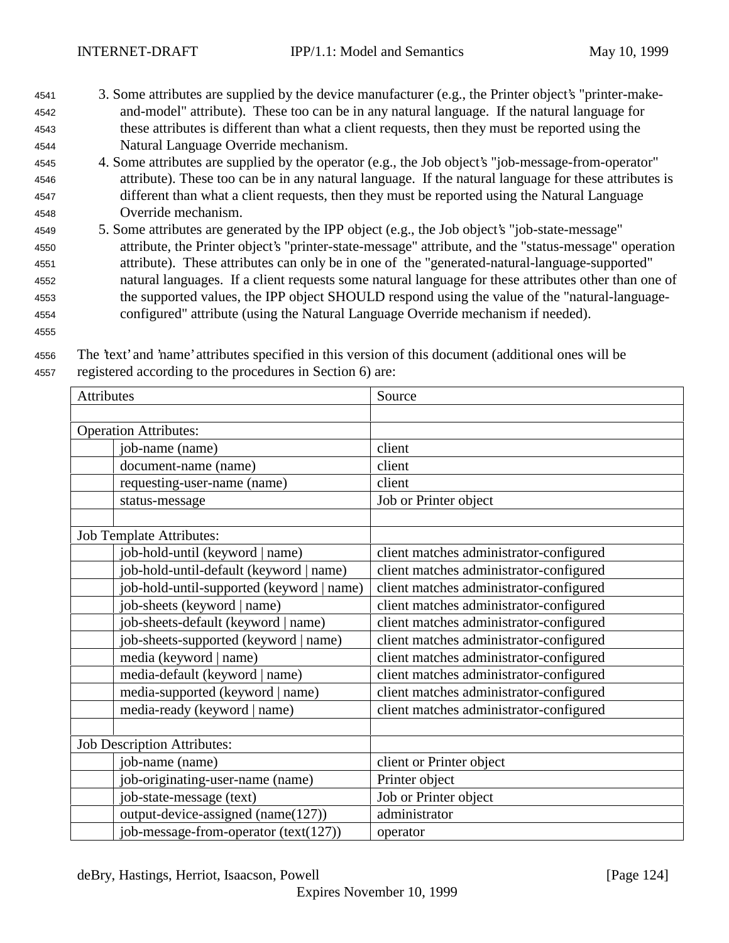- <sup>4541</sup> 3. Some attributes are supplied by the device manufacturer (e.g., the Printer object's "printer-make-<sup>4542</sup> and-model" attribute). These too can be in any natural language. If the natural language for <sup>4543</sup> these attributes is different than what a client requests, then they must be reported using the <sup>4544</sup> Natural Language Override mechanism.
- <sup>4545</sup> 4. Some attributes are supplied by the operator (e.g., the Job object's "job-message-from-operator" <sup>4546</sup> attribute). These too can be in any natural language. If the natural language for these attributes is <sup>4547</sup> different than what a client requests, then they must be reported using the Natural Language <sup>4548</sup> Override mechanism.
- <sup>4549</sup> 5. Some attributes are generated by the IPP object (e.g., the Job object's "job-state-message" <sup>4550</sup> attribute, the Printer object's "printer-state-message" attribute, and the "status-message" operation <sup>4551</sup> attribute). These attributes can only be in one of the "generated-natural-language-supported" <sup>4552</sup> natural languages. If a client requests some natural language for these attributes other than one of <sup>4553</sup> the supported values, the IPP object SHOULD respond using the value of the "natural-language-<sup>4554</sup> configured" attribute (using the Natural Language Override mechanism if needed).
- 4555

<sup>4556</sup> The 'text' and 'name' attributes specified in this version of this document (additional ones will be <sup>4557</sup> registered according to the procedures in Section 6) are:

| Attributes                                | Source                                  |
|-------------------------------------------|-----------------------------------------|
|                                           |                                         |
| <b>Operation Attributes:</b>              |                                         |
| job-name (name)                           | client                                  |
| document-name (name)                      | client                                  |
| requesting-user-name (name)               | client                                  |
| status-message                            | Job or Printer object                   |
|                                           |                                         |
| <b>Job Template Attributes:</b>           |                                         |
| job-hold-until (keyword   name)           | client matches administrator-configured |
| job-hold-until-default (keyword   name)   | client matches administrator-configured |
| job-hold-until-supported (keyword   name) | client matches administrator-configured |
| job-sheets (keyword   name)               | client matches administrator-configured |
| job-sheets-default (keyword   name)       | client matches administrator-configured |
| job-sheets-supported (keyword   name)     | client matches administrator-configured |
| media (keyword   name)                    | client matches administrator-configured |
| media-default (keyword   name)            | client matches administrator-configured |
| media-supported (keyword   name)          | client matches administrator-configured |
| media-ready (keyword   name)              | client matches administrator-configured |
|                                           |                                         |
| <b>Job Description Attributes:</b>        |                                         |
| job-name (name)                           | client or Printer object                |
| job-originating-user-name (name)          | Printer object                          |
| job-state-message (text)                  | Job or Printer object                   |
| output-device-assigned (name(127))        | administrator                           |
| job-message-from-operator (text(127))     | operator                                |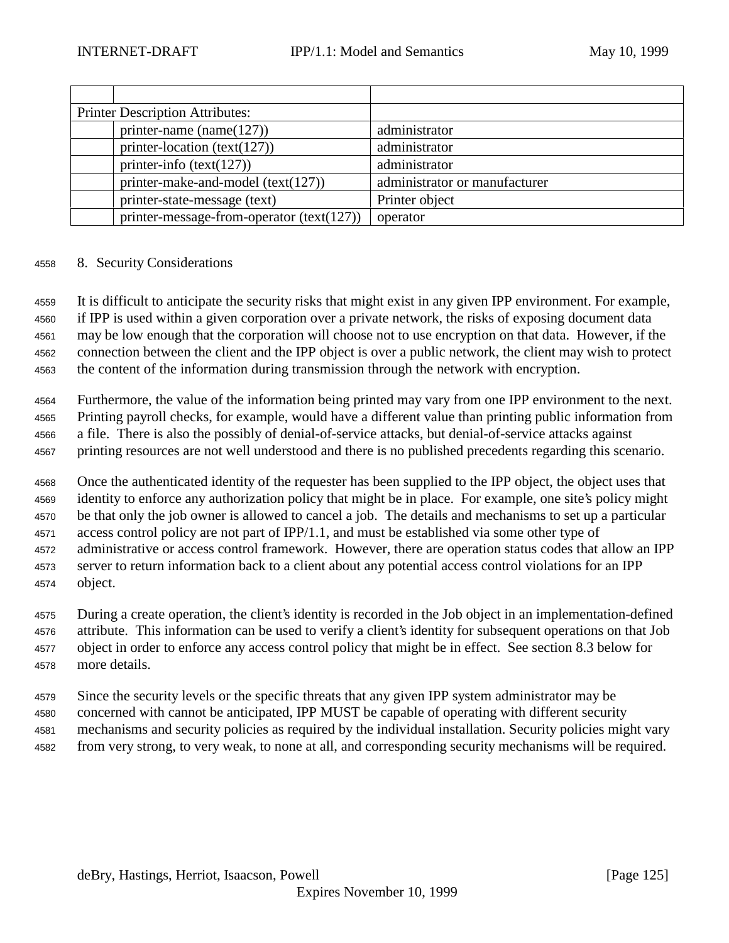| <b>Printer Description Attributes:</b>      |                               |
|---------------------------------------------|-------------------------------|
| printer-name (name $(127)$ )                | administrator                 |
| printer-location (text(127))                | administrator                 |
| printer-info $(text(127))$                  | administrator                 |
| printer-make-and-model $(text(127))$        | administrator or manufacturer |
| printer-state-message (text)                | Printer object                |
| printer-message-from-operator $(text(127))$ | operator                      |

## 8. Security Considerations

 It is difficult to anticipate the security risks that might exist in any given IPP environment. For example, if IPP is used within a given corporation over a private network, the risks of exposing document data may be low enough that the corporation will choose not to use encryption on that data. However, if the connection between the client and the IPP object is over a public network, the client may wish to protect the content of the information during transmission through the network with encryption.

 Furthermore, the value of the information being printed may vary from one IPP environment to the next. Printing payroll checks, for example, would have a different value than printing public information from a file. There is also the possibly of denial-of-service attacks, but denial-of-service attacks against printing resources are not well understood and there is no published precedents regarding this scenario.

 Once the authenticated identity of the requester has been supplied to the IPP object, the object uses that identity to enforce any authorization policy that might be in place. For example, one site's policy might be that only the job owner is allowed to cancel a job. The details and mechanisms to set up a particular access control policy are not part of IPP/1.1, and must be established via some other type of administrative or access control framework. However, there are operation status codes that allow an IPP server to return information back to a client about any potential access control violations for an IPP object.

 During a create operation, the client's identity is recorded in the Job object in an implementation-defined attribute. This information can be used to verify a client's identity for subsequent operations on that Job object in order to enforce any access control policy that might be in effect. See section 8.3 below for more details.

 Since the security levels or the specific threats that any given IPP system administrator may be concerned with cannot be anticipated, IPP MUST be capable of operating with different security mechanisms and security policies as required by the individual installation. Security policies might vary from very strong, to very weak, to none at all, and corresponding security mechanisms will be required.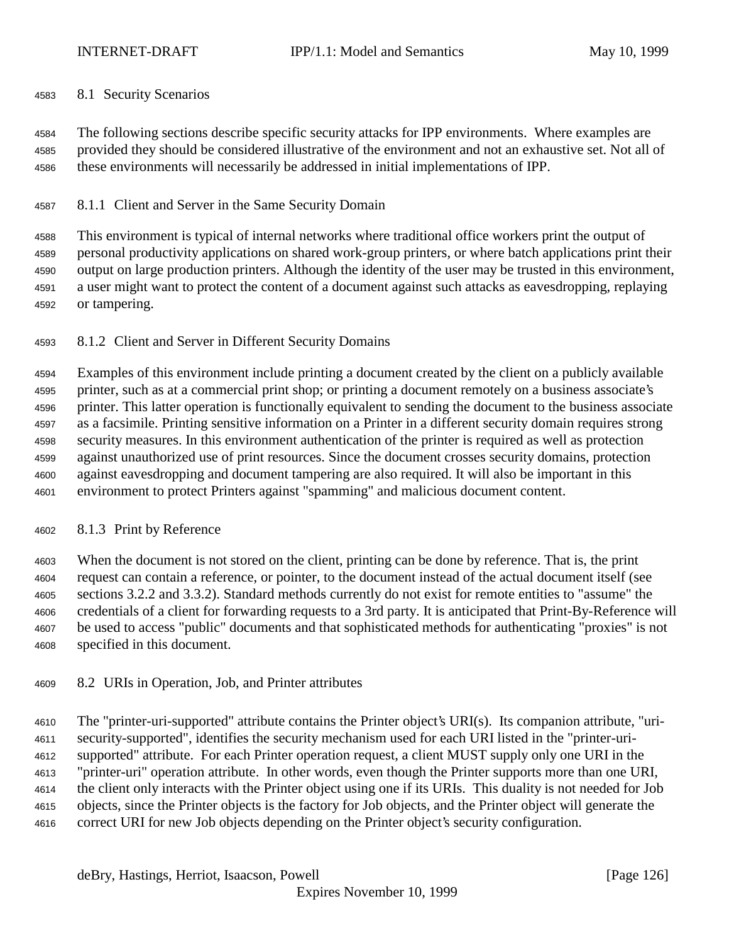## 8.1 Security Scenarios

 The following sections describe specific security attacks for IPP environments. Where examples are provided they should be considered illustrative of the environment and not an exhaustive set. Not all of these environments will necessarily be addressed in initial implementations of IPP.

# 8.1.1 Client and Server in the Same Security Domain

 This environment is typical of internal networks where traditional office workers print the output of personal productivity applications on shared work-group printers, or where batch applications print their output on large production printers. Although the identity of the user may be trusted in this environment, a user might want to protect the content of a document against such attacks as eavesdropping, replaying or tampering.

8.1.2 Client and Server in Different Security Domains

 Examples of this environment include printing a document created by the client on a publicly available printer, such as at a commercial print shop; or printing a document remotely on a business associate's printer. This latter operation is functionally equivalent to sending the document to the business associate as a facsimile. Printing sensitive information on a Printer in a different security domain requires strong security measures. In this environment authentication of the printer is required as well as protection against unauthorized use of print resources. Since the document crosses security domains, protection against eavesdropping and document tampering are also required. It will also be important in this environment to protect Printers against "spamming" and malicious document content.

## 8.1.3 Print by Reference

 When the document is not stored on the client, printing can be done by reference. That is, the print request can contain a reference, or pointer, to the document instead of the actual document itself (see sections 3.2.2 and 3.3.2). Standard methods currently do not exist for remote entities to "assume" the credentials of a client for forwarding requests to a 3rd party. It is anticipated that Print-By-Reference will be used to access "public" documents and that sophisticated methods for authenticating "proxies" is not specified in this document.

8.2 URIs in Operation, Job, and Printer attributes

 The "printer-uri-supported" attribute contains the Printer object's URI(s). Its companion attribute, "uri- security-supported", identifies the security mechanism used for each URI listed in the "printer-uri- supported" attribute. For each Printer operation request, a client MUST supply only one URI in the "printer-uri" operation attribute. In other words, even though the Printer supports more than one URI, the client only interacts with the Printer object using one if its URIs. This duality is not needed for Job objects, since the Printer objects is the factory for Job objects, and the Printer object will generate the correct URI for new Job objects depending on the Printer object's security configuration.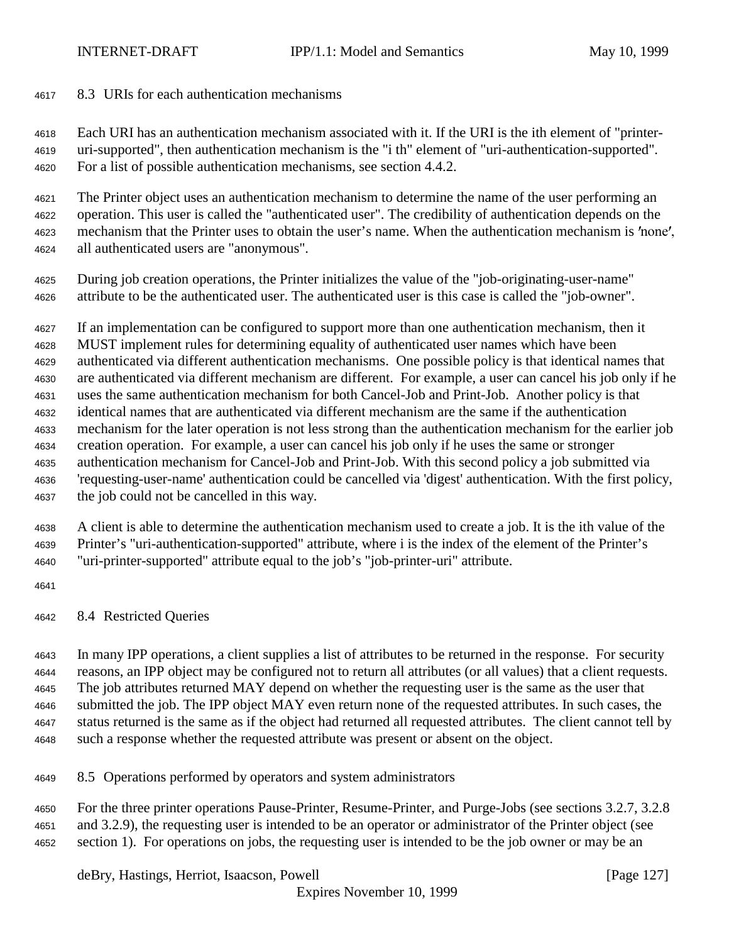8.3 URIs for each authentication mechanisms

 Each URI has an authentication mechanism associated with it. If the URI is the ith element of "printer- uri-supported", then authentication mechanism is the "i th" element of "uri-authentication-supported". For a list of possible authentication mechanisms, see section 4.4.2.

 The Printer object uses an authentication mechanism to determine the name of the user performing an operation. This user is called the "authenticated user". The credibility of authentication depends on the 4623 mechanism that the Printer uses to obtain the user's name. When the authentication mechanism is 'none', all authenticated users are "anonymous".

 During job creation operations, the Printer initializes the value of the "job-originating-user-name" attribute to be the authenticated user. The authenticated user is this case is called the "job-owner".

If an implementation can be configured to support more than one authentication mechanism, then it

 MUST implement rules for determining equality of authenticated user names which have been authenticated via different authentication mechanisms. One possible policy is that identical names that are authenticated via different mechanism are different. For example, a user can cancel his job only if he uses the same authentication mechanism for both Cancel-Job and Print-Job. Another policy is that identical names that are authenticated via different mechanism are the same if the authentication mechanism for the later operation is not less strong than the authentication mechanism for the earlier job creation operation. For example, a user can cancel his job only if he uses the same or stronger

- authentication mechanism for Cancel-Job and Print-Job. With this second policy a job submitted via 'requesting-user-name' authentication could be cancelled via 'digest' authentication. With the first policy, the job could not be cancelled in this way.
- A client is able to determine the authentication mechanism used to create a job. It is the ith value of the Printer's "uri-authentication-supported" attribute, where i is the index of the element of the Printer's "uri-printer-supported" attribute equal to the job's "job-printer-uri" attribute.
- 
- 8.4 Restricted Queries

 In many IPP operations, a client supplies a list of attributes to be returned in the response. For security reasons, an IPP object may be configured not to return all attributes (or all values) that a client requests. The job attributes returned MAY depend on whether the requesting user is the same as the user that submitted the job. The IPP object MAY even return none of the requested attributes. In such cases, the status returned is the same as if the object had returned all requested attributes. The client cannot tell by such a response whether the requested attribute was present or absent on the object.

8.5 Operations performed by operators and system administrators

 For the three printer operations Pause-Printer, Resume-Printer, and Purge-Jobs (see sections 3.2.7, 3.2.8 and 3.2.9), the requesting user is intended to be an operator or administrator of the Printer object (see section 1). For operations on jobs, the requesting user is intended to be the job owner or may be an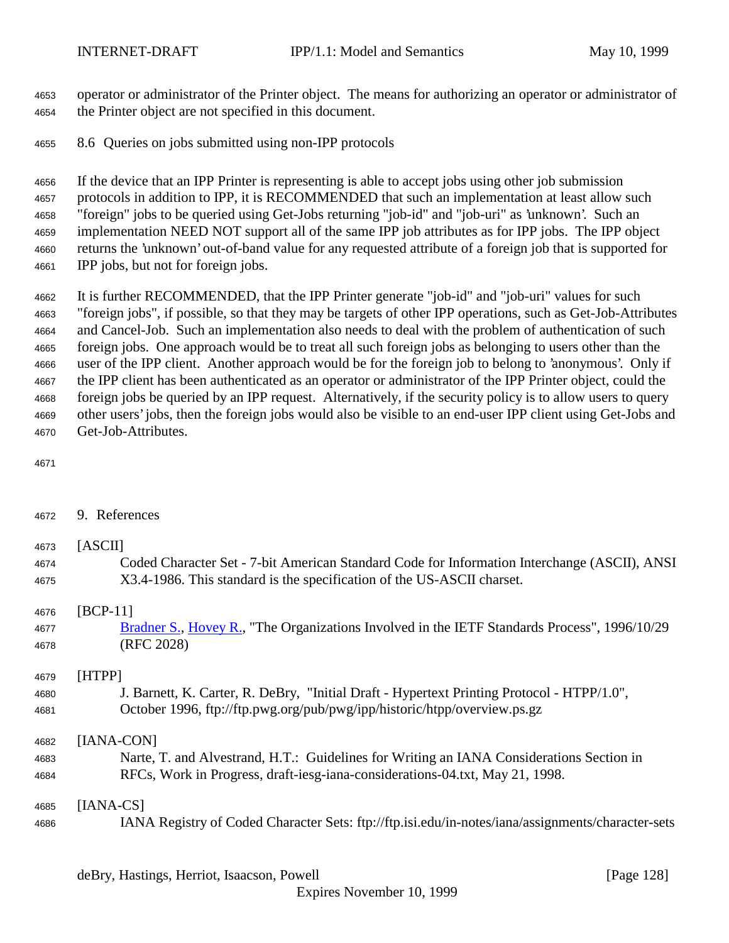operator or administrator of the Printer object. The means for authorizing an operator or administrator of the Printer object are not specified in this document.

8.6 Queries on jobs submitted using non-IPP protocols

 If the device that an IPP Printer is representing is able to accept jobs using other job submission protocols in addition to IPP, it is RECOMMENDED that such an implementation at least allow such "foreign" jobs to be queried using Get-Jobs returning "job-id" and "job-uri" as 'unknown'. Such an implementation NEED NOT support all of the same IPP job attributes as for IPP jobs. The IPP object returns the 'unknown' out-of-band value for any requested attribute of a foreign job that is supported for IPP jobs, but not for foreign jobs.

 It is further RECOMMENDED, that the IPP Printer generate "job-id" and "job-uri" values for such "foreign jobs", if possible, so that they may be targets of other IPP operations, such as Get-Job-Attributes and Cancel-Job. Such an implementation also needs to deal with the problem of authentication of such foreign jobs. One approach would be to treat all such foreign jobs as belonging to users other than the user of the IPP client. Another approach would be for the foreign job to belong to 'anonymous'. Only if the IPP client has been authenticated as an operator or administrator of the IPP Printer object, could the foreign jobs be queried by an IPP request. Alternatively, if the security policy is to allow users to query other users' jobs, then the foreign jobs would also be visible to an end-user IPP client using Get-Jobs and Get-Job-Attributes.

9. References

| 4673 | [ASCII]                                                                                           |
|------|---------------------------------------------------------------------------------------------------|
| 4674 | Coded Character Set - 7-bit American Standard Code for Information Interchange (ASCII), ANSI      |
| 4675 | X3.4-1986. This standard is the specification of the US-ASCII charset.                            |
| 4676 | [ $BCP-11$ ]                                                                                      |
| 4677 | Bradner S., Hovey R., "The Organizations Involved in the IETF Standards Process", 1996/10/29      |
| 4678 | (RFC 2028)                                                                                        |
| 4679 | [HTPP]                                                                                            |
| 4680 | J. Barnett, K. Carter, R. DeBry, "Initial Draft - Hypertext Printing Protocol - HTPP/1.0",        |
| 4681 | October 1996, ftp://ftp.pwg.org/pub/pwg/ipp/historic/htpp/overview.ps.gz                          |
| 4682 | [IANA-CON]                                                                                        |
| 4683 | Narte, T. and Alvestrand, H.T.: Guidelines for Writing an IANA Considerations Section in          |
| 4684 | RFCs, Work in Progress, draft-iesg-iana-considerations-04.txt, May 21, 1998.                      |
| 4685 | $[IANA-CS]$                                                                                       |
| 4686 | IANA Registry of Coded Character Sets: ftp://ftp.isi.edu/in-notes/iana/assignments/character-sets |

deBry, Hastings, Herriot, Isaacson, Powell [Page 128]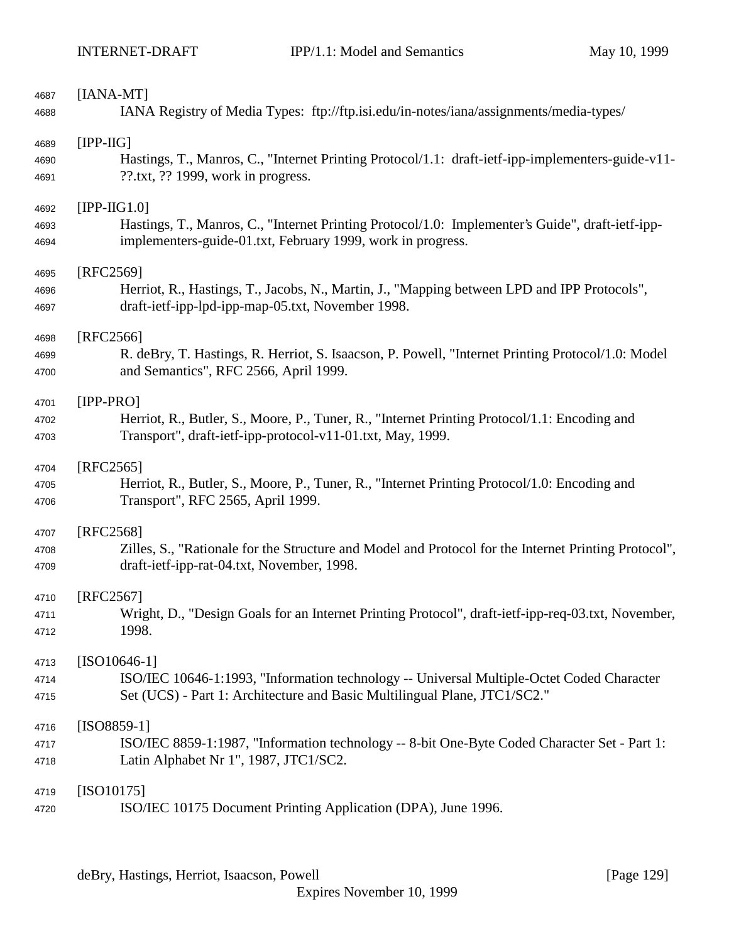| 4687 | $[IANA-MT]$                                                                                          |
|------|------------------------------------------------------------------------------------------------------|
| 4688 | IANA Registry of Media Types: ftp://ftp.isi.edu/in-notes/iana/assignments/media-types/               |
| 4689 | $[IPP-HG]$                                                                                           |
| 4690 | Hastings, T., Manros, C., "Internet Printing Protocol/1.1: draft-ietf-ipp-implementers-guide-v11-    |
| 4691 | $??$ .txt, $??$ 1999, work in progress.                                                              |
| 4692 | $[IPP-IG1.0]$                                                                                        |
| 4693 | Hastings, T., Manros, C., "Internet Printing Protocol/1.0: Implementer's Guide", draft-ietf-ipp-     |
| 4694 | implementers-guide-01.txt, February 1999, work in progress.                                          |
| 4695 | [RFC2569]                                                                                            |
| 4696 | Herriot, R., Hastings, T., Jacobs, N., Martin, J., "Mapping between LPD and IPP Protocols",          |
| 4697 | draft-ietf-ipp-lpd-ipp-map-05.txt, November 1998.                                                    |
| 4698 | [RFC2566]                                                                                            |
| 4699 | R. deBry, T. Hastings, R. Herriot, S. Isaacson, P. Powell, "Internet Printing Protocol/1.0: Model    |
| 4700 | and Semantics", RFC 2566, April 1999.                                                                |
| 4701 | $[IPP-PRO]$                                                                                          |
| 4702 | Herriot, R., Butler, S., Moore, P., Tuner, R., "Internet Printing Protocol/1.1: Encoding and         |
| 4703 | Transport", draft-ietf-ipp-protocol-v11-01.txt, May, 1999.                                           |
| 4704 | [RFC2565]                                                                                            |
| 4705 | Herriot, R., Butler, S., Moore, P., Tuner, R., "Internet Printing Protocol/1.0: Encoding and         |
| 4706 | Transport", RFC 2565, April 1999.                                                                    |
| 4707 | [RFC2568]                                                                                            |
| 4708 | Zilles, S., "Rationale for the Structure and Model and Protocol for the Internet Printing Protocol", |
| 4709 | draft-ietf-ipp-rat-04.txt, November, 1998.                                                           |
| 4710 | $[RFC2567]$                                                                                          |
| 4711 | Wright, D., "Design Goals for an Internet Printing Protocol", draft-ietf-ipp-req-03.txt, November,   |
| 4712 | 1998.                                                                                                |
| 4713 | $[ISO10646-1]$                                                                                       |
| 4714 | ISO/IEC 10646-1:1993, "Information technology -- Universal Multiple-Octet Coded Character            |
| 4715 | Set (UCS) - Part 1: Architecture and Basic Multilingual Plane, JTC1/SC2."                            |
| 4716 | $[ISO8859-1]$                                                                                        |
| 4717 | ISO/IEC 8859-1:1987, "Information technology -- 8-bit One-Byte Coded Character Set - Part 1:         |
| 4718 | Latin Alphabet Nr 1", 1987, JTC1/SC2.                                                                |
| 4719 | $[ISO10175]$                                                                                         |
| 4720 | ISO/IEC 10175 Document Printing Application (DPA), June 1996.                                        |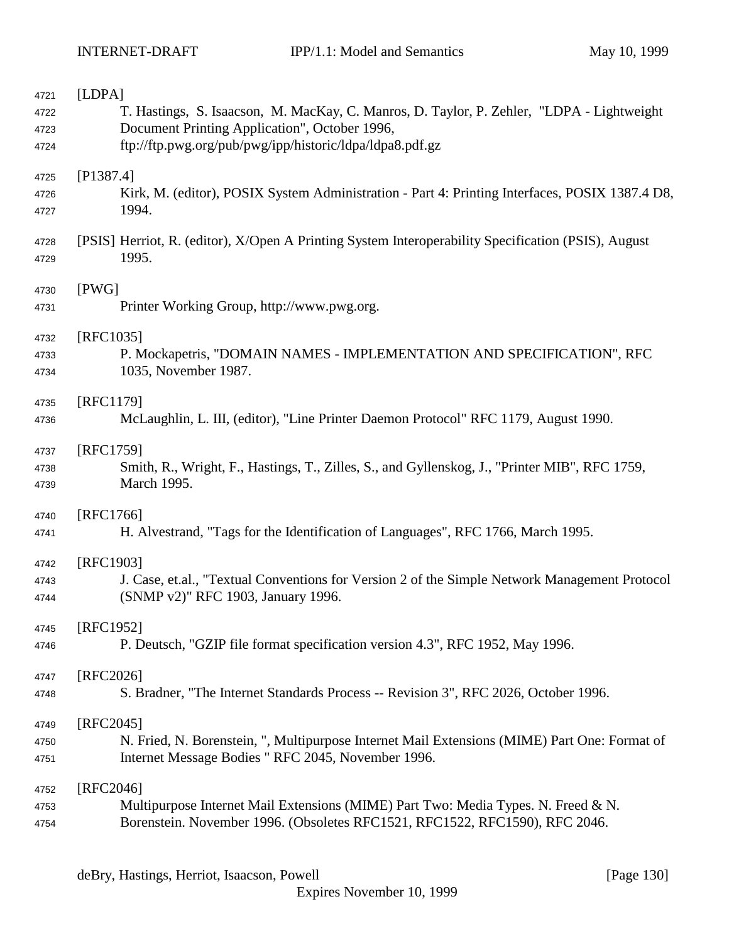| 4721 | [LDPA]                                                                                              |
|------|-----------------------------------------------------------------------------------------------------|
| 4722 | T. Hastings, S. Isaacson, M. MacKay, C. Manros, D. Taylor, P. Zehler, "LDPA - Lightweight           |
| 4723 | Document Printing Application", October 1996,                                                       |
| 4724 | ftp://ftp.pwg.org/pub/pwg/ipp/historic/ldpa/ldpa8.pdf.gz                                            |
|      |                                                                                                     |
|      | [P1387.4]                                                                                           |
| 4725 |                                                                                                     |
| 4726 | Kirk, M. (editor), POSIX System Administration - Part 4: Printing Interfaces, POSIX 1387.4 D8,      |
| 4727 | 1994.                                                                                               |
|      |                                                                                                     |
| 4728 | [PSIS] Herriot, R. (editor), X/Open A Printing System Interoperability Specification (PSIS), August |
| 4729 | 1995.                                                                                               |
|      |                                                                                                     |
| 4730 | [PWG]                                                                                               |
| 4731 | Printer Working Group, http://www.pwg.org.                                                          |
|      |                                                                                                     |
| 4732 | [RFC1035]                                                                                           |
| 4733 | P. Mockapetris, "DOMAIN NAMES - IMPLEMENTATION AND SPECIFICATION", RFC                              |
| 4734 | 1035, November 1987.                                                                                |
|      |                                                                                                     |
| 4735 | [RFC1179]                                                                                           |
|      |                                                                                                     |
| 4736 | McLaughlin, L. III, (editor), "Line Printer Daemon Protocol" RFC 1179, August 1990.                 |
|      |                                                                                                     |
| 4737 | [RFC1759]                                                                                           |
| 4738 | Smith, R., Wright, F., Hastings, T., Zilles, S., and Gyllenskog, J., "Printer MIB", RFC 1759,       |
| 4739 | March 1995.                                                                                         |
|      |                                                                                                     |
| 4740 | [RFC1766]                                                                                           |
| 4741 | H. Alvestrand, "Tags for the Identification of Languages", RFC 1766, March 1995.                    |
|      |                                                                                                     |
| 4742 | [RFC1903]                                                                                           |
| 4743 | J. Case, et.al., "Textual Conventions for Version 2 of the Simple Network Management Protocol       |
| 4744 | (SNMP v2)" RFC 1903, January 1996.                                                                  |
|      |                                                                                                     |
| 4745 | [RFC1952]                                                                                           |
| 4746 | P. Deutsch, "GZIP file format specification version 4.3", RFC 1952, May 1996.                       |
|      |                                                                                                     |
|      | [RFC2026]                                                                                           |
| 4747 |                                                                                                     |
| 4748 | S. Bradner, "The Internet Standards Process -- Revision 3", RFC 2026, October 1996.                 |
|      |                                                                                                     |
| 4749 | $[RFC2045]$                                                                                         |
| 4750 | N. Fried, N. Borenstein, ", Multipurpose Internet Mail Extensions (MIME) Part One: Format of        |
| 4751 | Internet Message Bodies " RFC 2045, November 1996.                                                  |
|      |                                                                                                     |
| 4752 | [RFC2046]                                                                                           |
| 4753 | Multipurpose Internet Mail Extensions (MIME) Part Two: Media Types. N. Freed & N.                   |
| 4754 | Borenstein. November 1996. (Obsoletes RFC1521, RFC1522, RFC1590), RFC 2046.                         |
|      |                                                                                                     |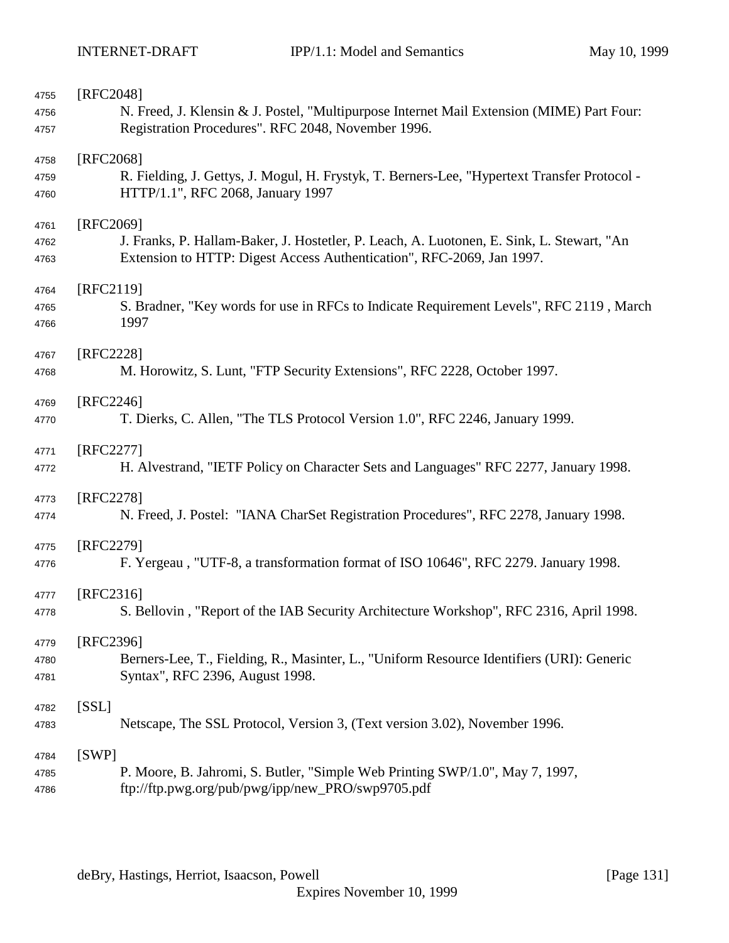| 4755 | [RFC2048]                                                                                    |
|------|----------------------------------------------------------------------------------------------|
| 4756 | N. Freed, J. Klensin & J. Postel, "Multipurpose Internet Mail Extension (MIME) Part Four:    |
| 4757 | Registration Procedures". RFC 2048, November 1996.                                           |
| 4758 | [RFC2068]                                                                                    |
| 4759 | R. Fielding, J. Gettys, J. Mogul, H. Frystyk, T. Berners-Lee, "Hypertext Transfer Protocol - |
| 4760 | HTTP/1.1", RFC 2068, January 1997                                                            |
| 4761 | [RFC2069]                                                                                    |
| 4762 | J. Franks, P. Hallam-Baker, J. Hostetler, P. Leach, A. Luotonen, E. Sink, L. Stewart, "An    |
| 4763 | Extension to HTTP: Digest Access Authentication", RFC-2069, Jan 1997.                        |
| 4764 | [RFC2119]                                                                                    |
| 4765 | S. Bradner, "Key words for use in RFCs to Indicate Requirement Levels", RFC 2119, March      |
| 4766 | 1997                                                                                         |
| 4767 | [RFC2228]                                                                                    |
| 4768 | M. Horowitz, S. Lunt, "FTP Security Extensions", RFC 2228, October 1997.                     |
| 4769 | $[RFC2246]$                                                                                  |
| 4770 | T. Dierks, C. Allen, "The TLS Protocol Version 1.0", RFC 2246, January 1999.                 |
| 4771 | [RFC2277]                                                                                    |
| 4772 | H. Alvestrand, "IETF Policy on Character Sets and Languages" RFC 2277, January 1998.         |
| 4773 | [RFC2278]                                                                                    |
| 4774 | N. Freed, J. Postel: "IANA CharSet Registration Procedures", RFC 2278, January 1998.         |
| 4775 | [RFC2279]                                                                                    |
| 4776 | F. Yergeau, "UTF-8, a transformation format of ISO 10646", RFC 2279. January 1998.           |
| 4777 | [RFC2316]                                                                                    |
| 4778 | S. Bellovin, "Report of the IAB Security Architecture Workshop", RFC 2316, April 1998.       |
| 4779 | [RFC2396]                                                                                    |
| 4780 | Berners-Lee, T., Fielding, R., Masinter, L., "Uniform Resource Identifiers (URI): Generic    |
| 4781 | Syntax", RFC 2396, August 1998.                                                              |
| 4782 | [SSL]                                                                                        |
| 4783 | Netscape, The SSL Protocol, Version 3, (Text version 3.02), November 1996.                   |
| 4784 | [SWP]                                                                                        |
| 4785 | P. Moore, B. Jahromi, S. Butler, "Simple Web Printing SWP/1.0", May 7, 1997,                 |
| 4786 | ftp://ftp.pwg.org/pub/pwg/ipp/new_PRO/swp9705.pdf                                            |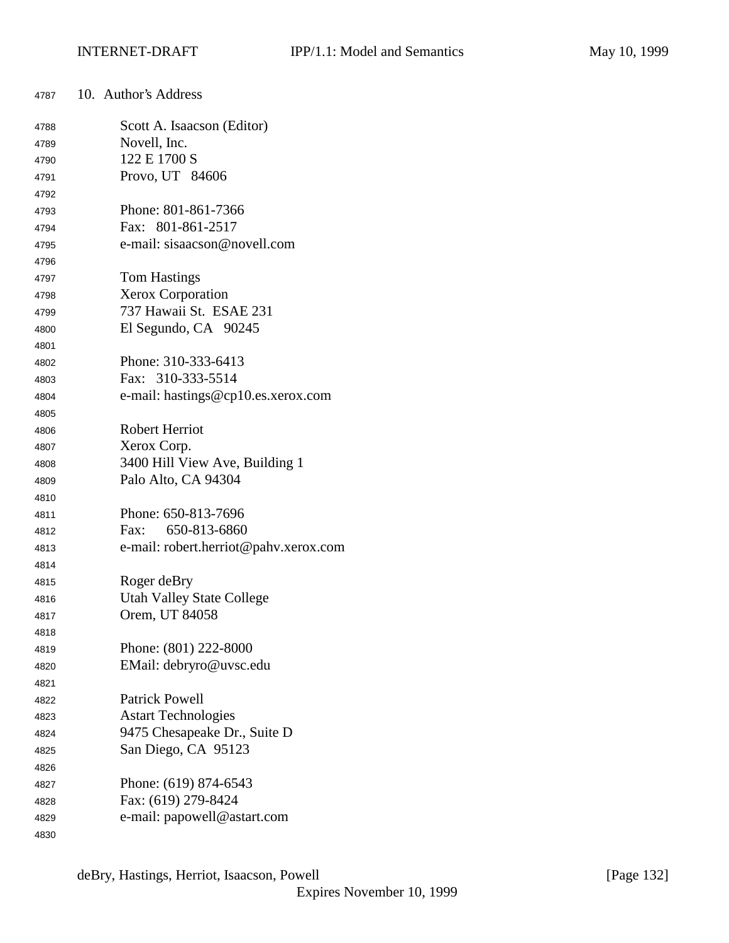| 4787 | 10. Author's Address                  |
|------|---------------------------------------|
| 4788 | Scott A. Isaacson (Editor)            |
| 4789 | Novell, Inc.                          |
| 4790 | 122 E 1700 S                          |
| 4791 | Provo, UT 84606                       |
| 4792 |                                       |
| 4793 | Phone: 801-861-7366                   |
| 4794 | Fax: 801-861-2517                     |
| 4795 | e-mail: sisaacson@novell.com          |
| 4796 |                                       |
| 4797 | <b>Tom Hastings</b>                   |
| 4798 | <b>Xerox Corporation</b>              |
| 4799 | 737 Hawaii St. ESAE 231               |
| 4800 | El Segundo, CA 90245                  |
| 4801 |                                       |
| 4802 | Phone: 310-333-6413                   |
| 4803 | Fax: 310-333-5514                     |
| 4804 | e-mail: hastings@cp10.es.xerox.com    |
| 4805 |                                       |
| 4806 | <b>Robert Herriot</b>                 |
| 4807 | Xerox Corp.                           |
| 4808 | 3400 Hill View Ave, Building 1        |
| 4809 | Palo Alto, CA 94304                   |
| 4810 |                                       |
| 4811 | Phone: 650-813-7696                   |
| 4812 | 650-813-6860<br>Fax:                  |
| 4813 | e-mail: robert.herriot@pahv.xerox.com |
| 4814 |                                       |
| 4815 | Roger deBry                           |
| 4816 | <b>Utah Valley State College</b>      |
| 4817 | Orem, UT 84058                        |
| 4818 |                                       |
| 4819 | Phone: (801) 222-8000                 |
| 4820 | EMail: debryro@uvsc.edu               |
| 4821 |                                       |
| 4822 | <b>Patrick Powell</b>                 |
| 4823 | <b>Astart Technologies</b>            |
| 4824 | 9475 Chesapeake Dr., Suite D          |
| 4825 | San Diego, CA 95123                   |
| 4826 |                                       |
| 4827 | Phone: (619) 874-6543                 |
| 4828 | Fax: (619) 279-8424                   |
| 4829 | e-mail: papowell@astart.com           |
| 4830 |                                       |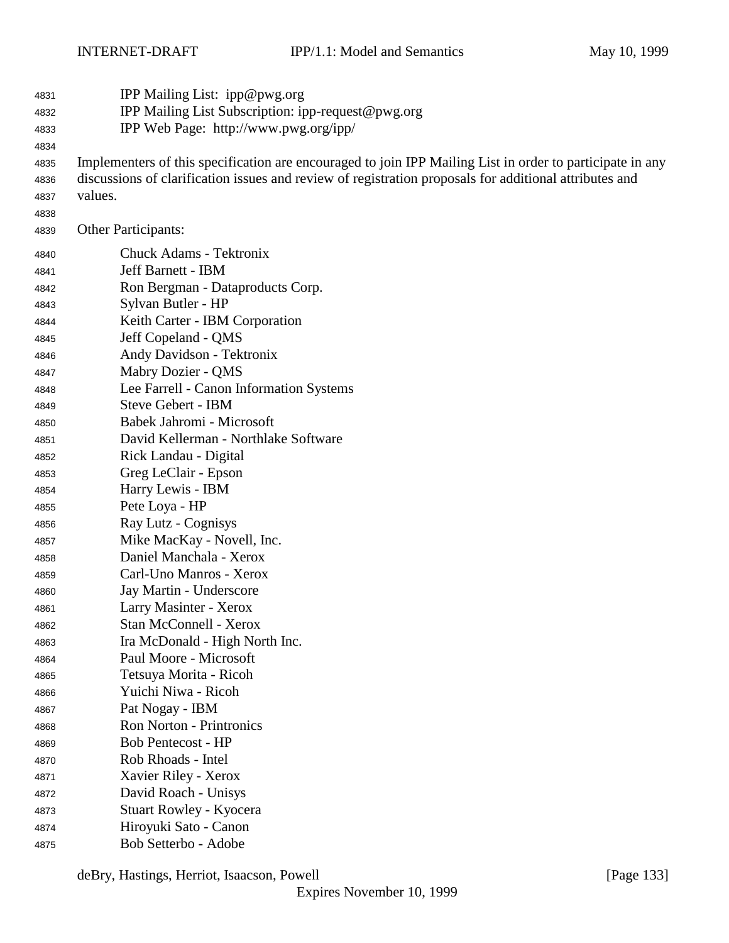| 4831 | IPP Mailing List: ipp@pwg.org                                                                             |
|------|-----------------------------------------------------------------------------------------------------------|
| 4832 | IPP Mailing List Subscription: ipp-request@pwg.org                                                        |
| 4833 | IPP Web Page: http://www.pwg.org/ipp/                                                                     |
| 4834 |                                                                                                           |
| 4835 | Implementers of this specification are encouraged to join IPP Mailing List in order to participate in any |
| 4836 | discussions of clarification issues and review of registration proposals for additional attributes and    |
| 4837 | values.                                                                                                   |
| 4838 |                                                                                                           |
| 4839 | <b>Other Participants:</b>                                                                                |
| 4840 | <b>Chuck Adams - Tektronix</b>                                                                            |
| 4841 | Jeff Barnett - IBM                                                                                        |
| 4842 | Ron Bergman - Dataproducts Corp.                                                                          |
| 4843 | Sylvan Butler - HP                                                                                        |
| 4844 | Keith Carter - IBM Corporation                                                                            |
| 4845 | Jeff Copeland - QMS                                                                                       |
| 4846 | Andy Davidson - Tektronix                                                                                 |
| 4847 | Mabry Dozier - QMS                                                                                        |
| 4848 | Lee Farrell - Canon Information Systems                                                                   |
| 4849 | <b>Steve Gebert - IBM</b>                                                                                 |
| 4850 | Babek Jahromi - Microsoft                                                                                 |
| 4851 | David Kellerman - Northlake Software                                                                      |
| 4852 | Rick Landau - Digital                                                                                     |
| 4853 | Greg LeClair - Epson                                                                                      |
| 4854 | Harry Lewis - IBM                                                                                         |
| 4855 | Pete Loya - HP                                                                                            |
| 4856 | Ray Lutz - Cognisys                                                                                       |
| 4857 | Mike MacKay - Novell, Inc.                                                                                |
| 4858 | Daniel Manchala - Xerox                                                                                   |
| 4859 | Carl-Uno Manros - Xerox                                                                                   |
| 4860 | Jay Martin - Underscore                                                                                   |
| 4861 | Larry Masinter - Xerox                                                                                    |
| 4862 | Stan McConnell - Xerox                                                                                    |
| 4863 | Ira McDonald - High North Inc.                                                                            |
| 4864 | Paul Moore - Microsoft                                                                                    |
| 4865 | Tetsuya Morita - Ricoh                                                                                    |
| 4866 | Yuichi Niwa - Ricoh                                                                                       |
| 4867 | Pat Nogay - IBM                                                                                           |
| 4868 | <b>Ron Norton - Printronics</b>                                                                           |
| 4869 | <b>Bob Pentecost - HP</b>                                                                                 |
| 4870 | Rob Rhoads - Intel                                                                                        |
| 4871 | Xavier Riley - Xerox                                                                                      |
| 4872 | David Roach - Unisys                                                                                      |
| 4873 | Stuart Rowley - Kyocera                                                                                   |
| 4874 | Hiroyuki Sato - Canon                                                                                     |
| 4875 | Bob Setterbo - Adobe                                                                                      |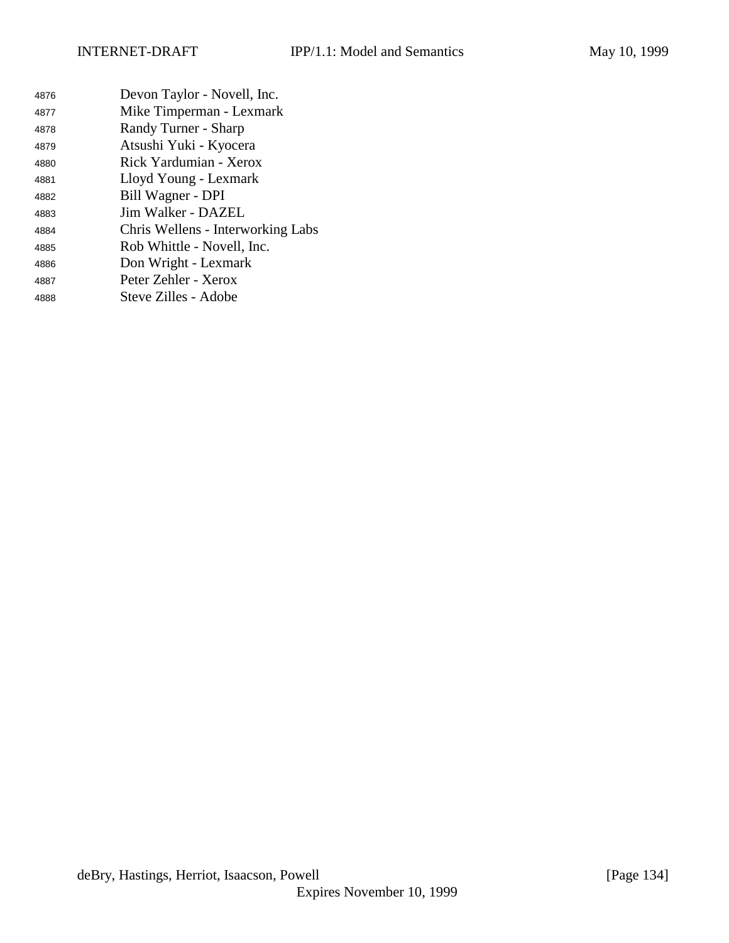Devon Taylor - Novell, Inc. Mike Timperman - Lexmark Randy Turner - Sharp Atsushi Yuki - Kyocera Rick Yardumian - Xerox Lloyd Young - Lexmark Bill Wagner - DPI Jim Walker - DAZEL Chris Wellens - Interworking Labs Rob Whittle - Novell, Inc. Don Wright - Lexmark Peter Zehler - Xerox Steve Zilles - Adobe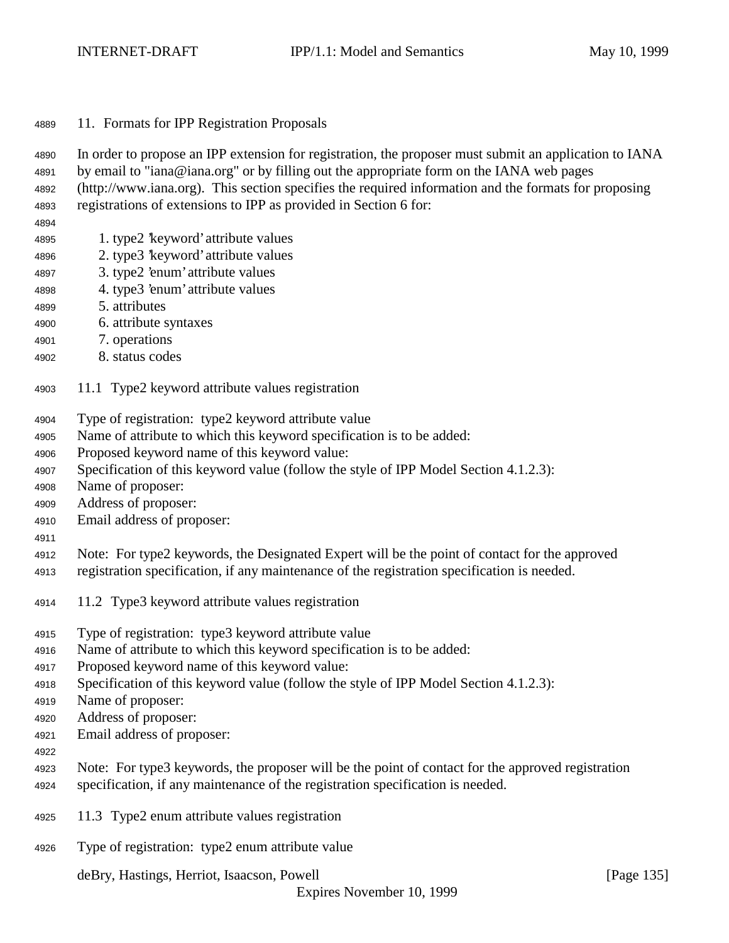11. Formats for IPP Registration Proposals

In order to propose an IPP extension for registration, the proposer must submit an application to IANA

- by email to "iana@iana.org" or by filling out the appropriate form on the IANA web pages
- (http://www.iana.org). This section specifies the required information and the formats for proposing registrations of extensions to IPP as provided in Section 6 for:
- 
- 1. type2 'keyword' attribute values
- 2. type3 'keyword' attribute values
- 3. type2 'enum' attribute values
- 4. type3 'enum' attribute values
- 5. attributes
- 6. attribute syntaxes
- 7. operations
- 8. status codes
- 11.1 Type2 keyword attribute values registration
- Type of registration: type2 keyword attribute value
- Name of attribute to which this keyword specification is to be added:
- Proposed keyword name of this keyword value:
- Specification of this keyword value (follow the style of IPP Model Section 4.1.2.3):
- Name of proposer:
- Address of proposer:
- Email address of proposer:
- 
- Note: For type2 keywords, the Designated Expert will be the point of contact for the approved
- registration specification, if any maintenance of the registration specification is needed.
- 11.2 Type3 keyword attribute values registration
- Type of registration: type3 keyword attribute value
- Name of attribute to which this keyword specification is to be added:
- Proposed keyword name of this keyword value:
- Specification of this keyword value (follow the style of IPP Model Section 4.1.2.3):
- Name of proposer:
- Address of proposer:
- Email address of proposer:
- 
- Note: For type3 keywords, the proposer will be the point of contact for the approved registration specification, if any maintenance of the registration specification is needed.
- 11.3 Type2 enum attribute values registration
- Type of registration: type2 enum attribute value

deBry, Hastings, Herriot, Isaacson, Powell [Page 135]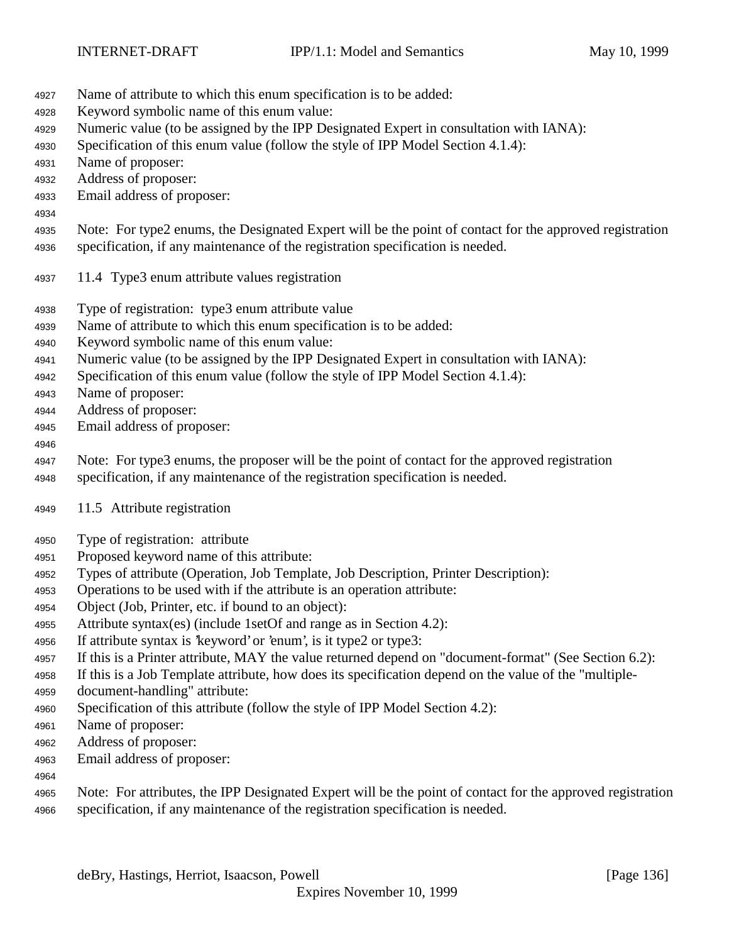- Name of attribute to which this enum specification is to be added:
- Keyword symbolic name of this enum value:
- Numeric value (to be assigned by the IPP Designated Expert in consultation with IANA):
- Specification of this enum value (follow the style of IPP Model Section 4.1.4):
- Name of proposer:
- Address of proposer:
- Email address of proposer:
- Note: For type2 enums, the Designated Expert will be the point of contact for the approved registration
- specification, if any maintenance of the registration specification is needed.
- 11.4 Type3 enum attribute values registration
- Type of registration: type3 enum attribute value
- Name of attribute to which this enum specification is to be added:
- Keyword symbolic name of this enum value:
- Numeric value (to be assigned by the IPP Designated Expert in consultation with IANA):
- Specification of this enum value (follow the style of IPP Model Section 4.1.4):
- Name of proposer:
- Address of proposer:
- Email address of proposer:

# 

- Note: For type3 enums, the proposer will be the point of contact for the approved registration
- specification, if any maintenance of the registration specification is needed.
- 11.5 Attribute registration
- Type of registration: attribute
- Proposed keyword name of this attribute:
- Types of attribute (Operation, Job Template, Job Description, Printer Description):
- Operations to be used with if the attribute is an operation attribute:
- Object (Job, Printer, etc. if bound to an object):
- Attribute syntax(es) (include 1setOf and range as in Section 4.2):
- If attribute syntax is 'keyword' or 'enum', is it type2 or type3:
- If this is a Printer attribute, MAY the value returned depend on "document-format" (See Section 6.2):
- If this is a Job Template attribute, how does its specification depend on the value of the "multiple-
- document-handling" attribute:
- Specification of this attribute (follow the style of IPP Model Section 4.2):
- Name of proposer:
- Address of proposer:
- Email address of proposer:
- 
- Note: For attributes, the IPP Designated Expert will be the point of contact for the approved registration specification, if any maintenance of the registration specification is needed.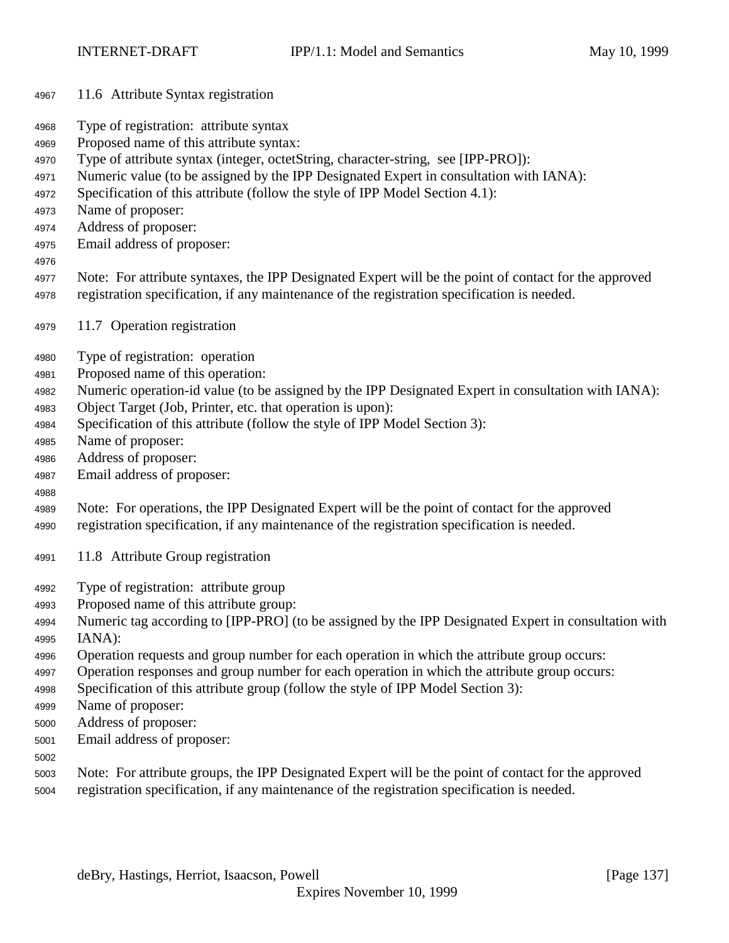- 11.6 Attribute Syntax registration
- Type of registration: attribute syntax
- Proposed name of this attribute syntax:
- Type of attribute syntax (integer, octetString, character-string, see [IPP-PRO]):
- Numeric value (to be assigned by the IPP Designated Expert in consultation with IANA):
- Specification of this attribute (follow the style of IPP Model Section 4.1):
- Name of proposer:
- Address of proposer:
- Email address of proposer:
- 
- Note: For attribute syntaxes, the IPP Designated Expert will be the point of contact for the approved registration specification, if any maintenance of the registration specification is needed.
- 11.7 Operation registration
- Type of registration: operation
- Proposed name of this operation:
- Numeric operation-id value (to be assigned by the IPP Designated Expert in consultation with IANA):
- Object Target (Job, Printer, etc. that operation is upon):
- Specification of this attribute (follow the style of IPP Model Section 3):
- Name of proposer:
- Address of proposer:
- Email address of proposer:
- 
- Note: For operations, the IPP Designated Expert will be the point of contact for the approved
- registration specification, if any maintenance of the registration specification is needed.
- 11.8 Attribute Group registration
- Type of registration: attribute group
- Proposed name of this attribute group:
- Numeric tag according to [IPP-PRO] (to be assigned by the IPP Designated Expert in consultation with IANA):
- Operation requests and group number for each operation in which the attribute group occurs:
- Operation responses and group number for each operation in which the attribute group occurs:
- Specification of this attribute group (follow the style of IPP Model Section 3):
- Name of proposer:
- Address of proposer:
- Email address of proposer:
- 
- Note: For attribute groups, the IPP Designated Expert will be the point of contact for the approved
- registration specification, if any maintenance of the registration specification is needed.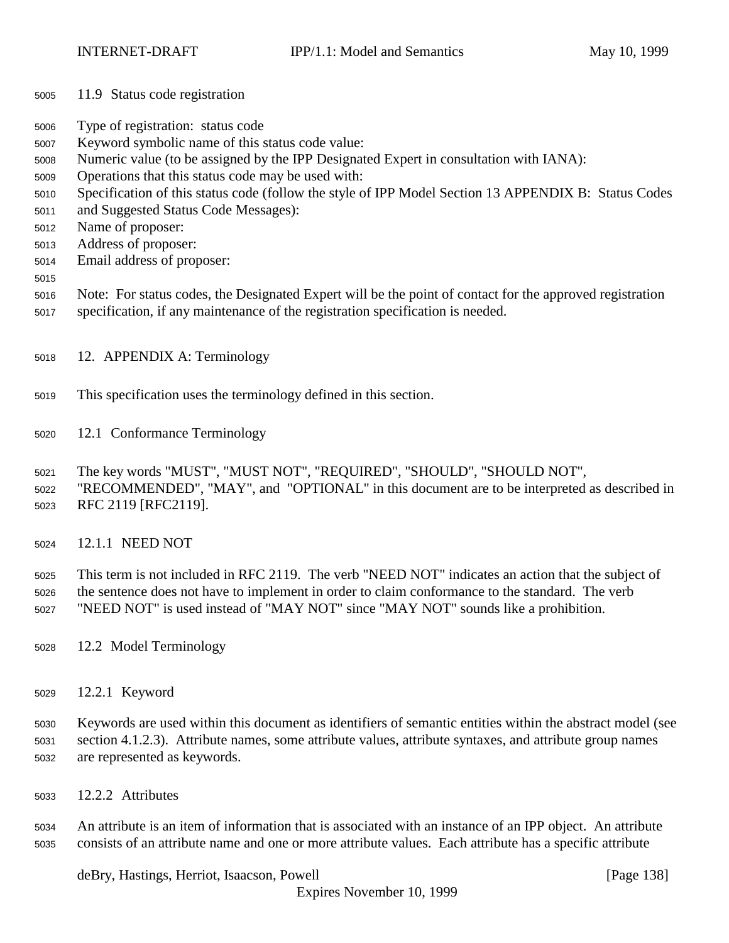- 11.9 Status code registration
- Type of registration: status code
- Keyword symbolic name of this status code value:
- Numeric value (to be assigned by the IPP Designated Expert in consultation with IANA):
- Operations that this status code may be used with:
- Specification of this status code (follow the style of IPP Model Section 13 APPENDIX B: Status Codes
- and Suggested Status Code Messages):
- Name of proposer:
- Address of proposer:
- Email address of proposer:
- 
- Note: For status codes, the Designated Expert will be the point of contact for the approved registration
- specification, if any maintenance of the registration specification is needed.
- 12. APPENDIX A: Terminology
- This specification uses the terminology defined in this section.
- 12.1 Conformance Terminology
- The key words "MUST", "MUST NOT", "REQUIRED", "SHOULD", "SHOULD NOT",
- "RECOMMENDED", "MAY", and "OPTIONAL" in this document are to be interpreted as described in RFC 2119 [RFC2119].
- 12.1.1 NEED NOT
- This term is not included in RFC 2119. The verb "NEED NOT" indicates an action that the subject of the sentence does not have to implement in order to claim conformance to the standard. The verb "NEED NOT" is used instead of "MAY NOT" since "MAY NOT" sounds like a prohibition.
- 12.2 Model Terminology
- 12.2.1 Keyword
- Keywords are used within this document as identifiers of semantic entities within the abstract model (see section 4.1.2.3). Attribute names, some attribute values, attribute syntaxes, and attribute group names are represented as keywords.
- 12.2.2 Attributes

 An attribute is an item of information that is associated with an instance of an IPP object. An attribute consists of an attribute name and one or more attribute values. Each attribute has a specific attribute

deBry, Hastings, Herriot, Isaacson, Powell [Page 138]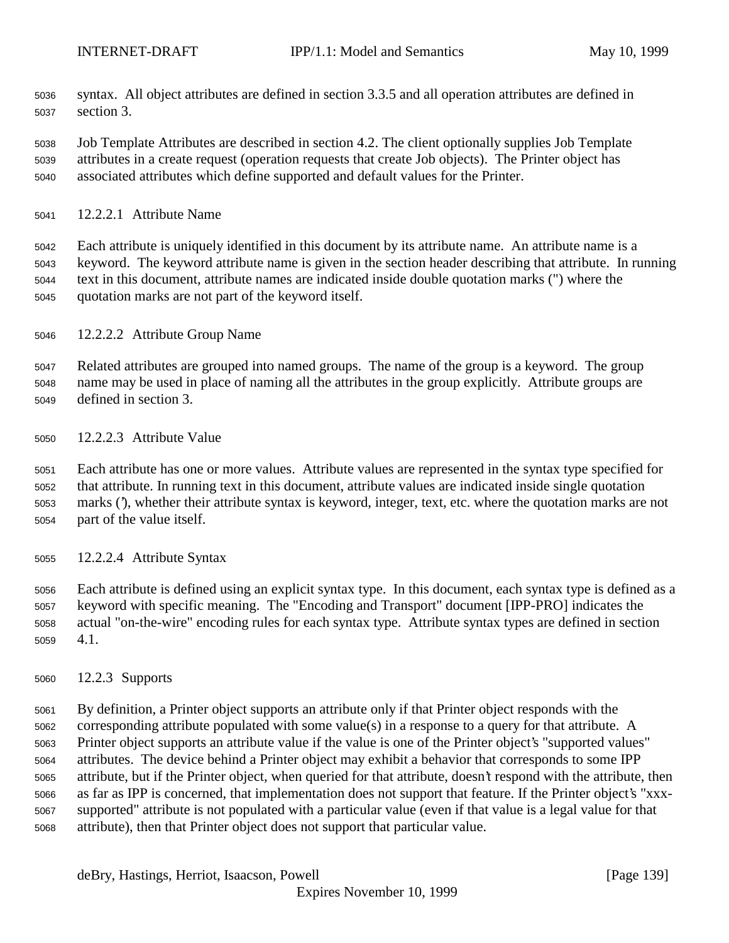- syntax. All object attributes are defined in section 3.3.5 and all operation attributes are defined in section 3.
- Job Template Attributes are described in section 4.2. The client optionally supplies Job Template attributes in a create request (operation requests that create Job objects). The Printer object has associated attributes which define supported and default values for the Printer.
- 12.2.2.1 Attribute Name

 Each attribute is uniquely identified in this document by its attribute name. An attribute name is a keyword. The keyword attribute name is given in the section header describing that attribute. In running text in this document, attribute names are indicated inside double quotation marks (") where the quotation marks are not part of the keyword itself.

12.2.2.2 Attribute Group Name

 Related attributes are grouped into named groups. The name of the group is a keyword. The group name may be used in place of naming all the attributes in the group explicitly. Attribute groups are defined in section 3.

12.2.2.3 Attribute Value

 Each attribute has one or more values. Attribute values are represented in the syntax type specified for that attribute. In running text in this document, attribute values are indicated inside single quotation marks ('), whether their attribute syntax is keyword, integer, text, etc. where the quotation marks are not part of the value itself.

12.2.2.4 Attribute Syntax

 Each attribute is defined using an explicit syntax type. In this document, each syntax type is defined as a keyword with specific meaning. The "Encoding and Transport" document [IPP-PRO] indicates the actual "on-the-wire" encoding rules for each syntax type. Attribute syntax types are defined in section 4.1.

12.2.3 Supports

 By definition, a Printer object supports an attribute only if that Printer object responds with the corresponding attribute populated with some value(s) in a response to a query for that attribute. A Printer object supports an attribute value if the value is one of the Printer object's "supported values" attributes. The device behind a Printer object may exhibit a behavior that corresponds to some IPP attribute, but if the Printer object, when queried for that attribute, doesn't respond with the attribute, then as far as IPP is concerned, that implementation does not support that feature. If the Printer object's "xxx- supported" attribute is not populated with a particular value (even if that value is a legal value for that attribute), then that Printer object does not support that particular value.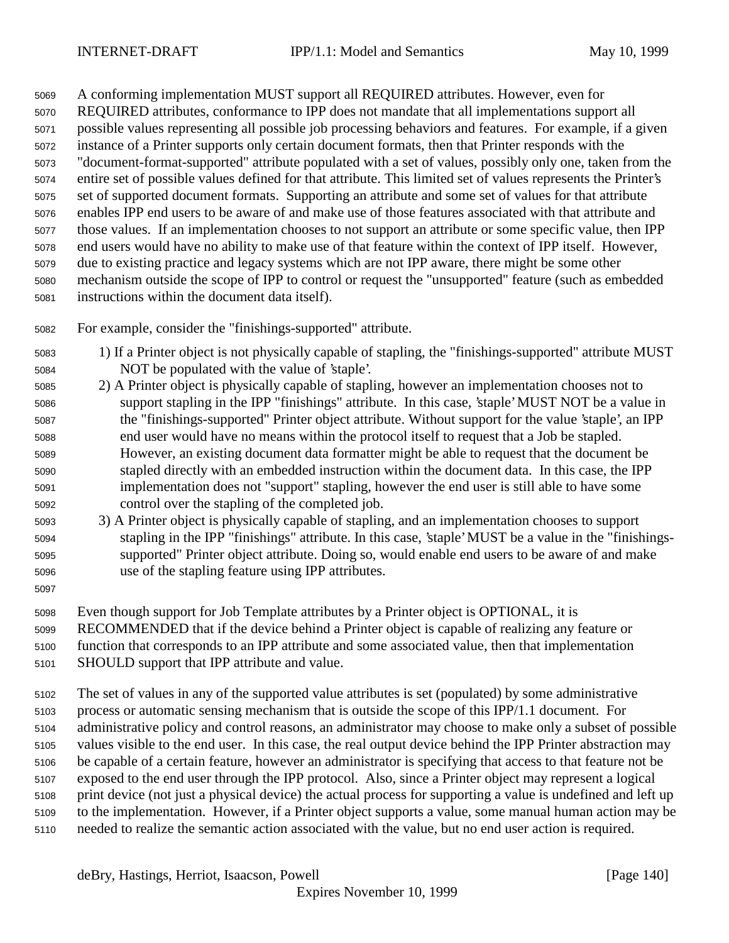A conforming implementation MUST support all REQUIRED attributes. However, even for REQUIRED attributes, conformance to IPP does not mandate that all implementations support all possible values representing all possible job processing behaviors and features. For example, if a given instance of a Printer supports only certain document formats, then that Printer responds with the "document-format-supported" attribute populated with a set of values, possibly only one, taken from the entire set of possible values defined for that attribute. This limited set of values represents the Printer's set of supported document formats. Supporting an attribute and some set of values for that attribute enables IPP end users to be aware of and make use of those features associated with that attribute and those values. If an implementation chooses to not support an attribute or some specific value, then IPP end users would have no ability to make use of that feature within the context of IPP itself. However, due to existing practice and legacy systems which are not IPP aware, there might be some other mechanism outside the scope of IPP to control or request the "unsupported" feature (such as embedded instructions within the document data itself).

- For example, consider the "finishings-supported" attribute.
- 1) If a Printer object is not physically capable of stapling, the "finishings-supported" attribute MUST NOT be populated with the value of 'staple'.
- 2) A Printer object is physically capable of stapling, however an implementation chooses not to support stapling in the IPP "finishings" attribute. In this case, 'staple' MUST NOT be a value in the "finishings-supported" Printer object attribute. Without support for the value 'staple', an IPP end user would have no means within the protocol itself to request that a Job be stapled. However, an existing document data formatter might be able to request that the document be stapled directly with an embedded instruction within the document data. In this case, the IPP implementation does not "support" stapling, however the end user is still able to have some control over the stapling of the completed job.
- 3) A Printer object is physically capable of stapling, and an implementation chooses to support stapling in the IPP "finishings" attribute. In this case, 'staple' MUST be a value in the "finishings- supported" Printer object attribute. Doing so, would enable end users to be aware of and make use of the stapling feature using IPP attributes.
- 

Even though support for Job Template attributes by a Printer object is OPTIONAL, it is

RECOMMENDED that if the device behind a Printer object is capable of realizing any feature or

 function that corresponds to an IPP attribute and some associated value, then that implementation SHOULD support that IPP attribute and value.

 The set of values in any of the supported value attributes is set (populated) by some administrative process or automatic sensing mechanism that is outside the scope of this IPP/1.1 document. For administrative policy and control reasons, an administrator may choose to make only a subset of possible values visible to the end user. In this case, the real output device behind the IPP Printer abstraction may be capable of a certain feature, however an administrator is specifying that access to that feature not be exposed to the end user through the IPP protocol. Also, since a Printer object may represent a logical print device (not just a physical device) the actual process for supporting a value is undefined and left up to the implementation. However, if a Printer object supports a value, some manual human action may be needed to realize the semantic action associated with the value, but no end user action is required.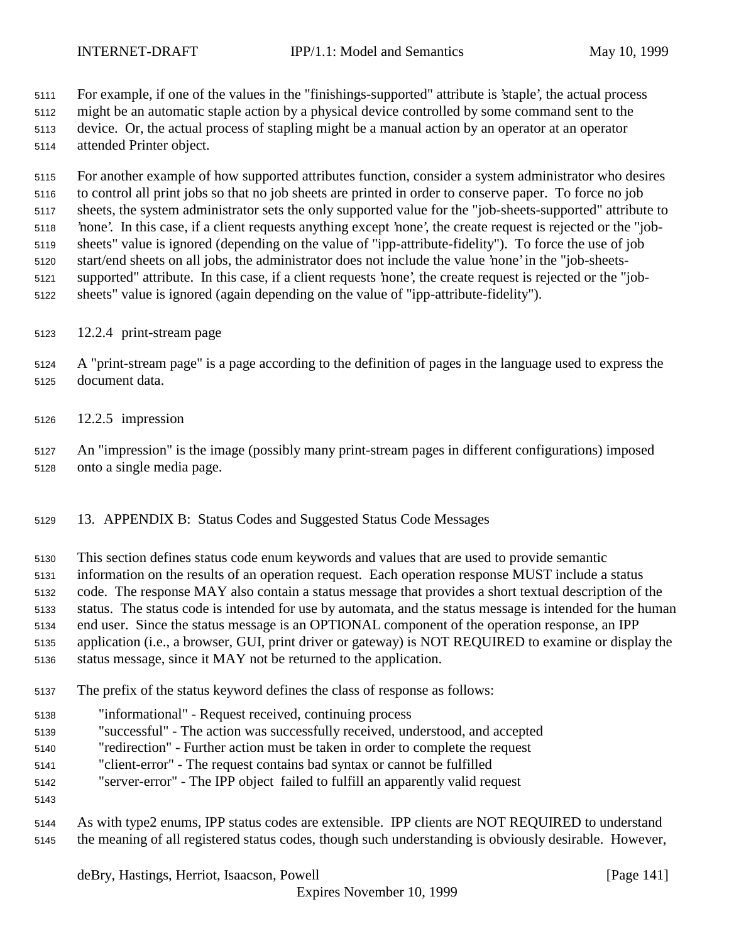For example, if one of the values in the "finishings-supported" attribute is 'staple', the actual process

might be an automatic staple action by a physical device controlled by some command sent to the

 device. Or, the actual process of stapling might be a manual action by an operator at an operator attended Printer object.

 For another example of how supported attributes function, consider a system administrator who desires to control all print jobs so that no job sheets are printed in order to conserve paper. To force no job sheets, the system administrator sets the only supported value for the "job-sheets-supported" attribute to 'none'. In this case, if a client requests anything except 'none', the create request is rejected or the "job- sheets" value is ignored (depending on the value of "ipp-attribute-fidelity"). To force the use of job start/end sheets on all jobs, the administrator does not include the value 'none' in the "job-sheets- supported" attribute. In this case, if a client requests 'none', the create request is rejected or the "job-sheets" value is ignored (again depending on the value of "ipp-attribute-fidelity").

- 12.2.4 print-stream page
- A "print-stream page" is a page according to the definition of pages in the language used to express the document data.
- 12.2.5 impression
- An "impression" is the image (possibly many print-stream pages in different configurations) imposed onto a single media page.
- 13. APPENDIX B: Status Codes and Suggested Status Code Messages
- This section defines status code enum keywords and values that are used to provide semantic
- information on the results of an operation request. Each operation response MUST include a status
- code. The response MAY also contain a status message that provides a short textual description of the
- status. The status code is intended for use by automata, and the status message is intended for the human
- end user. Since the status message is an OPTIONAL component of the operation response, an IPP
- application (i.e., a browser, GUI, print driver or gateway) is NOT REQUIRED to examine or display the
- status message, since it MAY not be returned to the application.
- The prefix of the status keyword defines the class of response as follows:
- "informational" Request received, continuing process
- "successful" The action was successfully received, understood, and accepted
- "redirection" Further action must be taken in order to complete the request
- "client-error" The request contains bad syntax or cannot be fulfilled
- "server-error" The IPP object failed to fulfill an apparently valid request
- 
- As with type2 enums, IPP status codes are extensible. IPP clients are NOT REQUIRED to understand the meaning of all registered status codes, though such understanding is obviously desirable. However,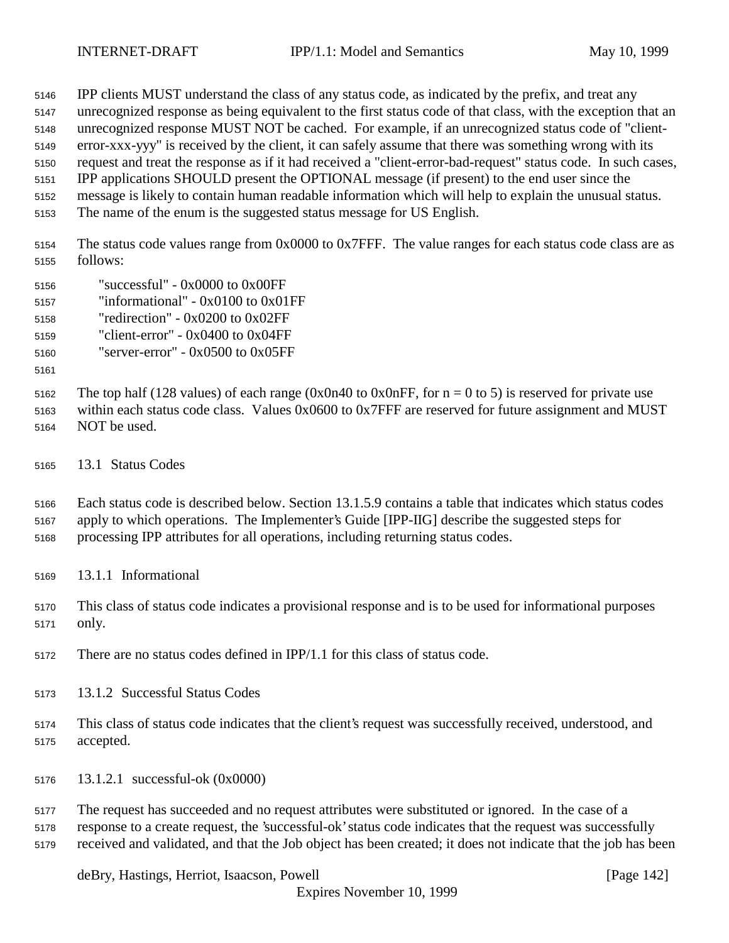IPP clients MUST understand the class of any status code, as indicated by the prefix, and treat any

- unrecognized response as being equivalent to the first status code of that class, with the exception that an
- unrecognized response MUST NOT be cached. For example, if an unrecognized status code of "client-error-xxx-yyy" is received by the client, it can safely assume that there was something wrong with its

request and treat the response as if it had received a "client-error-bad-request" status code. In such cases,

IPP applications SHOULD present the OPTIONAL message (if present) to the end user since the

- message is likely to contain human readable information which will help to explain the unusual status.
- The name of the enum is the suggested status message for US English.

 The status code values range from 0x0000 to 0x7FFF. The value ranges for each status code class are as follows:

- "successful" 0x0000 to 0x00FF
- "informational" 0x0100 to 0x01FF
- "redirection" 0x0200 to 0x02FF
- "client-error" 0x0400 to 0x04FF

"server-error" - 0x0500 to 0x05FF

5162 The top half (128 values) of each range (0x0n40 to 0x0nFF, for  $n = 0$  to 5) is reserved for private use within each status code class. Values 0x0600 to 0x7FFF are reserved for future assignment and MUST

- NOT be used.
- 13.1 Status Codes

 Each status code is described below. Section 13.1.5.9 contains a table that indicates which status codes apply to which operations. The Implementer's Guide [IPP-IIG] describe the suggested steps for

- processing IPP attributes for all operations, including returning status codes.
- 13.1.1 Informational
- This class of status code indicates a provisional response and is to be used for informational purposes only.
- There are no status codes defined in IPP/1.1 for this class of status code.
- 13.1.2 Successful Status Codes
- This class of status code indicates that the client's request was successfully received, understood, and accepted.
- 13.1.2.1 successful-ok (0x0000)

 The request has succeeded and no request attributes were substituted or ignored. In the case of a response to a create request, the 'successful-ok' status code indicates that the request was successfully received and validated, and that the Job object has been created; it does not indicate that the job has been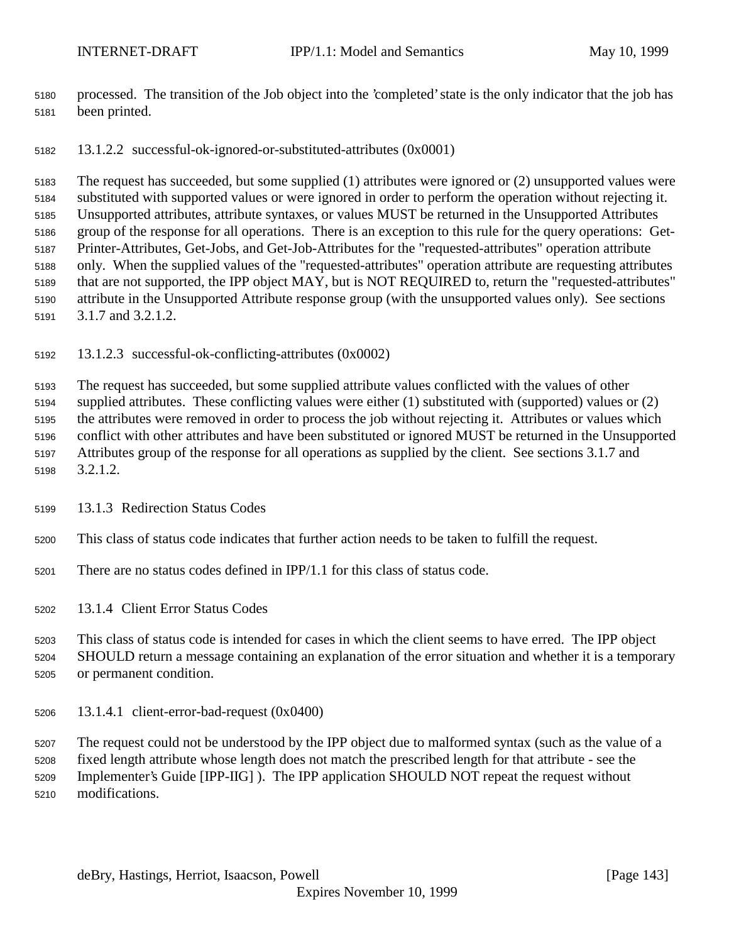- processed. The transition of the Job object into the 'completed' state is the only indicator that the job has been printed.
- 13.1.2.2 successful-ok-ignored-or-substituted-attributes (0x0001)

 The request has succeeded, but some supplied (1) attributes were ignored or (2) unsupported values were substituted with supported values or were ignored in order to perform the operation without rejecting it. Unsupported attributes, attribute syntaxes, or values MUST be returned in the Unsupported Attributes group of the response for all operations. There is an exception to this rule for the query operations: Get- Printer-Attributes, Get-Jobs, and Get-Job-Attributes for the "requested-attributes" operation attribute only. When the supplied values of the "requested-attributes" operation attribute are requesting attributes that are not supported, the IPP object MAY, but is NOT REQUIRED to, return the "requested-attributes" attribute in the Unsupported Attribute response group (with the unsupported values only). See sections 3.1.7 and 3.2.1.2.

13.1.2.3 successful-ok-conflicting-attributes (0x0002)

 The request has succeeded, but some supplied attribute values conflicted with the values of other supplied attributes. These conflicting values were either (1) substituted with (supported) values or (2) the attributes were removed in order to process the job without rejecting it. Attributes or values which conflict with other attributes and have been substituted or ignored MUST be returned in the Unsupported Attributes group of the response for all operations as supplied by the client. See sections 3.1.7 and 3.2.1.2.

- 13.1.3 Redirection Status Codes
- This class of status code indicates that further action needs to be taken to fulfill the request.
- There are no status codes defined in IPP/1.1 for this class of status code.

13.1.4 Client Error Status Codes

 This class of status code is intended for cases in which the client seems to have erred. The IPP object SHOULD return a message containing an explanation of the error situation and whether it is a temporary or permanent condition.

13.1.4.1 client-error-bad-request (0x0400)

 The request could not be understood by the IPP object due to malformed syntax (such as the value of a fixed length attribute whose length does not match the prescribed length for that attribute - see the Implementer's Guide [IPP-IIG] ). The IPP application SHOULD NOT repeat the request without

modifications.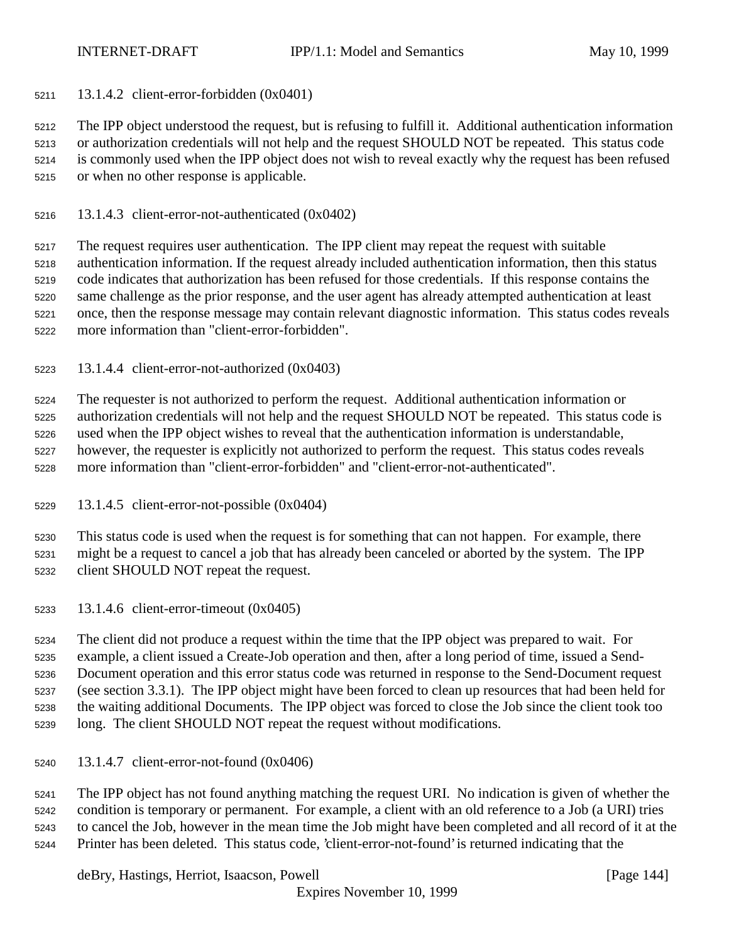13.1.4.2 client-error-forbidden (0x0401)

 The IPP object understood the request, but is refusing to fulfill it. Additional authentication information or authorization credentials will not help and the request SHOULD NOT be repeated. This status code is commonly used when the IPP object does not wish to reveal exactly why the request has been refused or when no other response is applicable.

13.1.4.3 client-error-not-authenticated (0x0402)

 The request requires user authentication. The IPP client may repeat the request with suitable authentication information. If the request already included authentication information, then this status code indicates that authorization has been refused for those credentials. If this response contains the same challenge as the prior response, and the user agent has already attempted authentication at least once, then the response message may contain relevant diagnostic information. This status codes reveals more information than "client-error-forbidden".

13.1.4.4 client-error-not-authorized (0x0403)

 The requester is not authorized to perform the request. Additional authentication information or authorization credentials will not help and the request SHOULD NOT be repeated. This status code is used when the IPP object wishes to reveal that the authentication information is understandable, however, the requester is explicitly not authorized to perform the request. This status codes reveals more information than "client-error-forbidden" and "client-error-not-authenticated".

13.1.4.5 client-error-not-possible (0x0404)

 This status code is used when the request is for something that can not happen. For example, there might be a request to cancel a job that has already been canceled or aborted by the system. The IPP client SHOULD NOT repeat the request.

13.1.4.6 client-error-timeout (0x0405)

 The client did not produce a request within the time that the IPP object was prepared to wait. For example, a client issued a Create-Job operation and then, after a long period of time, issued a Send- Document operation and this error status code was returned in response to the Send-Document request (see section 3.3.1). The IPP object might have been forced to clean up resources that had been held for the waiting additional Documents. The IPP object was forced to close the Job since the client took too long. The client SHOULD NOT repeat the request without modifications.

13.1.4.7 client-error-not-found (0x0406)

 The IPP object has not found anything matching the request URI. No indication is given of whether the condition is temporary or permanent. For example, a client with an old reference to a Job (a URI) tries to cancel the Job, however in the mean time the Job might have been completed and all record of it at the Printer has been deleted. This status code, 'client-error-not-found' is returned indicating that the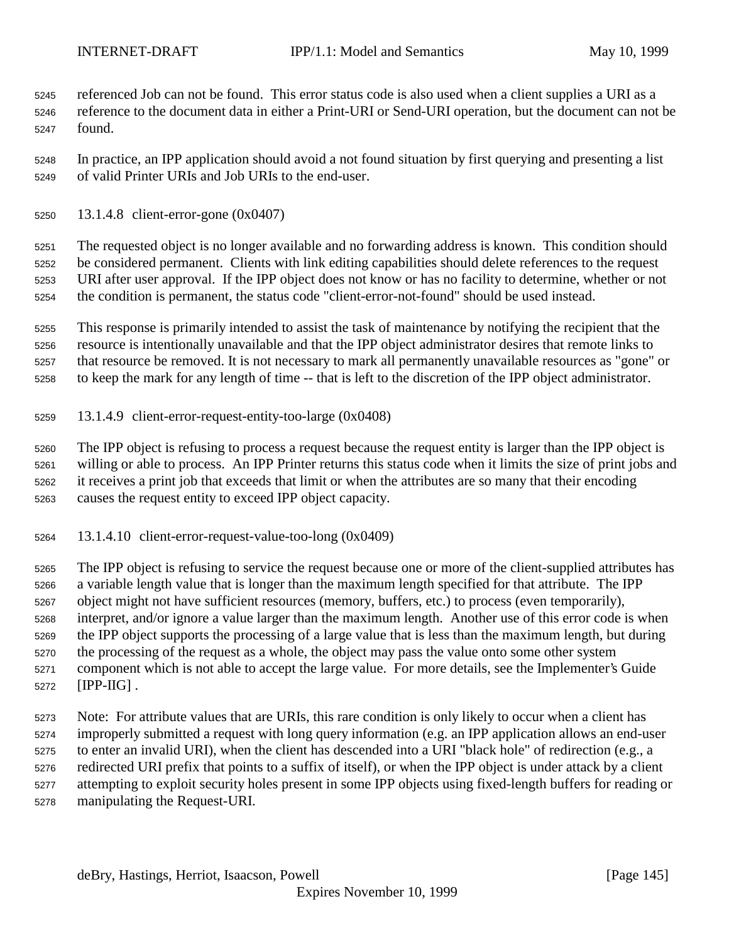referenced Job can not be found. This error status code is also used when a client supplies a URI as a reference to the document data in either a Print-URI or Send-URI operation, but the document can not be found.

 In practice, an IPP application should avoid a not found situation by first querying and presenting a list of valid Printer URIs and Job URIs to the end-user.

13.1.4.8 client-error-gone (0x0407)

 The requested object is no longer available and no forwarding address is known. This condition should be considered permanent. Clients with link editing capabilities should delete references to the request URI after user approval. If the IPP object does not know or has no facility to determine, whether or not the condition is permanent, the status code "client-error-not-found" should be used instead.

 This response is primarily intended to assist the task of maintenance by notifying the recipient that the resource is intentionally unavailable and that the IPP object administrator desires that remote links to that resource be removed. It is not necessary to mark all permanently unavailable resources as "gone" or to keep the mark for any length of time -- that is left to the discretion of the IPP object administrator.

13.1.4.9 client-error-request-entity-too-large (0x0408)

 The IPP object is refusing to process a request because the request entity is larger than the IPP object is willing or able to process. An IPP Printer returns this status code when it limits the size of print jobs and it receives a print job that exceeds that limit or when the attributes are so many that their encoding causes the request entity to exceed IPP object capacity.

13.1.4.10 client-error-request-value-too-long (0x0409)

 The IPP object is refusing to service the request because one or more of the client-supplied attributes has a variable length value that is longer than the maximum length specified for that attribute. The IPP object might not have sufficient resources (memory, buffers, etc.) to process (even temporarily), interpret, and/or ignore a value larger than the maximum length. Another use of this error code is when the IPP object supports the processing of a large value that is less than the maximum length, but during the processing of the request as a whole, the object may pass the value onto some other system component which is not able to accept the large value. For more details, see the Implementer's Guide [IPP-IIG] .

 Note: For attribute values that are URIs, this rare condition is only likely to occur when a client has improperly submitted a request with long query information (e.g. an IPP application allows an end-user to enter an invalid URI), when the client has descended into a URI "black hole" of redirection (e.g., a redirected URI prefix that points to a suffix of itself), or when the IPP object is under attack by a client attempting to exploit security holes present in some IPP objects using fixed-length buffers for reading or manipulating the Request-URI.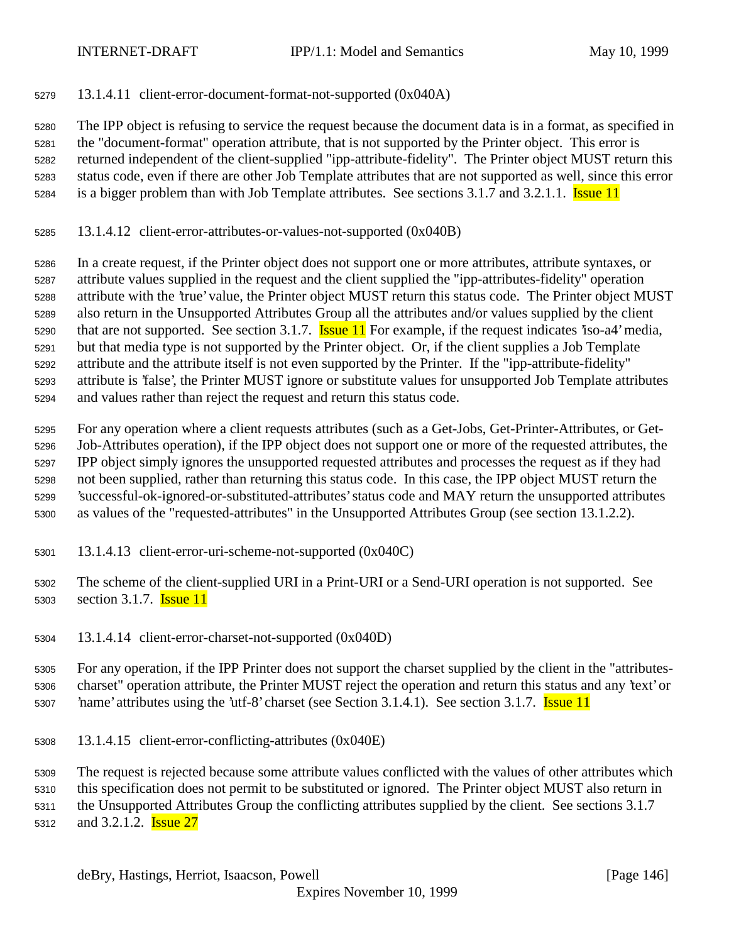13.1.4.11 client-error-document-format-not-supported (0x040A)

 The IPP object is refusing to service the request because the document data is in a format, as specified in the "document-format" operation attribute, that is not supported by the Printer object. This error is returned independent of the client-supplied "ipp-attribute-fidelity". The Printer object MUST return this status code, even if there are other Job Template attributes that are not supported as well, since this error is a bigger problem than with Job Template attributes. See sections 3.1.7 and 3.2.1.1. Issue 11

13.1.4.12 client-error-attributes-or-values-not-supported (0x040B)

 In a create request, if the Printer object does not support one or more attributes, attribute syntaxes, or attribute values supplied in the request and the client supplied the "ipp-attributes-fidelity" operation attribute with the 'true' value, the Printer object MUST return this status code. The Printer object MUST also return in the Unsupported Attributes Group all the attributes and/or values supplied by the client 5290 that are not supported. See section 3.1.7. **Issue 11** For example, if the request indicates 'iso-a4' media, but that media type is not supported by the Printer object. Or, if the client supplies a Job Template attribute and the attribute itself is not even supported by the Printer. If the "ipp-attribute-fidelity" attribute is 'false', the Printer MUST ignore or substitute values for unsupported Job Template attributes and values rather than reject the request and return this status code.

 For any operation where a client requests attributes (such as a Get-Jobs, Get-Printer-Attributes, or Get- Job-Attributes operation), if the IPP object does not support one or more of the requested attributes, the IPP object simply ignores the unsupported requested attributes and processes the request as if they had not been supplied, rather than returning this status code. In this case, the IPP object MUST return the 'successful-ok-ignored-or-substituted-attributes' status code and MAY return the unsupported attributes as values of the "requested-attributes" in the Unsupported Attributes Group (see section 13.1.2.2).

13.1.4.13 client-error-uri-scheme-not-supported (0x040C)

 The scheme of the client-supplied URI in a Print-URI or a Send-URI operation is not supported. See 5303 section 3.1.7. **Issue 11** 

13.1.4.14 client-error-charset-not-supported (0x040D)

 For any operation, if the IPP Printer does not support the charset supplied by the client in the "attributes- charset" operation attribute, the Printer MUST reject the operation and return this status and any 'text' or 5307 hame' attributes using the 'utf-8' charset (see Section 3.1.4.1). See section 3.1.7. **Issue 11** 

13.1.4.15 client-error-conflicting-attributes (0x040E)

The request is rejected because some attribute values conflicted with the values of other attributes which

this specification does not permit to be substituted or ignored. The Printer object MUST also return in

the Unsupported Attributes Group the conflicting attributes supplied by the client. See sections 3.1.7

5312 and 3.2.1.2. **Issue 27**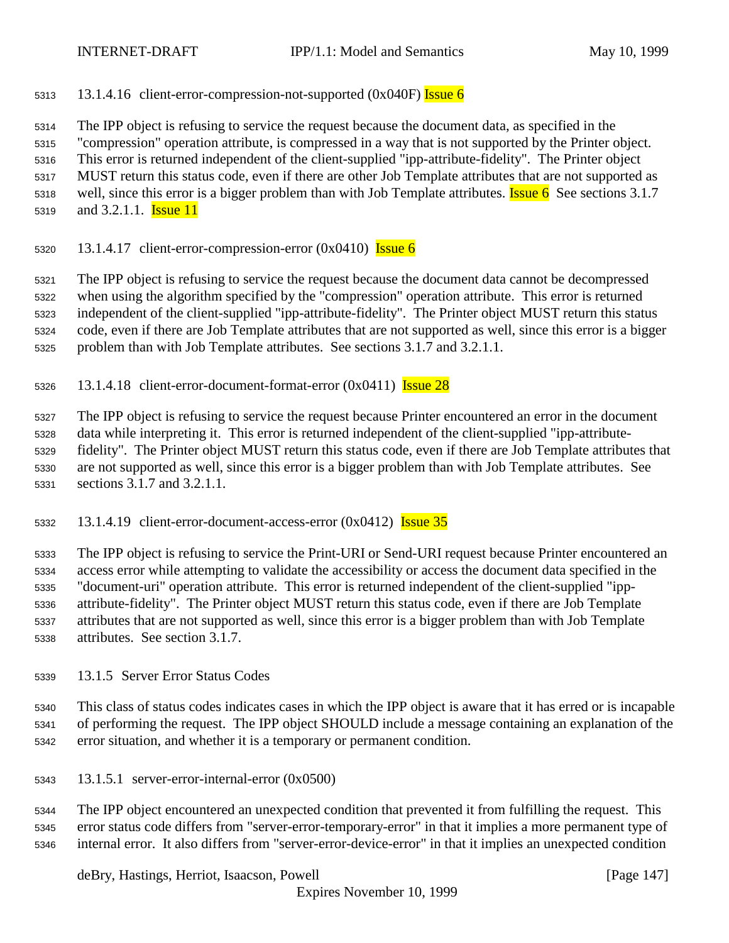5313 13.1.4.16 client-error-compression-not-supported  $(0x040F)$  Issue 6

The IPP object is refusing to service the request because the document data, as specified in the

"compression" operation attribute, is compressed in a way that is not supported by the Printer object.

This error is returned independent of the client-supplied "ipp-attribute-fidelity". The Printer object

 MUST return this status code, even if there are other Job Template attributes that are not supported as 5318 well, since this error is a bigger problem than with Job Template attributes. **Issue 6** See sections 3.1.7

- - 5319 and 3.2.1.1. **Issue 11**
	- 5320 13.1.4.17 client-error-compression-error  $(0x0410)$  Issue 6

 The IPP object is refusing to service the request because the document data cannot be decompressed when using the algorithm specified by the "compression" operation attribute. This error is returned

independent of the client-supplied "ipp-attribute-fidelity". The Printer object MUST return this status

code, even if there are Job Template attributes that are not supported as well, since this error is a bigger

problem than with Job Template attributes. See sections 3.1.7 and 3.2.1.1.

5326 13.1.4.18 client-error-document-format-error  $(0x0411)$  **Issue 28** 

The IPP object is refusing to service the request because Printer encountered an error in the document

data while interpreting it. This error is returned independent of the client-supplied "ipp-attribute-

 fidelity". The Printer object MUST return this status code, even if there are Job Template attributes that are not supported as well, since this error is a bigger problem than with Job Template attributes. See sections 3.1.7 and 3.2.1.1.

13.1.4.19 client-error-document-access-error  $(0x0412)$  Issue 35

 The IPP object is refusing to service the Print-URI or Send-URI request because Printer encountered an access error while attempting to validate the accessibility or access the document data specified in the "document-uri" operation attribute. This error is returned independent of the client-supplied "ipp- attribute-fidelity". The Printer object MUST return this status code, even if there are Job Template attributes that are not supported as well, since this error is a bigger problem than with Job Template attributes. See section 3.1.7.

13.1.5 Server Error Status Codes

 This class of status codes indicates cases in which the IPP object is aware that it has erred or is incapable of performing the request. The IPP object SHOULD include a message containing an explanation of the error situation, and whether it is a temporary or permanent condition.

13.1.5.1 server-error-internal-error (0x0500)

 The IPP object encountered an unexpected condition that prevented it from fulfilling the request. This error status code differs from "server-error-temporary-error" in that it implies a more permanent type of internal error. It also differs from "server-error-device-error" in that it implies an unexpected condition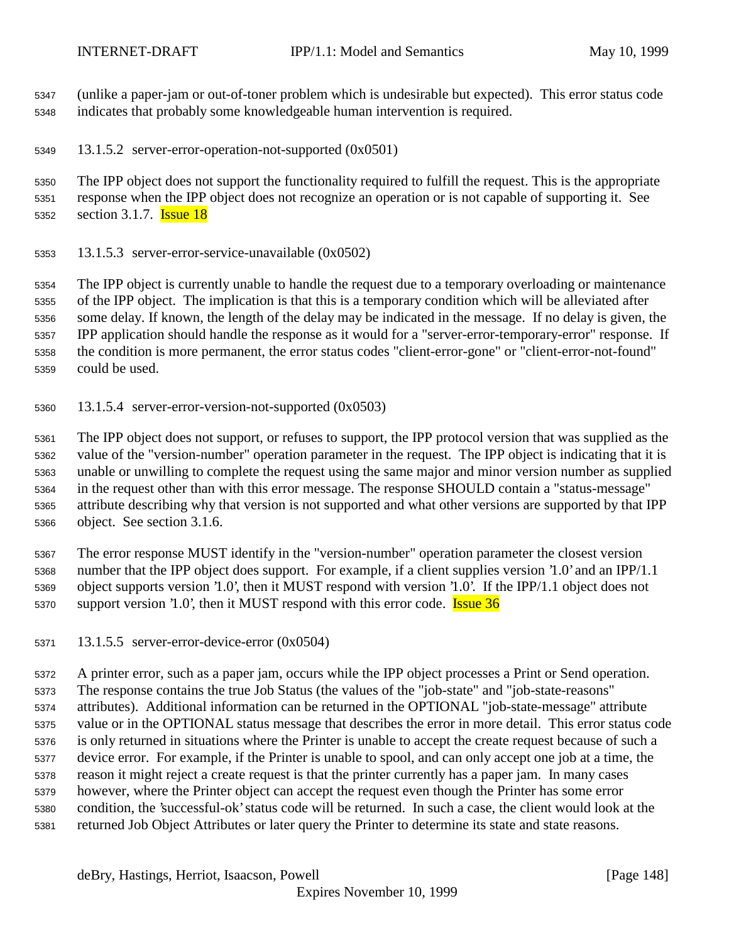(unlike a paper-jam or out-of-toner problem which is undesirable but expected). This error status code indicates that probably some knowledgeable human intervention is required.

13.1.5.2 server-error-operation-not-supported (0x0501)

 The IPP object does not support the functionality required to fulfill the request. This is the appropriate response when the IPP object does not recognize an operation or is not capable of supporting it. See 5352 section 3.1.7. **Issue 18** 

13.1.5.3 server-error-service-unavailable (0x0502)

 The IPP object is currently unable to handle the request due to a temporary overloading or maintenance of the IPP object. The implication is that this is a temporary condition which will be alleviated after some delay. If known, the length of the delay may be indicated in the message. If no delay is given, the IPP application should handle the response as it would for a "server-error-temporary-error" response. If the condition is more permanent, the error status codes "client-error-gone" or "client-error-not-found" could be used.

13.1.5.4 server-error-version-not-supported (0x0503)

 The IPP object does not support, or refuses to support, the IPP protocol version that was supplied as the value of the "version-number" operation parameter in the request. The IPP object is indicating that it is unable or unwilling to complete the request using the same major and minor version number as supplied in the request other than with this error message. The response SHOULD contain a "status-message" attribute describing why that version is not supported and what other versions are supported by that IPP object. See section 3.1.6.

 The error response MUST identify in the "version-number" operation parameter the closest version number that the IPP object does support. For example, if a client supplies version '1.0' and an IPP/1.1 object supports version '1.0', then it MUST respond with version '1.0'. If the IPP/1.1 object does not 5370 support version '1.0', then it MUST respond with this error code. **Issue 36** 

13.1.5.5 server-error-device-error (0x0504)

 A printer error, such as a paper jam, occurs while the IPP object processes a Print or Send operation. The response contains the true Job Status (the values of the "job-state" and "job-state-reasons" attributes). Additional information can be returned in the OPTIONAL "job-state-message" attribute value or in the OPTIONAL status message that describes the error in more detail. This error status code is only returned in situations where the Printer is unable to accept the create request because of such a device error. For example, if the Printer is unable to spool, and can only accept one job at a time, the reason it might reject a create request is that the printer currently has a paper jam. In many cases however, where the Printer object can accept the request even though the Printer has some error condition, the 'successful-ok' status code will be returned. In such a case, the client would look at the returned Job Object Attributes or later query the Printer to determine its state and state reasons.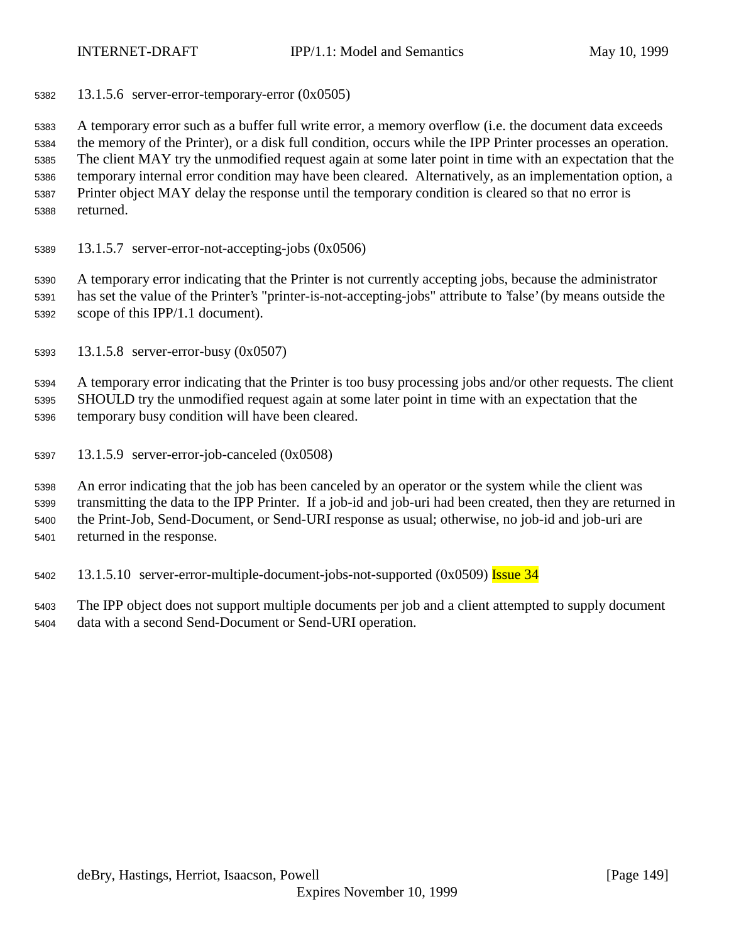13.1.5.6 server-error-temporary-error (0x0505)

 A temporary error such as a buffer full write error, a memory overflow (i.e. the document data exceeds the memory of the Printer), or a disk full condition, occurs while the IPP Printer processes an operation. The client MAY try the unmodified request again at some later point in time with an expectation that the temporary internal error condition may have been cleared. Alternatively, as an implementation option, a Printer object MAY delay the response until the temporary condition is cleared so that no error is returned.

13.1.5.7 server-error-not-accepting-jobs (0x0506)

 A temporary error indicating that the Printer is not currently accepting jobs, because the administrator has set the value of the Printer's "printer-is-not-accepting-jobs" attribute to 'false' (by means outside the scope of this IPP/1.1 document).

13.1.5.8 server-error-busy (0x0507)

 A temporary error indicating that the Printer is too busy processing jobs and/or other requests. The client SHOULD try the unmodified request again at some later point in time with an expectation that the temporary busy condition will have been cleared.

13.1.5.9 server-error-job-canceled (0x0508)

 An error indicating that the job has been canceled by an operator or the system while the client was transmitting the data to the IPP Printer. If a job-id and job-uri had been created, then they are returned in the Print-Job, Send-Document, or Send-URI response as usual; otherwise, no job-id and job-uri are returned in the response.

5402 13.1.5.10 server-error-multiple-document-jobs-not-supported (0x0509) Issue 34

 The IPP object does not support multiple documents per job and a client attempted to supply document data with a second Send-Document or Send-URI operation.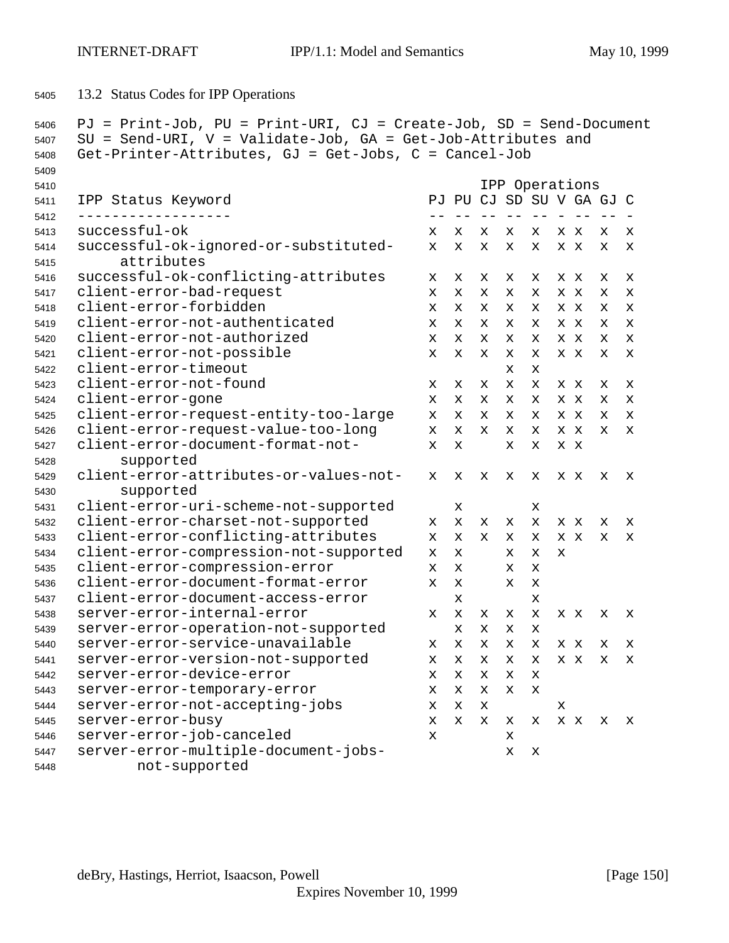13.2 Status Codes for IPP Operations

```
5406 PJ = Print-Job, PU = Print-URI, CJ = Create-Job, SD = Send-Document
5407 SU = Send-URI, V = Validate-Job, GA = Get-Job-Attributes and
5408 Get-Printer-Attributes, GJ = Get-Jobs, C = Cancel-Job
5409
5410 IPP Operations
5411 IPP Status Keyword PJ PU CJ SD SU V GA GJ C
5412 ------------------ -- -- -- -- -- - -- -- -
5413 successful-ok x x x x x x x x x
5414 successful-ok-ignored-or-substituted- x x x x x x x x x
5415 attributes
5416 successful-ok-conflicting-attributes x x x x x x x x x
5417 client-error-bad-request x x x x x x x x x
5418 client-error-forbidden x x x x x x x x x
5419 client-error-not-authenticated x x x x x x x x x
5420 client-error-not-authorized x x x x x x x x x
5421 client-error-not-possible x x x x x x x x x
5422 client-error-timeout x x
5423 client-error-not-found x x x x x x x x x
5424 client-error-gone x x x x x x x x x
5425 client-error-request-entity-too-large x x x x x x x x x
5426 client-error-request-value-too-long x x x x x x x x x
5427 client-error-document-format-not- x x x x x x
5428 supported
5429 client-error-attributes-or-values-not- x x x x x x x x x
5430 supported
5431 client-error-uri-scheme-not-supported x x
5432 client-error-charset-not-supported x x x x x x x x x
5433 client-error-conflicting-attributes x x x x x x x x x
5434 client-error-compression-not-supported x x x x x
5435 client-error-compression-error x x x x
5436 client-error-document-format-error x x x x
5437 client-error-document-access-error x x
5438 server-error-internal-error x x x x x x x x x
5439 server-error-operation-not-supported x x x x
5440 server-error-service-unavailable x x x x x x x x x
5441 server-error-version-not-supported x x x x x x x x x
5442 server-error-device-error x x x x x
5443 server-error-temporary-error x x x x x
5444 server-error-not-accepting-jobs x x x x
5445 server-error-busy x x x x x x x x x
5446 server-error-job-canceled x x
5447 server-error-multiple-document-jobs- x x
5448 not-supported
```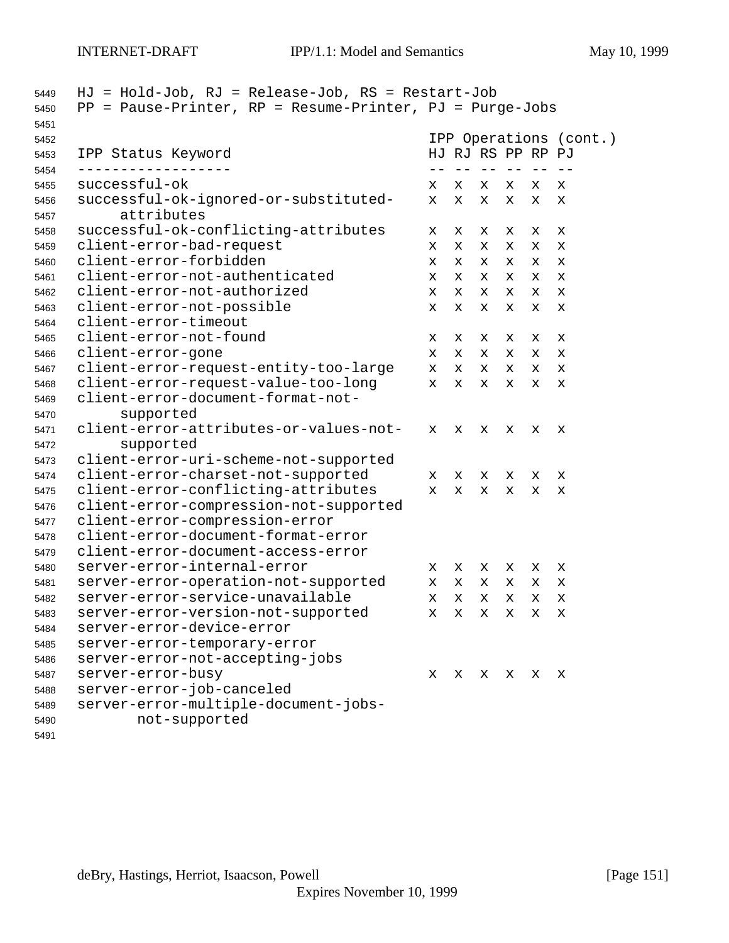|                                                     |   | IPP Operations (cont.)<br>HJ RJ RS PP RP PJ |       |            |    |             |
|-----------------------------------------------------|---|---------------------------------------------|-------|------------|----|-------------|
| IPP Status Keyword                                  |   |                                             | $- -$ | $\qquad -$ |    |             |
| successful-ok                                       | x | х                                           | х     | x          | x  | х           |
| successful-ok-ignored-or-substituted-<br>attributes | x | x                                           | x     | x          | х  | х           |
| successful-ok-conflicting-attributes                | x | x                                           | х     | х          | х  | х           |
| client-error-bad-request                            | x | x                                           | x     | x          | x  | $\mathbf x$ |
| client-error-forbidden                              | x | x                                           | x     | x          | x  | х           |
| client-error-not-authenticated                      | x | x                                           | x     | x          | x  | x           |
| client-error-not-authorized                         | x | x                                           | x     | x          | X. | X           |
| client-error-not-possible                           | х | х                                           | х     | x          | х  | х           |
| client-error-timeout                                |   |                                             |       |            |    |             |
| client-error-not-found                              | х | х                                           | х     | х          | х  | х           |
| client-error-gone                                   | х | X                                           | x     | х          | x  | х           |
| client-error-request-entity-too-large               | x | x                                           | x     | x          | х  | X           |
| client-error-request-value-too-long                 | x | X.                                          | x     | x          | x  | x           |
| client-error-document-format-not-                   |   |                                             |       |            |    |             |
| supported                                           |   |                                             |       |            |    |             |
| client-error-attributes-or-values-not-              | x | x                                           | x     | x          | x  | х           |
| supported                                           |   |                                             |       |            |    |             |
| client-error-uri-scheme-not-supported               |   |                                             |       |            |    |             |
| client-error-charset-not-supported                  | x | x                                           | x     | x          | x  | х           |
| client-error-conflicting-attributes                 | x | X                                           | x     | x          | x  | x           |
| client-error-compression-not-supported              |   |                                             |       |            |    |             |
| client-error-compression-error                      |   |                                             |       |            |    |             |
| client-error-document-format-error                  |   |                                             |       |            |    |             |
| client-error-document-access-error                  |   |                                             |       |            |    |             |
| server-error-internal-error                         | x | х                                           | x     | x          | х  | X           |
| server-error-operation-not-supported                | x | x                                           | x     | x          | х  | X           |
| server-error-service-unavailable                    | x | $\mathbf{x}$                                | x     | x          | X  | $\mathbf x$ |
| server-error-version-not-supported                  | х | X                                           | X     | х          | х  | х           |
| server-error-device-error                           |   |                                             |       |            |    |             |
| server-error-temporary-error                        |   |                                             |       |            |    |             |
| server-error-not-accepting-jobs                     |   |                                             |       |            |    |             |
| server-error-busy                                   | х | x                                           | x     | x          | x  | x           |
| server-error-job-canceled                           |   |                                             |       |            |    |             |
|                                                     |   |                                             |       |            |    |             |
| server-error-multiple-document-jobs-                |   |                                             |       |            |    |             |

deBry, Hastings, Herriot, Isaacson, Powell [Page 151]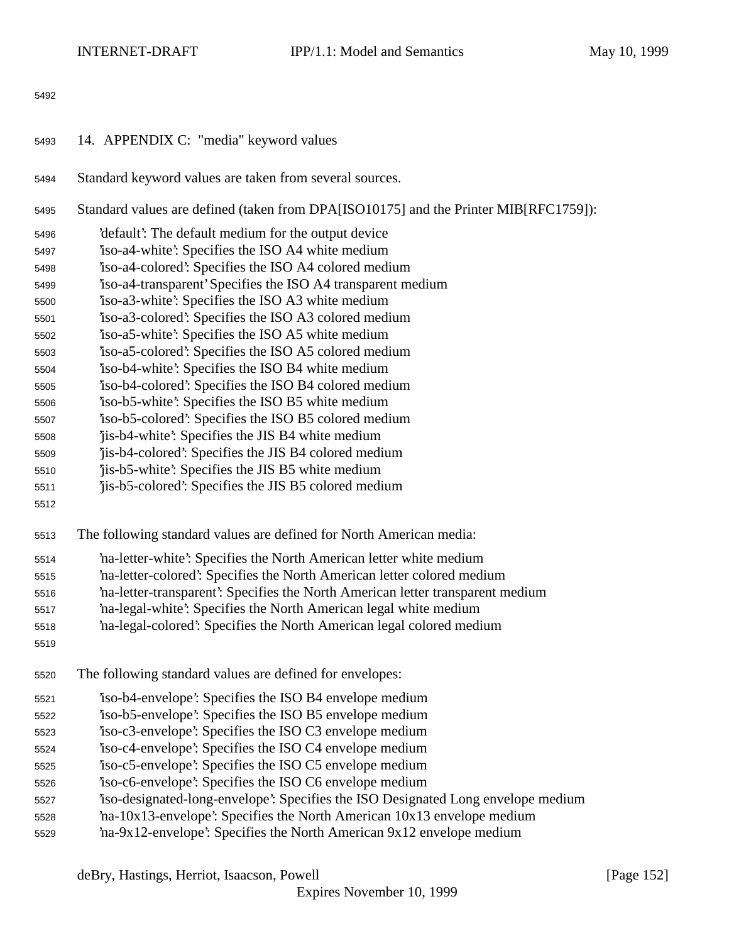- 14. APPENDIX C: "media" keyword values
- Standard keyword values are taken from several sources.
- Standard values are defined (taken from DPA[ISO10175] and the Printer MIB[RFC1759]):
- 'default': The default medium for the output device
- 'iso-a4-white': Specifies the ISO A4 white medium
- 'iso-a4-colored': Specifies the ISO A4 colored medium
- 'iso-a4-transparent' Specifies the ISO A4 transparent medium
- 'iso-a3-white': Specifies the ISO A3 white medium
- 'iso-a3-colored': Specifies the ISO A3 colored medium
- 'iso-a5-white': Specifies the ISO A5 white medium
- 'iso-a5-colored': Specifies the ISO A5 colored medium
- 'iso-b4-white': Specifies the ISO B4 white medium
- 'iso-b4-colored': Specifies the ISO B4 colored medium
- 'iso-b5-white': Specifies the ISO B5 white medium
- 'iso-b5-colored': Specifies the ISO B5 colored medium
- 'jis-b4-white': Specifies the JIS B4 white medium
- 'jis-b4-colored': Specifies the JIS B4 colored medium
- 'jis-b5-white': Specifies the JIS B5 white medium
- 'jis-b5-colored': Specifies the JIS B5 colored medium
- 
- The following standard values are defined for North American media:
- 'na-letter-white': Specifies the North American letter white medium
- 'na-letter-colored': Specifies the North American letter colored medium
- 'na-letter-transparent': Specifies the North American letter transparent medium
- 'na-legal-white': Specifies the North American legal white medium
- 'na-legal-colored': Specifies the North American legal colored medium
- 
- The following standard values are defined for envelopes:
- 'iso-b4-envelope': Specifies the ISO B4 envelope medium
- 'iso-b5-envelope': Specifies the ISO B5 envelope medium
- 'iso-c3-envelope': Specifies the ISO C3 envelope medium
- 'iso-c4-envelope': Specifies the ISO C4 envelope medium
- 'iso-c5-envelope': Specifies the ISO C5 envelope medium
- 'iso-c6-envelope': Specifies the ISO C6 envelope medium
- 'iso-designated-long-envelope': Specifies the ISO Designated Long envelope medium
- 'na-10x13-envelope': Specifies the North American 10x13 envelope medium
- 'na-9x12-envelope': Specifies the North American 9x12 envelope medium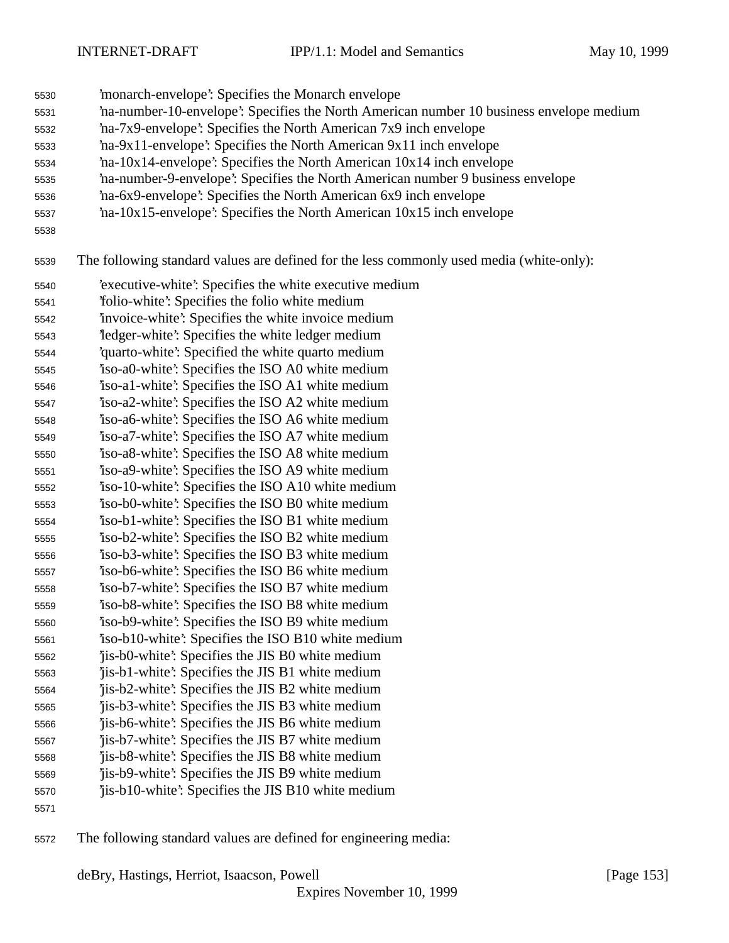- 'monarch-envelope': Specifies the Monarch envelope
- 'na-number-10-envelope': Specifies the North American number 10 business envelope medium
- 'na-7x9-envelope': Specifies the North American 7x9 inch envelope
- 'na-9x11-envelope': Specifies the North American 9x11 inch envelope
- 'na-10x14-envelope': Specifies the North American 10x14 inch envelope
- 'na-number-9-envelope': Specifies the North American number 9 business envelope
- 'na-6x9-envelope': Specifies the North American 6x9 inch envelope
- 'na-10x15-envelope': Specifies the North American 10x15 inch envelope
- 

The following standard values are defined for the less commonly used media (white-only):

- 'executive-white': Specifies the white executive medium
- 'folio-white': Specifies the folio white medium
- 'invoice-white': Specifies the white invoice medium
- 'ledger-white': Specifies the white ledger medium
- 'quarto-white': Specified the white quarto medium
- 'iso-a0-white': Specifies the ISO A0 white medium
- 'iso-a1-white': Specifies the ISO A1 white medium
- 'iso-a2-white': Specifies the ISO A2 white medium 'iso-a6-white': Specifies the ISO A6 white medium
- 'iso-a7-white': Specifies the ISO A7 white medium
- 'iso-a8-white': Specifies the ISO A8 white medium
- 'iso-a9-white': Specifies the ISO A9 white medium
- 'iso-10-white': Specifies the ISO A10 white medium
- 'iso-b0-white': Specifies the ISO B0 white medium
- 'iso-b1-white': Specifies the ISO B1 white medium
- 'iso-b2-white': Specifies the ISO B2 white medium 'iso-b3-white': Specifies the ISO B3 white medium
- 'iso-b6-white': Specifies the ISO B6 white medium
- 'iso-b7-white': Specifies the ISO B7 white medium
- 'iso-b8-white': Specifies the ISO B8 white medium
- 'iso-b9-white': Specifies the ISO B9 white medium
- 'iso-b10-white': Specifies the ISO B10 white medium
- 'jis-b0-white': Specifies the JIS B0 white medium
- 'jis-b1-white': Specifies the JIS B1 white medium
- 'jis-b2-white': Specifies the JIS B2 white medium 'jis-b3-white': Specifies the JIS B3 white medium
- 'jis-b6-white': Specifies the JIS B6 white medium
- 'jis-b7-white': Specifies the JIS B7 white medium
- 'jis-b8-white': Specifies the JIS B8 white medium
- 'jis-b9-white': Specifies the JIS B9 white medium
- 'jis-b10-white': Specifies the JIS B10 white medium
- 

The following standard values are defined for engineering media: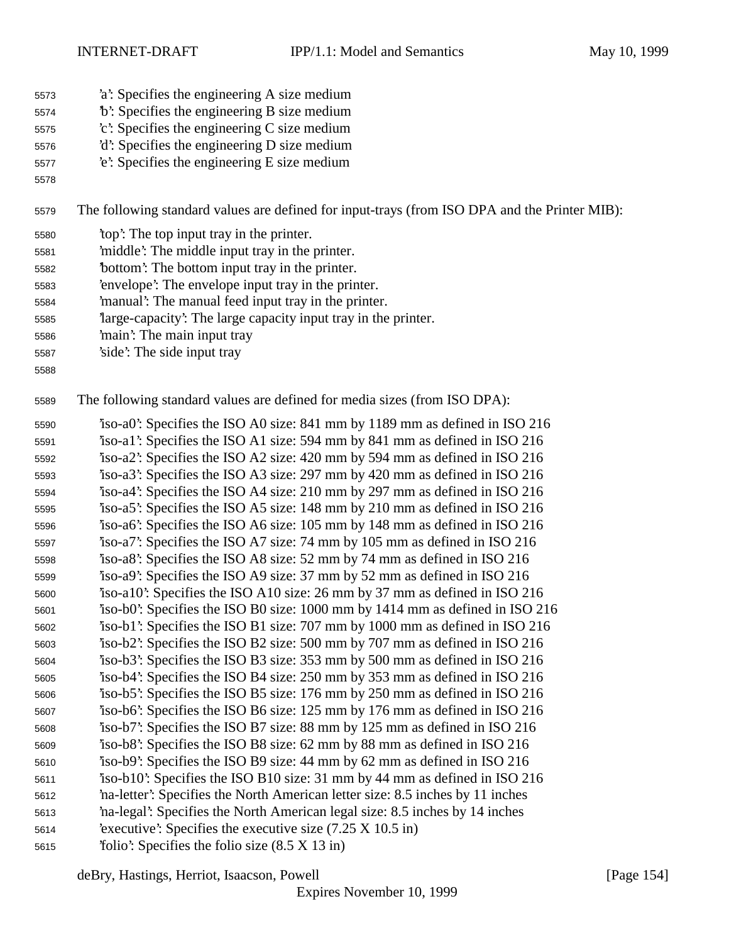- 'a': Specifies the engineering A size medium
- 'b': Specifies the engineering B size medium
- 'c': Specifies the engineering C size medium
- 'd': Specifies the engineering D size medium
- 'e': Specifies the engineering E size medium
- 

The following standard values are defined for input-trays (from ISO DPA and the Printer MIB):

- 'top': The top input tray in the printer.
- 'middle': The middle input tray in the printer.
- 'bottom': The bottom input tray in the printer.
- 'envelope': The envelope input tray in the printer.
- 'manual': The manual feed input tray in the printer.
- 'large-capacity': The large capacity input tray in the printer.
- 'main': The main input tray
- 'side': The side input tray
- 

The following standard values are defined for media sizes (from ISO DPA):

 'iso-a0': Specifies the ISO A0 size: 841 mm by 1189 mm as defined in ISO 216 'iso-a1': Specifies the ISO A1 size: 594 mm by 841 mm as defined in ISO 216 'iso-a2': Specifies the ISO A2 size: 420 mm by 594 mm as defined in ISO 216 'iso-a3': Specifies the ISO A3 size: 297 mm by 420 mm as defined in ISO 216 'iso-a4': Specifies the ISO A4 size: 210 mm by 297 mm as defined in ISO 216 'iso-a5': Specifies the ISO A5 size: 148 mm by 210 mm as defined in ISO 216 'iso-a6': Specifies the ISO A6 size: 105 mm by 148 mm as defined in ISO 216 'iso-a7': Specifies the ISO A7 size: 74 mm by 105 mm as defined in ISO 216 'iso-a8': Specifies the ISO A8 size: 52 mm by 74 mm as defined in ISO 216 'iso-a9': Specifies the ISO A9 size: 37 mm by 52 mm as defined in ISO 216 'iso-a10': Specifies the ISO A10 size: 26 mm by 37 mm as defined in ISO 216 'iso-b0': Specifies the ISO B0 size: 1000 mm by 1414 mm as defined in ISO 216 'iso-b1': Specifies the ISO B1 size: 707 mm by 1000 mm as defined in ISO 216 'iso-b2': Specifies the ISO B2 size: 500 mm by 707 mm as defined in ISO 216 'iso-b3': Specifies the ISO B3 size: 353 mm by 500 mm as defined in ISO 216 'iso-b4': Specifies the ISO B4 size: 250 mm by 353 mm as defined in ISO 216 'iso-b5': Specifies the ISO B5 size: 176 mm by 250 mm as defined in ISO 216 'iso-b6': Specifies the ISO B6 size: 125 mm by 176 mm as defined in ISO 216 'iso-b7': Specifies the ISO B7 size: 88 mm by 125 mm as defined in ISO 216 'iso-b8': Specifies the ISO B8 size: 62 mm by 88 mm as defined in ISO 216 'iso-b9': Specifies the ISO B9 size: 44 mm by 62 mm as defined in ISO 216 'iso-b10': Specifies the ISO B10 size: 31 mm by 44 mm as defined in ISO 216 'na-letter': Specifies the North American letter size: 8.5 inches by 11 inches 'na-legal': Specifies the North American legal size: 8.5 inches by 14 inches 'executive': Specifies the executive size (7.25 X 10.5 in) 'folio': Specifies the folio size (8.5 X 13 in)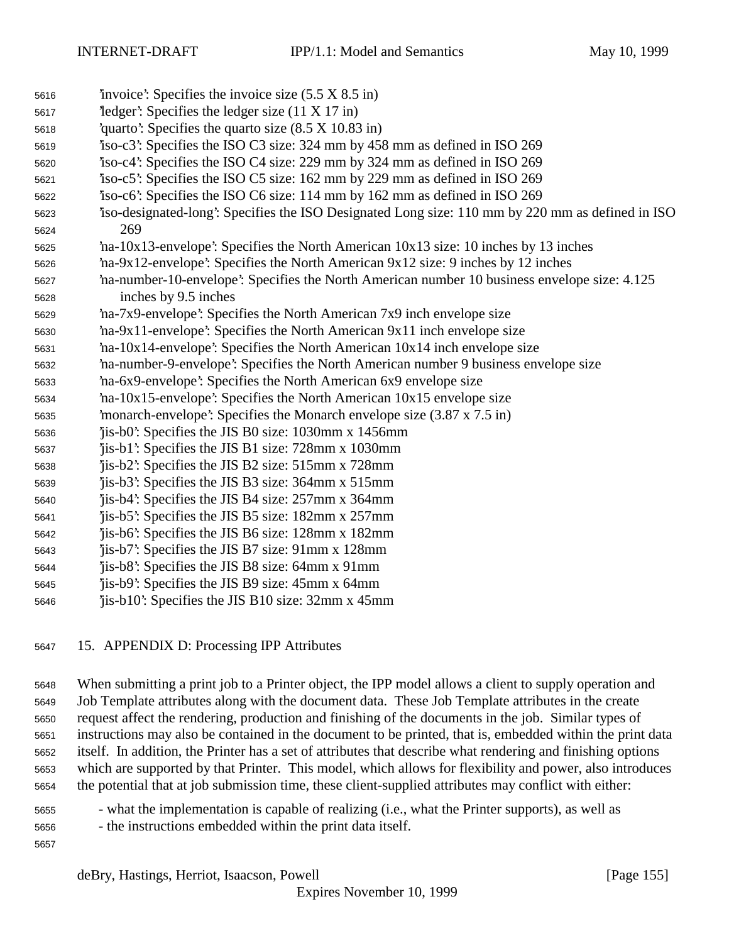- 'invoice': Specifies the invoice size (5.5 X 8.5 in) 'ledger': Specifies the ledger size (11 X 17 in) 'quarto': Specifies the quarto size (8.5 X 10.83 in) 'iso-c3': Specifies the ISO C3 size: 324 mm by 458 mm as defined in ISO 269 'iso-c4': Specifies the ISO C4 size: 229 mm by 324 mm as defined in ISO 269 'iso-c5': Specifies the ISO C5 size: 162 mm by 229 mm as defined in ISO 269 'iso-c6': Specifies the ISO C6 size: 114 mm by 162 mm as defined in ISO 269 'iso-designated-long': Specifies the ISO Designated Long size: 110 mm by 220 mm as defined in ISO 269 'na-10x13-envelope': Specifies the North American 10x13 size: 10 inches by 13 inches 'na-9x12-envelope': Specifies the North American 9x12 size: 9 inches by 12 inches 'na-number-10-envelope': Specifies the North American number 10 business envelope size: 4.125 inches by 9.5 inches 'na-7x9-envelope': Specifies the North American 7x9 inch envelope size 'na-9x11-envelope': Specifies the North American 9x11 inch envelope size 'na-10x14-envelope': Specifies the North American 10x14 inch envelope size 'na-number-9-envelope': Specifies the North American number 9 business envelope size 'na-6x9-envelope': Specifies the North American 6x9 envelope size 'na-10x15-envelope': Specifies the North American 10x15 envelope size 'monarch-envelope': Specifies the Monarch envelope size (3.87 x 7.5 in) 'jis-b0': Specifies the JIS B0 size: 1030mm x 1456mm 'jis-b1': Specifies the JIS B1 size: 728mm x 1030mm 'jis-b2': Specifies the JIS B2 size: 515mm x 728mm 'jis-b3': Specifies the JIS B3 size: 364mm x 515mm 'jis-b4': Specifies the JIS B4 size: 257mm x 364mm 'jis-b5': Specifies the JIS B5 size: 182mm x 257mm 'jis-b6': Specifies the JIS B6 size: 128mm x 182mm 'jis-b7': Specifies the JIS B7 size: 91mm x 128mm 'jis-b8': Specifies the JIS B8 size: 64mm x 91mm 'jis-b9': Specifies the JIS B9 size: 45mm x 64mm 'jis-b10': Specifies the JIS B10 size: 32mm x 45mm
- 15. APPENDIX D: Processing IPP Attributes

 When submitting a print job to a Printer object, the IPP model allows a client to supply operation and Job Template attributes along with the document data. These Job Template attributes in the create request affect the rendering, production and finishing of the documents in the job. Similar types of instructions may also be contained in the document to be printed, that is, embedded within the print data itself. In addition, the Printer has a set of attributes that describe what rendering and finishing options which are supported by that Printer. This model, which allows for flexibility and power, also introduces the potential that at job submission time, these client-supplied attributes may conflict with either:

- what the implementation is capable of realizing (i.e., what the Printer supports), as well as - the instructions embedded within the print data itself.
-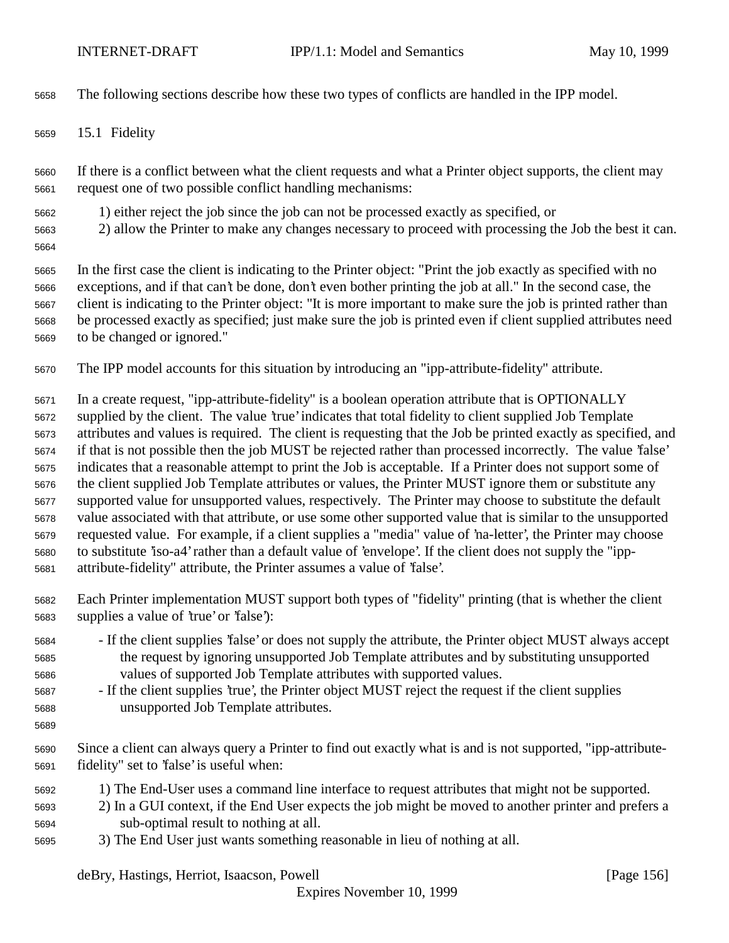The following sections describe how these two types of conflicts are handled in the IPP model.

15.1 Fidelity

 If there is a conflict between what the client requests and what a Printer object supports, the client may request one of two possible conflict handling mechanisms:

- 1) either reject the job since the job can not be processed exactly as specified, or
- 2) allow the Printer to make any changes necessary to proceed with processing the Job the best it can.
- 

 In the first case the client is indicating to the Printer object: "Print the job exactly as specified with no exceptions, and if that can't be done, don't even bother printing the job at all." In the second case, the client is indicating to the Printer object: "It is more important to make sure the job is printed rather than be processed exactly as specified; just make sure the job is printed even if client supplied attributes need to be changed or ignored."

The IPP model accounts for this situation by introducing an "ipp-attribute-fidelity" attribute.

 In a create request, "ipp-attribute-fidelity" is a boolean operation attribute that is OPTIONALLY supplied by the client. The value 'true' indicates that total fidelity to client supplied Job Template attributes and values is required. The client is requesting that the Job be printed exactly as specified, and if that is not possible then the job MUST be rejected rather than processed incorrectly. The value 'false' indicates that a reasonable attempt to print the Job is acceptable. If a Printer does not support some of the client supplied Job Template attributes or values, the Printer MUST ignore them or substitute any supported value for unsupported values, respectively. The Printer may choose to substitute the default value associated with that attribute, or use some other supported value that is similar to the unsupported requested value. For example, if a client supplies a "media" value of 'na-letter', the Printer may choose to substitute 'iso-a4' rather than a default value of 'envelope'. If the client does not supply the "ipp-attribute-fidelity" attribute, the Printer assumes a value of 'false'.

- Each Printer implementation MUST support both types of "fidelity" printing (that is whether the client supplies a value of 'true' or 'false'):
- If the client supplies 'false' or does not supply the attribute, the Printer object MUST always accept the request by ignoring unsupported Job Template attributes and by substituting unsupported values of supported Job Template attributes with supported values.
- If the client supplies 'true', the Printer object MUST reject the request if the client supplies unsupported Job Template attributes.
- 

 Since a client can always query a Printer to find out exactly what is and is not supported, "ipp-attribute-fidelity" set to 'false' is useful when:

- 1) The End-User uses a command line interface to request attributes that might not be supported.
- 2) In a GUI context, if the End User expects the job might be moved to another printer and prefers a sub-optimal result to nothing at all.
- 3) The End User just wants something reasonable in lieu of nothing at all.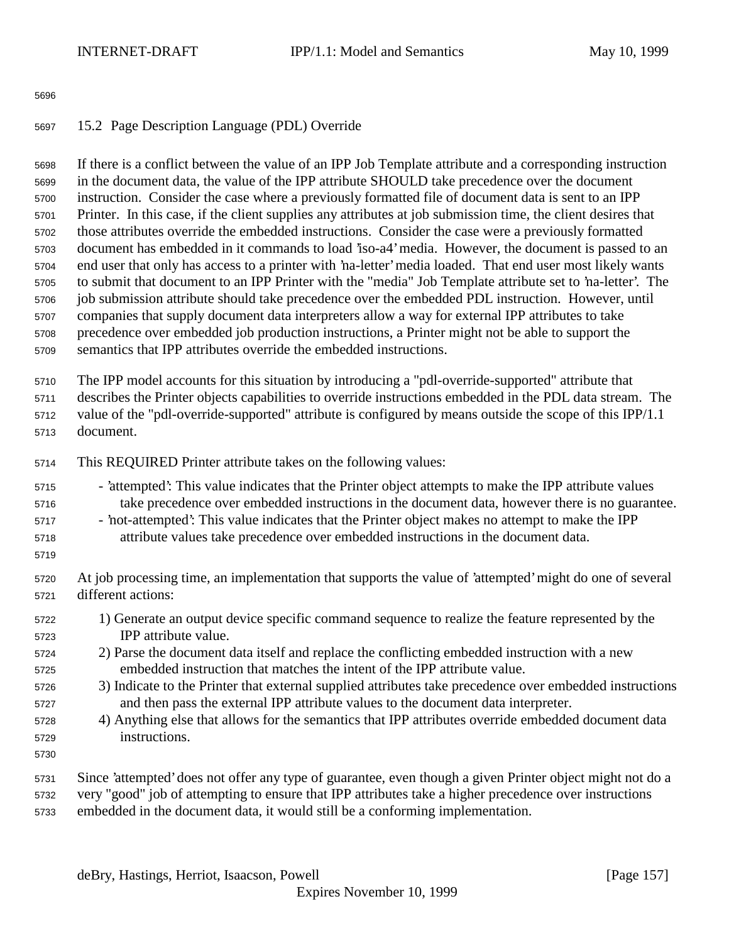## 15.2 Page Description Language (PDL) Override

 If there is a conflict between the value of an IPP Job Template attribute and a corresponding instruction in the document data, the value of the IPP attribute SHOULD take precedence over the document instruction. Consider the case where a previously formatted file of document data is sent to an IPP Printer. In this case, if the client supplies any attributes at job submission time, the client desires that those attributes override the embedded instructions. Consider the case were a previously formatted document has embedded in it commands to load 'iso-a4' media. However, the document is passed to an end user that only has access to a printer with 'na-letter' media loaded. That end user most likely wants to submit that document to an IPP Printer with the "media" Job Template attribute set to 'na-letter'. The job submission attribute should take precedence over the embedded PDL instruction. However, until companies that supply document data interpreters allow a way for external IPP attributes to take precedence over embedded job production instructions, a Printer might not be able to support the semantics that IPP attributes override the embedded instructions.

The IPP model accounts for this situation by introducing a "pdl-override-supported" attribute that

 describes the Printer objects capabilities to override instructions embedded in the PDL data stream. The value of the "pdl-override-supported" attribute is configured by means outside the scope of this IPP/1.1

document.

This REQUIRED Printer attribute takes on the following values:

- 'attempted': This value indicates that the Printer object attempts to make the IPP attribute values take precedence over embedded instructions in the document data, however there is no guarantee.
- 'not-attempted': This value indicates that the Printer object makes no attempt to make the IPP attribute values take precedence over embedded instructions in the document data.
- 

 At job processing time, an implementation that supports the value of 'attempted' might do one of several different actions:

- 1) Generate an output device specific command sequence to realize the feature represented by the IPP attribute value.
- 2) Parse the document data itself and replace the conflicting embedded instruction with a new embedded instruction that matches the intent of the IPP attribute value.
- 3) Indicate to the Printer that external supplied attributes take precedence over embedded instructions and then pass the external IPP attribute values to the document data interpreter.
- 4) Anything else that allows for the semantics that IPP attributes override embedded document data instructions.
- 
- Since 'attempted' does not offer any type of guarantee, even though a given Printer object might not do a very "good" job of attempting to ensure that IPP attributes take a higher precedence over instructions
- embedded in the document data, it would still be a conforming implementation.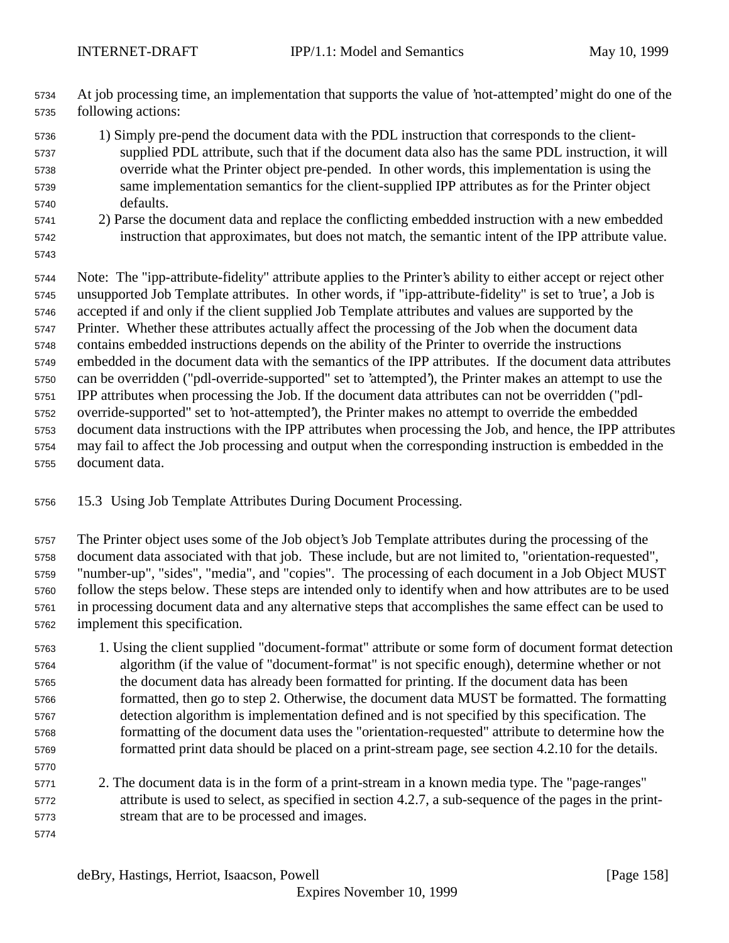At job processing time, an implementation that supports the value of 'not-attempted' might do one of the following actions:

- 1) Simply pre-pend the document data with the PDL instruction that corresponds to the client- supplied PDL attribute, such that if the document data also has the same PDL instruction, it will override what the Printer object pre-pended. In other words, this implementation is using the same implementation semantics for the client-supplied IPP attributes as for the Printer object defaults.
- 2) Parse the document data and replace the conflicting embedded instruction with a new embedded instruction that approximates, but does not match, the semantic intent of the IPP attribute value.
- 

 Note: The "ipp-attribute-fidelity" attribute applies to the Printer's ability to either accept or reject other unsupported Job Template attributes. In other words, if "ipp-attribute-fidelity" is set to 'true', a Job is accepted if and only if the client supplied Job Template attributes and values are supported by the Printer. Whether these attributes actually affect the processing of the Job when the document data contains embedded instructions depends on the ability of the Printer to override the instructions embedded in the document data with the semantics of the IPP attributes. If the document data attributes can be overridden ("pdl-override-supported" set to 'attempted'), the Printer makes an attempt to use the IPP attributes when processing the Job. If the document data attributes can not be overridden ("pdl- override-supported" set to 'not-attempted'), the Printer makes no attempt to override the embedded document data instructions with the IPP attributes when processing the Job, and hence, the IPP attributes may fail to affect the Job processing and output when the corresponding instruction is embedded in the document data.

15.3 Using Job Template Attributes During Document Processing.

 The Printer object uses some of the Job object's Job Template attributes during the processing of the document data associated with that job. These include, but are not limited to, "orientation-requested", "number-up", "sides", "media", and "copies". The processing of each document in a Job Object MUST follow the steps below. These steps are intended only to identify when and how attributes are to be used in processing document data and any alternative steps that accomplishes the same effect can be used to implement this specification.

- 1. Using the client supplied "document-format" attribute or some form of document format detection algorithm (if the value of "document-format" is not specific enough), determine whether or not the document data has already been formatted for printing. If the document data has been formatted, then go to step 2. Otherwise, the document data MUST be formatted. The formatting detection algorithm is implementation defined and is not specified by this specification. The formatting of the document data uses the "orientation-requested" attribute to determine how the formatted print data should be placed on a print-stream page, see section 4.2.10 for the details.
- 2. The document data is in the form of a print-stream in a known media type. The "page-ranges" attribute is used to select, as specified in section 4.2.7, a sub-sequence of the pages in the print-stream that are to be processed and images.
-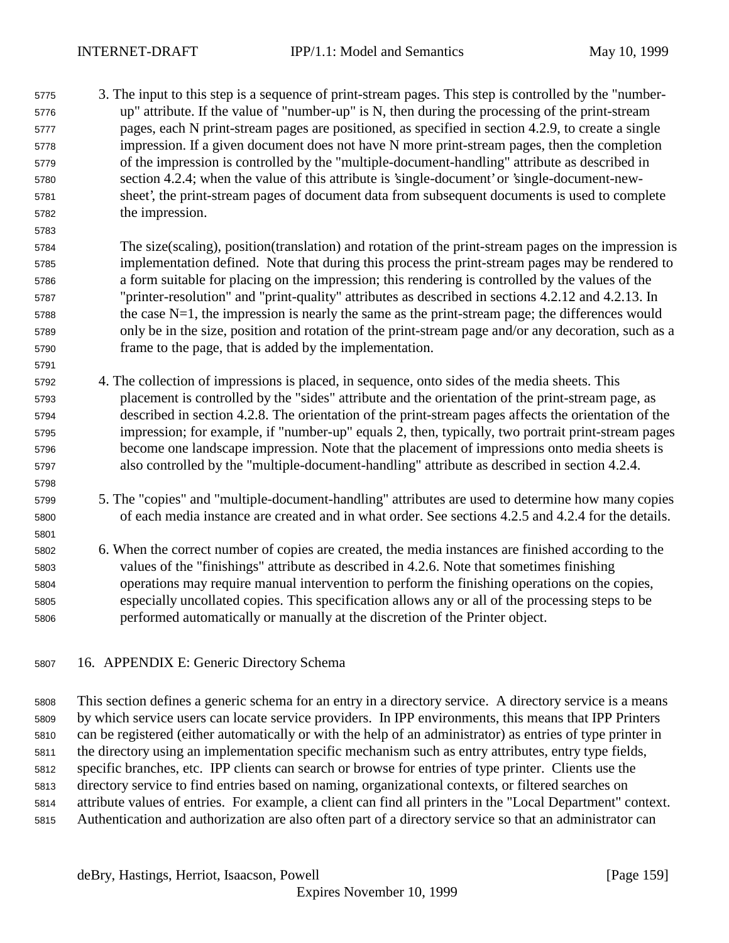- 3. The input to this step is a sequence of print-stream pages. This step is controlled by the "number- up" attribute. If the value of "number-up" is N, then during the processing of the print-stream pages, each N print-stream pages are positioned, as specified in section 4.2.9, to create a single impression. If a given document does not have N more print-stream pages, then the completion of the impression is controlled by the "multiple-document-handling" attribute as described in section 4.2.4; when the value of this attribute is 'single-document' or 'single-document-new- sheet', the print-stream pages of document data from subsequent documents is used to complete the impression.
- The size(scaling), position(translation) and rotation of the print-stream pages on the impression is implementation defined. Note that during this process the print-stream pages may be rendered to a form suitable for placing on the impression; this rendering is controlled by the values of the "printer-resolution" and "print-quality" attributes as described in sections 4.2.12 and 4.2.13. In the case N=1, the impression is nearly the same as the print-stream page; the differences would only be in the size, position and rotation of the print-stream page and/or any decoration, such as a frame to the page, that is added by the implementation.
- 4. The collection of impressions is placed, in sequence, onto sides of the media sheets. This placement is controlled by the "sides" attribute and the orientation of the print-stream page, as described in section 4.2.8. The orientation of the print-stream pages affects the orientation of the impression; for example, if "number-up" equals 2, then, typically, two portrait print-stream pages become one landscape impression. Note that the placement of impressions onto media sheets is also controlled by the "multiple-document-handling" attribute as described in section 4.2.4.
- 5. The "copies" and "multiple-document-handling" attributes are used to determine how many copies of each media instance are created and in what order. See sections 4.2.5 and 4.2.4 for the details.
- 6. When the correct number of copies are created, the media instances are finished according to the values of the "finishings" attribute as described in 4.2.6. Note that sometimes finishing operations may require manual intervention to perform the finishing operations on the copies, especially uncollated copies. This specification allows any or all of the processing steps to be performed automatically or manually at the discretion of the Printer object.
- 16. APPENDIX E: Generic Directory Schema

 This section defines a generic schema for an entry in a directory service. A directory service is a means by which service users can locate service providers. In IPP environments, this means that IPP Printers can be registered (either automatically or with the help of an administrator) as entries of type printer in the directory using an implementation specific mechanism such as entry attributes, entry type fields, specific branches, etc. IPP clients can search or browse for entries of type printer. Clients use the directory service to find entries based on naming, organizational contexts, or filtered searches on attribute values of entries. For example, a client can find all printers in the "Local Department" context. Authentication and authorization are also often part of a directory service so that an administrator can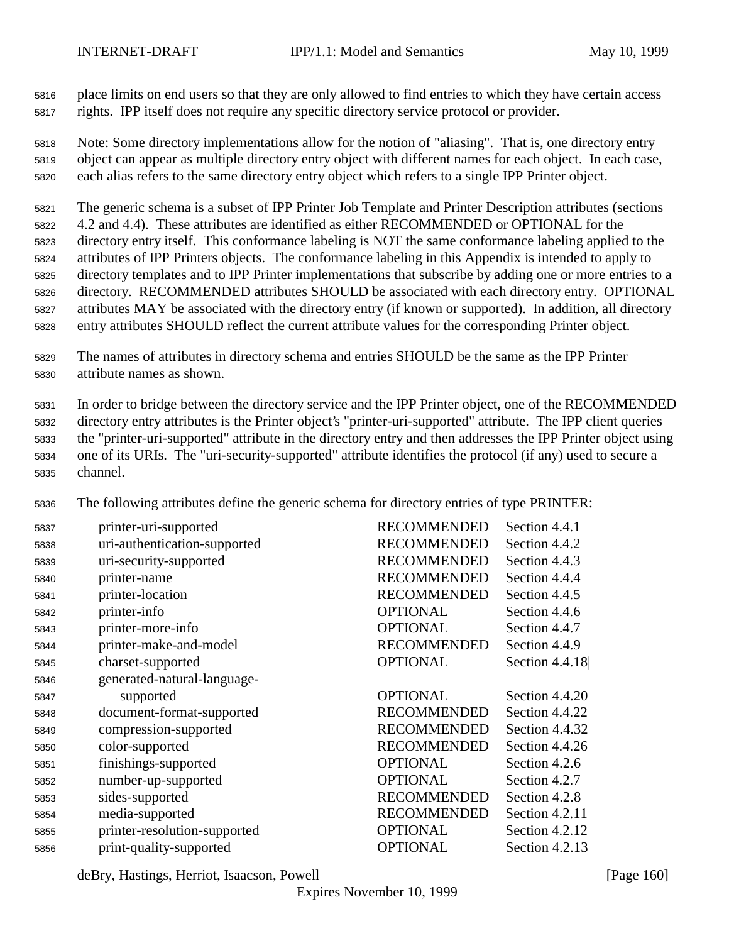place limits on end users so that they are only allowed to find entries to which they have certain access rights. IPP itself does not require any specific directory service protocol or provider.

 Note: Some directory implementations allow for the notion of "aliasing". That is, one directory entry object can appear as multiple directory entry object with different names for each object. In each case, each alias refers to the same directory entry object which refers to a single IPP Printer object.

 The generic schema is a subset of IPP Printer Job Template and Printer Description attributes (sections 4.2 and 4.4). These attributes are identified as either RECOMMENDED or OPTIONAL for the directory entry itself. This conformance labeling is NOT the same conformance labeling applied to the attributes of IPP Printers objects. The conformance labeling in this Appendix is intended to apply to directory templates and to IPP Printer implementations that subscribe by adding one or more entries to a directory. RECOMMENDED attributes SHOULD be associated with each directory entry. OPTIONAL

- attributes MAY be associated with the directory entry (if known or supported). In addition, all directory entry attributes SHOULD reflect the current attribute values for the corresponding Printer object.
- The names of attributes in directory schema and entries SHOULD be the same as the IPP Printer attribute names as shown.

 In order to bridge between the directory service and the IPP Printer object, one of the RECOMMENDED directory entry attributes is the Printer object's "printer-uri-supported" attribute. The IPP client queries the "printer-uri-supported" attribute in the directory entry and then addresses the IPP Printer object using one of its URIs. The "uri-security-supported" attribute identifies the protocol (if any) used to secure a channel.

The following attributes define the generic schema for directory entries of type PRINTER:

| 5837 | printer-uri-supported        | <b>RECOMMENDED</b> | Section 4.4.1  |
|------|------------------------------|--------------------|----------------|
| 5838 | uri-authentication-supported | <b>RECOMMENDED</b> | Section 4.4.2  |
| 5839 | uri-security-supported       | <b>RECOMMENDED</b> | Section 4.4.3  |
| 5840 | printer-name                 | <b>RECOMMENDED</b> | Section 4.4.4  |
| 5841 | printer-location             | <b>RECOMMENDED</b> | Section 4.4.5  |
| 5842 | printer-info                 | <b>OPTIONAL</b>    | Section 4.4.6  |
| 5843 | printer-more-info            | <b>OPTIONAL</b>    | Section 4.4.7  |
| 5844 | printer-make-and-model       | <b>RECOMMENDED</b> | Section 4.4.9  |
| 5845 | charset-supported            | <b>OPTIONAL</b>    | Section 4.4.18 |
| 5846 | generated-natural-language-  |                    |                |
| 5847 | supported                    | <b>OPTIONAL</b>    | Section 4.4.20 |
| 5848 | document-format-supported    | <b>RECOMMENDED</b> | Section 4.4.22 |
| 5849 | compression-supported        | <b>RECOMMENDED</b> | Section 4.4.32 |
| 5850 | color-supported              | <b>RECOMMENDED</b> | Section 4.4.26 |
| 5851 | finishings-supported         | <b>OPTIONAL</b>    | Section 4.2.6  |
| 5852 | number-up-supported          | <b>OPTIONAL</b>    | Section 4.2.7  |
| 5853 | sides-supported              | <b>RECOMMENDED</b> | Section 4.2.8  |
| 5854 | media-supported              | <b>RECOMMENDED</b> | Section 4.2.11 |
| 5855 | printer-resolution-supported | <b>OPTIONAL</b>    | Section 4.2.12 |
| 5856 | print-quality-supported      | <b>OPTIONAL</b>    | Section 4.2.13 |

deBry, Hastings, Herriot, Isaacson, Powell [Page 160]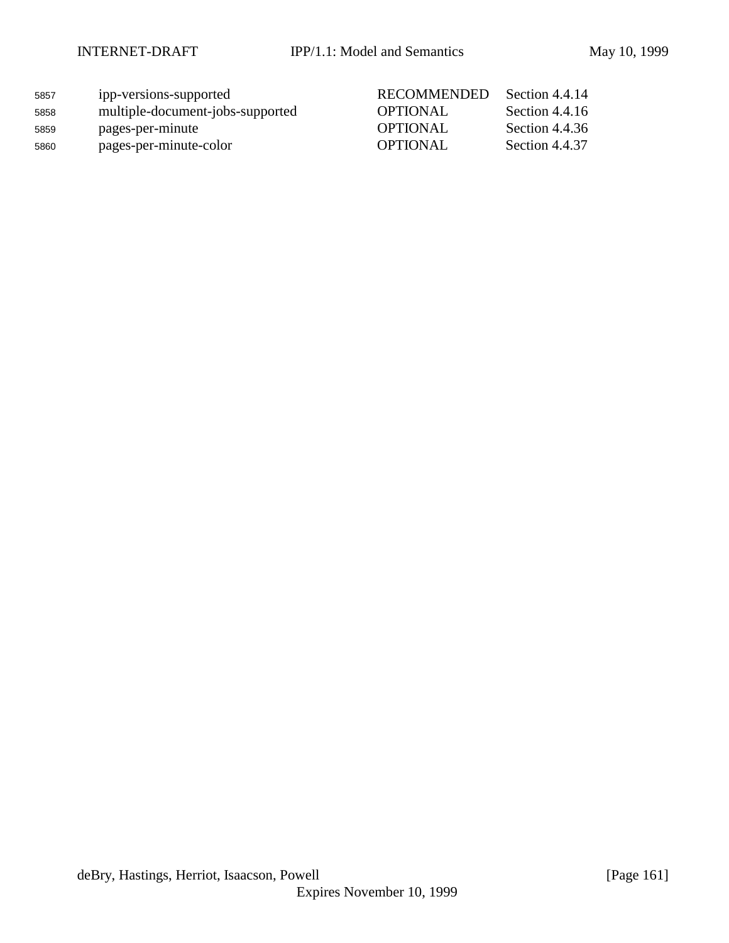| 5857 | ipp-versions-supported           | <b>RECOMMENDED</b> | Section 4.4.14 |
|------|----------------------------------|--------------------|----------------|
| 5858 | multiple-document-jobs-supported | <b>OPTIONAL</b>    | Section 4.4.16 |
| 5859 | pages-per-minute                 | OPTIONAL           | Section 4.4.36 |
| 5860 | pages-per-minute-color           | OPTIONAL           | Section 4.4.37 |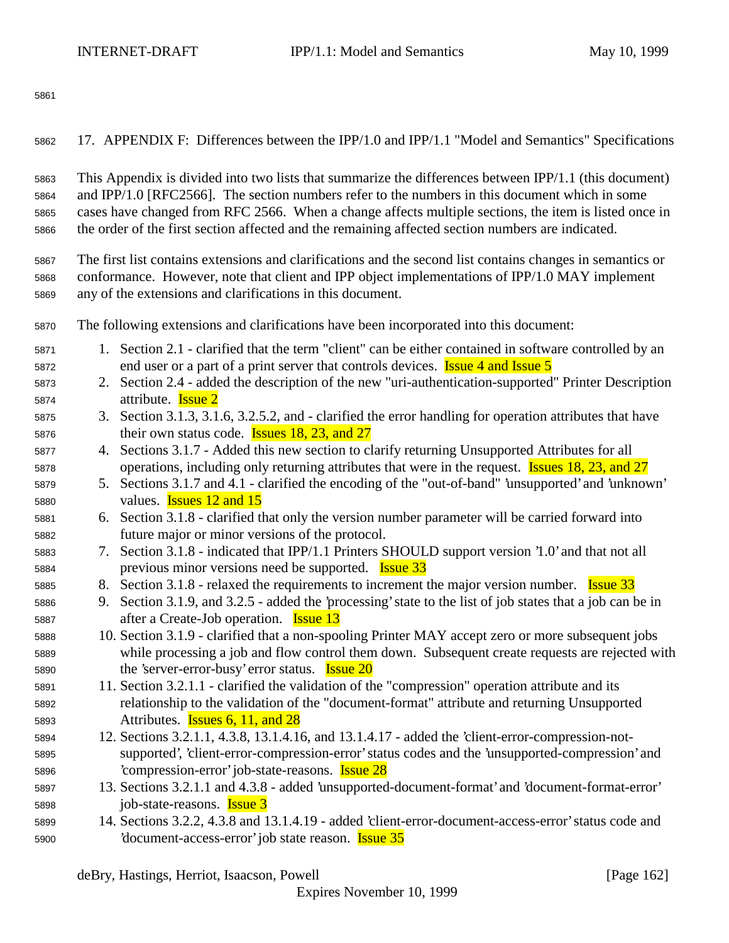17. APPENDIX F: Differences between the IPP/1.0 and IPP/1.1 "Model and Semantics" Specifications

 This Appendix is divided into two lists that summarize the differences between IPP/1.1 (this document) and IPP/1.0 [RFC2566]. The section numbers refer to the numbers in this document which in some cases have changed from RFC 2566. When a change affects multiple sections, the item is listed once in the order of the first section affected and the remaining affected section numbers are indicated.

 The first list contains extensions and clarifications and the second list contains changes in semantics or conformance. However, note that client and IPP object implementations of IPP/1.0 MAY implement any of the extensions and clarifications in this document.

The following extensions and clarifications have been incorporated into this document:

- 1. Section 2.1 clarified that the term "client" can be either contained in software controlled by an 5872 end user or a part of a print server that controls devices. **Issue 4 and Issue 5**
- 2. Section 2.4 added the description of the new "uri-authentication-supported" Printer Description attribute. Issue 2
- 3. Section 3.1.3, 3.1.6, 3.2.5.2, and clarified the error handling for operation attributes that have 5876 their own status code. **Issues 18, 23, and 27**
- 4. Sections 3.1.7 Added this new section to clarify returning Unsupported Attributes for all operations, including only returning attributes that were in the request. Issues 18, 23, and 27
- 5. Sections 3.1.7 and 4.1 clarified the encoding of the "out-of-band" 'unsupported' and 'unknown' values. Issues 12 and 15
- 6. Section 3.1.8 clarified that only the version number parameter will be carried forward into future major or minor versions of the protocol.
- 7. Section 3.1.8 indicated that IPP/1.1 Printers SHOULD support version '1.0' and that not all 5884 previous minor versions need be supported. **Issue 33**
- 5885 8. Section 3.1.8 relaxed the requirements to increment the major version number. **Issue 33**
- 9. Section 3.1.9, and 3.2.5 added the 'processing' state to the list of job states that a job can be in after a Create-Job operation. Issue 13
- 10. Section 3.1.9 clarified that a non-spooling Printer MAY accept zero or more subsequent jobs while processing a job and flow control them down. Subsequent create requests are rejected with 5890 the 'server-error-busy' error status. **Issue 20**
- 11. Section 3.2.1.1 clarified the validation of the "compression" operation attribute and its relationship to the validation of the "document-format" attribute and returning Unsupported Attributes. Issues 6, 11, and 28
- 12. Sections 3.2.1.1, 4.3.8, 13.1.4.16, and 13.1.4.17 added the 'client-error-compression-not- supported', 'client-error-compression-error' status codes and the 'unsupported-compression' and 'compression-error' job-state-reasons. Issue 28
- 13. Sections 3.2.1.1 and 4.3.8 added 'unsupported-document-format' and 'document-format-error' 5898 job-state-reasons. **Issue 3**
- 14. Sections 3.2.2, 4.3.8 and 13.1.4.19 added 'client-error-document-access-error' status code and 5900 'document-access-error' job state reason. **Issue 35**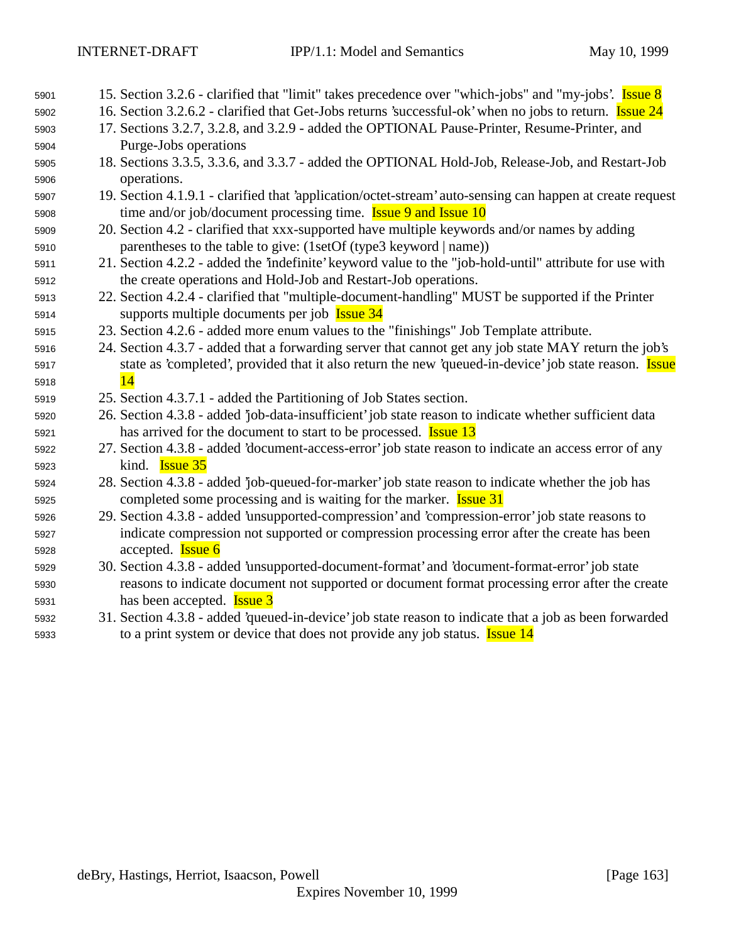| 5901 | 15. Section 3.2.6 - clarified that "limit" takes precedence over "which-jobs" and "my-jobs'. <b>Issue 8</b>   |
|------|---------------------------------------------------------------------------------------------------------------|
| 5902 | 16. Section 3.2.6.2 - clarified that Get-Jobs returns 'successful-ok' when no jobs to return. <b>Issue 24</b> |
| 5903 | 17. Sections 3.2.7, 3.2.8, and 3.2.9 - added the OPTIONAL Pause-Printer, Resume-Printer, and                  |
| 5904 | Purge-Jobs operations                                                                                         |
| 5905 | 18. Sections 3.3.5, 3.3.6, and 3.3.7 - added the OPTIONAL Hold-Job, Release-Job, and Restart-Job              |
| 5906 | operations.                                                                                                   |
| 5907 | 19. Section 4.1.9.1 - clarified that 'application/octet-stream' auto-sensing can happen at create request     |
| 5908 | time and/or job/document processing time. <b>Issue 9 and Issue 10</b>                                         |
| 5909 | 20. Section 4.2 - clarified that xxx-supported have multiple keywords and/or names by adding                  |
| 5910 | parentheses to the table to give: (1setOf (type3 keyword   name))                                             |
| 5911 | 21. Section 4.2.2 - added the 'indefinite' keyword value to the "job-hold-until" attribute for use with       |
| 5912 | the create operations and Hold-Job and Restart-Job operations.                                                |
| 5913 | 22. Section 4.2.4 - clarified that "multiple-document-handling" MUST be supported if the Printer              |
| 5914 | supports multiple documents per job Issue 34                                                                  |
| 5915 | 23. Section 4.2.6 - added more enum values to the "finishings" Job Template attribute.                        |
| 5916 | 24. Section 4.3.7 - added that a forwarding server that cannot get any job state MAY return the job's         |
| 5917 | state as 'completed', provided that it also return the new 'queued-in-device' job state reason. Issue         |
| 5918 | 14                                                                                                            |
| 5919 | 25. Section 4.3.7.1 - added the Partitioning of Job States section.                                           |
| 5920 | 26. Section 4.3.8 - added 'job-data-insufficient' job state reason to indicate whether sufficient data        |
| 5921 | has arrived for the document to start to be processed. <b>Issue 13</b>                                        |
| 5922 | 27. Section 4.3.8 - added 'document-access-error' job state reason to indicate an access error of any         |
| 5923 | kind. <b>Issue 35</b>                                                                                         |
| 5924 | 28. Section 4.3.8 - added 'job-queued-for-marker' job state reason to indicate whether the job has            |
| 5925 | completed some processing and is waiting for the marker. <b>Issue 31</b>                                      |
| 5926 | 29. Section 4.3.8 - added 'unsupported-compression' and 'compression-error' job state reasons to              |
| 5927 | indicate compression not supported or compression processing error after the create has been                  |
| 5928 | accepted. <b>Issue 6</b>                                                                                      |
| 5929 | 30. Section 4.3.8 - added 'unsupported-document-format' and 'document-format-error' job state                 |
| 5930 | reasons to indicate document not supported or document format processing error after the create               |
| 5931 | has been accepted. <b>Issue 3</b>                                                                             |
| 5932 | 31. Section 4.3.8 - added 'queued-in-device' job state reason to indicate that a job as been forwarded        |
| 5933 | to a print system or device that does not provide any job status. <b>Issue 14</b>                             |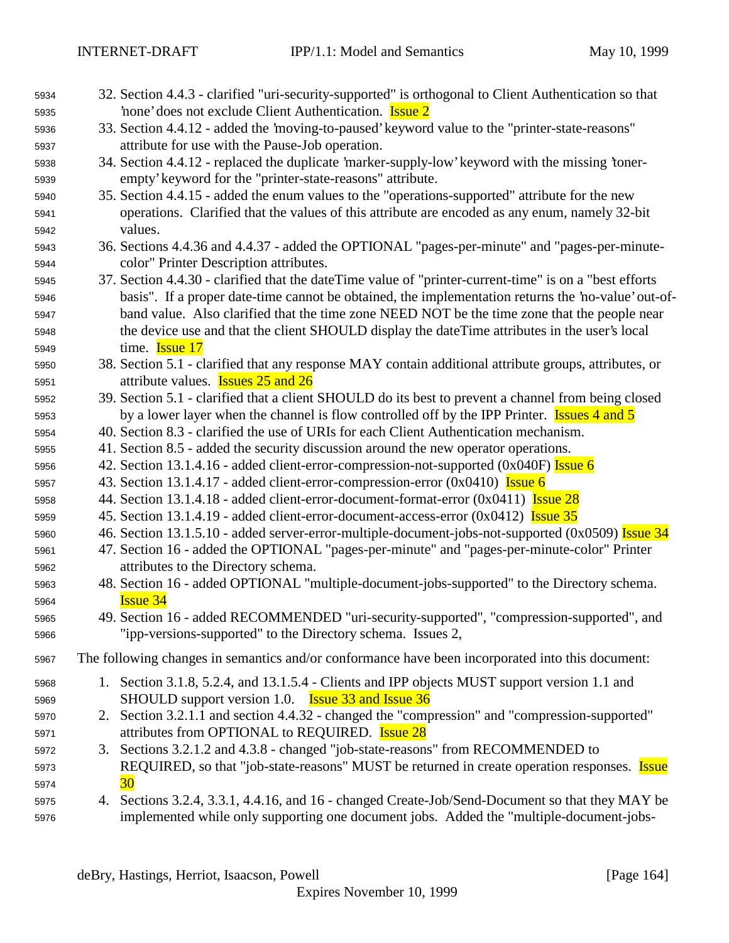| 5934 | 32. Section 4.4.3 - clarified "uri-security-supported" is orthogonal to Client Authentication so that  |
|------|--------------------------------------------------------------------------------------------------------|
| 5935 | none' does not exclude Client Authentication. Issue 2                                                  |
| 5936 | 33. Section 4.4.12 - added the 'moving-to-paused' keyword value to the "printer-state-reasons"         |
| 5937 | attribute for use with the Pause-Job operation.                                                        |
| 5938 | 34. Section 4.4.12 - replaced the duplicate 'marker-supply-low' keyword with the missing 'toner-       |
| 5939 | empty' keyword for the "printer-state-reasons" attribute.                                              |
| 5940 | 35. Section 4.4.15 - added the enum values to the "operations-supported" attribute for the new         |
| 5941 | operations. Clarified that the values of this attribute are encoded as any enum, namely 32-bit         |
| 5942 | values.                                                                                                |
| 5943 | 36. Sections 4.4.36 and 4.4.37 - added the OPTIONAL "pages-per-minute" and "pages-per-minute-          |
| 5944 | color" Printer Description attributes.                                                                 |
| 5945 | 37. Section 4.4.30 - clarified that the dateTime value of "printer-current-time" is on a "best efforts |
| 5946 | basis". If a proper date-time cannot be obtained, the implementation returns the 'no-value' out-of-    |
| 5947 | band value. Also clarified that the time zone NEED NOT be the time zone that the people near           |
| 5948 | the device use and that the client SHOULD display the dateTime attributes in the user's local          |
| 5949 | time. <b>Issue 17</b>                                                                                  |
| 5950 | 38. Section 5.1 - clarified that any response MAY contain additional attribute groups, attributes, or  |
| 5951 | attribute values. <b>Issues 25 and 26</b>                                                              |
| 5952 | 39. Section 5.1 - clarified that a client SHOULD do its best to prevent a channel from being closed    |
| 5953 | by a lower layer when the channel is flow controlled off by the IPP Printer. <b>Issues 4 and 5</b>     |
| 5954 | 40. Section 8.3 - clarified the use of URIs for each Client Authentication mechanism.                  |
| 5955 | 41. Section 8.5 - added the security discussion around the new operator operations.                    |
| 5956 | 42. Section 13.1.4.16 - added client-error-compression-not-supported (0x040F) Issue 6                  |
| 5957 | 43. Section 13.1.4.17 - added client-error-compression-error $(0x0410)$ Issue 6                        |
| 5958 | 44. Section 13.1.4.18 - added client-error-document-format-error (0x0411) <b>Issue 28</b>              |
| 5959 | 45. Section 13.1.4.19 - added client-error-document-access-error (0x0412) <b>Issue 35</b>              |
| 5960 | 46. Section 13.1.5.10 - added server-error-multiple-document-jobs-not-supported (0x0509) Issue 34      |
| 5961 | 47. Section 16 - added the OPTIONAL "pages-per-minute" and "pages-per-minute-color" Printer            |
| 5962 | attributes to the Directory schema.                                                                    |
| 5963 | 48. Section 16 - added OPTIONAL "multiple-document-jobs-supported" to the Directory schema.            |
| 5964 | <b>Issue 34</b>                                                                                        |
| 5965 | 49. Section 16 - added RECOMMENDED "uri-security-supported", "compression-supported", and              |
| 5966 | "ipp-versions-supported" to the Directory schema. Issues 2,                                            |
| 5967 | The following changes in semantics and/or conformance have been incorporated into this document:       |
| 5968 | 1. Section 3.1.8, 5.2.4, and 13.1.5.4 - Clients and IPP objects MUST support version 1.1 and           |
| 5969 | SHOULD support version 1.0. <b>Issue 33 and Issue 36</b>                                               |
| 5970 | 2. Section 3.2.1.1 and section 4.4.32 - changed the "compression" and "compression-supported"          |
| 5971 | attributes from OPTIONAL to REQUIRED. <b>Issue 28</b>                                                  |
| 5972 | 3. Sections 3.2.1.2 and 4.3.8 - changed "job-state-reasons" from RECOMMENDED to                        |
| 5973 | REQUIRED, so that "job-state-reasons" MUST be returned in create operation responses. Issue            |
| 5974 | 30                                                                                                     |
| 5975 | 4. Sections 3.2.4, 3.3.1, 4.4.16, and 16 - changed Create-Job/Send-Document so that they MAY be        |
| 5976 | implemented while only supporting one document jobs. Added the "multiple-document-jobs-                |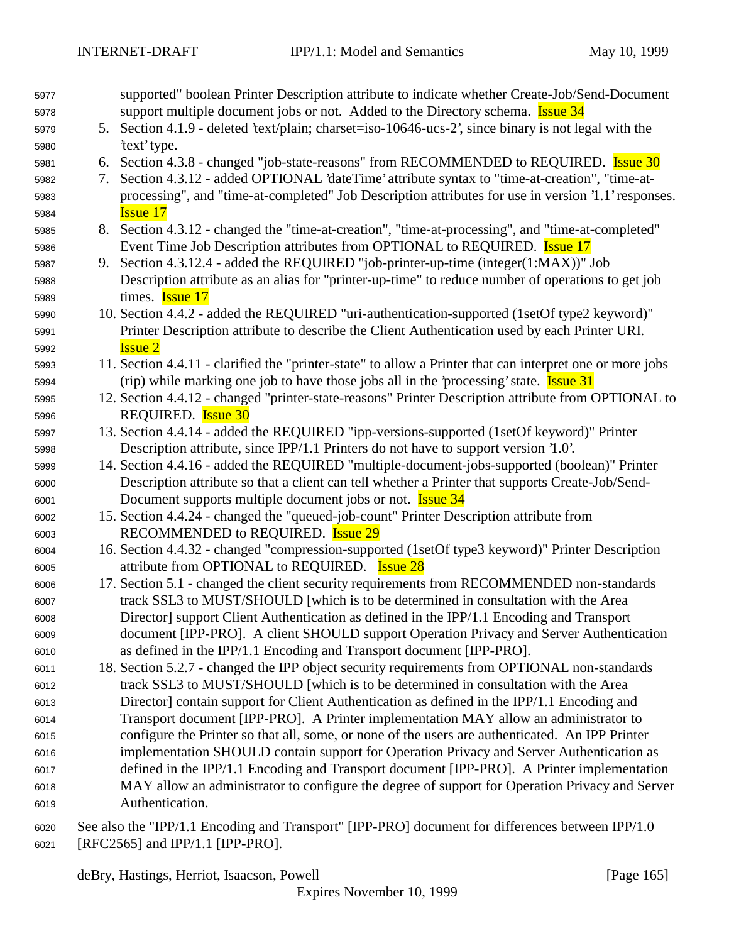| 5977 |    | supported" boolean Printer Description attribute to indicate whether Create-Job/Send-Document             |
|------|----|-----------------------------------------------------------------------------------------------------------|
| 5978 |    | support multiple document jobs or not. Added to the Directory schema. <b>Issue 34</b>                     |
| 5979 |    | 5. Section 4.1.9 - deleted 'text/plain; charset=iso-10646-ucs-2', since binary is not legal with the      |
| 5980 |    | 'text' type.                                                                                              |
| 5981 |    | 6. Section 4.3.8 - changed "job-state-reasons" from RECOMMENDED to REQUIRED. <b>Issue 30</b>              |
| 5982 | 7. | Section 4.3.12 - added OPTIONAL 'dateTime' attribute syntax to "time-at-creation", "time-at-              |
| 5983 |    | processing", and "time-at-completed" Job Description attributes for use in version '1.1' responses.       |
| 5984 |    | <b>Issue 17</b>                                                                                           |
| 5985 |    | 8. Section 4.3.12 - changed the "time-at-creation", "time-at-processing", and "time-at-completed"         |
| 5986 |    | Event Time Job Description attributes from OPTIONAL to REQUIRED. <b>Issue 17</b>                          |
| 5987 |    | 9. Section 4.3.12.4 - added the REQUIRED "job-printer-up-time (integer(1:MAX))" Job                       |
| 5988 |    | Description attribute as an alias for "printer-up-time" to reduce number of operations to get job         |
| 5989 |    | times. <b>Issue 17</b>                                                                                    |
| 5990 |    | 10. Section 4.4.2 - added the REQUIRED "uri-authentication-supported (1setOf type2 keyword)"              |
| 5991 |    | Printer Description attribute to describe the Client Authentication used by each Printer URI.             |
| 5992 |    | <b>Issue 2</b>                                                                                            |
| 5993 |    | 11. Section 4.4.11 - clarified the "printer-state" to allow a Printer that can interpret one or more jobs |
| 5994 |    | (rip) while marking one job to have those jobs all in the 'processing' state. <b>Issue 31</b>             |
| 5995 |    | 12. Section 4.4.12 - changed "printer-state-reasons" Printer Description attribute from OPTIONAL to       |
| 5996 |    | REQUIRED. <b>Issue 30</b>                                                                                 |
| 5997 |    | 13. Section 4.4.14 - added the REQUIRED "ipp-versions-supported (1setOf keyword)" Printer                 |
| 5998 |    | Description attribute, since IPP/1.1 Printers do not have to support version '1.0'.                       |
| 5999 |    | 14. Section 4.4.16 - added the REQUIRED "multiple-document-jobs-supported (boolean)" Printer              |
| 6000 |    | Description attribute so that a client can tell whether a Printer that supports Create-Job/Send-          |
| 6001 |    | Document supports multiple document jobs or not. <b>Issue 34</b>                                          |
| 6002 |    | 15. Section 4.4.24 - changed the "queued-job-count" Printer Description attribute from                    |
| 6003 |    | RECOMMENDED to REQUIRED. <b>Issue 29</b>                                                                  |
| 6004 |    | 16. Section 4.4.32 - changed "compression-supported (1setOf type3 keyword)" Printer Description           |
| 6005 |    | attribute from OPTIONAL to REQUIRED. <b>Issue 28</b>                                                      |
| 6006 |    | 17. Section 5.1 - changed the client security requirements from RECOMMENDED non-standards                 |
| 6007 |    | track SSL3 to MUST/SHOULD [which is to be determined in consultation with the Area                        |
| 6008 |    | Director] support Client Authentication as defined in the IPP/1.1 Encoding and Transport                  |
| 6009 |    | document [IPP-PRO]. A client SHOULD support Operation Privacy and Server Authentication                   |
| 6010 |    | as defined in the IPP/1.1 Encoding and Transport document [IPP-PRO].                                      |
| 6011 |    | 18. Section 5.2.7 - changed the IPP object security requirements from OPTIONAL non-standards              |
| 6012 |    | track SSL3 to MUST/SHOULD [which is to be determined in consultation with the Area                        |
| 6013 |    | Director] contain support for Client Authentication as defined in the IPP/1.1 Encoding and                |
| 6014 |    | Transport document [IPP-PRO]. A Printer implementation MAY allow an administrator to                      |
| 6015 |    | configure the Printer so that all, some, or none of the users are authenticated. An IPP Printer           |
| 6016 |    | implementation SHOULD contain support for Operation Privacy and Server Authentication as                  |
| 6017 |    | defined in the IPP/1.1 Encoding and Transport document [IPP-PRO]. A Printer implementation                |
| 6018 |    | MAY allow an administrator to configure the degree of support for Operation Privacy and Server            |
| 6019 |    | Authentication.                                                                                           |
|      |    |                                                                                                           |

 See also the "IPP/1.1 Encoding and Transport" [IPP-PRO] document for differences between IPP/1.0 [RFC2565] and IPP/1.1 [IPP-PRO].